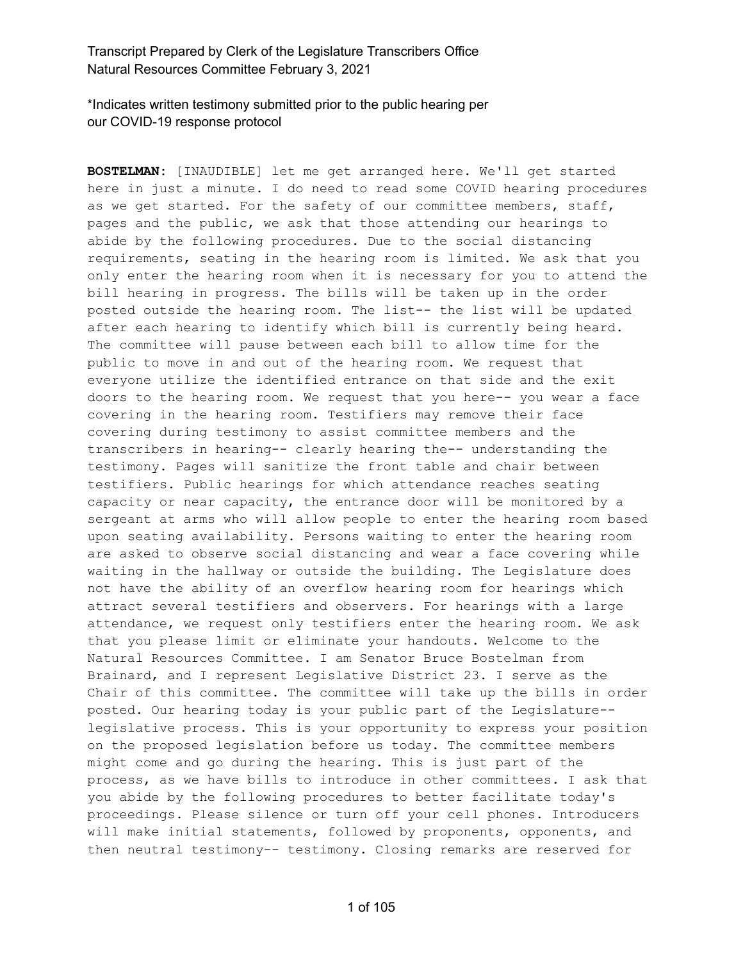\*Indicates written testimony submitted prior to the public hearing per our COVID-19 response protocol

**BOSTELMAN:** [INAUDIBLE] let me get arranged here. We'll get started here in just a minute. I do need to read some COVID hearing procedures as we get started. For the safety of our committee members, staff, pages and the public, we ask that those attending our hearings to abide by the following procedures. Due to the social distancing requirements, seating in the hearing room is limited. We ask that you only enter the hearing room when it is necessary for you to attend the bill hearing in progress. The bills will be taken up in the order posted outside the hearing room. The list-- the list will be updated after each hearing to identify which bill is currently being heard. The committee will pause between each bill to allow time for the public to move in and out of the hearing room. We request that everyone utilize the identified entrance on that side and the exit doors to the hearing room. We request that you here-- you wear a face covering in the hearing room. Testifiers may remove their face covering during testimony to assist committee members and the transcribers in hearing-- clearly hearing the-- understanding the testimony. Pages will sanitize the front table and chair between testifiers. Public hearings for which attendance reaches seating capacity or near capacity, the entrance door will be monitored by a sergeant at arms who will allow people to enter the hearing room based upon seating availability. Persons waiting to enter the hearing room are asked to observe social distancing and wear a face covering while waiting in the hallway or outside the building. The Legislature does not have the ability of an overflow hearing room for hearings which attract several testifiers and observers. For hearings with a large attendance, we request only testifiers enter the hearing room. We ask that you please limit or eliminate your handouts. Welcome to the Natural Resources Committee. I am Senator Bruce Bostelman from Brainard, and I represent Legislative District 23. I serve as the Chair of this committee. The committee will take up the bills in order posted. Our hearing today is your public part of the Legislature- legislative process. This is your opportunity to express your position on the proposed legislation before us today. The committee members might come and go during the hearing. This is just part of the process, as we have bills to introduce in other committees. I ask that you abide by the following procedures to better facilitate today's proceedings. Please silence or turn off your cell phones. Introducers will make initial statements, followed by proponents, opponents, and then neutral testimony-- testimony. Closing remarks are reserved for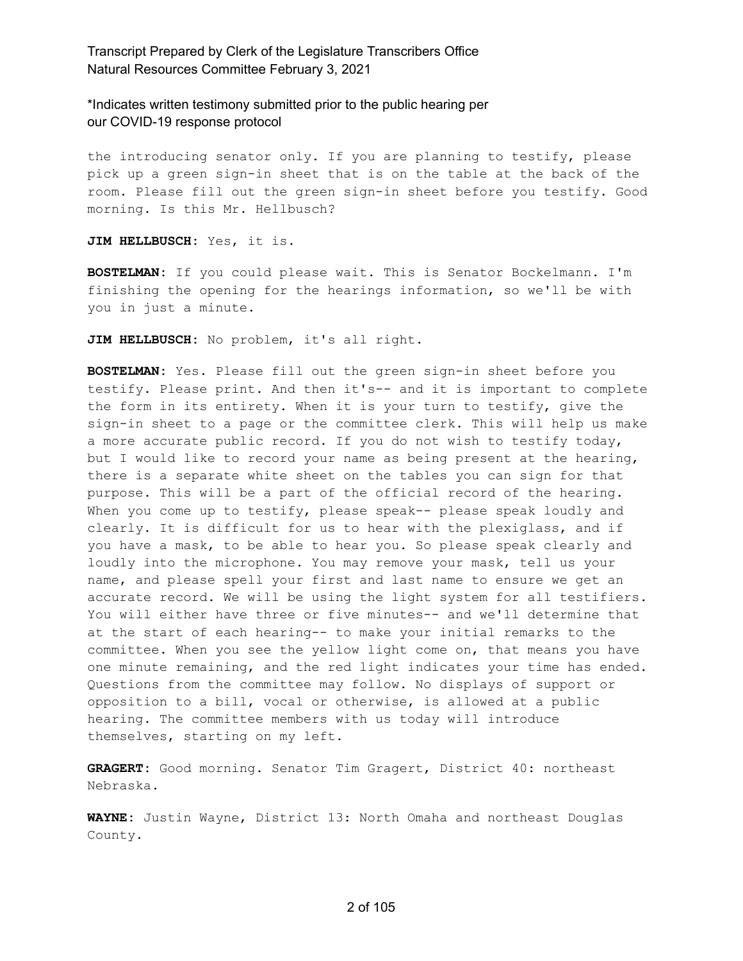\*Indicates written testimony submitted prior to the public hearing per our COVID-19 response protocol

the introducing senator only. If you are planning to testify, please pick up a green sign-in sheet that is on the table at the back of the room. Please fill out the green sign-in sheet before you testify. Good morning. Is this Mr. Hellbusch?

**JIM HELLBUSCH:** Yes, it is.

**BOSTELMAN:** If you could please wait. This is Senator Bockelmann. I'm finishing the opening for the hearings information, so we'll be with you in just a minute.

**JIM HELLBUSCH:** No problem, it's all right.

**BOSTELMAN:** Yes. Please fill out the green sign-in sheet before you testify. Please print. And then it's-- and it is important to complete the form in its entirety. When it is your turn to testify, give the sign-in sheet to a page or the committee clerk. This will help us make a more accurate public record. If you do not wish to testify today, but I would like to record your name as being present at the hearing, there is a separate white sheet on the tables you can sign for that purpose. This will be a part of the official record of the hearing. When you come up to testify, please speak-- please speak loudly and clearly. It is difficult for us to hear with the plexiglass, and if you have a mask, to be able to hear you. So please speak clearly and loudly into the microphone. You may remove your mask, tell us your name, and please spell your first and last name to ensure we get an accurate record. We will be using the light system for all testifiers. You will either have three or five minutes-- and we'll determine that at the start of each hearing-- to make your initial remarks to the committee. When you see the yellow light come on, that means you have one minute remaining, and the red light indicates your time has ended. Questions from the committee may follow. No displays of support or opposition to a bill, vocal or otherwise, is allowed at a public hearing. The committee members with us today will introduce themselves, starting on my left.

**GRAGERT:** Good morning. Senator Tim Gragert, District 40: northeast Nebraska.

**WAYNE:** Justin Wayne, District 13: North Omaha and northeast Douglas County.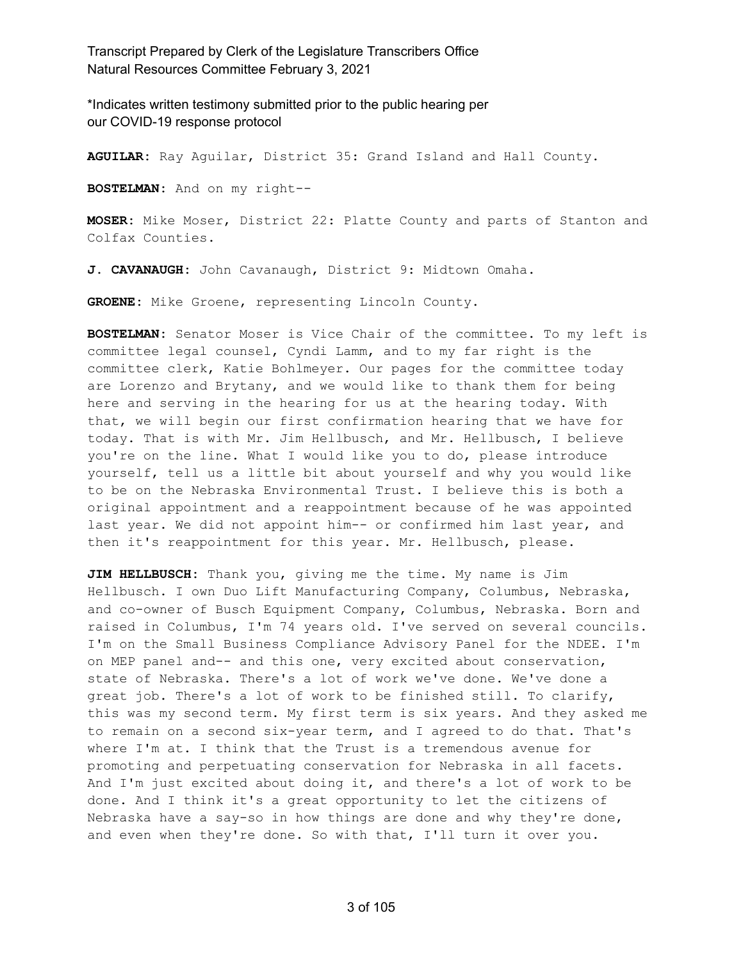\*Indicates written testimony submitted prior to the public hearing per our COVID-19 response protocol

**AGUILAR:** Ray Aguilar, District 35: Grand Island and Hall County.

**BOSTELMAN:** And on my right--

**MOSER:** Mike Moser, District 22: Platte County and parts of Stanton and Colfax Counties.

**J. CAVANAUGH:** John Cavanaugh, District 9: Midtown Omaha.

**GROENE:** Mike Groene, representing Lincoln County.

**BOSTELMAN:** Senator Moser is Vice Chair of the committee. To my left is committee legal counsel, Cyndi Lamm, and to my far right is the committee clerk, Katie Bohlmeyer. Our pages for the committee today are Lorenzo and Brytany, and we would like to thank them for being here and serving in the hearing for us at the hearing today. With that, we will begin our first confirmation hearing that we have for today. That is with Mr. Jim Hellbusch, and Mr. Hellbusch, I believe you're on the line. What I would like you to do, please introduce yourself, tell us a little bit about yourself and why you would like to be on the Nebraska Environmental Trust. I believe this is both a original appointment and a reappointment because of he was appointed last year. We did not appoint him-- or confirmed him last year, and then it's reappointment for this year. Mr. Hellbusch, please.

**JIM HELLBUSCH:** Thank you, giving me the time. My name is Jim Hellbusch. I own Duo Lift Manufacturing Company, Columbus, Nebraska, and co-owner of Busch Equipment Company, Columbus, Nebraska. Born and raised in Columbus, I'm 74 years old. I've served on several councils. I'm on the Small Business Compliance Advisory Panel for the NDEE. I'm on MEP panel and-- and this one, very excited about conservation, state of Nebraska. There's a lot of work we've done. We've done a great job. There's a lot of work to be finished still. To clarify, this was my second term. My first term is six years. And they asked me to remain on a second six-year term, and I agreed to do that. That's where I'm at. I think that the Trust is a tremendous avenue for promoting and perpetuating conservation for Nebraska in all facets. And I'm just excited about doing it, and there's a lot of work to be done. And I think it's a great opportunity to let the citizens of Nebraska have a say-so in how things are done and why they're done, and even when they're done. So with that, I'll turn it over you.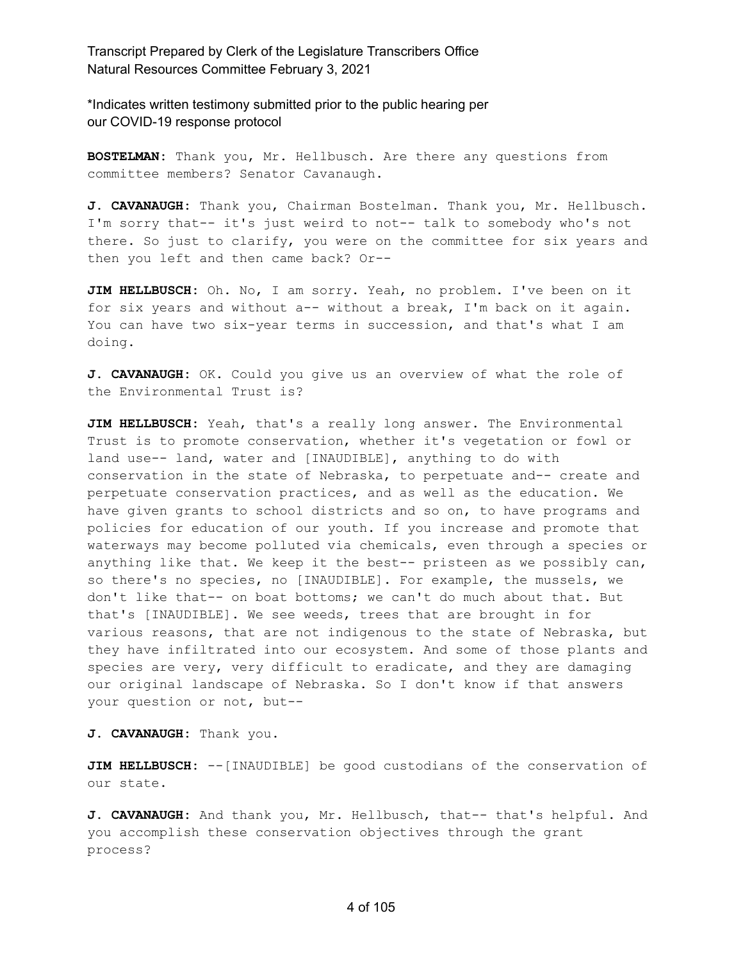\*Indicates written testimony submitted prior to the public hearing per our COVID-19 response protocol

**BOSTELMAN:** Thank you, Mr. Hellbusch. Are there any questions from committee members? Senator Cavanaugh.

**J. CAVANAUGH:** Thank you, Chairman Bostelman. Thank you, Mr. Hellbusch. I'm sorry that-- it's just weird to not-- talk to somebody who's not there. So just to clarify, you were on the committee for six years and then you left and then came back? Or--

**JIM HELLBUSCH:** Oh. No, I am sorry. Yeah, no problem. I've been on it for six years and without a-- without a break, I'm back on it again. You can have two six-year terms in succession, and that's what I am doing.

**J. CAVANAUGH:** OK. Could you give us an overview of what the role of the Environmental Trust is?

**JIM HELLBUSCH:** Yeah, that's a really long answer. The Environmental Trust is to promote conservation, whether it's vegetation or fowl or land use-- land, water and [INAUDIBLE], anything to do with conservation in the state of Nebraska, to perpetuate and-- create and perpetuate conservation practices, and as well as the education. We have given grants to school districts and so on, to have programs and policies for education of our youth. If you increase and promote that waterways may become polluted via chemicals, even through a species or anything like that. We keep it the best-- pristeen as we possibly can, so there's no species, no [INAUDIBLE]. For example, the mussels, we don't like that-- on boat bottoms; we can't do much about that. But that's [INAUDIBLE]. We see weeds, trees that are brought in for various reasons, that are not indigenous to the state of Nebraska, but they have infiltrated into our ecosystem. And some of those plants and species are very, very difficult to eradicate, and they are damaging our original landscape of Nebraska. So I don't know if that answers your question or not, but--

**J. CAVANAUGH:** Thank you.

**JIM HELLBUSCH:** --[INAUDIBLE] be good custodians of the conservation of our state.

**J. CAVANAUGH:** And thank you, Mr. Hellbusch, that-- that's helpful. And you accomplish these conservation objectives through the grant process?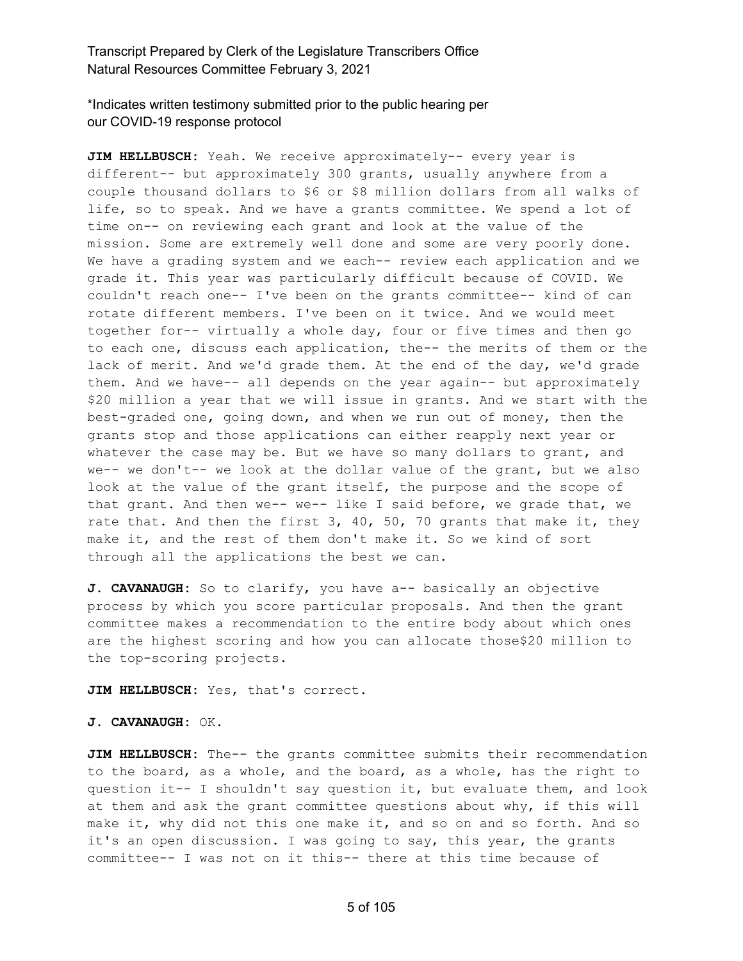\*Indicates written testimony submitted prior to the public hearing per our COVID-19 response protocol

**JIM HELLBUSCH:** Yeah. We receive approximately-- every year is different-- but approximately 300 grants, usually anywhere from a couple thousand dollars to \$6 or \$8 million dollars from all walks of life, so to speak. And we have a grants committee. We spend a lot of time on-- on reviewing each grant and look at the value of the mission. Some are extremely well done and some are very poorly done. We have a grading system and we each-- review each application and we grade it. This year was particularly difficult because of COVID. We couldn't reach one-- I've been on the grants committee-- kind of can rotate different members. I've been on it twice. And we would meet together for-- virtually a whole day, four or five times and then go to each one, discuss each application, the-- the merits of them or the lack of merit. And we'd grade them. At the end of the day, we'd grade them. And we have-- all depends on the year again-- but approximately \$20 million a year that we will issue in grants. And we start with the best-graded one, going down, and when we run out of money, then the grants stop and those applications can either reapply next year or whatever the case may be. But we have so many dollars to grant, and we-- we don't-- we look at the dollar value of the grant, but we also look at the value of the grant itself, the purpose and the scope of that grant. And then we-- we-- like I said before, we grade that, we rate that. And then the first  $3, 40, 50, 70$  grants that make it, they make it, and the rest of them don't make it. So we kind of sort through all the applications the best we can.

**J. CAVANAUGH:** So to clarify, you have a-- basically an objective process by which you score particular proposals. And then the grant committee makes a recommendation to the entire body about which ones are the highest scoring and how you can allocate those\$20 million to the top-scoring projects.

**JIM HELLBUSCH:** Yes, that's correct.

**J. CAVANAUGH:** OK.

**JIM HELLBUSCH:** The-- the grants committee submits their recommendation to the board, as a whole, and the board, as a whole, has the right to question it-- I shouldn't say question it, but evaluate them, and look at them and ask the grant committee questions about why, if this will make it, why did not this one make it, and so on and so forth. And so it's an open discussion. I was going to say, this year, the grants committee-- I was not on it this-- there at this time because of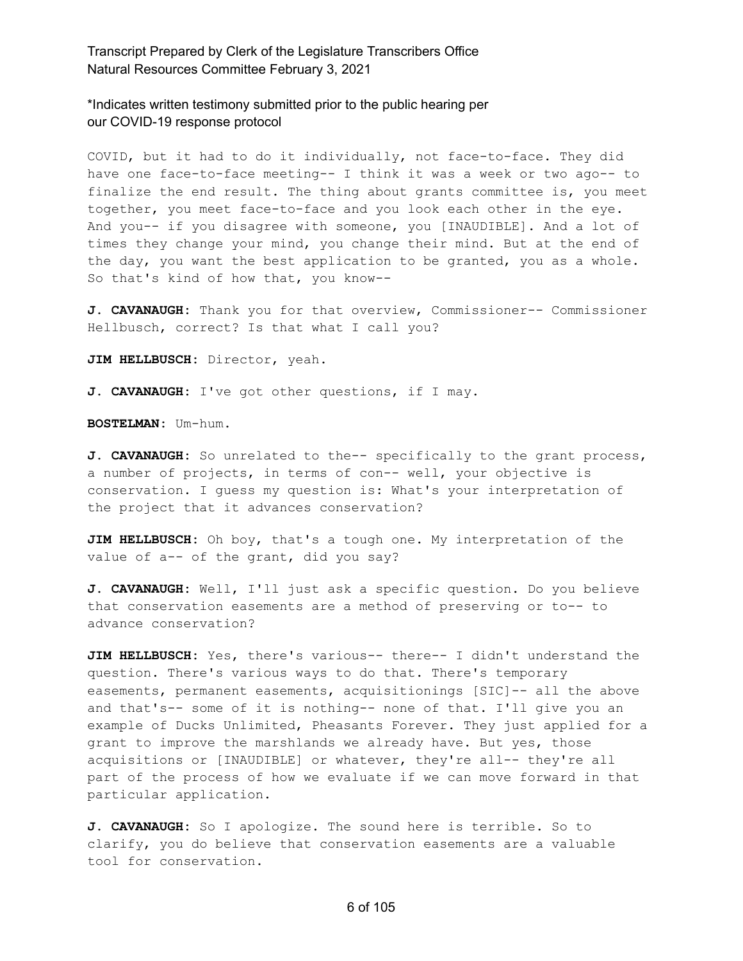\*Indicates written testimony submitted prior to the public hearing per our COVID-19 response protocol

COVID, but it had to do it individually, not face-to-face. They did have one face-to-face meeting-- I think it was a week or two ago-- to finalize the end result. The thing about grants committee is, you meet together, you meet face-to-face and you look each other in the eye. And you-- if you disagree with someone, you [INAUDIBLE]. And a lot of times they change your mind, you change their mind. But at the end of the day, you want the best application to be granted, you as a whole. So that's kind of how that, you know--

**J. CAVANAUGH:** Thank you for that overview, Commissioner-- Commissioner Hellbusch, correct? Is that what I call you?

**JIM HELLBUSCH:** Director, yeah.

**J. CAVANAUGH:** I've got other questions, if I may.

**BOSTELMAN:** Um-hum.

**J. CAVANAUGH:** So unrelated to the-- specifically to the grant process, a number of projects, in terms of con-- well, your objective is conservation. I guess my question is: What's your interpretation of the project that it advances conservation?

**JIM HELLBUSCH:** Oh boy, that's a tough one. My interpretation of the value of a-- of the grant, did you say?

**J. CAVANAUGH:** Well, I'll just ask a specific question. Do you believe that conservation easements are a method of preserving or to-- to advance conservation?

**JIM HELLBUSCH:** Yes, there's various-- there-- I didn't understand the question. There's various ways to do that. There's temporary easements, permanent easements, acquisitionings [SIC]-- all the above and that's-- some of it is nothing-- none of that. I'll give you an example of Ducks Unlimited, Pheasants Forever. They just applied for a grant to improve the marshlands we already have. But yes, those acquisitions or [INAUDIBLE] or whatever, they're all-- they're all part of the process of how we evaluate if we can move forward in that particular application.

**J. CAVANAUGH:** So I apologize. The sound here is terrible. So to clarify, you do believe that conservation easements are a valuable tool for conservation.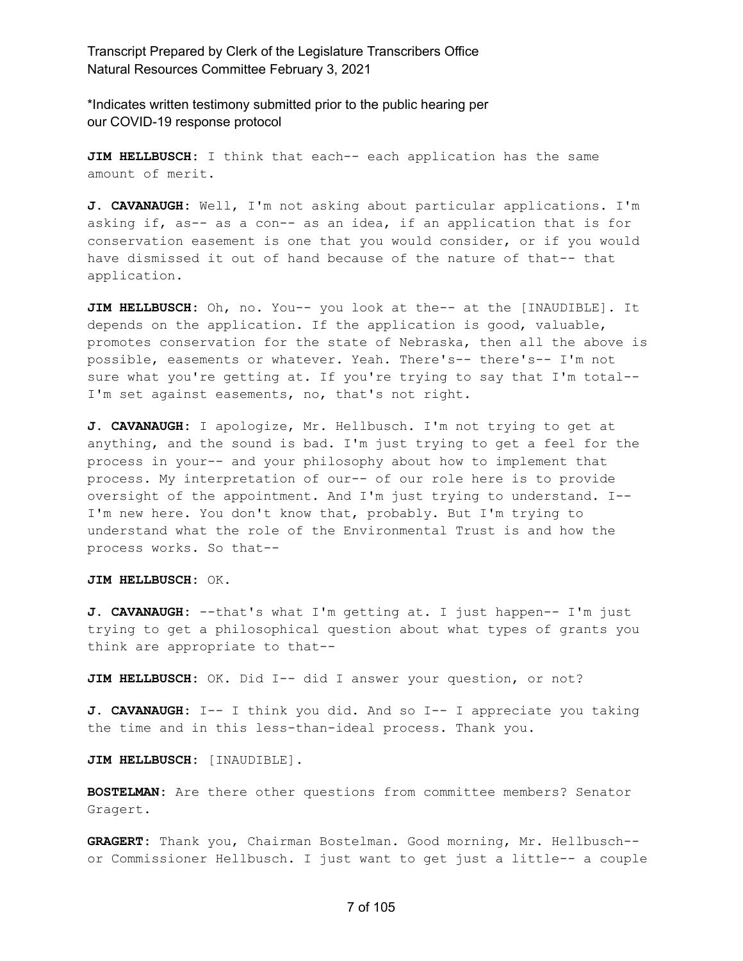\*Indicates written testimony submitted prior to the public hearing per our COVID-19 response protocol

**JIM HELLBUSCH:** I think that each-- each application has the same amount of merit.

**J. CAVANAUGH:** Well, I'm not asking about particular applications. I'm asking if, as-- as a con-- as an idea, if an application that is for conservation easement is one that you would consider, or if you would have dismissed it out of hand because of the nature of that-- that application.

**JIM HELLBUSCH:** Oh, no. You-- you look at the-- at the [INAUDIBLE]. It depends on the application. If the application is good, valuable, promotes conservation for the state of Nebraska, then all the above is possible, easements or whatever. Yeah. There's-- there's-- I'm not sure what you're getting at. If you're trying to say that I'm total-- I'm set against easements, no, that's not right.

**J. CAVANAUGH:** I apologize, Mr. Hellbusch. I'm not trying to get at anything, and the sound is bad. I'm just trying to get a feel for the process in your-- and your philosophy about how to implement that process. My interpretation of our-- of our role here is to provide oversight of the appointment. And I'm just trying to understand. I-- I'm new here. You don't know that, probably. But I'm trying to understand what the role of the Environmental Trust is and how the process works. So that--

**JIM HELLBUSCH:** OK.

**J. CAVANAUGH:** --that's what I'm getting at. I just happen-- I'm just trying to get a philosophical question about what types of grants you think are appropriate to that--

**JIM HELLBUSCH:** OK. Did I-- did I answer your question, or not?

**J. CAVANAUGH:** I-- I think you did. And so I-- I appreciate you taking the time and in this less-than-ideal process. Thank you.

**JIM HELLBUSCH:** [INAUDIBLE].

**BOSTELMAN:** Are there other questions from committee members? Senator Gragert.

**GRAGERT:** Thank you, Chairman Bostelman. Good morning, Mr. Hellbusch- or Commissioner Hellbusch. I just want to get just a little-- a couple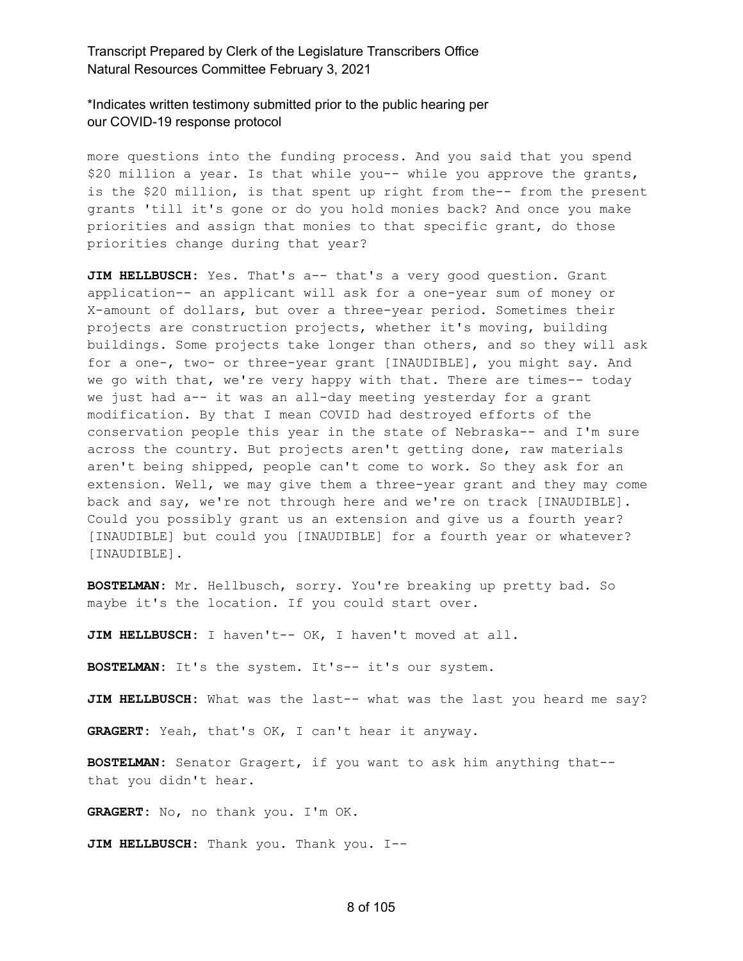\*Indicates written testimony submitted prior to the public hearing per our COVID-19 response protocol

more questions into the funding process. And you said that you spend \$20 million a year. Is that while you-- while you approve the grants, is the \$20 million, is that spent up right from the-- from the present grants 'till it's gone or do you hold monies back? And once you make priorities and assign that monies to that specific grant, do those priorities change during that year?

JIM HELLBUSCH: Yes. That's a-- that's a very good question. Grant application-- an applicant will ask for a one-year sum of money or X-amount of dollars, but over a three-year period. Sometimes their projects are construction projects, whether it's moving, building buildings. Some projects take longer than others, and so they will ask for a one-, two- or three-year grant [INAUDIBLE], you might say. And we go with that, we're very happy with that. There are times-- today we just had a-- it was an all-day meeting yesterday for a grant modification. By that I mean COVID had destroyed efforts of the conservation people this year in the state of Nebraska-- and I'm sure across the country. But projects aren't getting done, raw materials aren't being shipped, people can't come to work. So they ask for an extension. Well, we may give them a three-year grant and they may come back and say, we're not through here and we're on track [INAUDIBLE]. Could you possibly grant us an extension and give us a fourth year? [INAUDIBLE] but could you [INAUDIBLE] for a fourth year or whatever? [INAUDIBLE].

**BOSTELMAN:** Mr. Hellbusch, sorry. You're breaking up pretty bad. So maybe it's the location. If you could start over.

**JIM HELLBUSCH:** I haven't-- OK, I haven't moved at all.

**BOSTELMAN:** It's the system. It's-- it's our system.

**JIM HELLBUSCH:** What was the last-- what was the last you heard me say?

**GRAGERT:** Yeah, that's OK, I can't hear it anyway.

**BOSTELMAN:** Senator Gragert, if you want to ask him anything that- that you didn't hear.

**GRAGERT:** No, no thank you. I'm OK.

**JIM HELLBUSCH:** Thank you. Thank you. I--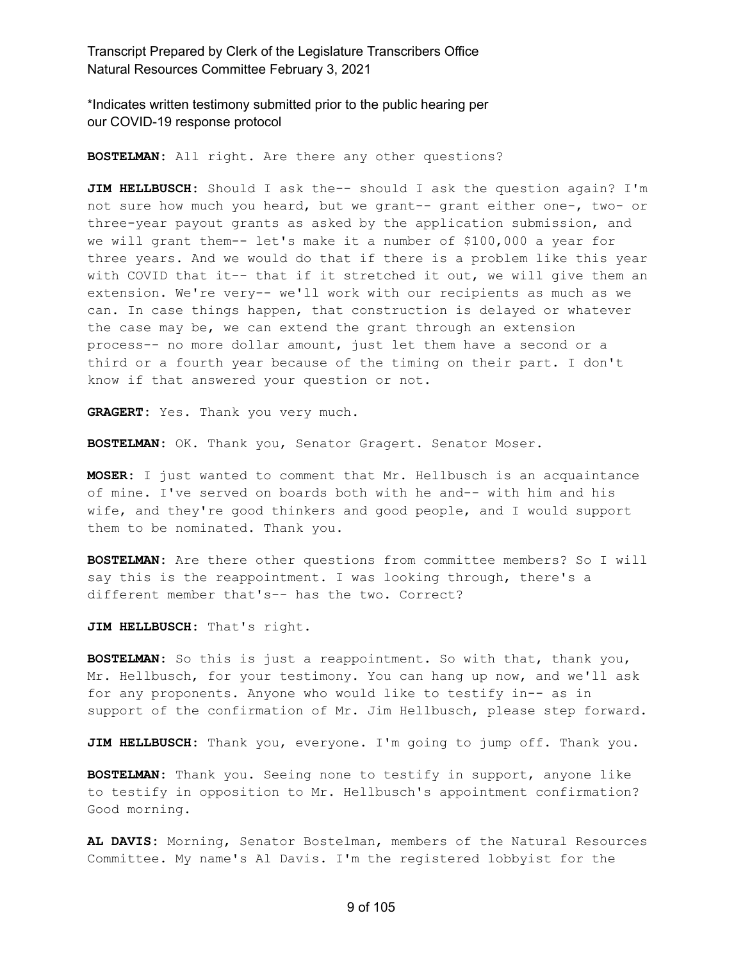\*Indicates written testimony submitted prior to the public hearing per our COVID-19 response protocol

**BOSTELMAN:** All right. Are there any other questions?

**JIM HELLBUSCH:** Should I ask the-- should I ask the question again? I'm not sure how much you heard, but we grant-- grant either one-, two- or three-year payout grants as asked by the application submission, and we will grant them-- let's make it a number of \$100,000 a year for three years. And we would do that if there is a problem like this year with COVID that it-- that if it stretched it out, we will give them an extension. We're very-- we'll work with our recipients as much as we can. In case things happen, that construction is delayed or whatever the case may be, we can extend the grant through an extension process-- no more dollar amount, just let them have a second or a third or a fourth year because of the timing on their part. I don't know if that answered your question or not.

**GRAGERT:** Yes. Thank you very much.

**BOSTELMAN:** OK. Thank you, Senator Gragert. Senator Moser.

**MOSER:** I just wanted to comment that Mr. Hellbusch is an acquaintance of mine. I've served on boards both with he and-- with him and his wife, and they're good thinkers and good people, and I would support them to be nominated. Thank you.

**BOSTELMAN:** Are there other questions from committee members? So I will say this is the reappointment. I was looking through, there's a different member that's-- has the two. Correct?

**JIM HELLBUSCH:** That's right.

**BOSTELMAN:** So this is just a reappointment. So with that, thank you, Mr. Hellbusch, for your testimony. You can hang up now, and we'll ask for any proponents. Anyone who would like to testify in-- as in support of the confirmation of Mr. Jim Hellbusch, please step forward.

**JIM HELLBUSCH:** Thank you, everyone. I'm going to jump off. Thank you.

**BOSTELMAN:** Thank you. Seeing none to testify in support, anyone like to testify in opposition to Mr. Hellbusch's appointment confirmation? Good morning.

**AL DAVIS:** Morning, Senator Bostelman, members of the Natural Resources Committee. My name's Al Davis. I'm the registered lobbyist for the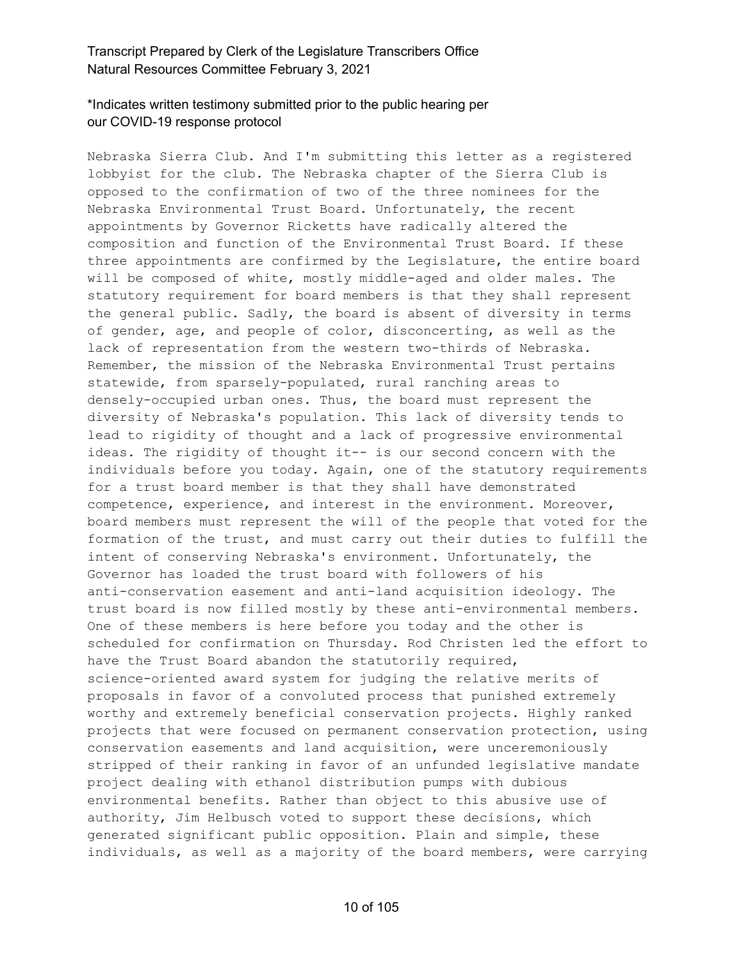# \*Indicates written testimony submitted prior to the public hearing per our COVID-19 response protocol

Nebraska Sierra Club. And I'm submitting this letter as a registered lobbyist for the club. The Nebraska chapter of the Sierra Club is opposed to the confirmation of two of the three nominees for the Nebraska Environmental Trust Board. Unfortunately, the recent appointments by Governor Ricketts have radically altered the composition and function of the Environmental Trust Board. If these three appointments are confirmed by the Legislature, the entire board will be composed of white, mostly middle-aged and older males. The statutory requirement for board members is that they shall represent the general public. Sadly, the board is absent of diversity in terms of gender, age, and people of color, disconcerting, as well as the lack of representation from the western two-thirds of Nebraska. Remember, the mission of the Nebraska Environmental Trust pertains statewide, from sparsely-populated, rural ranching areas to densely-occupied urban ones. Thus, the board must represent the diversity of Nebraska's population. This lack of diversity tends to lead to rigidity of thought and a lack of progressive environmental ideas. The rigidity of thought it-- is our second concern with the individuals before you today. Again, one of the statutory requirements for a trust board member is that they shall have demonstrated competence, experience, and interest in the environment. Moreover, board members must represent the will of the people that voted for the formation of the trust, and must carry out their duties to fulfill the intent of conserving Nebraska's environment. Unfortunately, the Governor has loaded the trust board with followers of his anti-conservation easement and anti-land acquisition ideology. The trust board is now filled mostly by these anti-environmental members. One of these members is here before you today and the other is scheduled for confirmation on Thursday. Rod Christen led the effort to have the Trust Board abandon the statutorily required, science-oriented award system for judging the relative merits of proposals in favor of a convoluted process that punished extremely worthy and extremely beneficial conservation projects. Highly ranked projects that were focused on permanent conservation protection, using conservation easements and land acquisition, were unceremoniously stripped of their ranking in favor of an unfunded legislative mandate project dealing with ethanol distribution pumps with dubious environmental benefits. Rather than object to this abusive use of authority, Jim Helbusch voted to support these decisions, which generated significant public opposition. Plain and simple, these individuals, as well as a majority of the board members, were carrying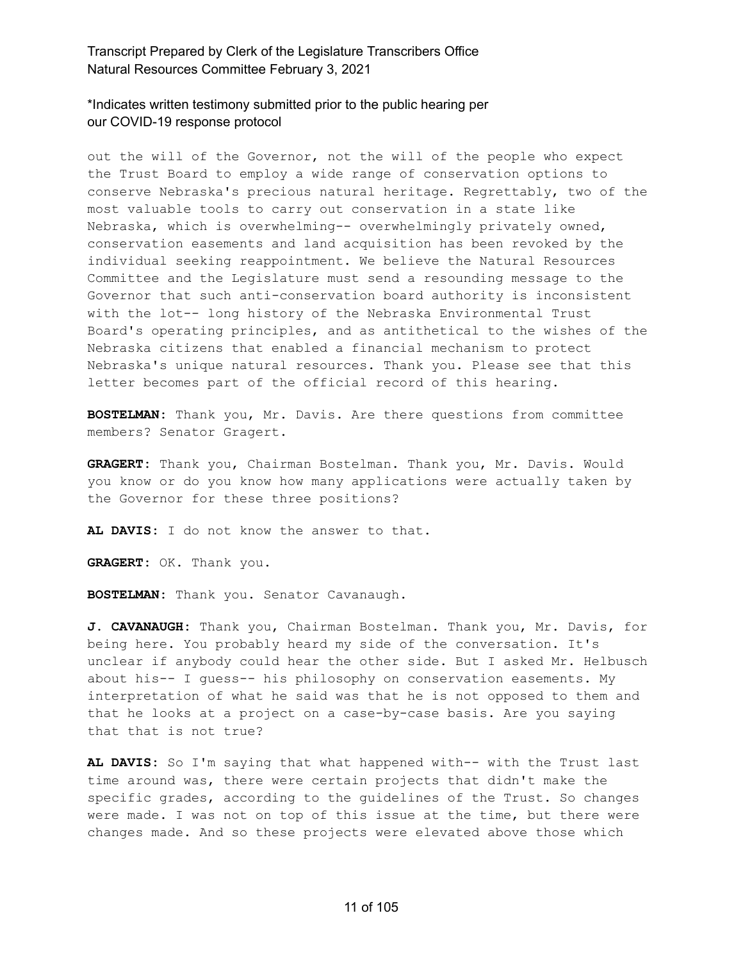\*Indicates written testimony submitted prior to the public hearing per our COVID-19 response protocol

out the will of the Governor, not the will of the people who expect the Trust Board to employ a wide range of conservation options to conserve Nebraska's precious natural heritage. Regrettably, two of the most valuable tools to carry out conservation in a state like Nebraska, which is overwhelming-- overwhelmingly privately owned, conservation easements and land acquisition has been revoked by the individual seeking reappointment. We believe the Natural Resources Committee and the Legislature must send a resounding message to the Governor that such anti-conservation board authority is inconsistent with the lot-- long history of the Nebraska Environmental Trust Board's operating principles, and as antithetical to the wishes of the Nebraska citizens that enabled a financial mechanism to protect Nebraska's unique natural resources. Thank you. Please see that this letter becomes part of the official record of this hearing.

**BOSTELMAN:** Thank you, Mr. Davis. Are there questions from committee members? Senator Gragert.

**GRAGERT:** Thank you, Chairman Bostelman. Thank you, Mr. Davis. Would you know or do you know how many applications were actually taken by the Governor for these three positions?

**AL DAVIS:** I do not know the answer to that.

**GRAGERT:** OK. Thank you.

**BOSTELMAN:** Thank you. Senator Cavanaugh.

**J. CAVANAUGH:** Thank you, Chairman Bostelman. Thank you, Mr. Davis, for being here. You probably heard my side of the conversation. It's unclear if anybody could hear the other side. But I asked Mr. Helbusch about his-- I guess-- his philosophy on conservation easements. My interpretation of what he said was that he is not opposed to them and that he looks at a project on a case-by-case basis. Are you saying that that is not true?

**AL DAVIS:** So I'm saying that what happened with-- with the Trust last time around was, there were certain projects that didn't make the specific grades, according to the guidelines of the Trust. So changes were made. I was not on top of this issue at the time, but there were changes made. And so these projects were elevated above those which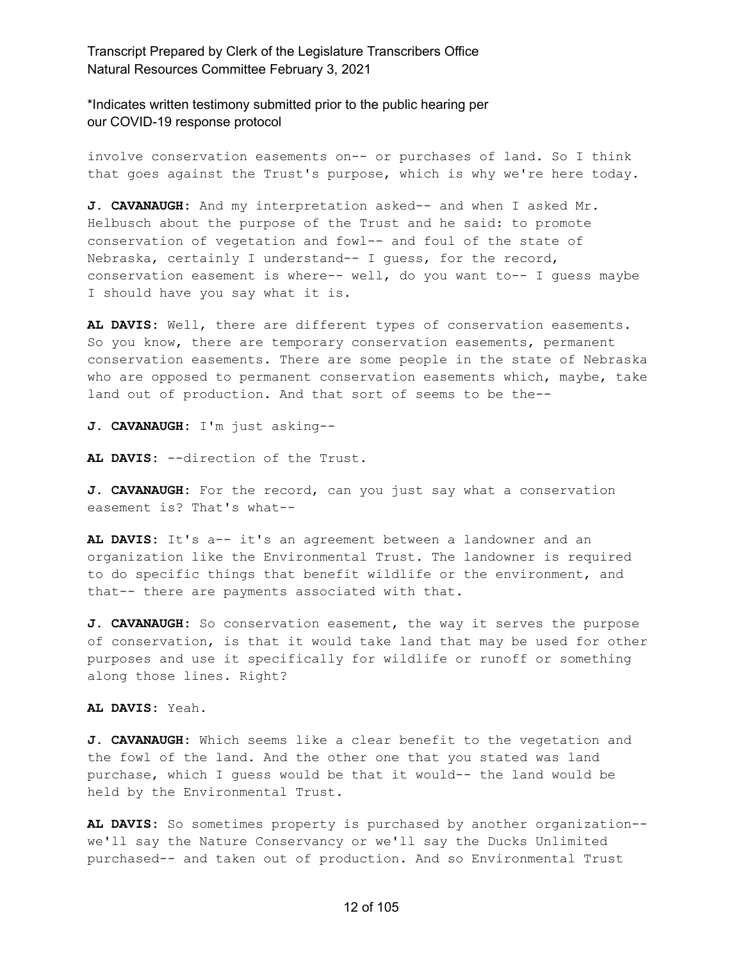\*Indicates written testimony submitted prior to the public hearing per our COVID-19 response protocol

involve conservation easements on-- or purchases of land. So I think that goes against the Trust's purpose, which is why we're here today.

**J. CAVANAUGH:** And my interpretation asked-- and when I asked Mr. Helbusch about the purpose of the Trust and he said: to promote conservation of vegetation and fowl-- and foul of the state of Nebraska, certainly I understand-- I guess, for the record, conservation easement is where-- well, do you want to-- I guess maybe I should have you say what it is.

**AL DAVIS:** Well, there are different types of conservation easements. So you know, there are temporary conservation easements, permanent conservation easements. There are some people in the state of Nebraska who are opposed to permanent conservation easements which, maybe, take land out of production. And that sort of seems to be the--

**J. CAVANAUGH:** I'm just asking--

**AL DAVIS:** --direction of the Trust.

**J. CAVANAUGH:** For the record, can you just say what a conservation easement is? That's what--

**AL DAVIS:** It's a-- it's an agreement between a landowner and an organization like the Environmental Trust. The landowner is required to do specific things that benefit wildlife or the environment, and that-- there are payments associated with that.

**J. CAVANAUGH:** So conservation easement, the way it serves the purpose of conservation, is that it would take land that may be used for other purposes and use it specifically for wildlife or runoff or something along those lines. Right?

**AL DAVIS:** Yeah.

**J. CAVANAUGH:** Which seems like a clear benefit to the vegetation and the fowl of the land. And the other one that you stated was land purchase, which I guess would be that it would-- the land would be held by the Environmental Trust.

**AL DAVIS:** So sometimes property is purchased by another organization- we'll say the Nature Conservancy or we'll say the Ducks Unlimited purchased-- and taken out of production. And so Environmental Trust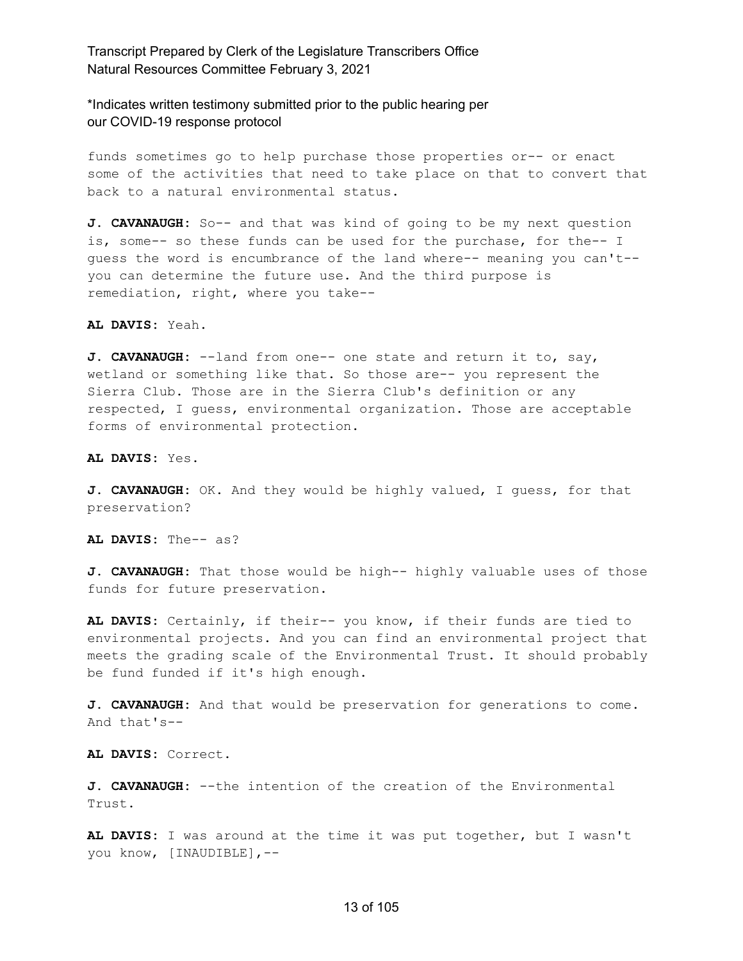\*Indicates written testimony submitted prior to the public hearing per our COVID-19 response protocol

funds sometimes go to help purchase those properties or-- or enact some of the activities that need to take place on that to convert that back to a natural environmental status.

**J. CAVANAUGH:** So-- and that was kind of going to be my next question is, some-- so these funds can be used for the purchase, for the-- I guess the word is encumbrance of the land where-- meaning you can't- you can determine the future use. And the third purpose is remediation, right, where you take--

**AL DAVIS:** Yeah.

**J. CAVANAUGH:** --land from one-- one state and return it to, say, wetland or something like that. So those are-- you represent the Sierra Club. Those are in the Sierra Club's definition or any respected, I guess, environmental organization. Those are acceptable forms of environmental protection.

**AL DAVIS:** Yes.

**J. CAVANAUGH:** OK. And they would be highly valued, I guess, for that preservation?

**AL DAVIS:** The-- as?

**J. CAVANAUGH:** That those would be high-- highly valuable uses of those funds for future preservation.

**AL DAVIS:** Certainly, if their-- you know, if their funds are tied to environmental projects. And you can find an environmental project that meets the grading scale of the Environmental Trust. It should probably be fund funded if it's high enough.

**J. CAVANAUGH:** And that would be preservation for generations to come. And that's--

**AL DAVIS:** Correct.

**J. CAVANAUGH:** --the intention of the creation of the Environmental Trust.

**AL DAVIS:** I was around at the time it was put together, but I wasn't you know, [INAUDIBLE],--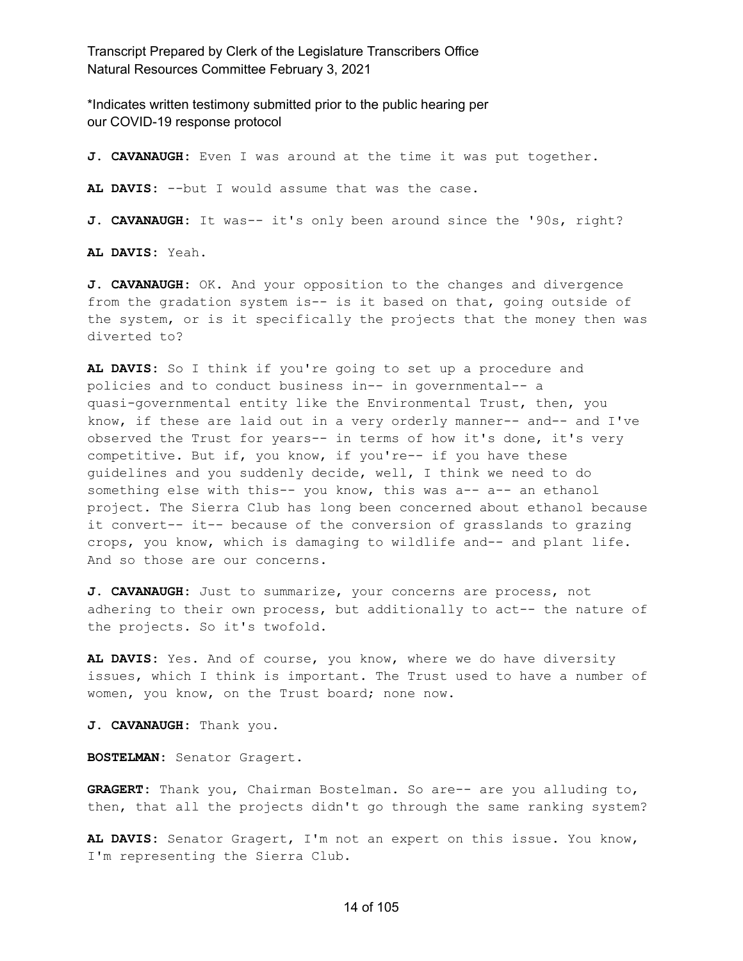\*Indicates written testimony submitted prior to the public hearing per our COVID-19 response protocol

**J. CAVANAUGH:** Even I was around at the time it was put together. **AL DAVIS:** --but I would assume that was the case. **J. CAVANAUGH:** It was-- it's only been around since the '90s, right?

**AL DAVIS:** Yeah.

**J. CAVANAUGH:** OK. And your opposition to the changes and divergence from the gradation system is-- is it based on that, going outside of the system, or is it specifically the projects that the money then was diverted to?

**AL DAVIS:** So I think if you're going to set up a procedure and policies and to conduct business in-- in governmental-- a quasi-governmental entity like the Environmental Trust, then, you know, if these are laid out in a very orderly manner-- and-- and I've observed the Trust for years-- in terms of how it's done, it's very competitive. But if, you know, if you're-- if you have these guidelines and you suddenly decide, well, I think we need to do something else with this-- you know, this was a-- a-- an ethanol project. The Sierra Club has long been concerned about ethanol because it convert-- it-- because of the conversion of grasslands to grazing crops, you know, which is damaging to wildlife and-- and plant life. And so those are our concerns.

**J. CAVANAUGH:** Just to summarize, your concerns are process, not adhering to their own process, but additionally to act-- the nature of the projects. So it's twofold.

**AL DAVIS:** Yes. And of course, you know, where we do have diversity issues, which I think is important. The Trust used to have a number of women, you know, on the Trust board; none now.

**J. CAVANAUGH:** Thank you.

**BOSTELMAN:** Senator Gragert.

**GRAGERT:** Thank you, Chairman Bostelman. So are-- are you alluding to, then, that all the projects didn't go through the same ranking system?

**AL DAVIS:** Senator Gragert, I'm not an expert on this issue. You know, I'm representing the Sierra Club.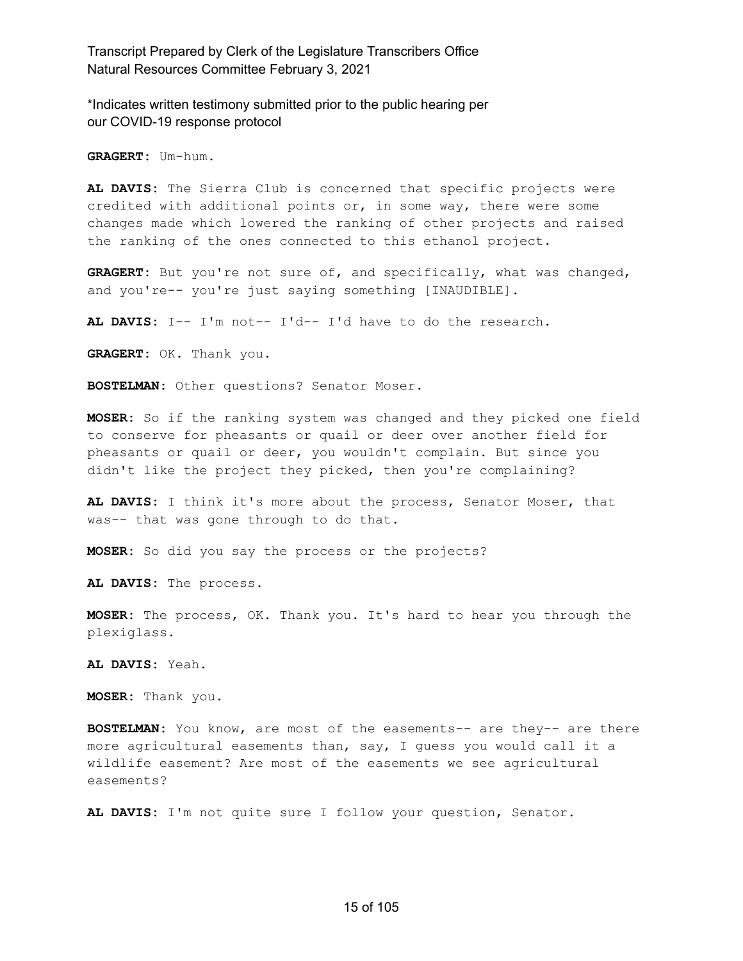\*Indicates written testimony submitted prior to the public hearing per our COVID-19 response protocol

**GRAGERT:** Um-hum.

**AL DAVIS:** The Sierra Club is concerned that specific projects were credited with additional points or, in some way, there were some changes made which lowered the ranking of other projects and raised the ranking of the ones connected to this ethanol project.

**GRAGERT:** But you're not sure of, and specifically, what was changed, and you're-- you're just saying something [INAUDIBLE].

**AL DAVIS:** I-- I'm not-- I'd-- I'd have to do the research.

**GRAGERT:** OK. Thank you.

**BOSTELMAN:** Other questions? Senator Moser.

**MOSER:** So if the ranking system was changed and they picked one field to conserve for pheasants or quail or deer over another field for pheasants or quail or deer, you wouldn't complain. But since you didn't like the project they picked, then you're complaining?

**AL DAVIS:** I think it's more about the process, Senator Moser, that was-- that was gone through to do that.

**MOSER:** So did you say the process or the projects?

**AL DAVIS:** The process.

**MOSER:** The process, OK. Thank you. It's hard to hear you through the plexiglass.

**AL DAVIS:** Yeah.

**MOSER:** Thank you.

**BOSTELMAN:** You know, are most of the easements-- are they-- are there more agricultural easements than, say, I guess you would call it a wildlife easement? Are most of the easements we see agricultural easements?

**AL DAVIS:** I'm not quite sure I follow your question, Senator.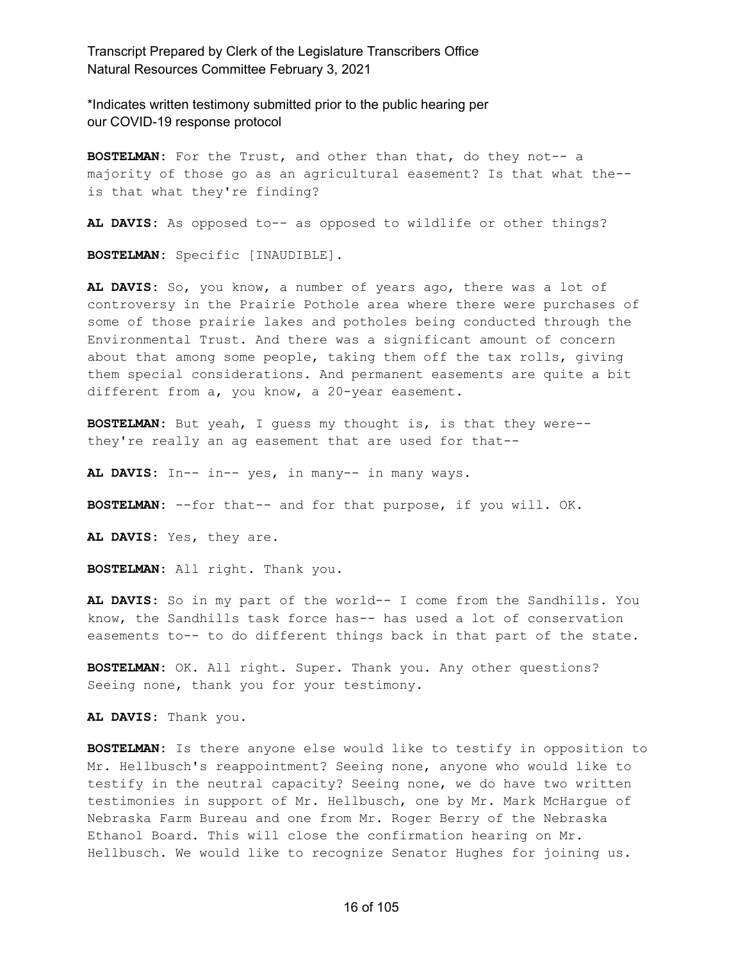\*Indicates written testimony submitted prior to the public hearing per our COVID-19 response protocol

**BOSTELMAN:** For the Trust, and other than that, do they not-- a majority of those go as an agricultural easement? Is that what the- is that what they're finding?

**AL DAVIS:** As opposed to-- as opposed to wildlife or other things?

**BOSTELMAN:** Specific [INAUDIBLE].

**AL DAVIS:** So, you know, a number of years ago, there was a lot of controversy in the Prairie Pothole area where there were purchases of some of those prairie lakes and potholes being conducted through the Environmental Trust. And there was a significant amount of concern about that among some people, taking them off the tax rolls, giving them special considerations. And permanent easements are quite a bit different from a, you know, a 20-year easement.

**BOSTELMAN:** But yeah, I guess my thought is, is that they were- they're really an ag easement that are used for that--

**AL DAVIS:** In-- in-- yes, in many-- in many ways.

**BOSTELMAN:** --for that-- and for that purpose, if you will. OK.

**AL DAVIS:** Yes, they are.

**BOSTELMAN:** All right. Thank you.

**AL DAVIS:** So in my part of the world-- I come from the Sandhills. You know, the Sandhills task force has-- has used a lot of conservation easements to-- to do different things back in that part of the state.

**BOSTELMAN:** OK. All right. Super. Thank you. Any other questions? Seeing none, thank you for your testimony.

**AL DAVIS:** Thank you.

**BOSTELMAN:** Is there anyone else would like to testify in opposition to Mr. Hellbusch's reappointment? Seeing none, anyone who would like to testify in the neutral capacity? Seeing none, we do have two written testimonies in support of Mr. Hellbusch, one by Mr. Mark McHargue of Nebraska Farm Bureau and one from Mr. Roger Berry of the Nebraska Ethanol Board. This will close the confirmation hearing on Mr. Hellbusch. We would like to recognize Senator Hughes for joining us.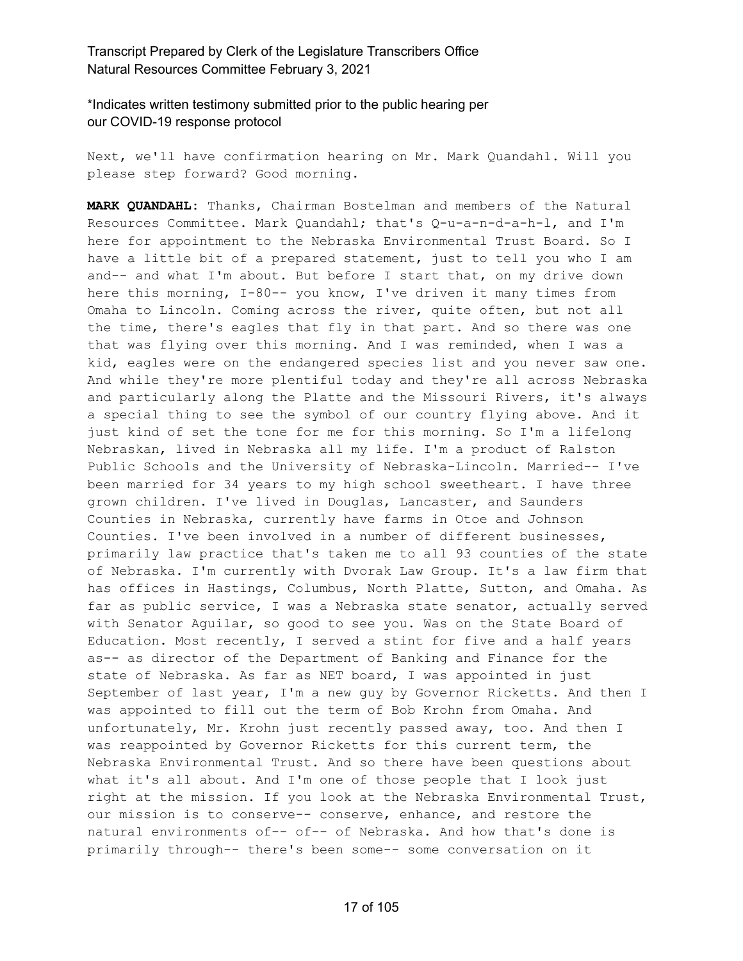\*Indicates written testimony submitted prior to the public hearing per our COVID-19 response protocol

Next, we'll have confirmation hearing on Mr. Mark Quandahl. Will you please step forward? Good morning.

**MARK QUANDAHL:** Thanks, Chairman Bostelman and members of the Natural Resources Committee. Mark Quandahl; that's Q-u-a-n-d-a-h-l, and I'm here for appointment to the Nebraska Environmental Trust Board. So I have a little bit of a prepared statement, just to tell you who I am and-- and what I'm about. But before I start that, on my drive down here this morning, I-80-- you know, I've driven it many times from Omaha to Lincoln. Coming across the river, quite often, but not all the time, there's eagles that fly in that part. And so there was one that was flying over this morning. And I was reminded, when I was a kid, eagles were on the endangered species list and you never saw one. And while they're more plentiful today and they're all across Nebraska and particularly along the Platte and the Missouri Rivers, it's always a special thing to see the symbol of our country flying above. And it just kind of set the tone for me for this morning. So I'm a lifelong Nebraskan, lived in Nebraska all my life. I'm a product of Ralston Public Schools and the University of Nebraska-Lincoln. Married-- I've been married for 34 years to my high school sweetheart. I have three grown children. I've lived in Douglas, Lancaster, and Saunders Counties in Nebraska, currently have farms in Otoe and Johnson Counties. I've been involved in a number of different businesses, primarily law practice that's taken me to all 93 counties of the state of Nebraska. I'm currently with Dvorak Law Group. It's a law firm that has offices in Hastings, Columbus, North Platte, Sutton, and Omaha. As far as public service, I was a Nebraska state senator, actually served with Senator Aguilar, so good to see you. Was on the State Board of Education. Most recently, I served a stint for five and a half years as-- as director of the Department of Banking and Finance for the state of Nebraska. As far as NET board, I was appointed in just September of last year, I'm a new guy by Governor Ricketts. And then I was appointed to fill out the term of Bob Krohn from Omaha. And unfortunately, Mr. Krohn just recently passed away, too. And then I was reappointed by Governor Ricketts for this current term, the Nebraska Environmental Trust. And so there have been questions about what it's all about. And I'm one of those people that I look just right at the mission. If you look at the Nebraska Environmental Trust, our mission is to conserve-- conserve, enhance, and restore the natural environments of-- of-- of Nebraska. And how that's done is primarily through-- there's been some-- some conversation on it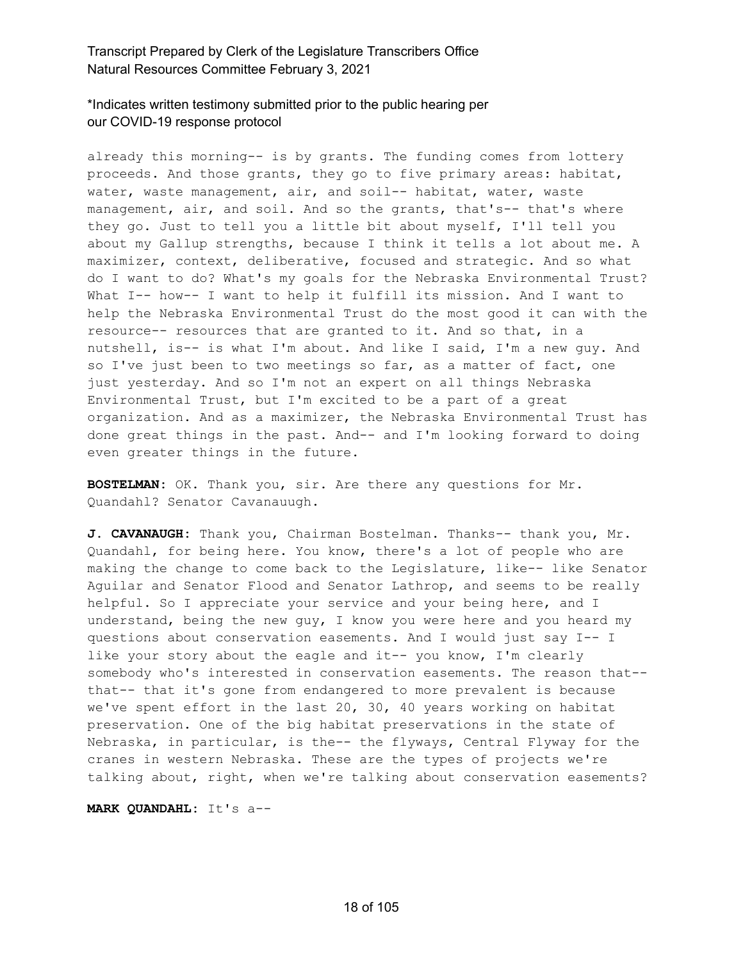# \*Indicates written testimony submitted prior to the public hearing per our COVID-19 response protocol

already this morning-- is by grants. The funding comes from lottery proceeds. And those grants, they go to five primary areas: habitat, water, waste management, air, and soil-- habitat, water, waste management, air, and soil. And so the grants, that's-- that's where they go. Just to tell you a little bit about myself, I'll tell you about my Gallup strengths, because I think it tells a lot about me. A maximizer, context, deliberative, focused and strategic. And so what do I want to do? What's my goals for the Nebraska Environmental Trust? What I-- how-- I want to help it fulfill its mission. And I want to help the Nebraska Environmental Trust do the most good it can with the resource-- resources that are granted to it. And so that, in a nutshell, is-- is what I'm about. And like I said, I'm a new guy. And so I've just been to two meetings so far, as a matter of fact, one just yesterday. And so I'm not an expert on all things Nebraska Environmental Trust, but I'm excited to be a part of a great organization. And as a maximizer, the Nebraska Environmental Trust has done great things in the past. And-- and I'm looking forward to doing even greater things in the future.

**BOSTELMAN:** OK. Thank you, sir. Are there any questions for Mr. Quandahl? Senator Cavanauugh.

**J. CAVANAUGH:** Thank you, Chairman Bostelman. Thanks-- thank you, Mr. Quandahl, for being here. You know, there's a lot of people who are making the change to come back to the Legislature, like-- like Senator Aguilar and Senator Flood and Senator Lathrop, and seems to be really helpful. So I appreciate your service and your being here, and I understand, being the new guy, I know you were here and you heard my questions about conservation easements. And I would just say I-- I like your story about the eagle and it-- you know, I'm clearly somebody who's interested in conservation easements. The reason that- that-- that it's gone from endangered to more prevalent is because we've spent effort in the last 20, 30, 40 years working on habitat preservation. One of the big habitat preservations in the state of Nebraska, in particular, is the-- the flyways, Central Flyway for the cranes in western Nebraska. These are the types of projects we're talking about, right, when we're talking about conservation easements?

**MARK QUANDAHL:** It's a--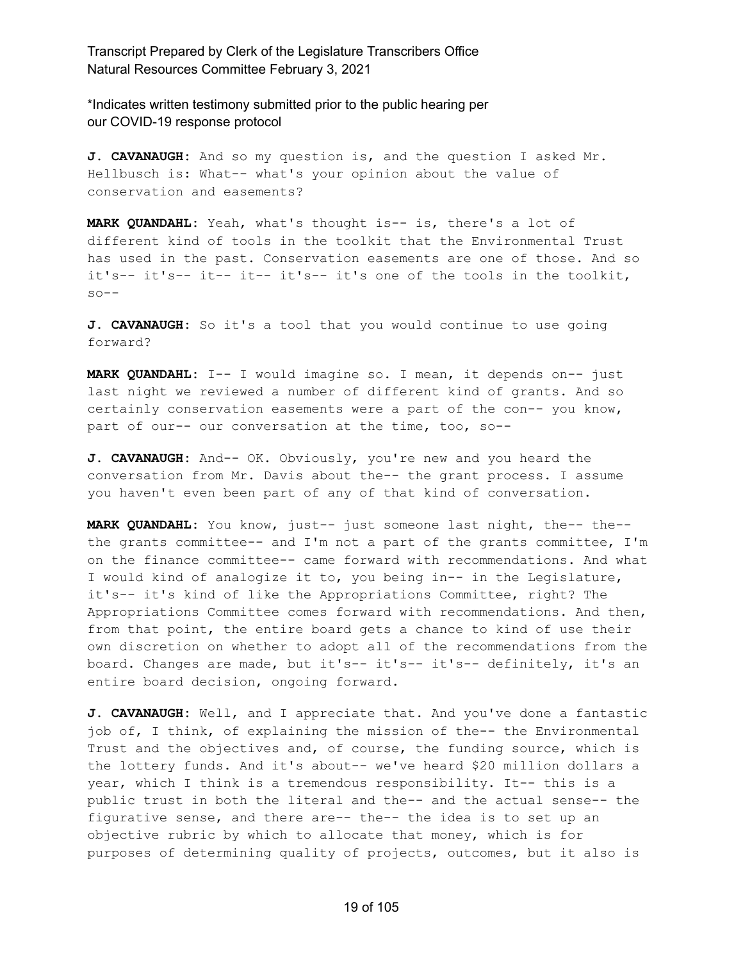\*Indicates written testimony submitted prior to the public hearing per our COVID-19 response protocol

**J. CAVANAUGH:** And so my question is, and the question I asked Mr. Hellbusch is: What-- what's your opinion about the value of conservation and easements?

**MARK QUANDAHL:** Yeah, what's thought is-- is, there's a lot of different kind of tools in the toolkit that the Environmental Trust has used in the past. Conservation easements are one of those. And so it's-- it's-- it-- it-- it's-- it's one of the tools in the toolkit,  $so--$ 

**J. CAVANAUGH:** So it's a tool that you would continue to use going forward?

**MARK QUANDAHL:** I-- I would imagine so. I mean, it depends on-- just last night we reviewed a number of different kind of grants. And so certainly conservation easements were a part of the con-- you know, part of our-- our conversation at the time, too, so--

**J. CAVANAUGH:** And-- OK. Obviously, you're new and you heard the conversation from Mr. Davis about the-- the grant process. I assume you haven't even been part of any of that kind of conversation.

**MARK QUANDAHL:** You know, just-- just someone last night, the-- the- the grants committee-- and I'm not a part of the grants committee, I'm on the finance committee-- came forward with recommendations. And what I would kind of analogize it to, you being in-- in the Legislature, it's-- it's kind of like the Appropriations Committee, right? The Appropriations Committee comes forward with recommendations. And then, from that point, the entire board gets a chance to kind of use their own discretion on whether to adopt all of the recommendations from the board. Changes are made, but it's-- it's-- it's-- definitely, it's an entire board decision, ongoing forward.

**J. CAVANAUGH:** Well, and I appreciate that. And you've done a fantastic job of, I think, of explaining the mission of the-- the Environmental Trust and the objectives and, of course, the funding source, which is the lottery funds. And it's about-- we've heard \$20 million dollars a year, which I think is a tremendous responsibility. It-- this is a public trust in both the literal and the-- and the actual sense-- the figurative sense, and there are-- the-- the idea is to set up an objective rubric by which to allocate that money, which is for purposes of determining quality of projects, outcomes, but it also is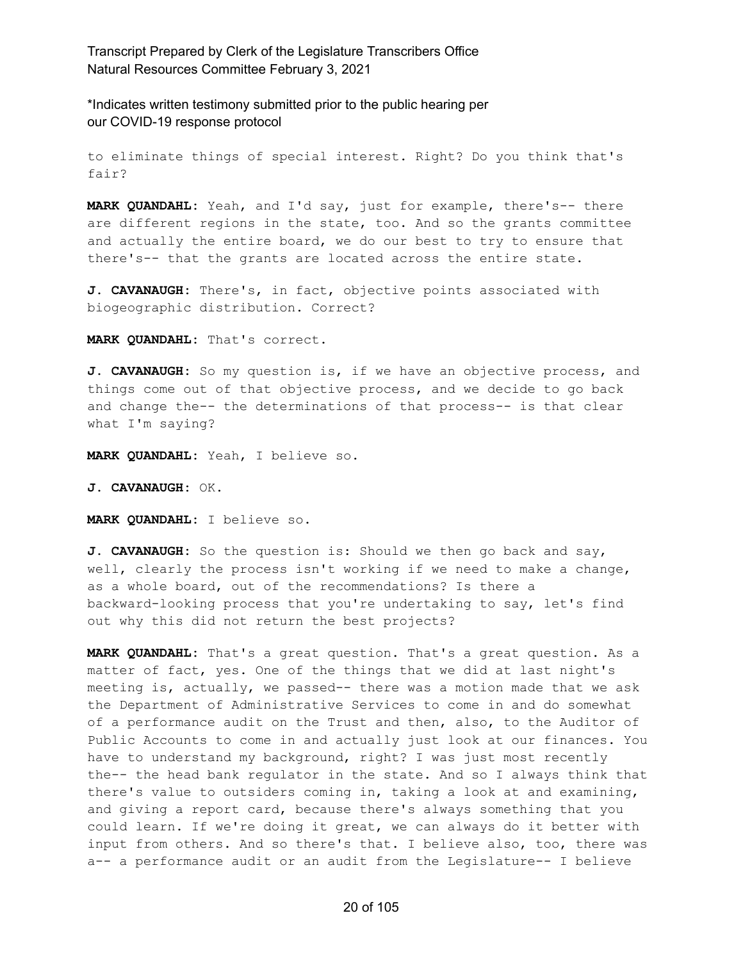\*Indicates written testimony submitted prior to the public hearing per our COVID-19 response protocol

to eliminate things of special interest. Right? Do you think that's fair?

**MARK QUANDAHL:** Yeah, and I'd say, just for example, there's-- there are different regions in the state, too. And so the grants committee and actually the entire board, we do our best to try to ensure that there's-- that the grants are located across the entire state.

**J. CAVANAUGH:** There's, in fact, objective points associated with biogeographic distribution. Correct?

**MARK QUANDAHL:** That's correct.

**J. CAVANAUGH:** So my question is, if we have an objective process, and things come out of that objective process, and we decide to go back and change the-- the determinations of that process-- is that clear what I'm saying?

**MARK QUANDAHL:** Yeah, I believe so.

**J. CAVANAUGH:** OK.

**MARK QUANDAHL:** I believe so.

**J. CAVANAUGH:** So the question is: Should we then go back and say, well, clearly the process isn't working if we need to make a change, as a whole board, out of the recommendations? Is there a backward-looking process that you're undertaking to say, let's find out why this did not return the best projects?

**MARK QUANDAHL:** That's a great question. That's a great question. As a matter of fact, yes. One of the things that we did at last night's meeting is, actually, we passed-- there was a motion made that we ask the Department of Administrative Services to come in and do somewhat of a performance audit on the Trust and then, also, to the Auditor of Public Accounts to come in and actually just look at our finances. You have to understand my background, right? I was just most recently the-- the head bank regulator in the state. And so I always think that there's value to outsiders coming in, taking a look at and examining, and giving a report card, because there's always something that you could learn. If we're doing it great, we can always do it better with input from others. And so there's that. I believe also, too, there was a-- a performance audit or an audit from the Legislature-- I believe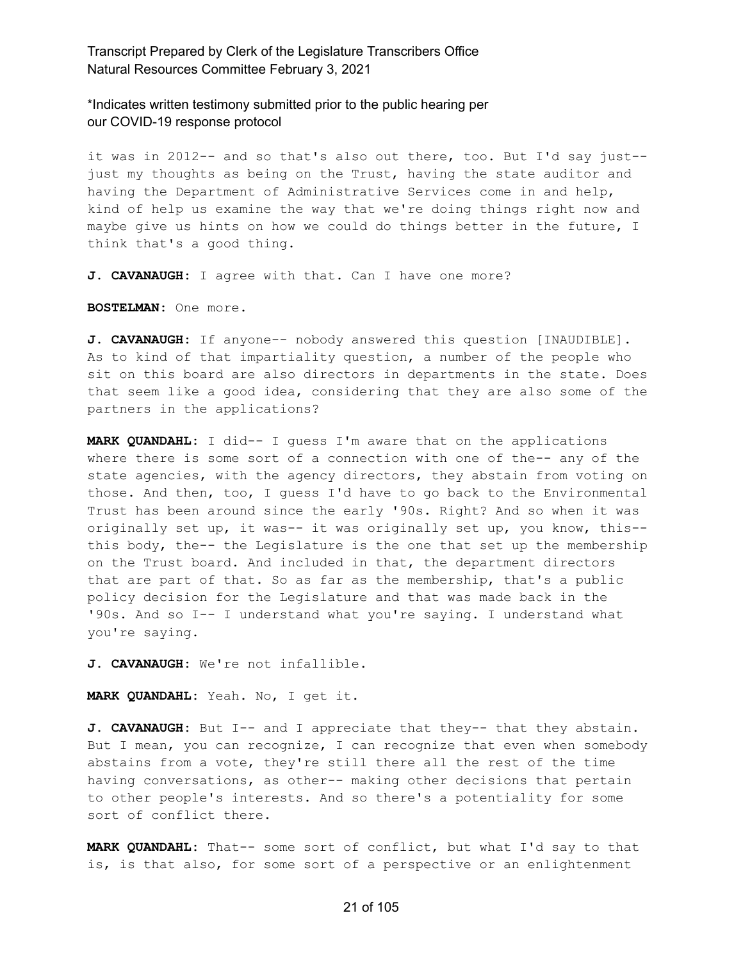\*Indicates written testimony submitted prior to the public hearing per our COVID-19 response protocol

it was in 2012-- and so that's also out there, too. But I'd say just- just my thoughts as being on the Trust, having the state auditor and having the Department of Administrative Services come in and help, kind of help us examine the way that we're doing things right now and maybe give us hints on how we could do things better in the future, I think that's a good thing.

**J. CAVANAUGH:** I agree with that. Can I have one more?

**BOSTELMAN:** One more.

**J. CAVANAUGH:** If anyone-- nobody answered this question [INAUDIBLE]. As to kind of that impartiality question, a number of the people who sit on this board are also directors in departments in the state. Does that seem like a good idea, considering that they are also some of the partners in the applications?

**MARK QUANDAHL:** I did-- I guess I'm aware that on the applications where there is some sort of a connection with one of the-- any of the state agencies, with the agency directors, they abstain from voting on those. And then, too, I guess I'd have to go back to the Environmental Trust has been around since the early '90s. Right? And so when it was originally set up, it was-- it was originally set up, you know, this- this body, the-- the Legislature is the one that set up the membership on the Trust board. And included in that, the department directors that are part of that. So as far as the membership, that's a public policy decision for the Legislature and that was made back in the '90s. And so I-- I understand what you're saying. I understand what you're saying.

**J. CAVANAUGH:** We're not infallible.

**MARK QUANDAHL:** Yeah. No, I get it.

**J. CAVANAUGH:** But I-- and I appreciate that they-- that they abstain. But I mean, you can recognize, I can recognize that even when somebody abstains from a vote, they're still there all the rest of the time having conversations, as other-- making other decisions that pertain to other people's interests. And so there's a potentiality for some sort of conflict there.

**MARK QUANDAHL:** That-- some sort of conflict, but what I'd say to that is, is that also, for some sort of a perspective or an enlightenment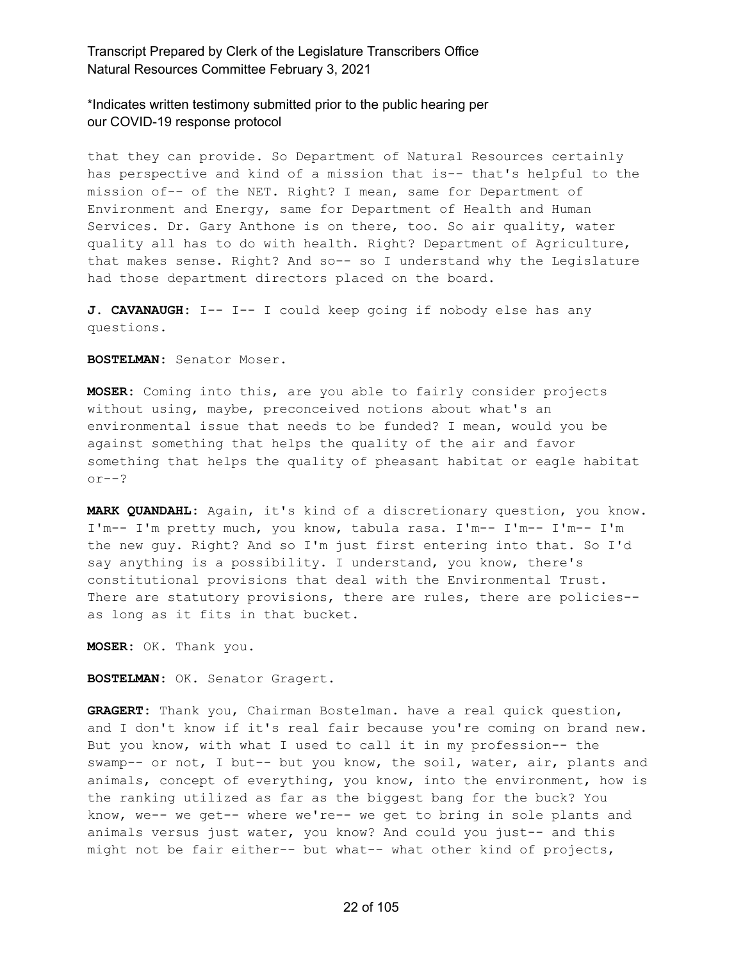\*Indicates written testimony submitted prior to the public hearing per our COVID-19 response protocol

that they can provide. So Department of Natural Resources certainly has perspective and kind of a mission that is-- that's helpful to the mission of-- of the NET. Right? I mean, same for Department of Environment and Energy, same for Department of Health and Human Services. Dr. Gary Anthone is on there, too. So air quality, water quality all has to do with health. Right? Department of Agriculture, that makes sense. Right? And so-- so I understand why the Legislature had those department directors placed on the board.

**J. CAVANAUGH:** I-- I-- I could keep going if nobody else has any questions.

**BOSTELMAN:** Senator Moser.

**MOSER:** Coming into this, are you able to fairly consider projects without using, maybe, preconceived notions about what's an environmental issue that needs to be funded? I mean, would you be against something that helps the quality of the air and favor something that helps the quality of pheasant habitat or eagle habitat or--?

**MARK QUANDAHL:** Again, it's kind of a discretionary question, you know. I'm-- I'm pretty much, you know, tabula rasa. I'm-- I'm-- I'm-- I'm the new guy. Right? And so I'm just first entering into that. So I'd say anything is a possibility. I understand, you know, there's constitutional provisions that deal with the Environmental Trust. There are statutory provisions, there are rules, there are policies-as long as it fits in that bucket.

**MOSER:** OK. Thank you.

**BOSTELMAN:** OK. Senator Gragert.

**GRAGERT:** Thank you, Chairman Bostelman. have a real quick question, and I don't know if it's real fair because you're coming on brand new. But you know, with what I used to call it in my profession-- the swamp-- or not, I but-- but you know, the soil, water, air, plants and animals, concept of everything, you know, into the environment, how is the ranking utilized as far as the biggest bang for the buck? You know, we-- we get-- where we're-- we get to bring in sole plants and animals versus just water, you know? And could you just-- and this might not be fair either-- but what-- what other kind of projects,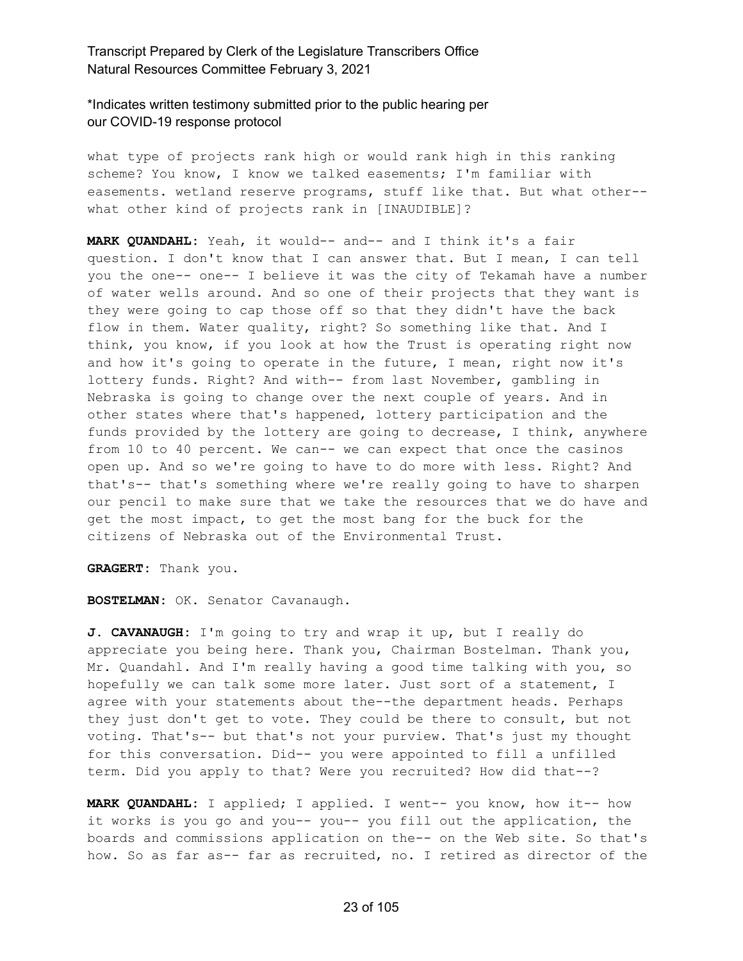\*Indicates written testimony submitted prior to the public hearing per our COVID-19 response protocol

what type of projects rank high or would rank high in this ranking scheme? You know, I know we talked easements; I'm familiar with easements. wetland reserve programs, stuff like that. But what other- what other kind of projects rank in [INAUDIBLE]?

**MARK QUANDAHL:** Yeah, it would-- and-- and I think it's a fair question. I don't know that I can answer that. But I mean, I can tell you the one-- one-- I believe it was the city of Tekamah have a number of water wells around. And so one of their projects that they want is they were going to cap those off so that they didn't have the back flow in them. Water quality, right? So something like that. And I think, you know, if you look at how the Trust is operating right now and how it's going to operate in the future, I mean, right now it's lottery funds. Right? And with-- from last November, gambling in Nebraska is going to change over the next couple of years. And in other states where that's happened, lottery participation and the funds provided by the lottery are going to decrease, I think, anywhere from 10 to 40 percent. We can-- we can expect that once the casinos open up. And so we're going to have to do more with less. Right? And that's-- that's something where we're really going to have to sharpen our pencil to make sure that we take the resources that we do have and get the most impact, to get the most bang for the buck for the citizens of Nebraska out of the Environmental Trust.

**GRAGERT:** Thank you.

**BOSTELMAN:** OK. Senator Cavanaugh.

**J. CAVANAUGH:** I'm going to try and wrap it up, but I really do appreciate you being here. Thank you, Chairman Bostelman. Thank you, Mr. Quandahl. And I'm really having a good time talking with you, so hopefully we can talk some more later. Just sort of a statement, I agree with your statements about the--the department heads. Perhaps they just don't get to vote. They could be there to consult, but not voting. That's-- but that's not your purview. That's just my thought for this conversation. Did-- you were appointed to fill a unfilled term. Did you apply to that? Were you recruited? How did that--?

**MARK QUANDAHL:** I applied; I applied. I went-- you know, how it-- how it works is you go and you-- you-- you fill out the application, the boards and commissions application on the-- on the Web site. So that's how. So as far as-- far as recruited, no. I retired as director of the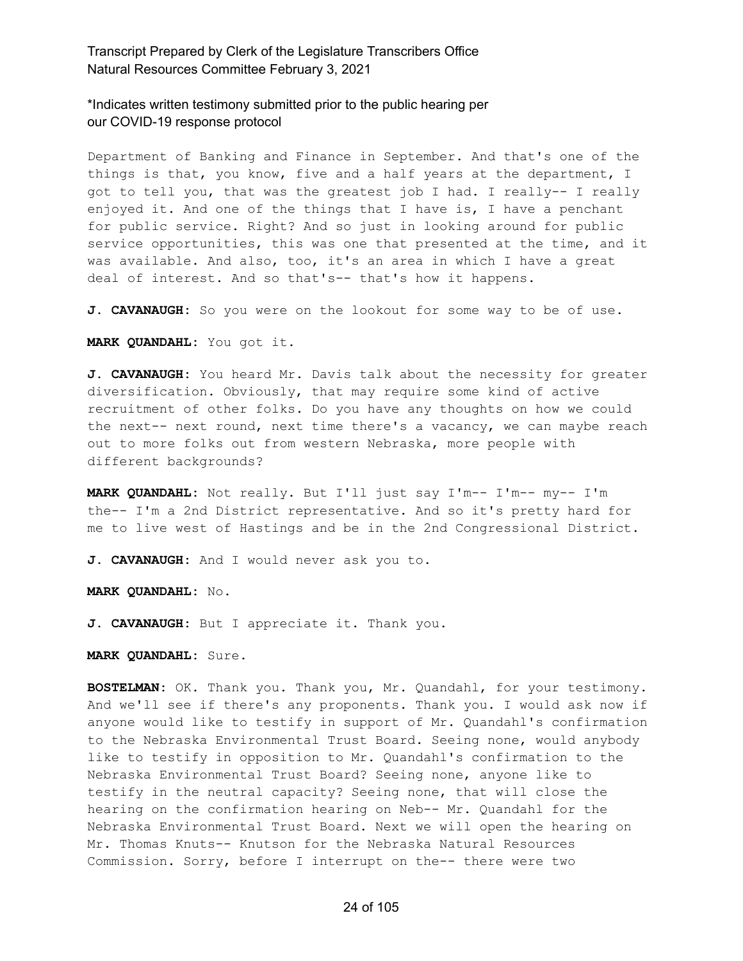\*Indicates written testimony submitted prior to the public hearing per our COVID-19 response protocol

Department of Banking and Finance in September. And that's one of the things is that, you know, five and a half years at the department, I got to tell you, that was the greatest job I had. I really-- I really enjoyed it. And one of the things that I have is, I have a penchant for public service. Right? And so just in looking around for public service opportunities, this was one that presented at the time, and it was available. And also, too, it's an area in which I have a great deal of interest. And so that's-- that's how it happens.

J. CAVANAUGH: So you were on the lookout for some way to be of use.

**MARK QUANDAHL:** You got it.

**J. CAVANAUGH:** You heard Mr. Davis talk about the necessity for greater diversification. Obviously, that may require some kind of active recruitment of other folks. Do you have any thoughts on how we could the next-- next round, next time there's a vacancy, we can maybe reach out to more folks out from western Nebraska, more people with different backgrounds?

**MARK QUANDAHL:** Not really. But I'll just say I'm-- I'm-- my-- I'm the-- I'm a 2nd District representative. And so it's pretty hard for me to live west of Hastings and be in the 2nd Congressional District.

**J. CAVANAUGH:** And I would never ask you to.

**MARK QUANDAHL:** No.

**J. CAVANAUGH:** But I appreciate it. Thank you.

**MARK QUANDAHL:** Sure.

**BOSTELMAN:** OK. Thank you. Thank you, Mr. Quandahl, for your testimony. And we'll see if there's any proponents. Thank you. I would ask now if anyone would like to testify in support of Mr. Quandahl's confirmation to the Nebraska Environmental Trust Board. Seeing none, would anybody like to testify in opposition to Mr. Quandahl's confirmation to the Nebraska Environmental Trust Board? Seeing none, anyone like to testify in the neutral capacity? Seeing none, that will close the hearing on the confirmation hearing on Neb-- Mr. Quandahl for the Nebraska Environmental Trust Board. Next we will open the hearing on Mr. Thomas Knuts-- Knutson for the Nebraska Natural Resources Commission. Sorry, before I interrupt on the-- there were two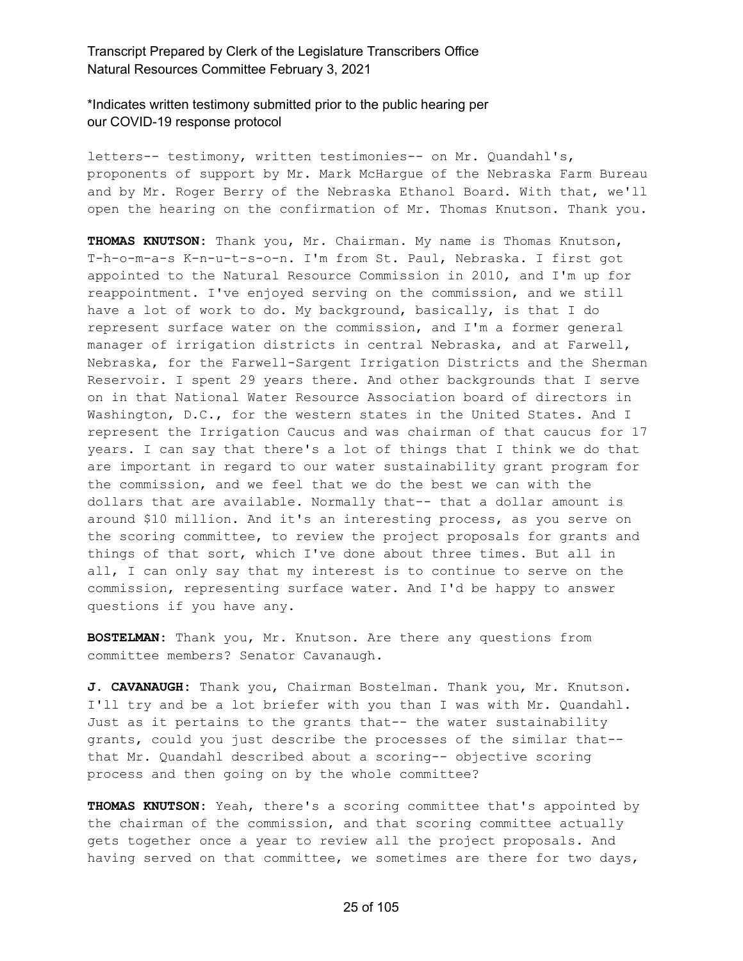\*Indicates written testimony submitted prior to the public hearing per our COVID-19 response protocol

letters-- testimony, written testimonies-- on Mr. Quandahl's, proponents of support by Mr. Mark McHargue of the Nebraska Farm Bureau and by Mr. Roger Berry of the Nebraska Ethanol Board. With that, we'll open the hearing on the confirmation of Mr. Thomas Knutson. Thank you.

**THOMAS KNUTSON:** Thank you, Mr. Chairman. My name is Thomas Knutson, T-h-o-m-a-s K-n-u-t-s-o-n. I'm from St. Paul, Nebraska. I first got appointed to the Natural Resource Commission in 2010, and I'm up for reappointment. I've enjoyed serving on the commission, and we still have a lot of work to do. My background, basically, is that I do represent surface water on the commission, and I'm a former general manager of irrigation districts in central Nebraska, and at Farwell, Nebraska, for the Farwell-Sargent Irrigation Districts and the Sherman Reservoir. I spent 29 years there. And other backgrounds that I serve on in that National Water Resource Association board of directors in Washington, D.C., for the western states in the United States. And I represent the Irrigation Caucus and was chairman of that caucus for 17 years. I can say that there's a lot of things that I think we do that are important in regard to our water sustainability grant program for the commission, and we feel that we do the best we can with the dollars that are available. Normally that-- that a dollar amount is around \$10 million. And it's an interesting process, as you serve on the scoring committee, to review the project proposals for grants and things of that sort, which I've done about three times. But all in all, I can only say that my interest is to continue to serve on the commission, representing surface water. And I'd be happy to answer questions if you have any.

**BOSTELMAN:** Thank you, Mr. Knutson. Are there any questions from committee members? Senator Cavanaugh.

**J. CAVANAUGH:** Thank you, Chairman Bostelman. Thank you, Mr. Knutson. I'll try and be a lot briefer with you than I was with Mr. Quandahl. Just as it pertains to the grants that-- the water sustainability grants, could you just describe the processes of the similar that- that Mr. Quandahl described about a scoring-- objective scoring process and then going on by the whole committee?

**THOMAS KNUTSON:** Yeah, there's a scoring committee that's appointed by the chairman of the commission, and that scoring committee actually gets together once a year to review all the project proposals. And having served on that committee, we sometimes are there for two days,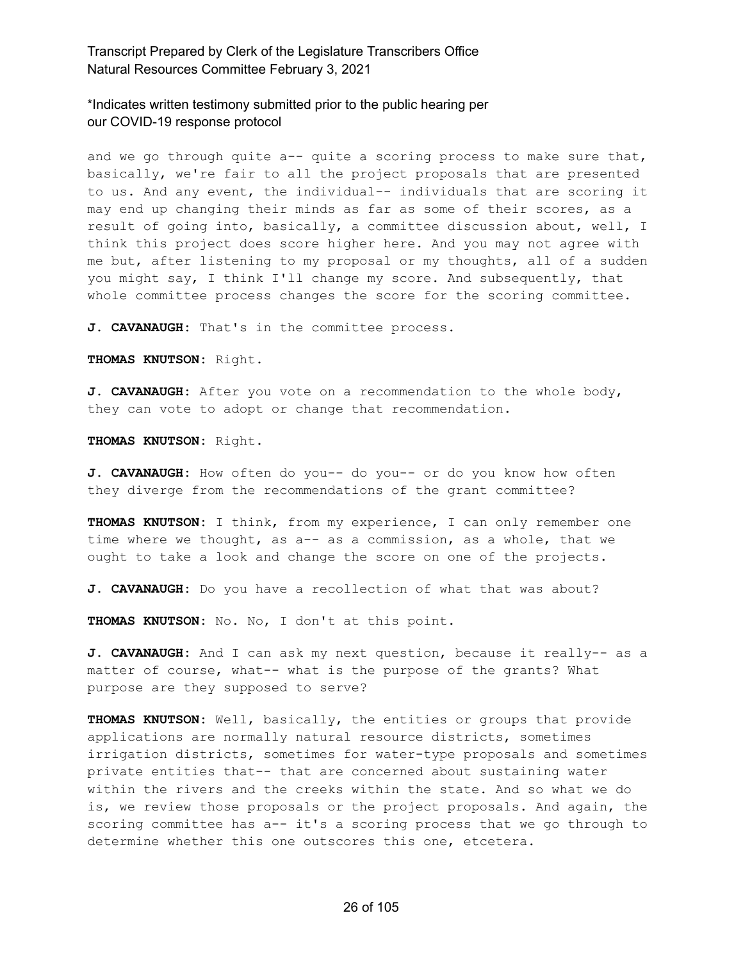\*Indicates written testimony submitted prior to the public hearing per our COVID-19 response protocol

and we go through quite a-- quite a scoring process to make sure that, basically, we're fair to all the project proposals that are presented to us. And any event, the individual-- individuals that are scoring it may end up changing their minds as far as some of their scores, as a result of going into, basically, a committee discussion about, well, I think this project does score higher here. And you may not agree with me but, after listening to my proposal or my thoughts, all of a sudden you might say, I think I'll change my score. And subsequently, that whole committee process changes the score for the scoring committee.

**J. CAVANAUGH:** That's in the committee process.

**THOMAS KNUTSON:** Right.

**J. CAVANAUGH:** After you vote on a recommendation to the whole body, they can vote to adopt or change that recommendation.

**THOMAS KNUTSON:** Right.

**J. CAVANAUGH:** How often do you-- do you-- or do you know how often they diverge from the recommendations of the grant committee?

**THOMAS KNUTSON:** I think, from my experience, I can only remember one time where we thought, as a-- as a commission, as a whole, that we ought to take a look and change the score on one of the projects.

**J. CAVANAUGH:** Do you have a recollection of what that was about?

**THOMAS KNUTSON:** No. No, I don't at this point.

**J. CAVANAUGH:** And I can ask my next question, because it really-- as a matter of course, what-- what is the purpose of the grants? What purpose are they supposed to serve?

**THOMAS KNUTSON:** Well, basically, the entities or groups that provide applications are normally natural resource districts, sometimes irrigation districts, sometimes for water-type proposals and sometimes private entities that-- that are concerned about sustaining water within the rivers and the creeks within the state. And so what we do is, we review those proposals or the project proposals. And again, the scoring committee has a-- it's a scoring process that we go through to determine whether this one outscores this one, etcetera.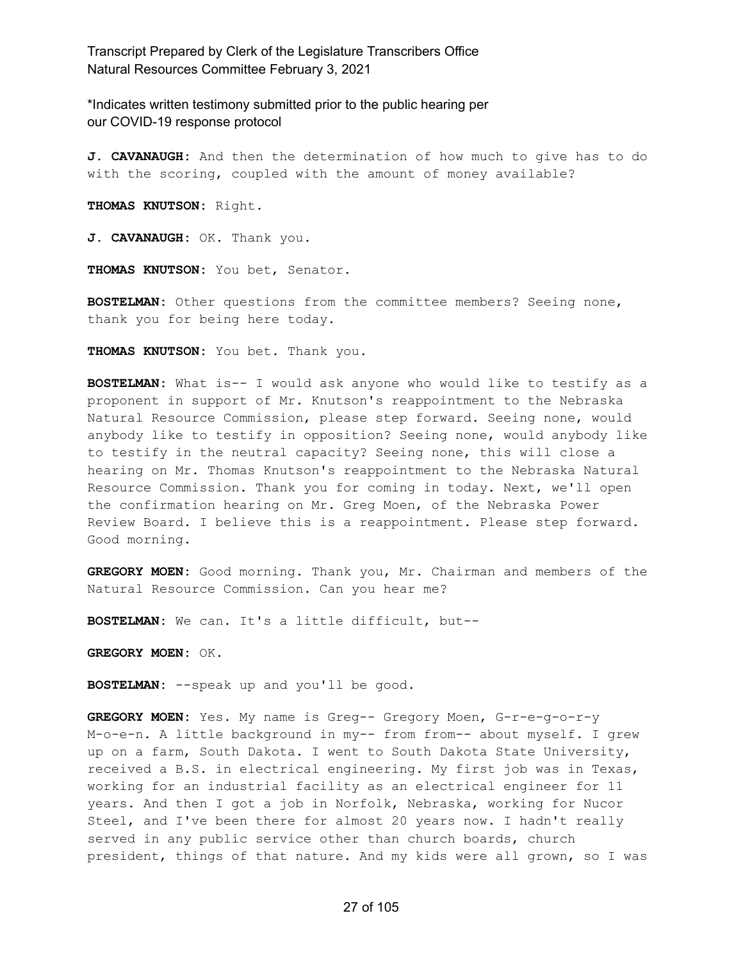\*Indicates written testimony submitted prior to the public hearing per our COVID-19 response protocol

**J. CAVANAUGH:** And then the determination of how much to give has to do with the scoring, coupled with the amount of money available?

**THOMAS KNUTSON:** Right.

**J. CAVANAUGH:** OK. Thank you.

**THOMAS KNUTSON:** You bet, Senator.

**BOSTELMAN:** Other questions from the committee members? Seeing none, thank you for being here today.

**THOMAS KNUTSON:** You bet. Thank you.

**BOSTELMAN:** What is-- I would ask anyone who would like to testify as a proponent in support of Mr. Knutson's reappointment to the Nebraska Natural Resource Commission, please step forward. Seeing none, would anybody like to testify in opposition? Seeing none, would anybody like to testify in the neutral capacity? Seeing none, this will close a hearing on Mr. Thomas Knutson's reappointment to the Nebraska Natural Resource Commission. Thank you for coming in today. Next, we'll open the confirmation hearing on Mr. Greg Moen, of the Nebraska Power Review Board. I believe this is a reappointment. Please step forward. Good morning.

**GREGORY MOEN:** Good morning. Thank you, Mr. Chairman and members of the Natural Resource Commission. Can you hear me?

**BOSTELMAN:** We can. It's a little difficult, but--

**GREGORY MOEN:** OK.

**BOSTELMAN:** --speak up and you'll be good.

**GREGORY MOEN:** Yes. My name is Greg-- Gregory Moen, G-r-e-g-o-r-y M-o-e-n. A little background in my-- from from-- about myself. I grew up on a farm, South Dakota. I went to South Dakota State University, received a B.S. in electrical engineering. My first job was in Texas, working for an industrial facility as an electrical engineer for 11 years. And then I got a job in Norfolk, Nebraska, working for Nucor Steel, and I've been there for almost 20 years now. I hadn't really served in any public service other than church boards, church president, things of that nature. And my kids were all grown, so I was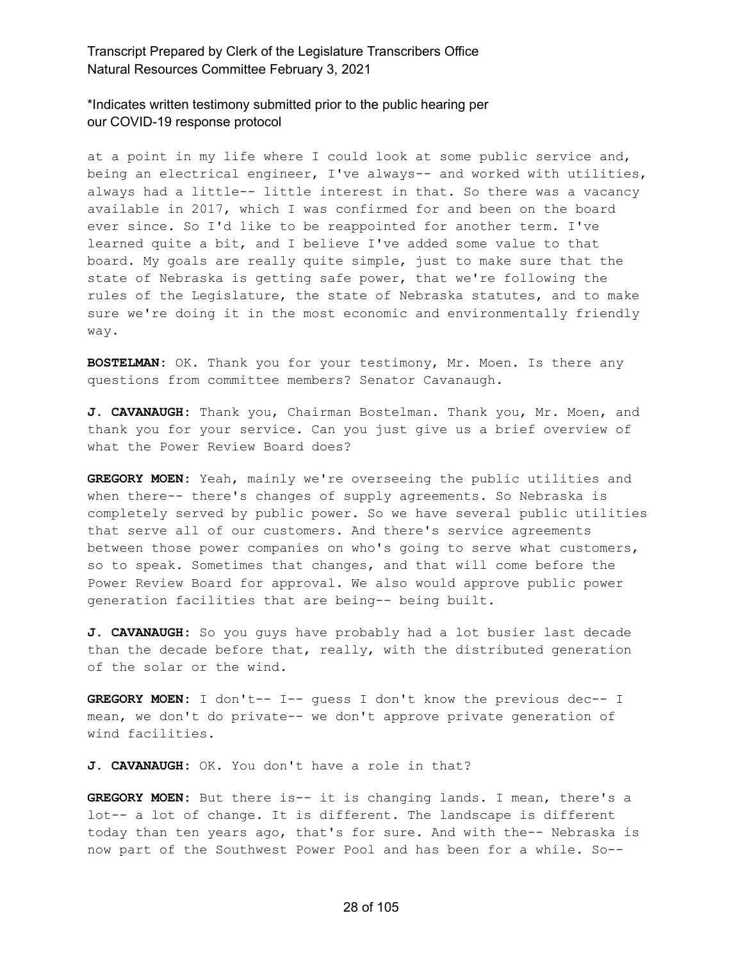\*Indicates written testimony submitted prior to the public hearing per our COVID-19 response protocol

at a point in my life where I could look at some public service and, being an electrical engineer, I've always-- and worked with utilities, always had a little-- little interest in that. So there was a vacancy available in 2017, which I was confirmed for and been on the board ever since. So I'd like to be reappointed for another term. I've learned quite a bit, and I believe I've added some value to that board. My goals are really quite simple, just to make sure that the state of Nebraska is getting safe power, that we're following the rules of the Legislature, the state of Nebraska statutes, and to make sure we're doing it in the most economic and environmentally friendly way.

**BOSTELMAN:** OK. Thank you for your testimony, Mr. Moen. Is there any questions from committee members? Senator Cavanaugh.

**J. CAVANAUGH:** Thank you, Chairman Bostelman. Thank you, Mr. Moen, and thank you for your service. Can you just give us a brief overview of what the Power Review Board does?

**GREGORY MOEN:** Yeah, mainly we're overseeing the public utilities and when there-- there's changes of supply agreements. So Nebraska is completely served by public power. So we have several public utilities that serve all of our customers. And there's service agreements between those power companies on who's going to serve what customers, so to speak. Sometimes that changes, and that will come before the Power Review Board for approval. We also would approve public power generation facilities that are being-- being built.

**J. CAVANAUGH:** So you guys have probably had a lot busier last decade than the decade before that, really, with the distributed generation of the solar or the wind.

**GREGORY MOEN:** I don't-- I-- guess I don't know the previous dec-- I mean, we don't do private-- we don't approve private generation of wind facilities.

**J. CAVANAUGH:** OK. You don't have a role in that?

**GREGORY MOEN:** But there is-- it is changing lands. I mean, there's a lot-- a lot of change. It is different. The landscape is different today than ten years ago, that's for sure. And with the-- Nebraska is now part of the Southwest Power Pool and has been for a while. So--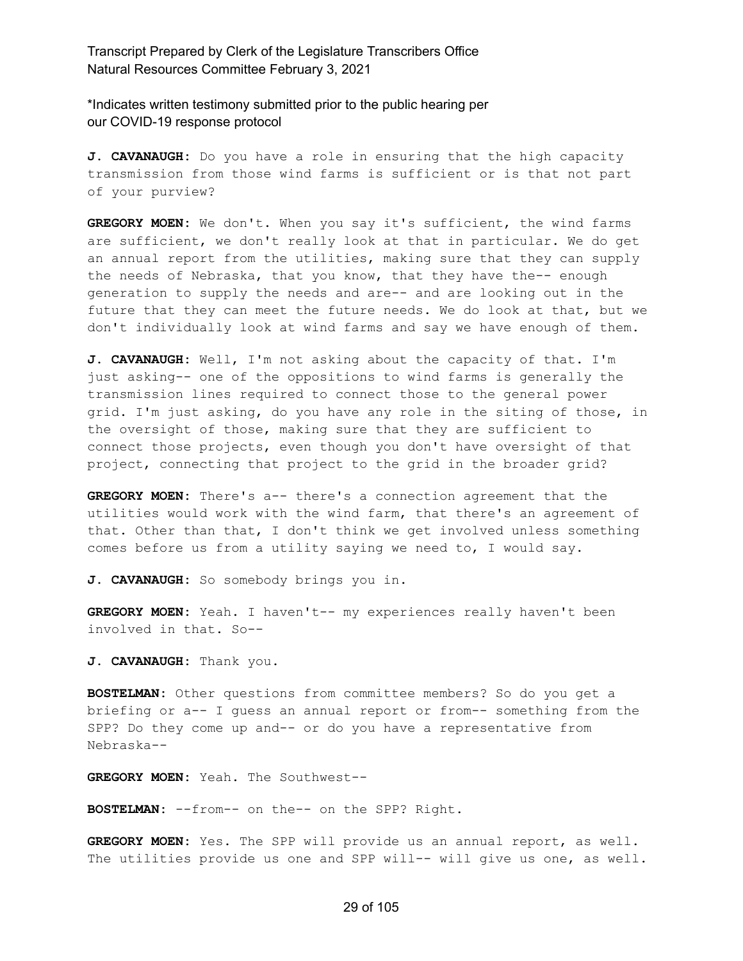\*Indicates written testimony submitted prior to the public hearing per our COVID-19 response protocol

**J. CAVANAUGH:** Do you have a role in ensuring that the high capacity transmission from those wind farms is sufficient or is that not part of your purview?

**GREGORY MOEN:** We don't. When you say it's sufficient, the wind farms are sufficient, we don't really look at that in particular. We do get an annual report from the utilities, making sure that they can supply the needs of Nebraska, that you know, that they have the-- enough generation to supply the needs and are-- and are looking out in the future that they can meet the future needs. We do look at that, but we don't individually look at wind farms and say we have enough of them.

**J. CAVANAUGH:** Well, I'm not asking about the capacity of that. I'm just asking-- one of the oppositions to wind farms is generally the transmission lines required to connect those to the general power grid. I'm just asking, do you have any role in the siting of those, in the oversight of those, making sure that they are sufficient to connect those projects, even though you don't have oversight of that project, connecting that project to the grid in the broader grid?

**GREGORY MOEN:** There's a-- there's a connection agreement that the utilities would work with the wind farm, that there's an agreement of that. Other than that, I don't think we get involved unless something comes before us from a utility saying we need to, I would say.

**J. CAVANAUGH:** So somebody brings you in.

**GREGORY MOEN:** Yeah. I haven't-- my experiences really haven't been involved in that. So--

**J. CAVANAUGH:** Thank you.

**BOSTELMAN:** Other questions from committee members? So do you get a briefing or a-- I guess an annual report or from-- something from the SPP? Do they come up and-- or do you have a representative from Nebraska--

**GREGORY MOEN:** Yeah. The Southwest--

**BOSTELMAN:** --from-- on the-- on the SPP? Right.

**GREGORY MOEN:** Yes. The SPP will provide us an annual report, as well. The utilities provide us one and SPP will-- will give us one, as well.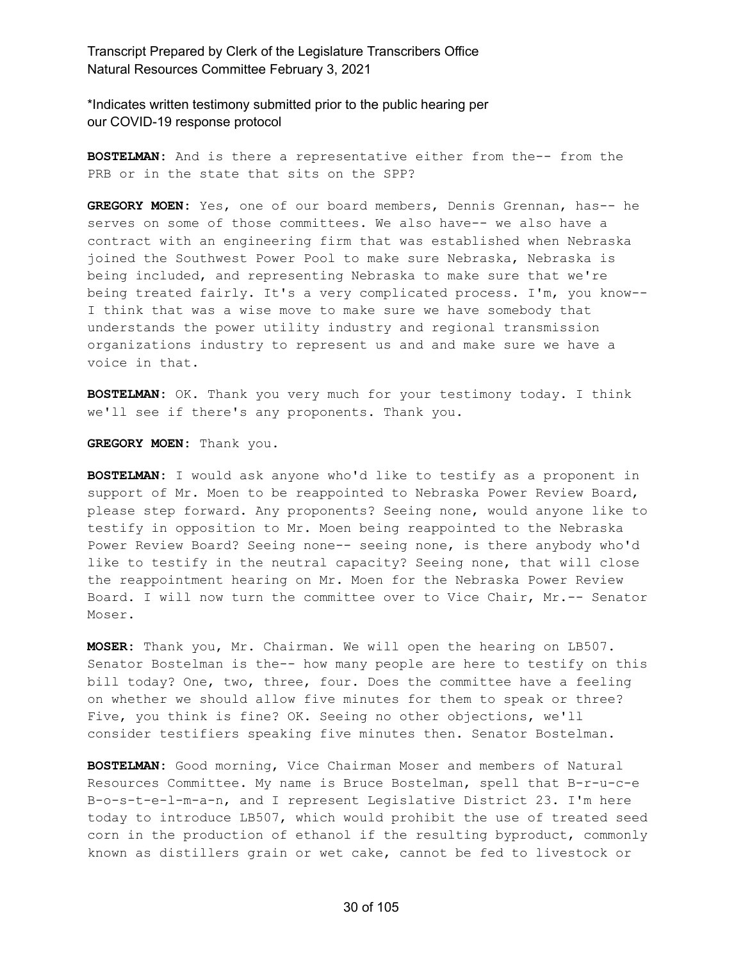\*Indicates written testimony submitted prior to the public hearing per our COVID-19 response protocol

**BOSTELMAN:** And is there a representative either from the-- from the PRB or in the state that sits on the SPP?

**GREGORY MOEN:** Yes, one of our board members, Dennis Grennan, has-- he serves on some of those committees. We also have-- we also have a contract with an engineering firm that was established when Nebraska joined the Southwest Power Pool to make sure Nebraska, Nebraska is being included, and representing Nebraska to make sure that we're being treated fairly. It's a very complicated process. I'm, you know-- I think that was a wise move to make sure we have somebody that understands the power utility industry and regional transmission organizations industry to represent us and and make sure we have a voice in that.

**BOSTELMAN:** OK. Thank you very much for your testimony today. I think we'll see if there's any proponents. Thank you.

**GREGORY MOEN:** Thank you.

**BOSTELMAN:** I would ask anyone who'd like to testify as a proponent in support of Mr. Moen to be reappointed to Nebraska Power Review Board, please step forward. Any proponents? Seeing none, would anyone like to testify in opposition to Mr. Moen being reappointed to the Nebraska Power Review Board? Seeing none-- seeing none, is there anybody who'd like to testify in the neutral capacity? Seeing none, that will close the reappointment hearing on Mr. Moen for the Nebraska Power Review Board. I will now turn the committee over to Vice Chair, Mr.-- Senator Moser.

**MOSER:** Thank you, Mr. Chairman. We will open the hearing on LB507. Senator Bostelman is the-- how many people are here to testify on this bill today? One, two, three, four. Does the committee have a feeling on whether we should allow five minutes for them to speak or three? Five, you think is fine? OK. Seeing no other objections, we'll consider testifiers speaking five minutes then. Senator Bostelman.

**BOSTELMAN:** Good morning, Vice Chairman Moser and members of Natural Resources Committee. My name is Bruce Bostelman, spell that B-r-u-c-e B-o-s-t-e-l-m-a-n, and I represent Legislative District 23. I'm here today to introduce LB507, which would prohibit the use of treated seed corn in the production of ethanol if the resulting byproduct, commonly known as distillers grain or wet cake, cannot be fed to livestock or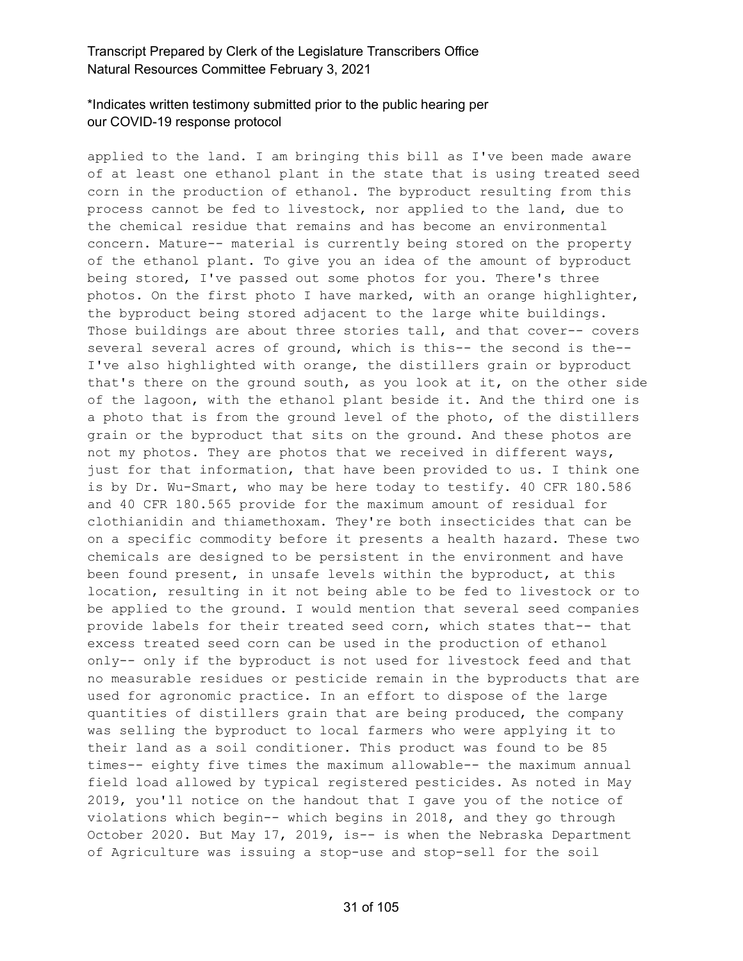# \*Indicates written testimony submitted prior to the public hearing per our COVID-19 response protocol

applied to the land. I am bringing this bill as I've been made aware of at least one ethanol plant in the state that is using treated seed corn in the production of ethanol. The byproduct resulting from this process cannot be fed to livestock, nor applied to the land, due to the chemical residue that remains and has become an environmental concern. Mature-- material is currently being stored on the property of the ethanol plant. To give you an idea of the amount of byproduct being stored, I've passed out some photos for you. There's three photos. On the first photo I have marked, with an orange highlighter, the byproduct being stored adjacent to the large white buildings. Those buildings are about three stories tall, and that cover-- covers several several acres of ground, which is this-- the second is the-- I've also highlighted with orange, the distillers grain or byproduct that's there on the ground south, as you look at it, on the other side of the lagoon, with the ethanol plant beside it. And the third one is a photo that is from the ground level of the photo, of the distillers grain or the byproduct that sits on the ground. And these photos are not my photos. They are photos that we received in different ways, just for that information, that have been provided to us. I think one is by Dr. Wu-Smart, who may be here today to testify. 40 CFR 180.586 and 40 CFR 180.565 provide for the maximum amount of residual for clothianidin and thiamethoxam. They're both insecticides that can be on a specific commodity before it presents a health hazard. These two chemicals are designed to be persistent in the environment and have been found present, in unsafe levels within the byproduct, at this location, resulting in it not being able to be fed to livestock or to be applied to the ground. I would mention that several seed companies provide labels for their treated seed corn, which states that-- that excess treated seed corn can be used in the production of ethanol only-- only if the byproduct is not used for livestock feed and that no measurable residues or pesticide remain in the byproducts that are used for agronomic practice. In an effort to dispose of the large quantities of distillers grain that are being produced, the company was selling the byproduct to local farmers who were applying it to their land as a soil conditioner. This product was found to be 85 times-- eighty five times the maximum allowable-- the maximum annual field load allowed by typical registered pesticides. As noted in May 2019, you'll notice on the handout that I gave you of the notice of violations which begin-- which begins in 2018, and they go through October 2020. But May 17, 2019, is-- is when the Nebraska Department of Agriculture was issuing a stop-use and stop-sell for the soil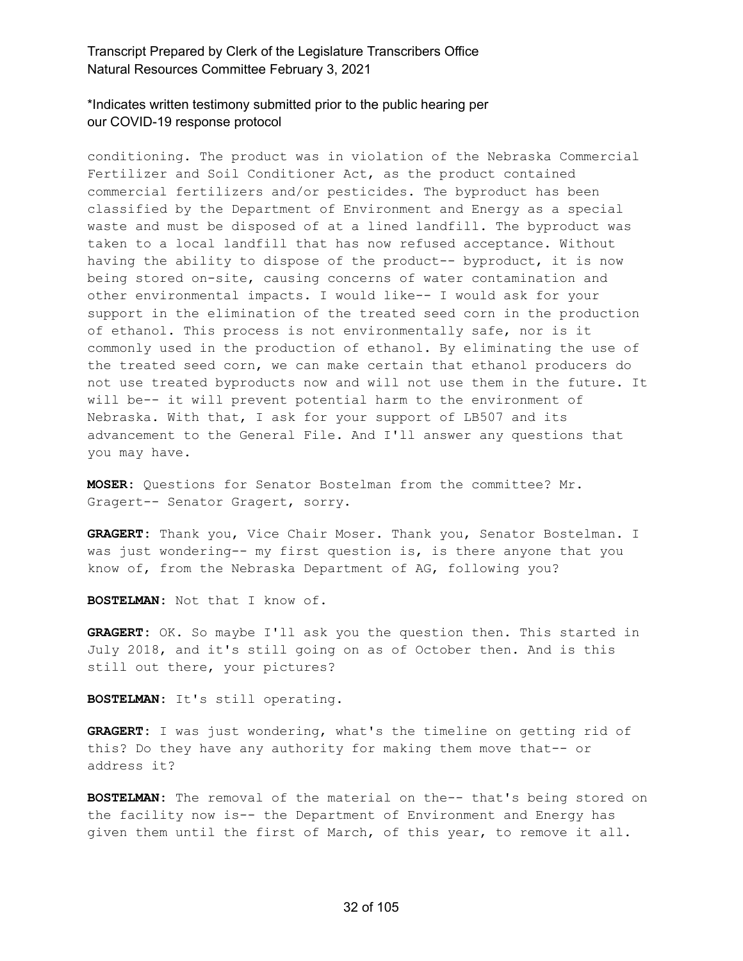\*Indicates written testimony submitted prior to the public hearing per our COVID-19 response protocol

conditioning. The product was in violation of the Nebraska Commercial Fertilizer and Soil Conditioner Act, as the product contained commercial fertilizers and/or pesticides. The byproduct has been classified by the Department of Environment and Energy as a special waste and must be disposed of at a lined landfill. The byproduct was taken to a local landfill that has now refused acceptance. Without having the ability to dispose of the product-- byproduct, it is now being stored on-site, causing concerns of water contamination and other environmental impacts. I would like-- I would ask for your support in the elimination of the treated seed corn in the production of ethanol. This process is not environmentally safe, nor is it commonly used in the production of ethanol. By eliminating the use of the treated seed corn, we can make certain that ethanol producers do not use treated byproducts now and will not use them in the future. It will be-- it will prevent potential harm to the environment of Nebraska. With that, I ask for your support of LB507 and its advancement to the General File. And I'll answer any questions that you may have.

**MOSER:** Questions for Senator Bostelman from the committee? Mr. Gragert-- Senator Gragert, sorry.

**GRAGERT:** Thank you, Vice Chair Moser. Thank you, Senator Bostelman. I was just wondering-- my first question is, is there anyone that you know of, from the Nebraska Department of AG, following you?

**BOSTELMAN:** Not that I know of.

**GRAGERT:** OK. So maybe I'll ask you the question then. This started in July 2018, and it's still going on as of October then. And is this still out there, your pictures?

**BOSTELMAN:** It's still operating.

**GRAGERT:** I was just wondering, what's the timeline on getting rid of this? Do they have any authority for making them move that-- or address it?

**BOSTELMAN:** The removal of the material on the-- that's being stored on the facility now is-- the Department of Environment and Energy has given them until the first of March, of this year, to remove it all.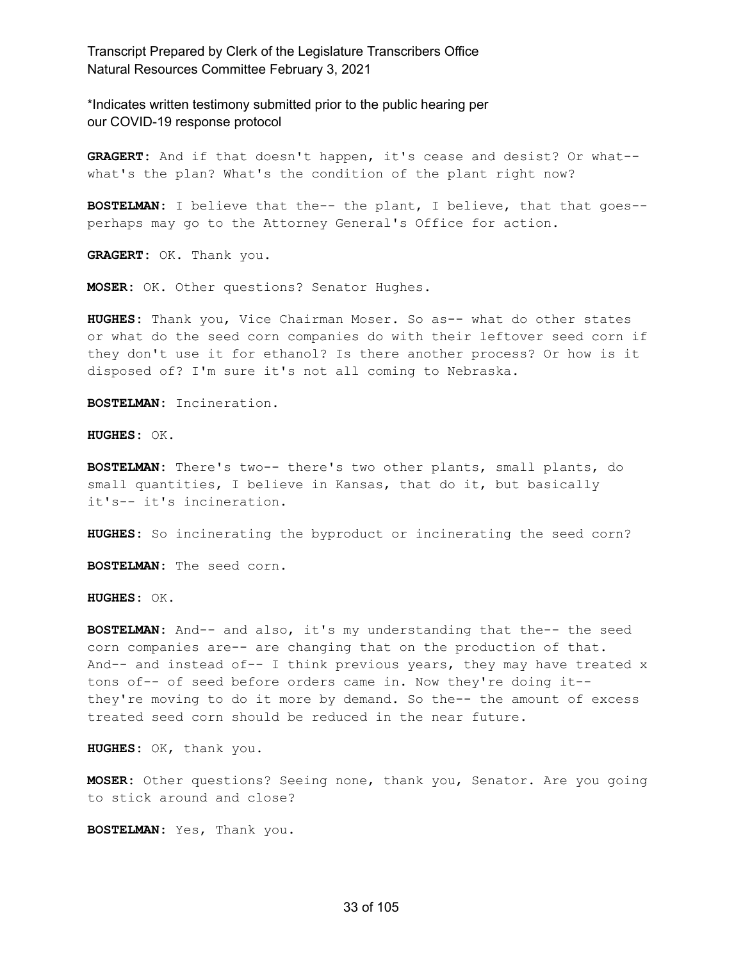\*Indicates written testimony submitted prior to the public hearing per our COVID-19 response protocol

**GRAGERT:** And if that doesn't happen, it's cease and desist? Or what- what's the plan? What's the condition of the plant right now?

**BOSTELMAN:** I believe that the-- the plant, I believe, that that goes- perhaps may go to the Attorney General's Office for action.

**GRAGERT:** OK. Thank you.

**MOSER:** OK. Other questions? Senator Hughes.

**HUGHES:** Thank you, Vice Chairman Moser. So as-- what do other states or what do the seed corn companies do with their leftover seed corn if they don't use it for ethanol? Is there another process? Or how is it disposed of? I'm sure it's not all coming to Nebraska.

**BOSTELMAN:** Incineration.

**HUGHES:** OK.

**BOSTELMAN:** There's two-- there's two other plants, small plants, do small quantities, I believe in Kansas, that do it, but basically it's-- it's incineration.

**HUGHES:** So incinerating the byproduct or incinerating the seed corn?

**BOSTELMAN:** The seed corn.

**HUGHES:** OK.

**BOSTELMAN:** And-- and also, it's my understanding that the-- the seed corn companies are-- are changing that on the production of that. And-- and instead of-- I think previous years, they may have treated x tons of-- of seed before orders came in. Now they're doing it- they're moving to do it more by demand. So the-- the amount of excess treated seed corn should be reduced in the near future.

**HUGHES:** OK, thank you.

**MOSER:** Other questions? Seeing none, thank you, Senator. Are you going to stick around and close?

**BOSTELMAN:** Yes, Thank you.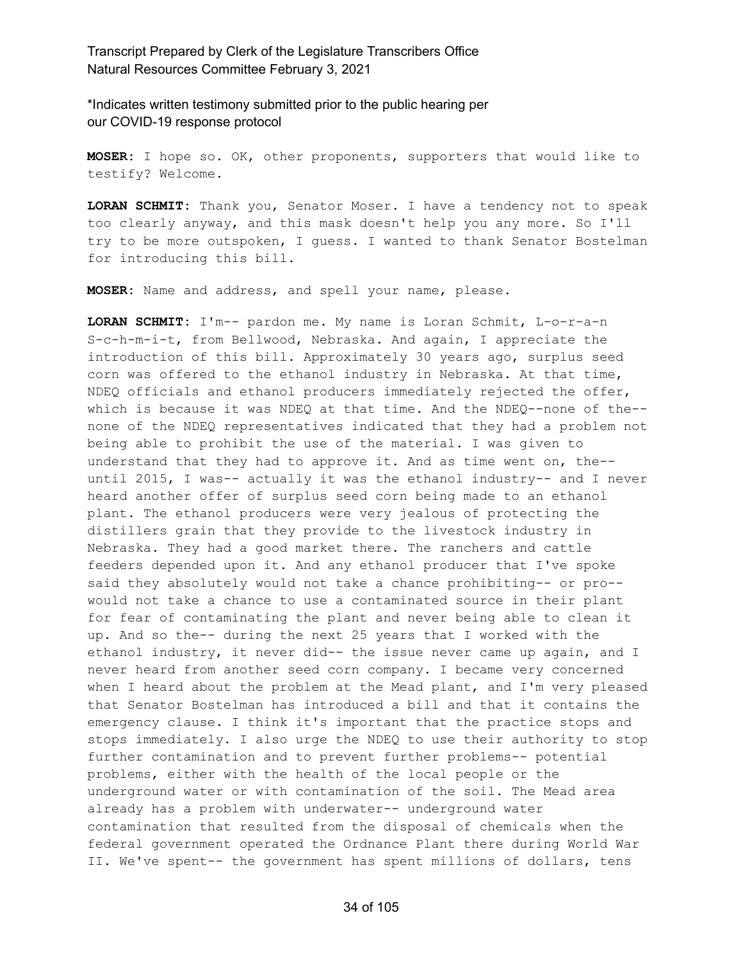\*Indicates written testimony submitted prior to the public hearing per our COVID-19 response protocol

**MOSER:** I hope so. OK, other proponents, supporters that would like to testify? Welcome.

**LORAN SCHMIT:** Thank you, Senator Moser. I have a tendency not to speak too clearly anyway, and this mask doesn't help you any more. So I'll try to be more outspoken, I guess. I wanted to thank Senator Bostelman for introducing this bill.

**MOSER:** Name and address, and spell your name, please.

**LORAN SCHMIT:** I'm-- pardon me. My name is Loran Schmit, L-o-r-a-n S-c-h-m-i-t, from Bellwood, Nebraska. And again, I appreciate the introduction of this bill. Approximately 30 years ago, surplus seed corn was offered to the ethanol industry in Nebraska. At that time, NDEQ officials and ethanol producers immediately rejected the offer, which is because it was NDEQ at that time. And the NDEQ--none of the- none of the NDEQ representatives indicated that they had a problem not being able to prohibit the use of the material. I was given to understand that they had to approve it. And as time went on, the- until 2015, I was-- actually it was the ethanol industry-- and I never heard another offer of surplus seed corn being made to an ethanol plant. The ethanol producers were very jealous of protecting the distillers grain that they provide to the livestock industry in Nebraska. They had a good market there. The ranchers and cattle feeders depended upon it. And any ethanol producer that I've spoke said they absolutely would not take a chance prohibiting-- or pro- would not take a chance to use a contaminated source in their plant for fear of contaminating the plant and never being able to clean it up. And so the-- during the next 25 years that I worked with the ethanol industry, it never did-- the issue never came up again, and I never heard from another seed corn company. I became very concerned when I heard about the problem at the Mead plant, and I'm very pleased that Senator Bostelman has introduced a bill and that it contains the emergency clause. I think it's important that the practice stops and stops immediately. I also urge the NDEQ to use their authority to stop further contamination and to prevent further problems-- potential problems, either with the health of the local people or the underground water or with contamination of the soil. The Mead area already has a problem with underwater-- underground water contamination that resulted from the disposal of chemicals when the federal government operated the Ordnance Plant there during World War II. We've spent-- the government has spent millions of dollars, tens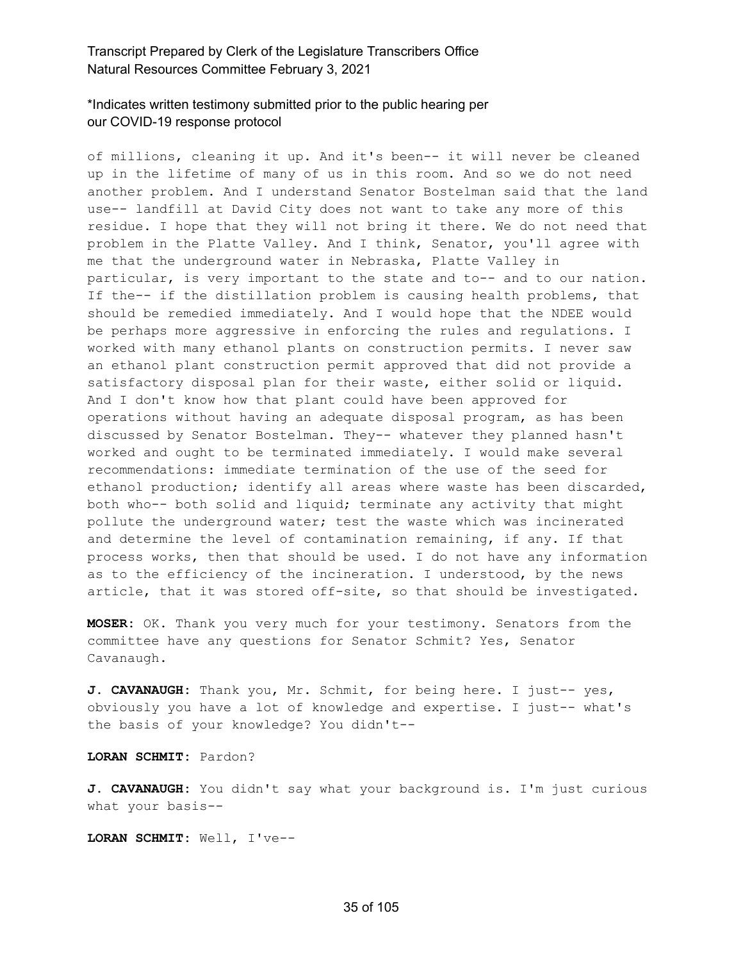# \*Indicates written testimony submitted prior to the public hearing per our COVID-19 response protocol

of millions, cleaning it up. And it's been-- it will never be cleaned up in the lifetime of many of us in this room. And so we do not need another problem. And I understand Senator Bostelman said that the land use-- landfill at David City does not want to take any more of this residue. I hope that they will not bring it there. We do not need that problem in the Platte Valley. And I think, Senator, you'll agree with me that the underground water in Nebraska, Platte Valley in particular, is very important to the state and to-- and to our nation. If the-- if the distillation problem is causing health problems, that should be remedied immediately. And I would hope that the NDEE would be perhaps more aggressive in enforcing the rules and regulations. I worked with many ethanol plants on construction permits. I never saw an ethanol plant construction permit approved that did not provide a satisfactory disposal plan for their waste, either solid or liquid. And I don't know how that plant could have been approved for operations without having an adequate disposal program, as has been discussed by Senator Bostelman. They-- whatever they planned hasn't worked and ought to be terminated immediately. I would make several recommendations: immediate termination of the use of the seed for ethanol production; identify all areas where waste has been discarded, both who-- both solid and liquid; terminate any activity that might pollute the underground water; test the waste which was incinerated and determine the level of contamination remaining, if any. If that process works, then that should be used. I do not have any information as to the efficiency of the incineration. I understood, by the news article, that it was stored off-site, so that should be investigated.

**MOSER:** OK. Thank you very much for your testimony. Senators from the committee have any questions for Senator Schmit? Yes, Senator Cavanaugh.

**J. CAVANAUGH:** Thank you, Mr. Schmit, for being here. I just-- yes, obviously you have a lot of knowledge and expertise. I just-- what's the basis of your knowledge? You didn't--

**LORAN SCHMIT:** Pardon?

**J. CAVANAUGH:** You didn't say what your background is. I'm just curious what your basis--

**LORAN SCHMIT:** Well, I've--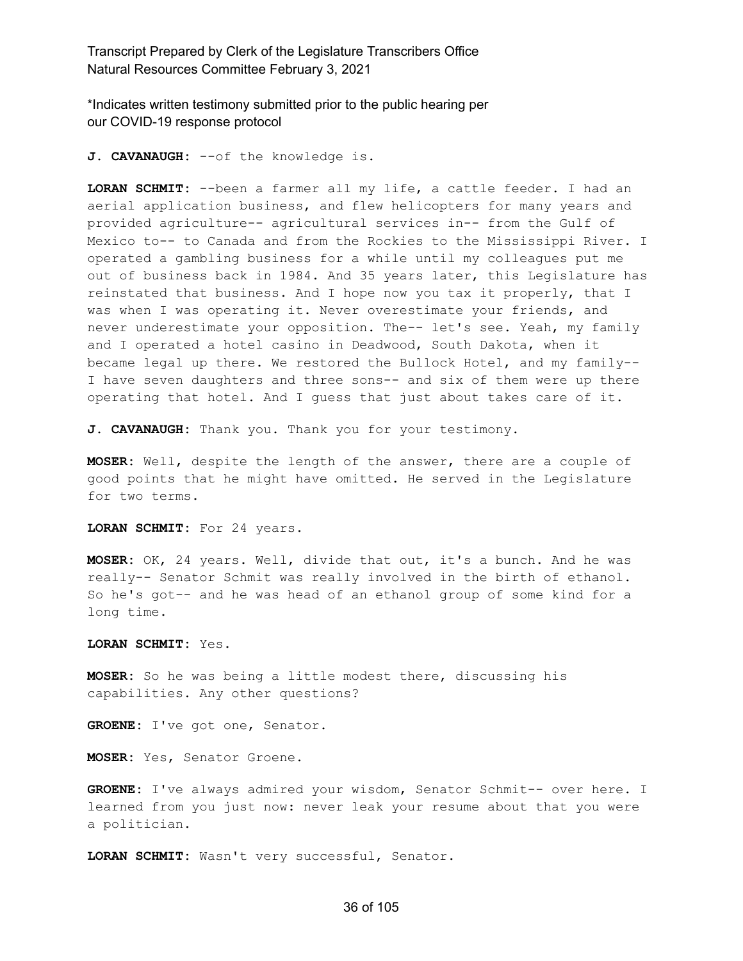\*Indicates written testimony submitted prior to the public hearing per our COVID-19 response protocol

**J. CAVANAUGH:** --of the knowledge is.

**LORAN SCHMIT:** --been a farmer all my life, a cattle feeder. I had an aerial application business, and flew helicopters for many years and provided agriculture-- agricultural services in-- from the Gulf of Mexico to-- to Canada and from the Rockies to the Mississippi River. I operated a gambling business for a while until my colleagues put me out of business back in 1984. And 35 years later, this Legislature has reinstated that business. And I hope now you tax it properly, that I was when I was operating it. Never overestimate your friends, and never underestimate your opposition. The-- let's see. Yeah, my family and I operated a hotel casino in Deadwood, South Dakota, when it became legal up there. We restored the Bullock Hotel, and my family-- I have seven daughters and three sons-- and six of them were up there operating that hotel. And I guess that just about takes care of it.

**J. CAVANAUGH:** Thank you. Thank you for your testimony.

**MOSER:** Well, despite the length of the answer, there are a couple of good points that he might have omitted. He served in the Legislature for two terms.

**LORAN SCHMIT:** For 24 years.

**MOSER:** OK, 24 years. Well, divide that out, it's a bunch. And he was really-- Senator Schmit was really involved in the birth of ethanol. So he's got-- and he was head of an ethanol group of some kind for a long time.

**LORAN SCHMIT:** Yes.

**MOSER:** So he was being a little modest there, discussing his capabilities. Any other questions?

**GROENE:** I've got one, Senator.

**MOSER:** Yes, Senator Groene.

**GROENE:** I've always admired your wisdom, Senator Schmit-- over here. I learned from you just now: never leak your resume about that you were a politician.

**LORAN SCHMIT:** Wasn't very successful, Senator.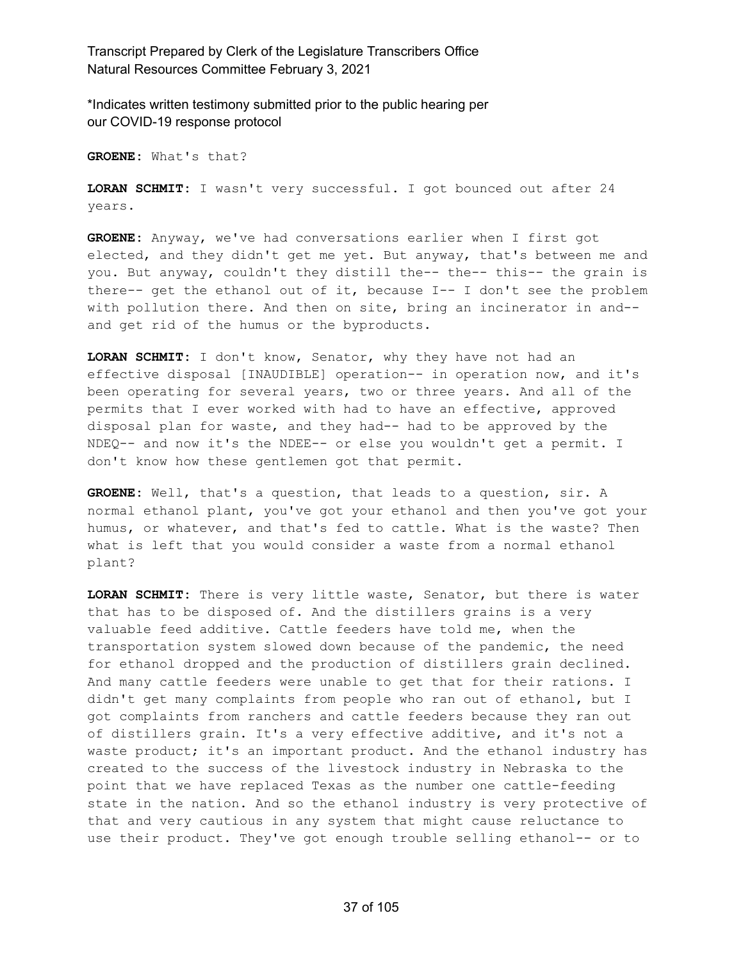\*Indicates written testimony submitted prior to the public hearing per our COVID-19 response protocol

**GROENE:** What's that?

**LORAN SCHMIT:** I wasn't very successful. I got bounced out after 24 years.

**GROENE:** Anyway, we've had conversations earlier when I first got elected, and they didn't get me yet. But anyway, that's between me and you. But anyway, couldn't they distill the-- the-- this-- the grain is there-- get the ethanol out of it, because I-- I don't see the problem with pollution there. And then on site, bring an incinerator in and- and get rid of the humus or the byproducts.

**LORAN SCHMIT:** I don't know, Senator, why they have not had an effective disposal [INAUDIBLE] operation-- in operation now, and it's been operating for several years, two or three years. And all of the permits that I ever worked with had to have an effective, approved disposal plan for waste, and they had-- had to be approved by the NDEQ-- and now it's the NDEE-- or else you wouldn't get a permit. I don't know how these gentlemen got that permit.

**GROENE:** Well, that's a question, that leads to a question, sir. A normal ethanol plant, you've got your ethanol and then you've got your humus, or whatever, and that's fed to cattle. What is the waste? Then what is left that you would consider a waste from a normal ethanol plant?

**LORAN SCHMIT:** There is very little waste, Senator, but there is water that has to be disposed of. And the distillers grains is a very valuable feed additive. Cattle feeders have told me, when the transportation system slowed down because of the pandemic, the need for ethanol dropped and the production of distillers grain declined. And many cattle feeders were unable to get that for their rations. I didn't get many complaints from people who ran out of ethanol, but I got complaints from ranchers and cattle feeders because they ran out of distillers grain. It's a very effective additive, and it's not a waste product; it's an important product. And the ethanol industry has created to the success of the livestock industry in Nebraska to the point that we have replaced Texas as the number one cattle-feeding state in the nation. And so the ethanol industry is very protective of that and very cautious in any system that might cause reluctance to use their product. They've got enough trouble selling ethanol-- or to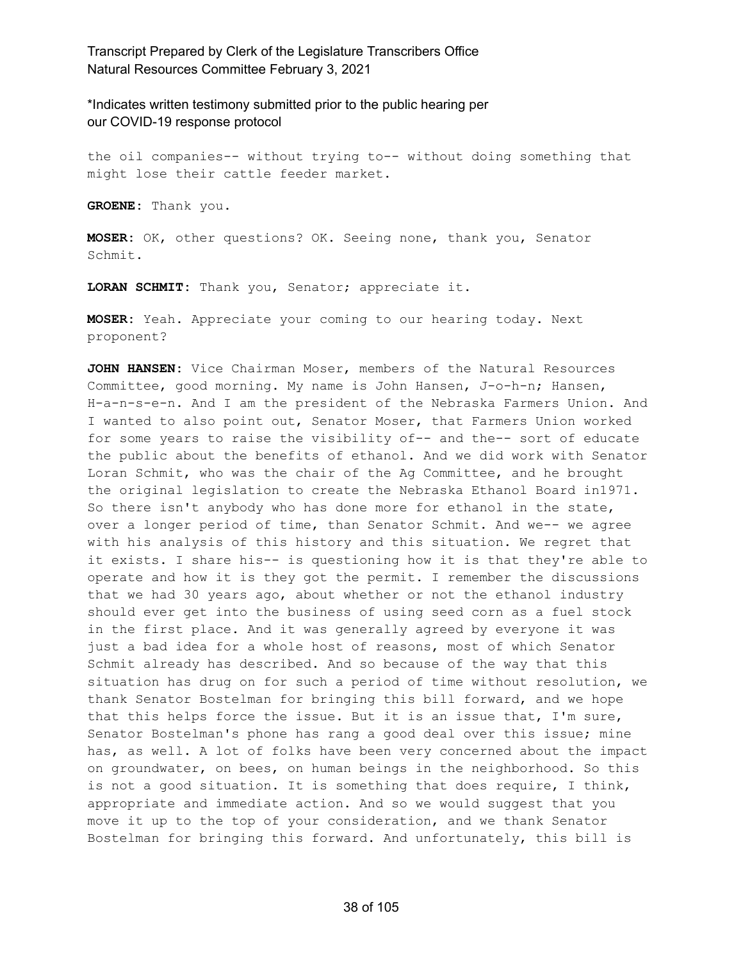\*Indicates written testimony submitted prior to the public hearing per our COVID-19 response protocol

the oil companies-- without trying to-- without doing something that might lose their cattle feeder market.

**GROENE:** Thank you.

**MOSER:** OK, other questions? OK. Seeing none, thank you, Senator Schmit.

**LORAN SCHMIT:** Thank you, Senator; appreciate it.

**MOSER:** Yeah. Appreciate your coming to our hearing today. Next proponent?

**JOHN HANSEN:** Vice Chairman Moser, members of the Natural Resources Committee, good morning. My name is John Hansen, J-o-h-n; Hansen, H-a-n-s-e-n. And I am the president of the Nebraska Farmers Union. And I wanted to also point out, Senator Moser, that Farmers Union worked for some years to raise the visibility of-- and the-- sort of educate the public about the benefits of ethanol. And we did work with Senator Loran Schmit, who was the chair of the Ag Committee, and he brought the original legislation to create the Nebraska Ethanol Board in1971. So there isn't anybody who has done more for ethanol in the state, over a longer period of time, than Senator Schmit. And we-- we agree with his analysis of this history and this situation. We regret that it exists. I share his-- is questioning how it is that they're able to operate and how it is they got the permit. I remember the discussions that we had 30 years ago, about whether or not the ethanol industry should ever get into the business of using seed corn as a fuel stock in the first place. And it was generally agreed by everyone it was just a bad idea for a whole host of reasons, most of which Senator Schmit already has described. And so because of the way that this situation has drug on for such a period of time without resolution, we thank Senator Bostelman for bringing this bill forward, and we hope that this helps force the issue. But it is an issue that, I'm sure, Senator Bostelman's phone has rang a good deal over this issue; mine has, as well. A lot of folks have been very concerned about the impact on groundwater, on bees, on human beings in the neighborhood. So this is not a good situation. It is something that does require, I think, appropriate and immediate action. And so we would suggest that you move it up to the top of your consideration, and we thank Senator Bostelman for bringing this forward. And unfortunately, this bill is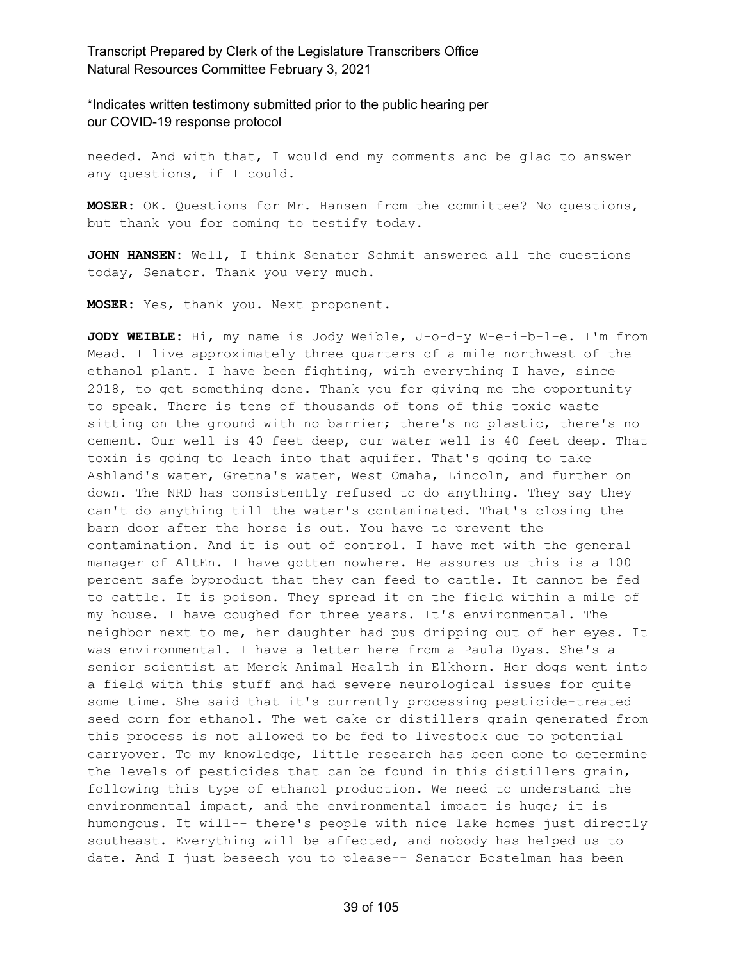\*Indicates written testimony submitted prior to the public hearing per our COVID-19 response protocol

needed. And with that, I would end my comments and be glad to answer any questions, if I could.

**MOSER:** OK. Questions for Mr. Hansen from the committee? No questions, but thank you for coming to testify today.

**JOHN HANSEN:** Well, I think Senator Schmit answered all the questions today, Senator. Thank you very much.

**MOSER:** Yes, thank you. Next proponent.

**JODY WEIBLE:** Hi, my name is Jody Weible, J-o-d-y W-e-i-b-l-e. I'm from Mead. I live approximately three quarters of a mile northwest of the ethanol plant. I have been fighting, with everything I have, since 2018, to get something done. Thank you for giving me the opportunity to speak. There is tens of thousands of tons of this toxic waste sitting on the ground with no barrier; there's no plastic, there's no cement. Our well is 40 feet deep, our water well is 40 feet deep. That toxin is going to leach into that aquifer. That's going to take Ashland's water, Gretna's water, West Omaha, Lincoln, and further on down. The NRD has consistently refused to do anything. They say they can't do anything till the water's contaminated. That's closing the barn door after the horse is out. You have to prevent the contamination. And it is out of control. I have met with the general manager of AltEn. I have gotten nowhere. He assures us this is a 100 percent safe byproduct that they can feed to cattle. It cannot be fed to cattle. It is poison. They spread it on the field within a mile of my house. I have coughed for three years. It's environmental. The neighbor next to me, her daughter had pus dripping out of her eyes. It was environmental. I have a letter here from a Paula Dyas. She's a senior scientist at Merck Animal Health in Elkhorn. Her dogs went into a field with this stuff and had severe neurological issues for quite some time. She said that it's currently processing pesticide-treated seed corn for ethanol. The wet cake or distillers grain generated from this process is not allowed to be fed to livestock due to potential carryover. To my knowledge, little research has been done to determine the levels of pesticides that can be found in this distillers grain, following this type of ethanol production. We need to understand the environmental impact, and the environmental impact is huge; it is humongous. It will-- there's people with nice lake homes just directly southeast. Everything will be affected, and nobody has helped us to date. And I just beseech you to please-- Senator Bostelman has been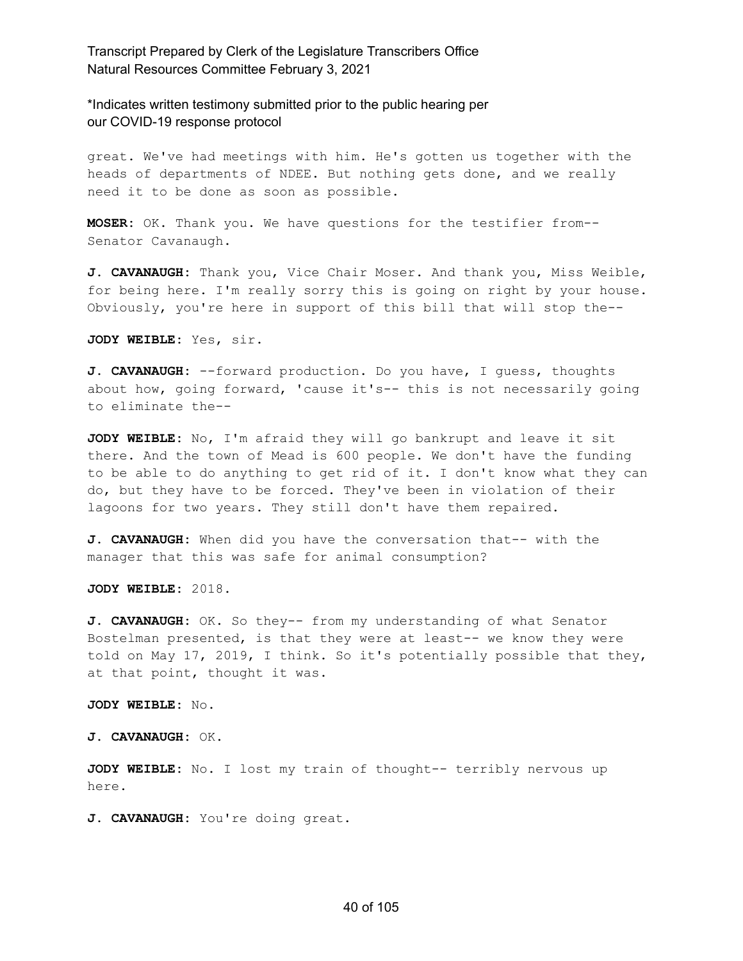\*Indicates written testimony submitted prior to the public hearing per our COVID-19 response protocol

great. We've had meetings with him. He's gotten us together with the heads of departments of NDEE. But nothing gets done, and we really need it to be done as soon as possible.

**MOSER:** OK. Thank you. We have questions for the testifier from-- Senator Cavanaugh.

**J. CAVANAUGH:** Thank you, Vice Chair Moser. And thank you, Miss Weible, for being here. I'm really sorry this is going on right by your house. Obviously, you're here in support of this bill that will stop the--

**JODY WEIBLE:** Yes, sir.

**J. CAVANAUGH:** --forward production. Do you have, I guess, thoughts about how, going forward, 'cause it's-- this is not necessarily going to eliminate the--

**JODY WEIBLE:** No, I'm afraid they will go bankrupt and leave it sit there. And the town of Mead is 600 people. We don't have the funding to be able to do anything to get rid of it. I don't know what they can do, but they have to be forced. They've been in violation of their lagoons for two years. They still don't have them repaired.

**J. CAVANAUGH:** When did you have the conversation that-- with the manager that this was safe for animal consumption?

**JODY WEIBLE:** 2018.

**J. CAVANAUGH:** OK. So they-- from my understanding of what Senator Bostelman presented, is that they were at least-- we know they were told on May 17, 2019, I think. So it's potentially possible that they, at that point, thought it was.

**JODY WEIBLE:** No.

**J. CAVANAUGH:** OK.

**JODY WEIBLE:** No. I lost my train of thought-- terribly nervous up here.

**J. CAVANAUGH:** You're doing great.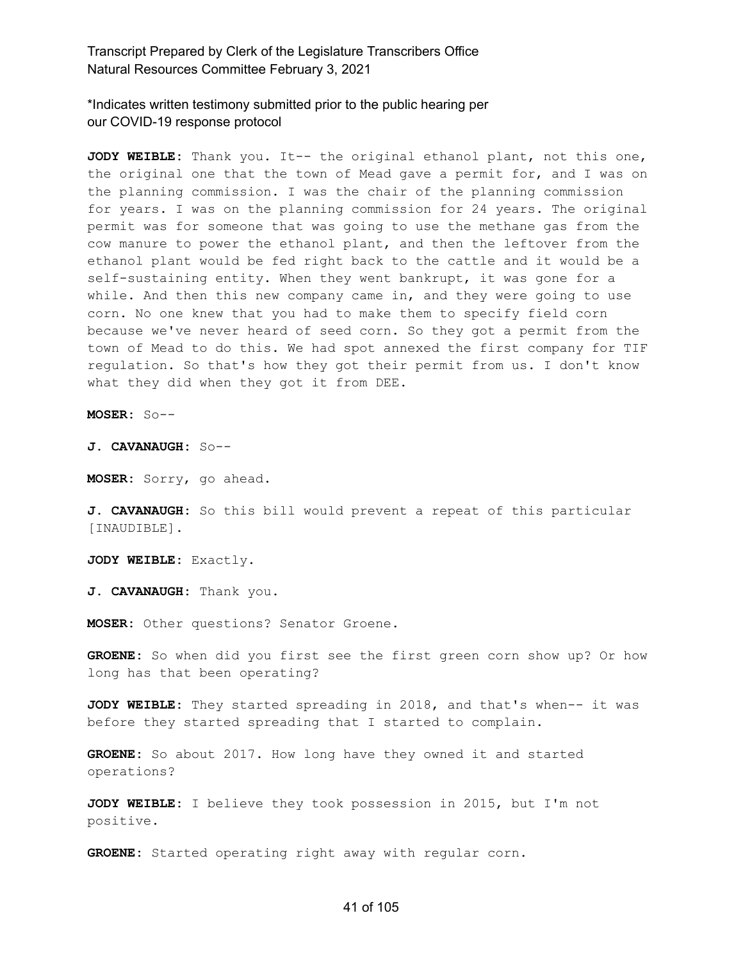\*Indicates written testimony submitted prior to the public hearing per our COVID-19 response protocol

**JODY WEIBLE:** Thank you. It-- the original ethanol plant, not this one, the original one that the town of Mead gave a permit for, and I was on the planning commission. I was the chair of the planning commission for years. I was on the planning commission for 24 years. The original permit was for someone that was going to use the methane gas from the cow manure to power the ethanol plant, and then the leftover from the ethanol plant would be fed right back to the cattle and it would be a self-sustaining entity. When they went bankrupt, it was gone for a while. And then this new company came in, and they were going to use corn. No one knew that you had to make them to specify field corn because we've never heard of seed corn. So they got a permit from the town of Mead to do this. We had spot annexed the first company for TIF regulation. So that's how they got their permit from us. I don't know what they did when they got it from DEE.

**MOSER:** So--

**J. CAVANAUGH:** So--

**MOSER:** Sorry, go ahead.

**J. CAVANAUGH:** So this bill would prevent a repeat of this particular [INAUDIBLE].

**JODY WEIBLE:** Exactly.

**J. CAVANAUGH:** Thank you.

**MOSER:** Other questions? Senator Groene.

**GROENE:** So when did you first see the first green corn show up? Or how long has that been operating?

**JODY WEIBLE:** They started spreading in 2018, and that's when-- it was before they started spreading that I started to complain.

**GROENE:** So about 2017. How long have they owned it and started operations?

**JODY WEIBLE:** I believe they took possession in 2015, but I'm not positive.

**GROENE:** Started operating right away with regular corn.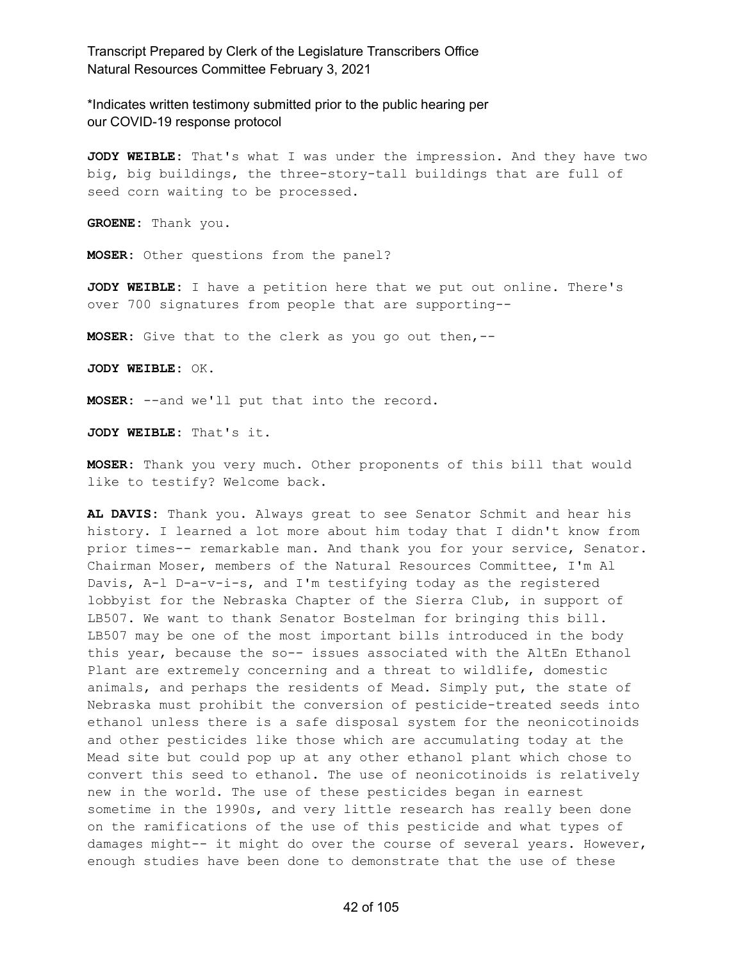\*Indicates written testimony submitted prior to the public hearing per our COVID-19 response protocol

**JODY WEIBLE:** That's what I was under the impression. And they have two big, big buildings, the three-story-tall buildings that are full of seed corn waiting to be processed.

**GROENE:** Thank you.

**MOSER:** Other questions from the panel?

**JODY WEIBLE:** I have a petition here that we put out online. There's over 700 signatures from people that are supporting--

**MOSER:** Give that to the clerk as you go out then,--

**JODY WEIBLE:** OK.

**MOSER:** --and we'll put that into the record.

**JODY WEIBLE:** That's it.

**MOSER:** Thank you very much. Other proponents of this bill that would like to testify? Welcome back.

**AL DAVIS:** Thank you. Always great to see Senator Schmit and hear his history. I learned a lot more about him today that I didn't know from prior times-- remarkable man. And thank you for your service, Senator. Chairman Moser, members of the Natural Resources Committee, I'm Al Davis, A-l D-a-v-i-s, and I'm testifying today as the registered lobbyist for the Nebraska Chapter of the Sierra Club, in support of LB507. We want to thank Senator Bostelman for bringing this bill. LB507 may be one of the most important bills introduced in the body this year, because the so-- issues associated with the AltEn Ethanol Plant are extremely concerning and a threat to wildlife, domestic animals, and perhaps the residents of Mead. Simply put, the state of Nebraska must prohibit the conversion of pesticide-treated seeds into ethanol unless there is a safe disposal system for the neonicotinoids and other pesticides like those which are accumulating today at the Mead site but could pop up at any other ethanol plant which chose to convert this seed to ethanol. The use of neonicotinoids is relatively new in the world. The use of these pesticides began in earnest sometime in the 1990s, and very little research has really been done on the ramifications of the use of this pesticide and what types of damages might-- it might do over the course of several years. However, enough studies have been done to demonstrate that the use of these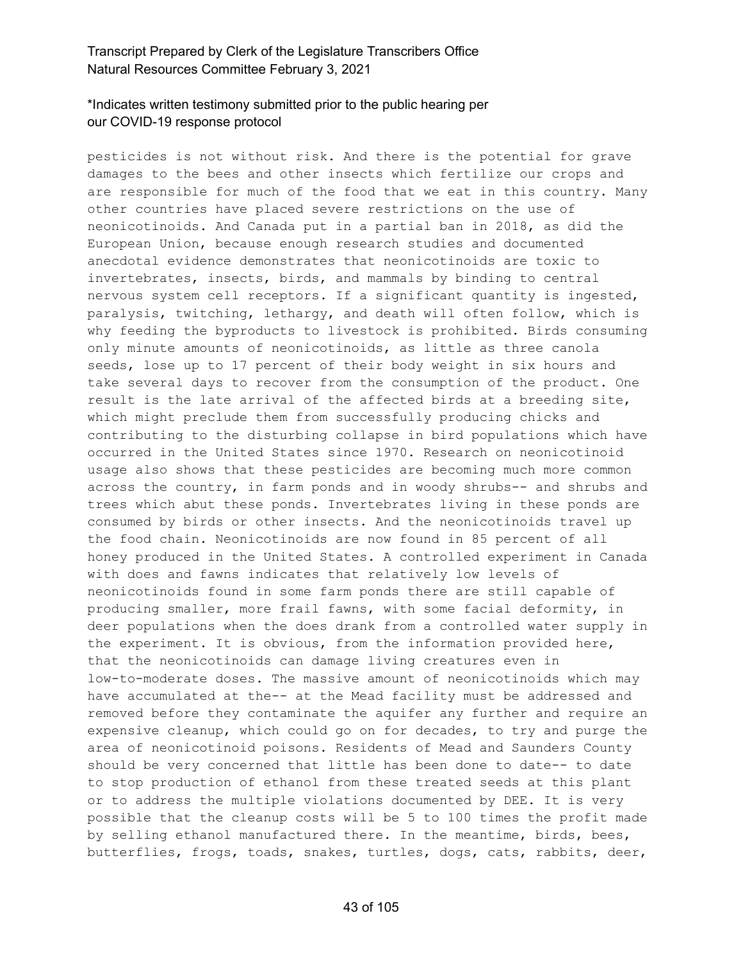# \*Indicates written testimony submitted prior to the public hearing per our COVID-19 response protocol

pesticides is not without risk. And there is the potential for grave damages to the bees and other insects which fertilize our crops and are responsible for much of the food that we eat in this country. Many other countries have placed severe restrictions on the use of neonicotinoids. And Canada put in a partial ban in 2018, as did the European Union, because enough research studies and documented anecdotal evidence demonstrates that neonicotinoids are toxic to invertebrates, insects, birds, and mammals by binding to central nervous system cell receptors. If a significant quantity is ingested, paralysis, twitching, lethargy, and death will often follow, which is why feeding the byproducts to livestock is prohibited. Birds consuming only minute amounts of neonicotinoids, as little as three canola seeds, lose up to 17 percent of their body weight in six hours and take several days to recover from the consumption of the product. One result is the late arrival of the affected birds at a breeding site, which might preclude them from successfully producing chicks and contributing to the disturbing collapse in bird populations which have occurred in the United States since 1970. Research on neonicotinoid usage also shows that these pesticides are becoming much more common across the country, in farm ponds and in woody shrubs-- and shrubs and trees which abut these ponds. Invertebrates living in these ponds are consumed by birds or other insects. And the neonicotinoids travel up the food chain. Neonicotinoids are now found in 85 percent of all honey produced in the United States. A controlled experiment in Canada with does and fawns indicates that relatively low levels of neonicotinoids found in some farm ponds there are still capable of producing smaller, more frail fawns, with some facial deformity, in deer populations when the does drank from a controlled water supply in the experiment. It is obvious, from the information provided here, that the neonicotinoids can damage living creatures even in low-to-moderate doses. The massive amount of neonicotinoids which may have accumulated at the-- at the Mead facility must be addressed and removed before they contaminate the aquifer any further and require an expensive cleanup, which could go on for decades, to try and purge the area of neonicotinoid poisons. Residents of Mead and Saunders County should be very concerned that little has been done to date-- to date to stop production of ethanol from these treated seeds at this plant or to address the multiple violations documented by DEE. It is very possible that the cleanup costs will be 5 to 100 times the profit made by selling ethanol manufactured there. In the meantime, birds, bees, butterflies, frogs, toads, snakes, turtles, dogs, cats, rabbits, deer,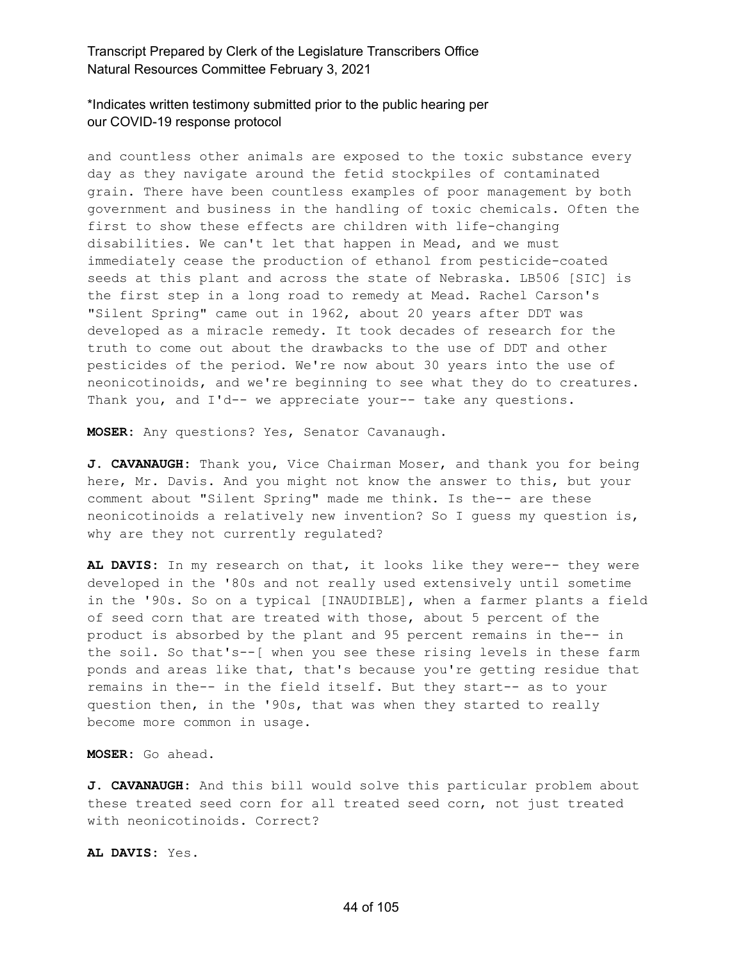# \*Indicates written testimony submitted prior to the public hearing per our COVID-19 response protocol

and countless other animals are exposed to the toxic substance every day as they navigate around the fetid stockpiles of contaminated grain. There have been countless examples of poor management by both government and business in the handling of toxic chemicals. Often the first to show these effects are children with life-changing disabilities. We can't let that happen in Mead, and we must immediately cease the production of ethanol from pesticide-coated seeds at this plant and across the state of Nebraska. LB506 [SIC] is the first step in a long road to remedy at Mead. Rachel Carson's "Silent Spring" came out in 1962, about 20 years after DDT was developed as a miracle remedy. It took decades of research for the truth to come out about the drawbacks to the use of DDT and other pesticides of the period. We're now about 30 years into the use of neonicotinoids, and we're beginning to see what they do to creatures. Thank you, and I'd-- we appreciate your-- take any questions.

**MOSER:** Any questions? Yes, Senator Cavanaugh.

**J. CAVANAUGH:** Thank you, Vice Chairman Moser, and thank you for being here, Mr. Davis. And you might not know the answer to this, but your comment about "Silent Spring" made me think. Is the-- are these neonicotinoids a relatively new invention? So I guess my question is, why are they not currently regulated?

**AL DAVIS:** In my research on that, it looks like they were-- they were developed in the '80s and not really used extensively until sometime in the '90s. So on a typical [INAUDIBLE], when a farmer plants a field of seed corn that are treated with those, about 5 percent of the product is absorbed by the plant and 95 percent remains in the-- in the soil. So that's--[ when you see these rising levels in these farm ponds and areas like that, that's because you're getting residue that remains in the-- in the field itself. But they start-- as to your question then, in the '90s, that was when they started to really become more common in usage.

**MOSER:** Go ahead.

**J. CAVANAUGH:** And this bill would solve this particular problem about these treated seed corn for all treated seed corn, not just treated with neonicotinoids. Correct?

**AL DAVIS:** Yes.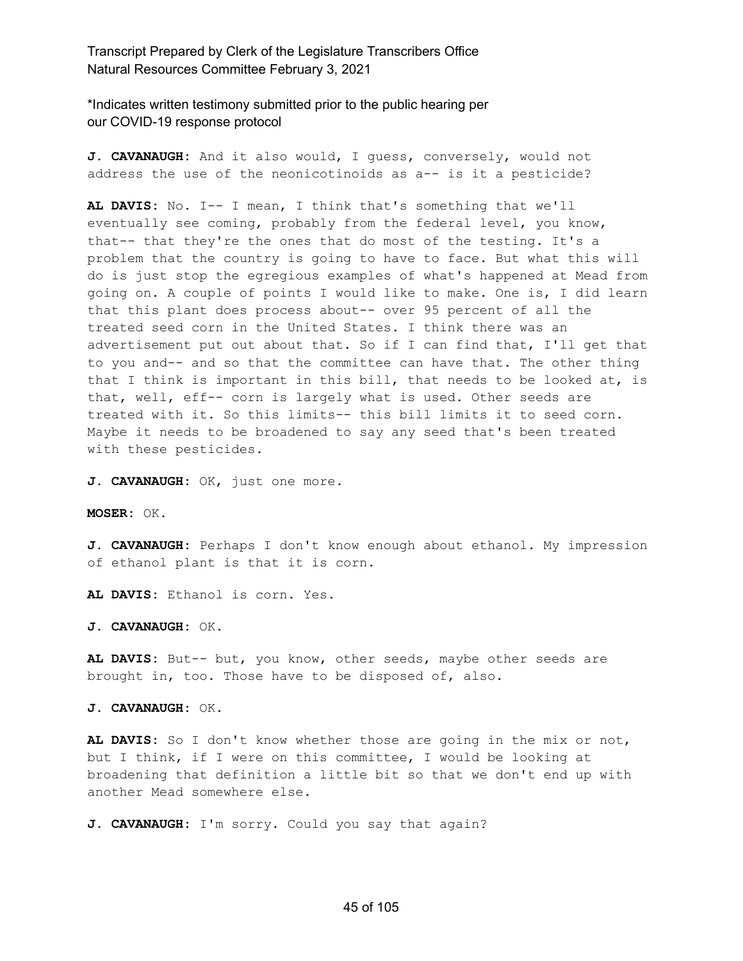\*Indicates written testimony submitted prior to the public hearing per our COVID-19 response protocol

**J. CAVANAUGH:** And it also would, I guess, conversely, would not address the use of the neonicotinoids as a-- is it a pesticide?

**AL DAVIS:** No. I-- I mean, I think that's something that we'll eventually see coming, probably from the federal level, you know, that-- that they're the ones that do most of the testing. It's a problem that the country is going to have to face. But what this will do is just stop the egregious examples of what's happened at Mead from going on. A couple of points I would like to make. One is, I did learn that this plant does process about-- over 95 percent of all the treated seed corn in the United States. I think there was an advertisement put out about that. So if I can find that, I'll get that to you and-- and so that the committee can have that. The other thing that I think is important in this bill, that needs to be looked at, is that, well, eff-- corn is largely what is used. Other seeds are treated with it. So this limits-- this bill limits it to seed corn. Maybe it needs to be broadened to say any seed that's been treated with these pesticides.

**J. CAVANAUGH:** OK, just one more.

**MOSER:** OK.

**J. CAVANAUGH:** Perhaps I don't know enough about ethanol. My impression of ethanol plant is that it is corn.

**AL DAVIS:** Ethanol is corn. Yes.

**J. CAVANAUGH:** OK.

**AL DAVIS:** But-- but, you know, other seeds, maybe other seeds are brought in, too. Those have to be disposed of, also.

**J. CAVANAUGH:** OK.

**AL DAVIS:** So I don't know whether those are going in the mix or not, but I think, if I were on this committee, I would be looking at broadening that definition a little bit so that we don't end up with another Mead somewhere else.

**J. CAVANAUGH:** I'm sorry. Could you say that again?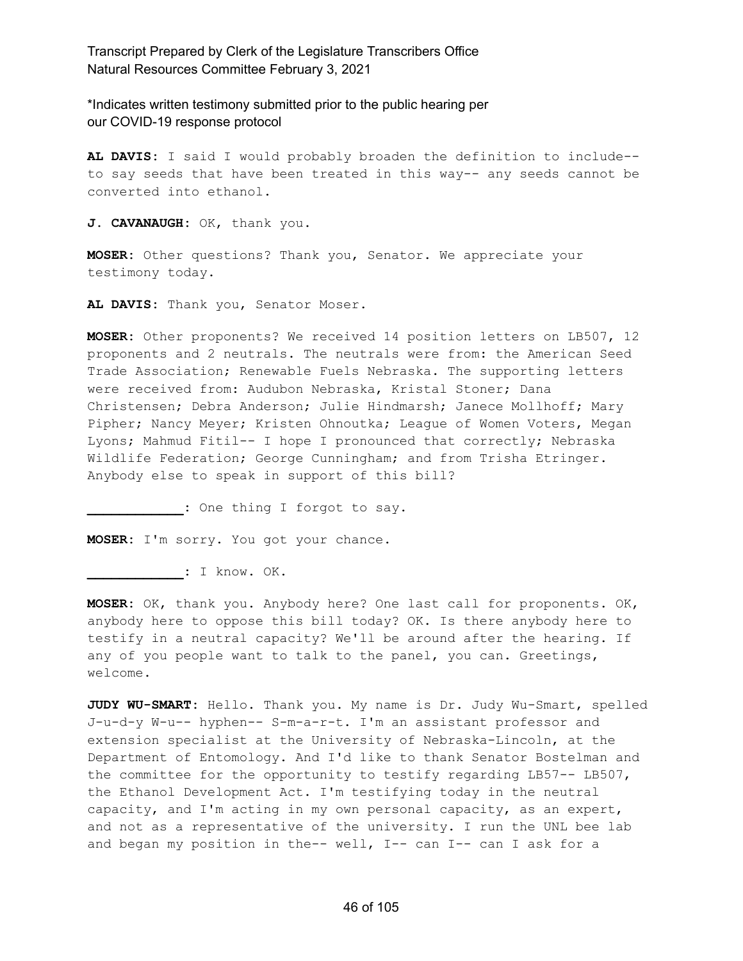\*Indicates written testimony submitted prior to the public hearing per our COVID-19 response protocol

**AL DAVIS:** I said I would probably broaden the definition to include- to say seeds that have been treated in this way-- any seeds cannot be converted into ethanol.

**J. CAVANAUGH:** OK, thank you.

**MOSER:** Other questions? Thank you, Senator. We appreciate your testimony today.

**AL DAVIS:** Thank you, Senator Moser.

**MOSER:** Other proponents? We received 14 position letters on LB507, 12 proponents and 2 neutrals. The neutrals were from: the American Seed Trade Association; Renewable Fuels Nebraska. The supporting letters were received from: Audubon Nebraska, Kristal Stoner; Dana Christensen; Debra Anderson; Julie Hindmarsh; Janece Mollhoff; Mary Pipher; Nancy Meyer; Kristen Ohnoutka; League of Women Voters, Megan Lyons; Mahmud Fitil-- I hope I pronounced that correctly; Nebraska Wildlife Federation; George Cunningham; and from Trisha Etringer. Anybody else to speak in support of this bill?

**\_\_\_\_\_\_\_\_\_\_\_\_:** One thing I forgot to say.

**MOSER:** I'm sorry. You got your chance.

**\_\_\_\_\_\_\_\_\_\_\_\_:** I know. OK.

**MOSER:** OK, thank you. Anybody here? One last call for proponents. OK, anybody here to oppose this bill today? OK. Is there anybody here to testify in a neutral capacity? We'll be around after the hearing. If any of you people want to talk to the panel, you can. Greetings, welcome.

**JUDY WU-SMART:** Hello. Thank you. My name is Dr. Judy Wu-Smart, spelled J-u-d-y W-u-- hyphen-- S-m-a-r-t. I'm an assistant professor and extension specialist at the University of Nebraska-Lincoln, at the Department of Entomology. And I'd like to thank Senator Bostelman and the committee for the opportunity to testify regarding LB57-- LB507, the Ethanol Development Act. I'm testifying today in the neutral capacity, and I'm acting in my own personal capacity, as an expert, and not as a representative of the university. I run the UNL bee lab and began my position in the-- well, I-- can I-- can I ask for a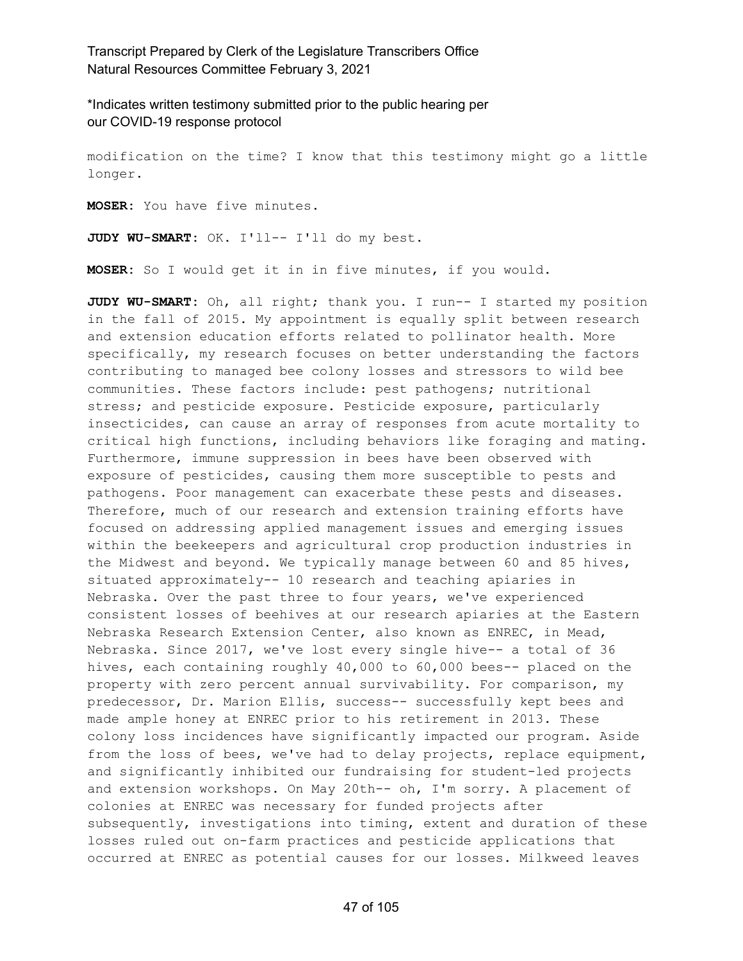\*Indicates written testimony submitted prior to the public hearing per our COVID-19 response protocol

modification on the time? I know that this testimony might go a little longer.

**MOSER:** You have five minutes.

**JUDY WU-SMART:** OK. I'll-- I'll do my best.

**MOSER:** So I would get it in in five minutes, if you would.

**JUDY WU-SMART:** Oh, all right; thank you. I run-- I started my position in the fall of 2015. My appointment is equally split between research and extension education efforts related to pollinator health. More specifically, my research focuses on better understanding the factors contributing to managed bee colony losses and stressors to wild bee communities. These factors include: pest pathogens; nutritional stress; and pesticide exposure. Pesticide exposure, particularly insecticides, can cause an array of responses from acute mortality to critical high functions, including behaviors like foraging and mating. Furthermore, immune suppression in bees have been observed with exposure of pesticides, causing them more susceptible to pests and pathogens. Poor management can exacerbate these pests and diseases. Therefore, much of our research and extension training efforts have focused on addressing applied management issues and emerging issues within the beekeepers and agricultural crop production industries in the Midwest and beyond. We typically manage between 60 and 85 hives, situated approximately-- 10 research and teaching apiaries in Nebraska. Over the past three to four years, we've experienced consistent losses of beehives at our research apiaries at the Eastern Nebraska Research Extension Center, also known as ENREC, in Mead, Nebraska. Since 2017, we've lost every single hive-- a total of 36 hives, each containing roughly 40,000 to 60,000 bees-- placed on the property with zero percent annual survivability. For comparison, my predecessor, Dr. Marion Ellis, success-- successfully kept bees and made ample honey at ENREC prior to his retirement in 2013. These colony loss incidences have significantly impacted our program. Aside from the loss of bees, we've had to delay projects, replace equipment, and significantly inhibited our fundraising for student-led projects and extension workshops. On May 20th-- oh, I'm sorry. A placement of colonies at ENREC was necessary for funded projects after subsequently, investigations into timing, extent and duration of these losses ruled out on-farm practices and pesticide applications that occurred at ENREC as potential causes for our losses. Milkweed leaves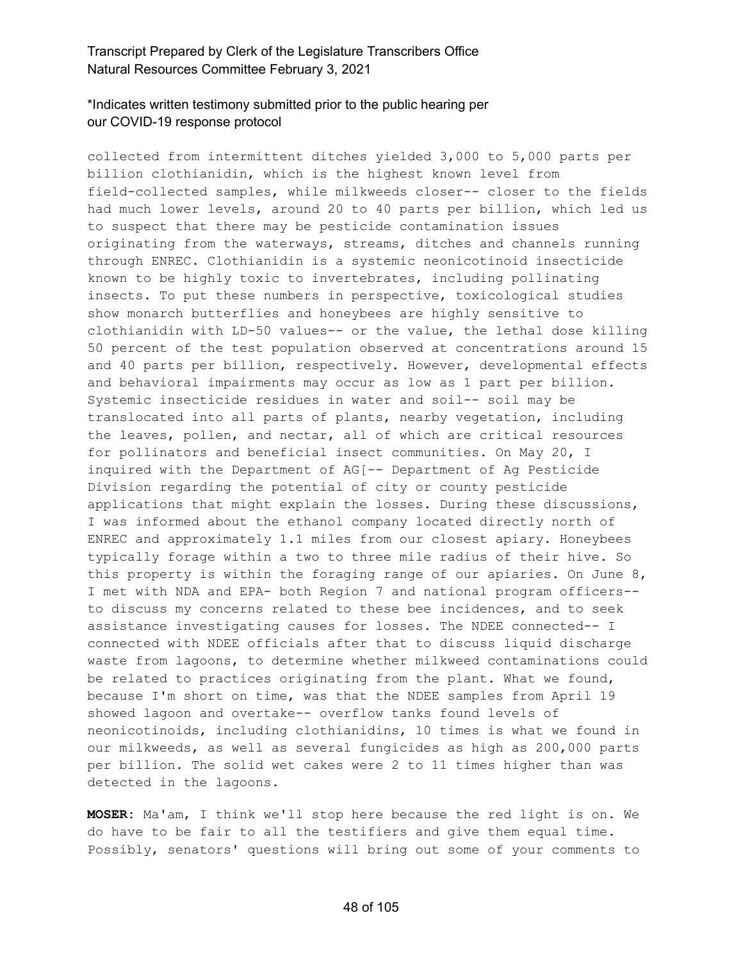# \*Indicates written testimony submitted prior to the public hearing per our COVID-19 response protocol

collected from intermittent ditches yielded 3,000 to 5,000 parts per billion clothianidin, which is the highest known level from field-collected samples, while milkweeds closer-- closer to the fields had much lower levels, around 20 to 40 parts per billion, which led us to suspect that there may be pesticide contamination issues originating from the waterways, streams, ditches and channels running through ENREC. Clothianidin is a systemic neonicotinoid insecticide known to be highly toxic to invertebrates, including pollinating insects. To put these numbers in perspective, toxicological studies show monarch butterflies and honeybees are highly sensitive to clothianidin with LD-50 values-- or the value, the lethal dose killing 50 percent of the test population observed at concentrations around 15 and 40 parts per billion, respectively. However, developmental effects and behavioral impairments may occur as low as 1 part per billion. Systemic insecticide residues in water and soil-- soil may be translocated into all parts of plants, nearby vegetation, including the leaves, pollen, and nectar, all of which are critical resources for pollinators and beneficial insect communities. On May 20, I inquired with the Department of AG[-- Department of Ag Pesticide Division regarding the potential of city or county pesticide applications that might explain the losses. During these discussions, I was informed about the ethanol company located directly north of ENREC and approximately 1.1 miles from our closest apiary. Honeybees typically forage within a two to three mile radius of their hive. So this property is within the foraging range of our apiaries. On June 8, I met with NDA and EPA- both Region 7 and national program officers- to discuss my concerns related to these bee incidences, and to seek assistance investigating causes for losses. The NDEE connected-- I connected with NDEE officials after that to discuss liquid discharge waste from lagoons, to determine whether milkweed contaminations could be related to practices originating from the plant. What we found, because I'm short on time, was that the NDEE samples from April 19 showed lagoon and overtake-- overflow tanks found levels of neonicotinoids, including clothianidins, 10 times is what we found in our milkweeds, as well as several fungicides as high as 200,000 parts per billion. The solid wet cakes were 2 to 11 times higher than was detected in the lagoons.

**MOSER:** Ma'am, I think we'll stop here because the red light is on. We do have to be fair to all the testifiers and give them equal time. Possibly, senators' questions will bring out some of your comments to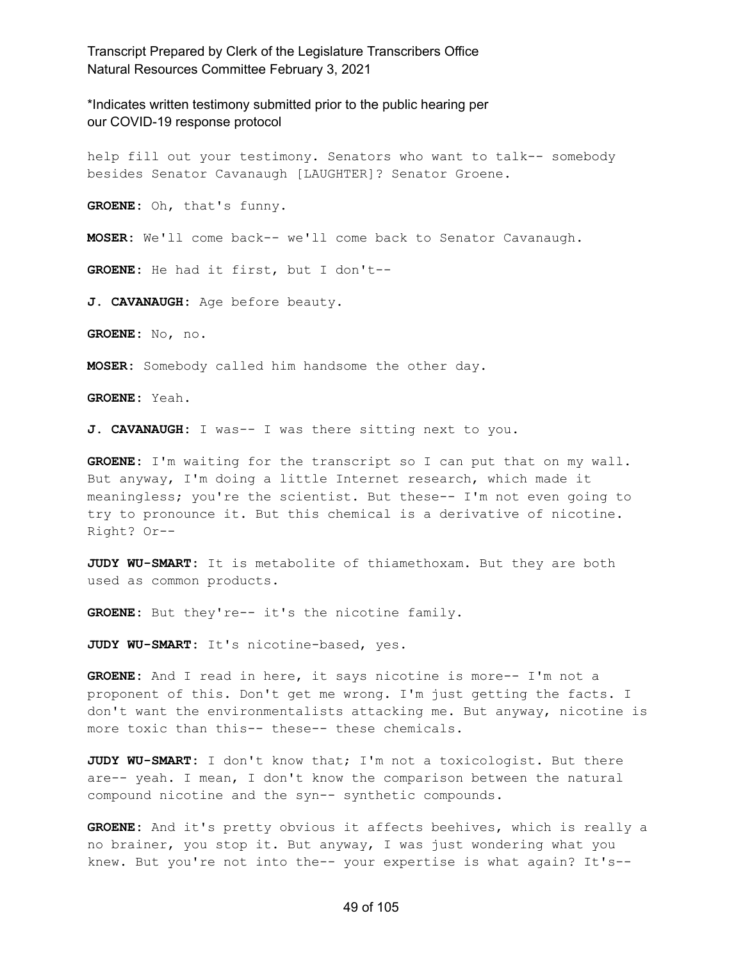\*Indicates written testimony submitted prior to the public hearing per our COVID-19 response protocol

help fill out your testimony. Senators who want to talk-- somebody besides Senator Cavanaugh [LAUGHTER]? Senator Groene.

**GROENE:** Oh, that's funny.

**MOSER:** We'll come back-- we'll come back to Senator Cavanaugh.

**GROENE:** He had it first, but I don't--

**J. CAVANAUGH:** Age before beauty.

**GROENE:** No, no.

**MOSER:** Somebody called him handsome the other day.

**GROENE:** Yeah.

**J. CAVANAUGH:** I was-- I was there sitting next to you.

**GROENE:** I'm waiting for the transcript so I can put that on my wall. But anyway, I'm doing a little Internet research, which made it meaningless; you're the scientist. But these-- I'm not even going to try to pronounce it. But this chemical is a derivative of nicotine. Right? Or--

**JUDY WU-SMART:** It is metabolite of thiamethoxam. But they are both used as common products.

**GROENE:** But they're-- it's the nicotine family.

**JUDY WU-SMART:** It's nicotine-based, yes.

**GROENE:** And I read in here, it says nicotine is more-- I'm not a proponent of this. Don't get me wrong. I'm just getting the facts. I don't want the environmentalists attacking me. But anyway, nicotine is more toxic than this-- these-- these chemicals.

**JUDY WU-SMART:** I don't know that; I'm not a toxicologist. But there are-- yeah. I mean, I don't know the comparison between the natural compound nicotine and the syn-- synthetic compounds.

**GROENE:** And it's pretty obvious it affects beehives, which is really a no brainer, you stop it. But anyway, I was just wondering what you knew. But you're not into the-- your expertise is what again? It's--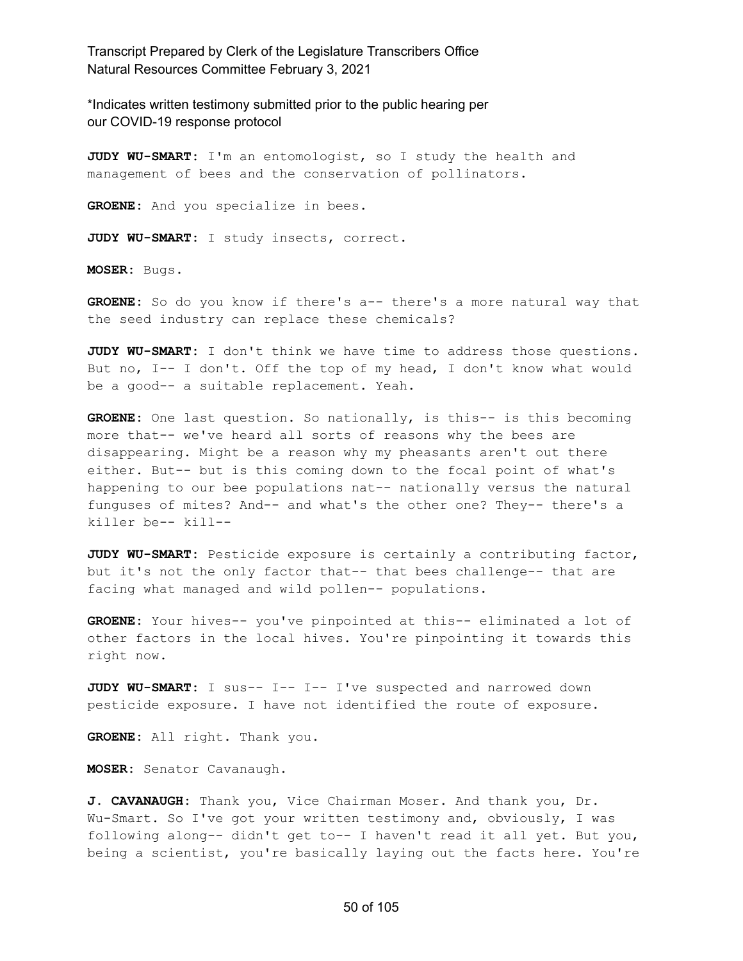\*Indicates written testimony submitted prior to the public hearing per our COVID-19 response protocol

**JUDY WU-SMART:** I'm an entomologist, so I study the health and management of bees and the conservation of pollinators.

**GROENE:** And you specialize in bees.

**JUDY WU-SMART:** I study insects, correct.

**MOSER:** Bugs.

**GROENE:** So do you know if there's a-- there's a more natural way that the seed industry can replace these chemicals?

**JUDY WU-SMART:** I don't think we have time to address those questions. But no, I-- I don't. Off the top of my head, I don't know what would be a good-- a suitable replacement. Yeah.

**GROENE:** One last question. So nationally, is this-- is this becoming more that-- we've heard all sorts of reasons why the bees are disappearing. Might be a reason why my pheasants aren't out there either. But-- but is this coming down to the focal point of what's happening to our bee populations nat-- nationally versus the natural funguses of mites? And-- and what's the other one? They-- there's a killer be-- kill--

**JUDY WU-SMART:** Pesticide exposure is certainly a contributing factor, but it's not the only factor that-- that bees challenge-- that are facing what managed and wild pollen-- populations.

**GROENE:** Your hives-- you've pinpointed at this-- eliminated a lot of other factors in the local hives. You're pinpointing it towards this right now.

**JUDY WU-SMART:** I sus-- I-- I-- I've suspected and narrowed down pesticide exposure. I have not identified the route of exposure.

**GROENE:** All right. Thank you.

**MOSER:** Senator Cavanaugh.

**J. CAVANAUGH:** Thank you, Vice Chairman Moser. And thank you, Dr. Wu-Smart. So I've got your written testimony and, obviously, I was following along-- didn't get to-- I haven't read it all yet. But you, being a scientist, you're basically laying out the facts here. You're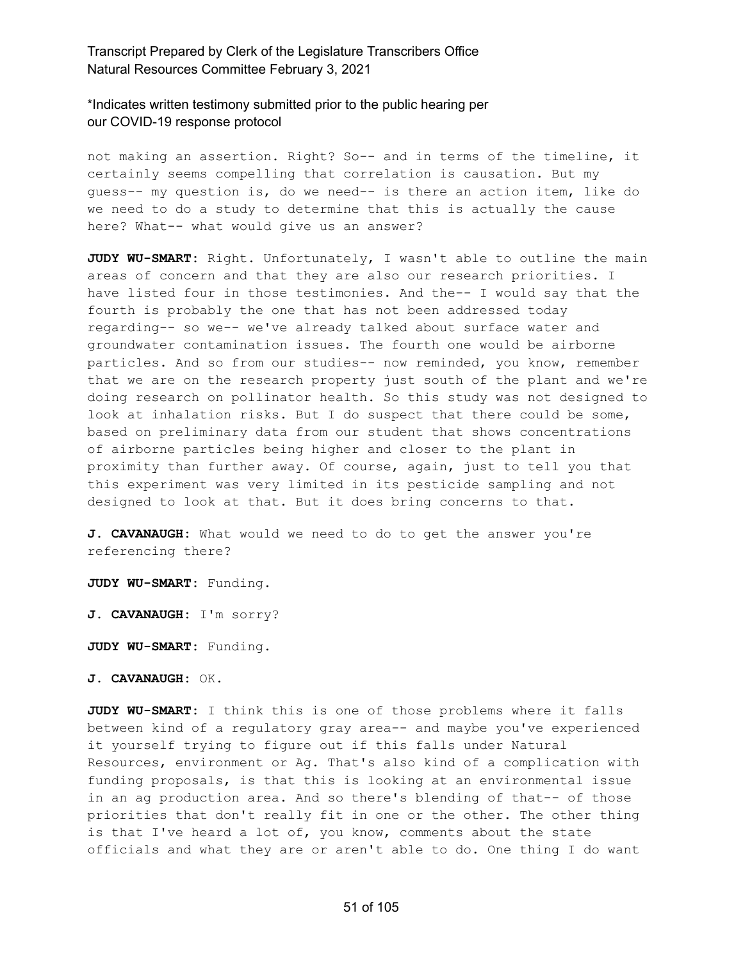\*Indicates written testimony submitted prior to the public hearing per our COVID-19 response protocol

not making an assertion. Right? So-- and in terms of the timeline, it certainly seems compelling that correlation is causation. But my guess-- my question is, do we need-- is there an action item, like do we need to do a study to determine that this is actually the cause here? What-- what would give us an answer?

**JUDY WU-SMART:** Right. Unfortunately, I wasn't able to outline the main areas of concern and that they are also our research priorities. I have listed four in those testimonies. And the-- I would say that the fourth is probably the one that has not been addressed today regarding-- so we-- we've already talked about surface water and groundwater contamination issues. The fourth one would be airborne particles. And so from our studies-- now reminded, you know, remember that we are on the research property just south of the plant and we're doing research on pollinator health. So this study was not designed to look at inhalation risks. But I do suspect that there could be some, based on preliminary data from our student that shows concentrations of airborne particles being higher and closer to the plant in proximity than further away. Of course, again, just to tell you that this experiment was very limited in its pesticide sampling and not designed to look at that. But it does bring concerns to that.

**J. CAVANAUGH:** What would we need to do to get the answer you're referencing there?

**JUDY WU-SMART:** Funding.

**J. CAVANAUGH:** I'm sorry?

**JUDY WU-SMART:** Funding.

**J. CAVANAUGH:** OK.

**JUDY WU-SMART:** I think this is one of those problems where it falls between kind of a regulatory gray area-- and maybe you've experienced it yourself trying to figure out if this falls under Natural Resources, environment or Ag. That's also kind of a complication with funding proposals, is that this is looking at an environmental issue in an ag production area. And so there's blending of that-- of those priorities that don't really fit in one or the other. The other thing is that I've heard a lot of, you know, comments about the state officials and what they are or aren't able to do. One thing I do want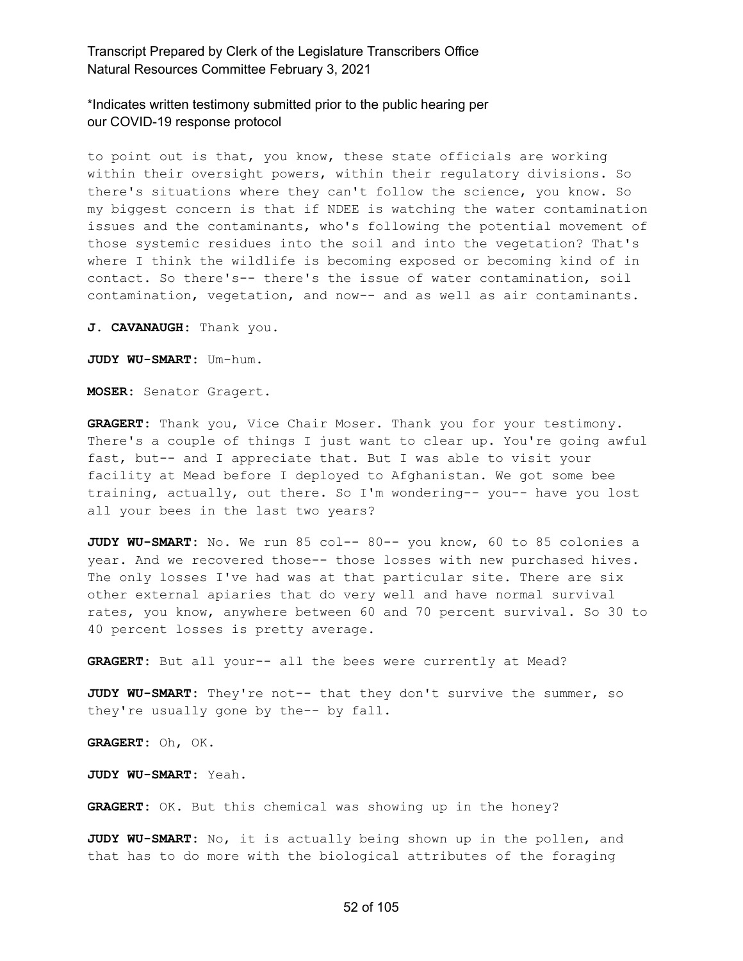\*Indicates written testimony submitted prior to the public hearing per our COVID-19 response protocol

to point out is that, you know, these state officials are working within their oversight powers, within their regulatory divisions. So there's situations where they can't follow the science, you know. So my biggest concern is that if NDEE is watching the water contamination issues and the contaminants, who's following the potential movement of those systemic residues into the soil and into the vegetation? That's where I think the wildlife is becoming exposed or becoming kind of in contact. So there's-- there's the issue of water contamination, soil contamination, vegetation, and now-- and as well as air contaminants.

**J. CAVANAUGH:** Thank you.

**JUDY WU-SMART:** Um-hum.

**MOSER:** Senator Gragert.

**GRAGERT:** Thank you, Vice Chair Moser. Thank you for your testimony. There's a couple of things I just want to clear up. You're going awful fast, but-- and I appreciate that. But I was able to visit your facility at Mead before I deployed to Afghanistan. We got some bee training, actually, out there. So I'm wondering-- you-- have you lost all your bees in the last two years?

**JUDY WU-SMART:** No. We run 85 col-- 80-- you know, 60 to 85 colonies a year. And we recovered those-- those losses with new purchased hives. The only losses I've had was at that particular site. There are six other external apiaries that do very well and have normal survival rates, you know, anywhere between 60 and 70 percent survival. So 30 to 40 percent losses is pretty average.

**GRAGERT:** But all your-- all the bees were currently at Mead?

**JUDY WU-SMART:** They're not-- that they don't survive the summer, so they're usually gone by the-- by fall.

**GRAGERT:** Oh, OK.

**JUDY WU-SMART:** Yeah.

**GRAGERT:** OK. But this chemical was showing up in the honey?

**JUDY WU-SMART:** No, it is actually being shown up in the pollen, and that has to do more with the biological attributes of the foraging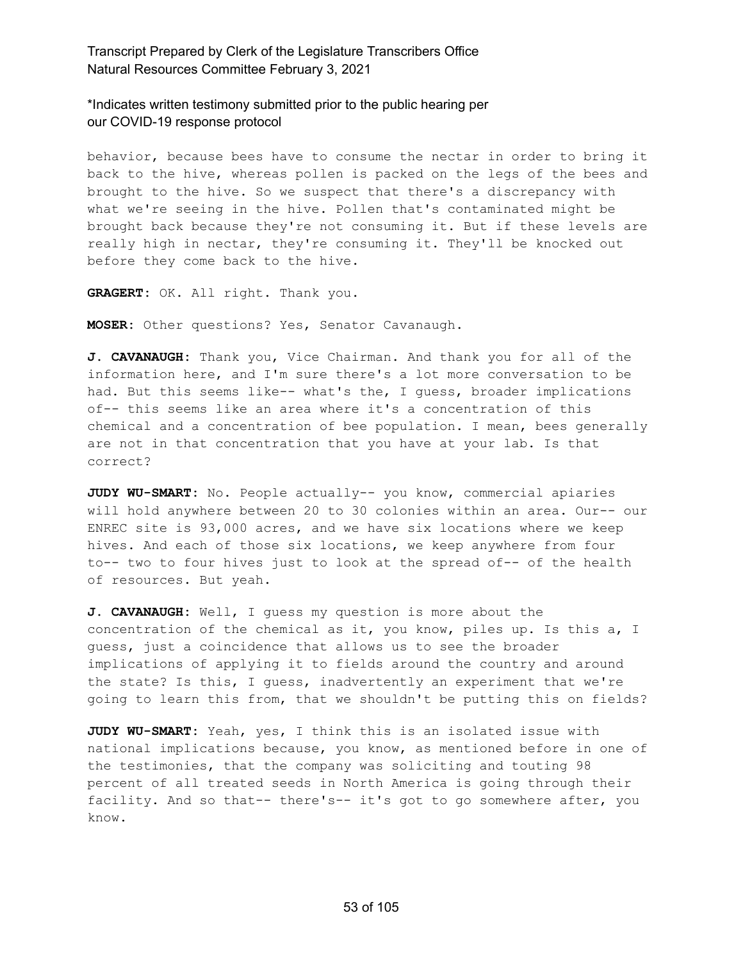\*Indicates written testimony submitted prior to the public hearing per our COVID-19 response protocol

behavior, because bees have to consume the nectar in order to bring it back to the hive, whereas pollen is packed on the legs of the bees and brought to the hive. So we suspect that there's a discrepancy with what we're seeing in the hive. Pollen that's contaminated might be brought back because they're not consuming it. But if these levels are really high in nectar, they're consuming it. They'll be knocked out before they come back to the hive.

**GRAGERT:** OK. All right. Thank you.

**MOSER:** Other questions? Yes, Senator Cavanaugh.

**J. CAVANAUGH:** Thank you, Vice Chairman. And thank you for all of the information here, and I'm sure there's a lot more conversation to be had. But this seems like-- what's the, I guess, broader implications of-- this seems like an area where it's a concentration of this chemical and a concentration of bee population. I mean, bees generally are not in that concentration that you have at your lab. Is that correct?

**JUDY WU-SMART:** No. People actually-- you know, commercial apiaries will hold anywhere between 20 to 30 colonies within an area. Our-- our ENREC site is 93,000 acres, and we have six locations where we keep hives. And each of those six locations, we keep anywhere from four to-- two to four hives just to look at the spread of-- of the health of resources. But yeah.

**J. CAVANAUGH:** Well, I guess my question is more about the concentration of the chemical as it, you know, piles up. Is this a, I guess, just a coincidence that allows us to see the broader implications of applying it to fields around the country and around the state? Is this, I guess, inadvertently an experiment that we're going to learn this from, that we shouldn't be putting this on fields?

**JUDY WU-SMART:** Yeah, yes, I think this is an isolated issue with national implications because, you know, as mentioned before in one of the testimonies, that the company was soliciting and touting 98 percent of all treated seeds in North America is going through their facility. And so that-- there's-- it's got to go somewhere after, you know.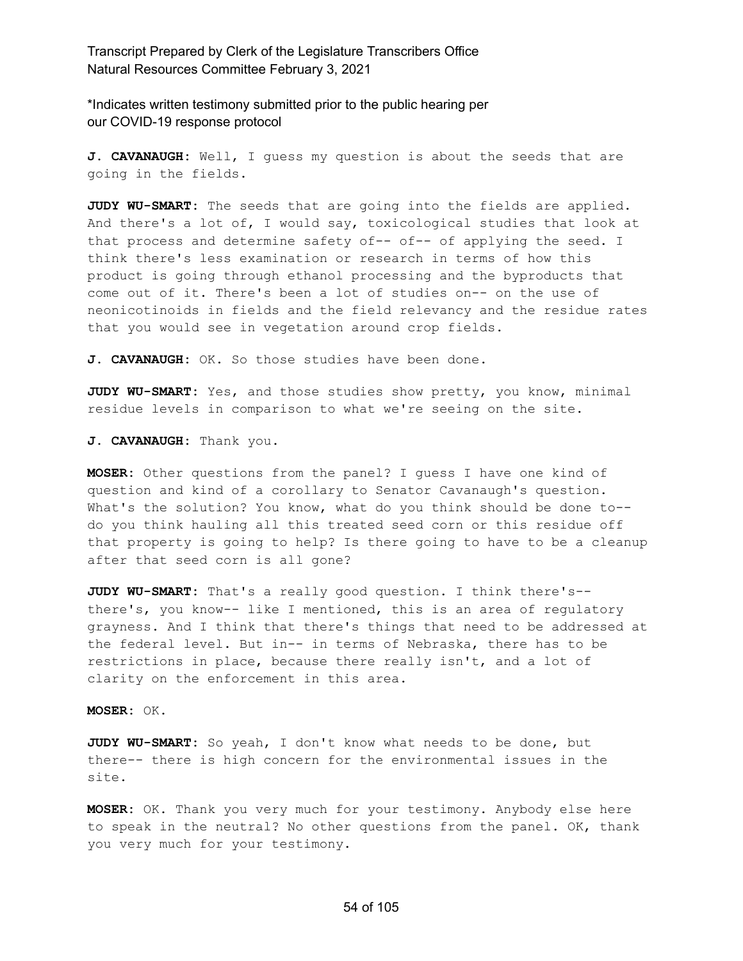\*Indicates written testimony submitted prior to the public hearing per our COVID-19 response protocol

**J. CAVANAUGH:** Well, I guess my question is about the seeds that are going in the fields.

**JUDY WU-SMART:** The seeds that are going into the fields are applied. And there's a lot of, I would say, toxicological studies that look at that process and determine safety of-- of-- of applying the seed. I think there's less examination or research in terms of how this product is going through ethanol processing and the byproducts that come out of it. There's been a lot of studies on-- on the use of neonicotinoids in fields and the field relevancy and the residue rates that you would see in vegetation around crop fields.

**J. CAVANAUGH:** OK. So those studies have been done.

**JUDY WU-SMART:** Yes, and those studies show pretty, you know, minimal residue levels in comparison to what we're seeing on the site.

**J. CAVANAUGH:** Thank you.

**MOSER:** Other questions from the panel? I guess I have one kind of question and kind of a corollary to Senator Cavanaugh's question. What's the solution? You know, what do you think should be done to-do you think hauling all this treated seed corn or this residue off that property is going to help? Is there going to have to be a cleanup after that seed corn is all gone?

**JUDY WU-SMART:** That's a really good question. I think there's- there's, you know-- like I mentioned, this is an area of regulatory grayness. And I think that there's things that need to be addressed at the federal level. But in-- in terms of Nebraska, there has to be restrictions in place, because there really isn't, and a lot of clarity on the enforcement in this area.

**MOSER:** OK.

**JUDY WU-SMART:** So yeah, I don't know what needs to be done, but there-- there is high concern for the environmental issues in the site.

**MOSER:** OK. Thank you very much for your testimony. Anybody else here to speak in the neutral? No other questions from the panel. OK, thank you very much for your testimony.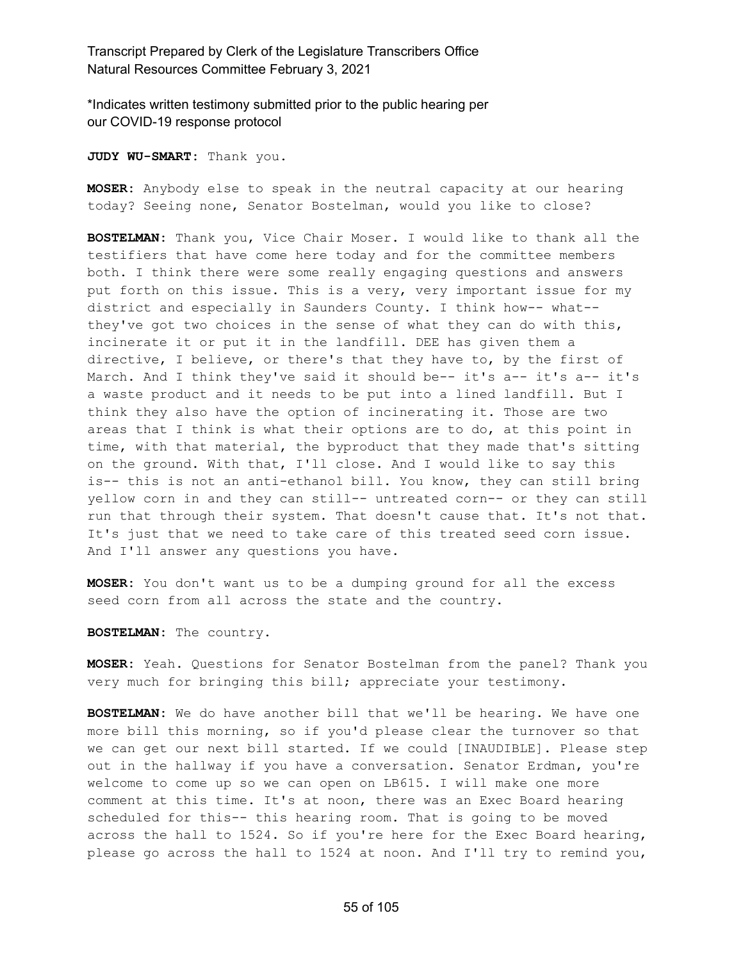\*Indicates written testimony submitted prior to the public hearing per our COVID-19 response protocol

**JUDY WU-SMART:** Thank you.

**MOSER:** Anybody else to speak in the neutral capacity at our hearing today? Seeing none, Senator Bostelman, would you like to close?

**BOSTELMAN:** Thank you, Vice Chair Moser. I would like to thank all the testifiers that have come here today and for the committee members both. I think there were some really engaging questions and answers put forth on this issue. This is a very, very important issue for my district and especially in Saunders County. I think how-- what- they've got two choices in the sense of what they can do with this, incinerate it or put it in the landfill. DEE has given them a directive, I believe, or there's that they have to, by the first of March. And I think they've said it should be-- it's a-- it's a-- it's a waste product and it needs to be put into a lined landfill. But I think they also have the option of incinerating it. Those are two areas that I think is what their options are to do, at this point in time, with that material, the byproduct that they made that's sitting on the ground. With that, I'll close. And I would like to say this is-- this is not an anti-ethanol bill. You know, they can still bring yellow corn in and they can still-- untreated corn-- or they can still run that through their system. That doesn't cause that. It's not that. It's just that we need to take care of this treated seed corn issue. And I'll answer any questions you have.

**MOSER:** You don't want us to be a dumping ground for all the excess seed corn from all across the state and the country.

**BOSTELMAN:** The country.

**MOSER:** Yeah. Questions for Senator Bostelman from the panel? Thank you very much for bringing this bill; appreciate your testimony.

**BOSTELMAN:** We do have another bill that we'll be hearing. We have one more bill this morning, so if you'd please clear the turnover so that we can get our next bill started. If we could [INAUDIBLE]. Please step out in the hallway if you have a conversation. Senator Erdman, you're welcome to come up so we can open on LB615. I will make one more comment at this time. It's at noon, there was an Exec Board hearing scheduled for this-- this hearing room. That is going to be moved across the hall to 1524. So if you're here for the Exec Board hearing, please go across the hall to 1524 at noon. And I'll try to remind you,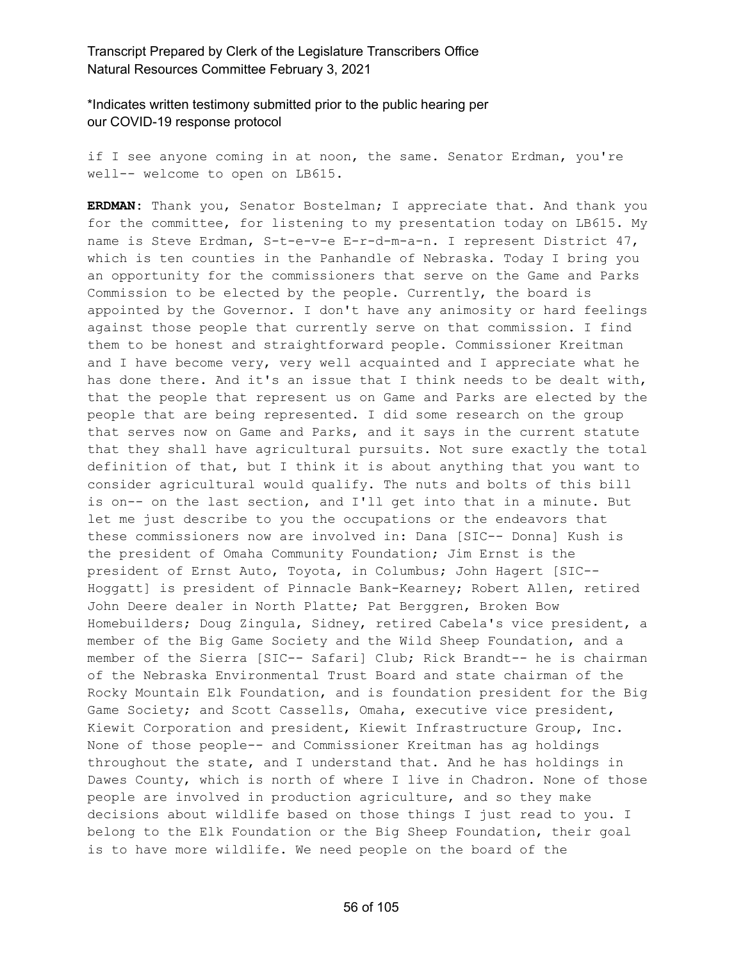\*Indicates written testimony submitted prior to the public hearing per our COVID-19 response protocol

if I see anyone coming in at noon, the same. Senator Erdman, you're well-- welcome to open on LB615.

**ERDMAN:** Thank you, Senator Bostelman; I appreciate that. And thank you for the committee, for listening to my presentation today on LB615. My name is Steve Erdman, S-t-e-v-e E-r-d-m-a-n. I represent District 47, which is ten counties in the Panhandle of Nebraska. Today I bring you an opportunity for the commissioners that serve on the Game and Parks Commission to be elected by the people. Currently, the board is appointed by the Governor. I don't have any animosity or hard feelings against those people that currently serve on that commission. I find them to be honest and straightforward people. Commissioner Kreitman and I have become very, very well acquainted and I appreciate what he has done there. And it's an issue that I think needs to be dealt with, that the people that represent us on Game and Parks are elected by the people that are being represented. I did some research on the group that serves now on Game and Parks, and it says in the current statute that they shall have agricultural pursuits. Not sure exactly the total definition of that, but I think it is about anything that you want to consider agricultural would qualify. The nuts and bolts of this bill is on-- on the last section, and I'll get into that in a minute. But let me just describe to you the occupations or the endeavors that these commissioners now are involved in: Dana [SIC-- Donna] Kush is the president of Omaha Community Foundation; Jim Ernst is the president of Ernst Auto, Toyota, in Columbus; John Hagert [SIC-- Hoggatt] is president of Pinnacle Bank-Kearney; Robert Allen, retired John Deere dealer in North Platte; Pat Berggren, Broken Bow Homebuilders; Doug Zingula, Sidney, retired Cabela's vice president, a member of the Big Game Society and the Wild Sheep Foundation, and a member of the Sierra [SIC-- Safari] Club; Rick Brandt-- he is chairman of the Nebraska Environmental Trust Board and state chairman of the Rocky Mountain Elk Foundation, and is foundation president for the Big Game Society; and Scott Cassells, Omaha, executive vice president, Kiewit Corporation and president, Kiewit Infrastructure Group, Inc. None of those people-- and Commissioner Kreitman has ag holdings throughout the state, and I understand that. And he has holdings in Dawes County, which is north of where I live in Chadron. None of those people are involved in production agriculture, and so they make decisions about wildlife based on those things I just read to you. I belong to the Elk Foundation or the Big Sheep Foundation, their goal is to have more wildlife. We need people on the board of the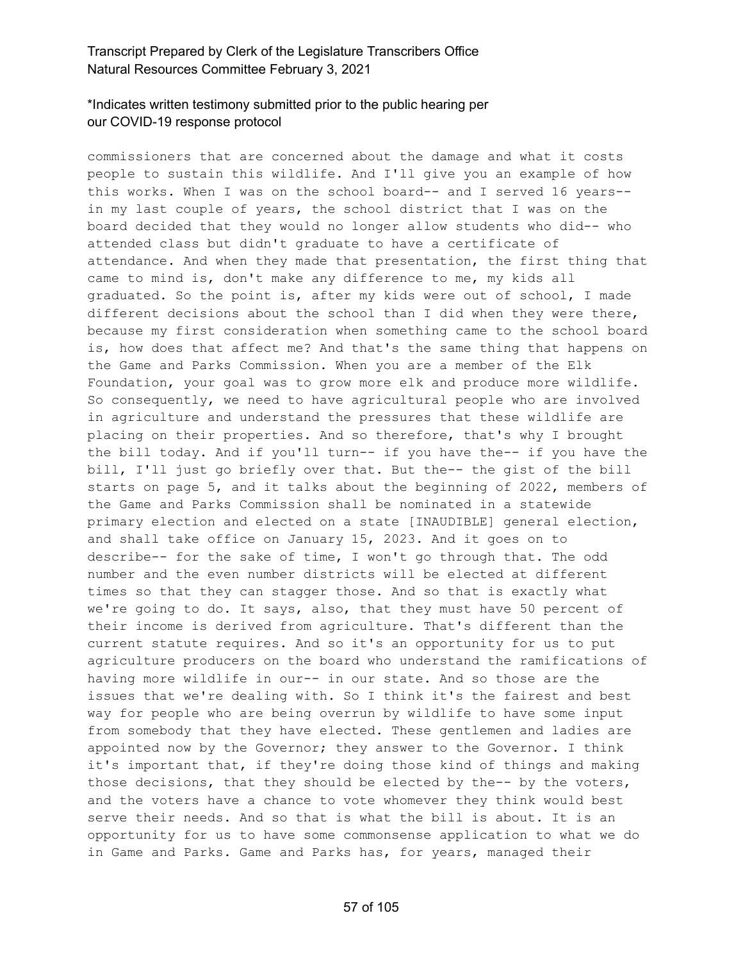# \*Indicates written testimony submitted prior to the public hearing per our COVID-19 response protocol

commissioners that are concerned about the damage and what it costs people to sustain this wildlife. And I'll give you an example of how this works. When I was on the school board-- and I served 16 years- in my last couple of years, the school district that I was on the board decided that they would no longer allow students who did-- who attended class but didn't graduate to have a certificate of attendance. And when they made that presentation, the first thing that came to mind is, don't make any difference to me, my kids all graduated. So the point is, after my kids were out of school, I made different decisions about the school than I did when they were there, because my first consideration when something came to the school board is, how does that affect me? And that's the same thing that happens on the Game and Parks Commission. When you are a member of the Elk Foundation, your goal was to grow more elk and produce more wildlife. So consequently, we need to have agricultural people who are involved in agriculture and understand the pressures that these wildlife are placing on their properties. And so therefore, that's why I brought the bill today. And if you'll turn-- if you have the-- if you have the bill, I'll just go briefly over that. But the-- the gist of the bill starts on page 5, and it talks about the beginning of 2022, members of the Game and Parks Commission shall be nominated in a statewide primary election and elected on a state [INAUDIBLE] general election, and shall take office on January 15, 2023. And it goes on to describe-- for the sake of time, I won't go through that. The odd number and the even number districts will be elected at different times so that they can stagger those. And so that is exactly what we're going to do. It says, also, that they must have 50 percent of their income is derived from agriculture. That's different than the current statute requires. And so it's an opportunity for us to put agriculture producers on the board who understand the ramifications of having more wildlife in our-- in our state. And so those are the issues that we're dealing with. So I think it's the fairest and best way for people who are being overrun by wildlife to have some input from somebody that they have elected. These gentlemen and ladies are appointed now by the Governor; they answer to the Governor. I think it's important that, if they're doing those kind of things and making those decisions, that they should be elected by the-- by the voters, and the voters have a chance to vote whomever they think would best serve their needs. And so that is what the bill is about. It is an opportunity for us to have some commonsense application to what we do in Game and Parks. Game and Parks has, for years, managed their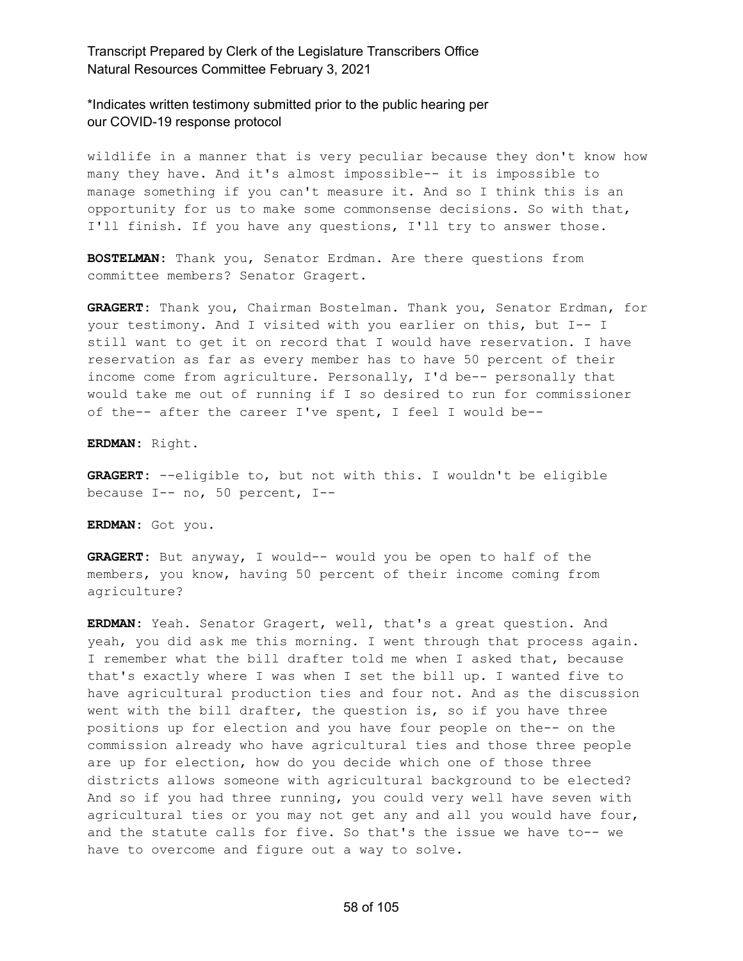\*Indicates written testimony submitted prior to the public hearing per our COVID-19 response protocol

wildlife in a manner that is very peculiar because they don't know how many they have. And it's almost impossible-- it is impossible to manage something if you can't measure it. And so I think this is an opportunity for us to make some commonsense decisions. So with that, I'll finish. If you have any questions, I'll try to answer those.

**BOSTELMAN:** Thank you, Senator Erdman. Are there questions from committee members? Senator Gragert.

**GRAGERT:** Thank you, Chairman Bostelman. Thank you, Senator Erdman, for your testimony. And I visited with you earlier on this, but I-- I still want to get it on record that I would have reservation. I have reservation as far as every member has to have 50 percent of their income come from agriculture. Personally, I'd be-- personally that would take me out of running if I so desired to run for commissioner of the-- after the career I've spent, I feel I would be--

**ERDMAN:** Right.

**GRAGERT:** --eligible to, but not with this. I wouldn't be eligible because I-- no, 50 percent, I--

**ERDMAN:** Got you.

**GRAGERT:** But anyway, I would-- would you be open to half of the members, you know, having 50 percent of their income coming from agriculture?

**ERDMAN:** Yeah. Senator Gragert, well, that's a great question. And yeah, you did ask me this morning. I went through that process again. I remember what the bill drafter told me when I asked that, because that's exactly where I was when I set the bill up. I wanted five to have agricultural production ties and four not. And as the discussion went with the bill drafter, the question is, so if you have three positions up for election and you have four people on the-- on the commission already who have agricultural ties and those three people are up for election, how do you decide which one of those three districts allows someone with agricultural background to be elected? And so if you had three running, you could very well have seven with agricultural ties or you may not get any and all you would have four, and the statute calls for five. So that's the issue we have to-- we have to overcome and figure out a way to solve.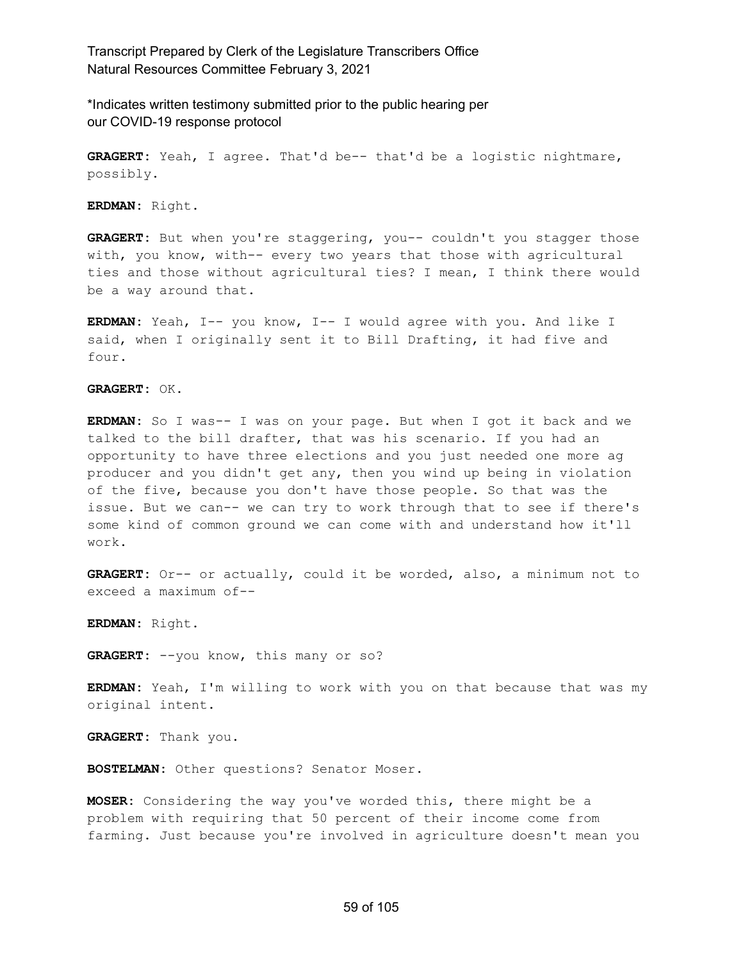\*Indicates written testimony submitted prior to the public hearing per our COVID-19 response protocol

**GRAGERT:** Yeah, I agree. That'd be-- that'd be a logistic nightmare, possibly.

**ERDMAN:** Right.

**GRAGERT:** But when you're staggering, you-- couldn't you stagger those with, you know, with-- every two years that those with agricultural ties and those without agricultural ties? I mean, I think there would be a way around that.

**ERDMAN:** Yeah, I-- you know, I-- I would agree with you. And like I said, when I originally sent it to Bill Drafting, it had five and four.

**GRAGERT:** OK.

**ERDMAN:** So I was-- I was on your page. But when I got it back and we talked to the bill drafter, that was his scenario. If you had an opportunity to have three elections and you just needed one more ag producer and you didn't get any, then you wind up being in violation of the five, because you don't have those people. So that was the issue. But we can-- we can try to work through that to see if there's some kind of common ground we can come with and understand how it'll work.

**GRAGERT:** Or-- or actually, could it be worded, also, a minimum not to exceed a maximum of--

**ERDMAN:** Right.

GRAGERT:  $-you$  know, this many or so?

**ERDMAN:** Yeah, I'm willing to work with you on that because that was my original intent.

**GRAGERT:** Thank you.

**BOSTELMAN:** Other questions? Senator Moser.

**MOSER:** Considering the way you've worded this, there might be a problem with requiring that 50 percent of their income come from farming. Just because you're involved in agriculture doesn't mean you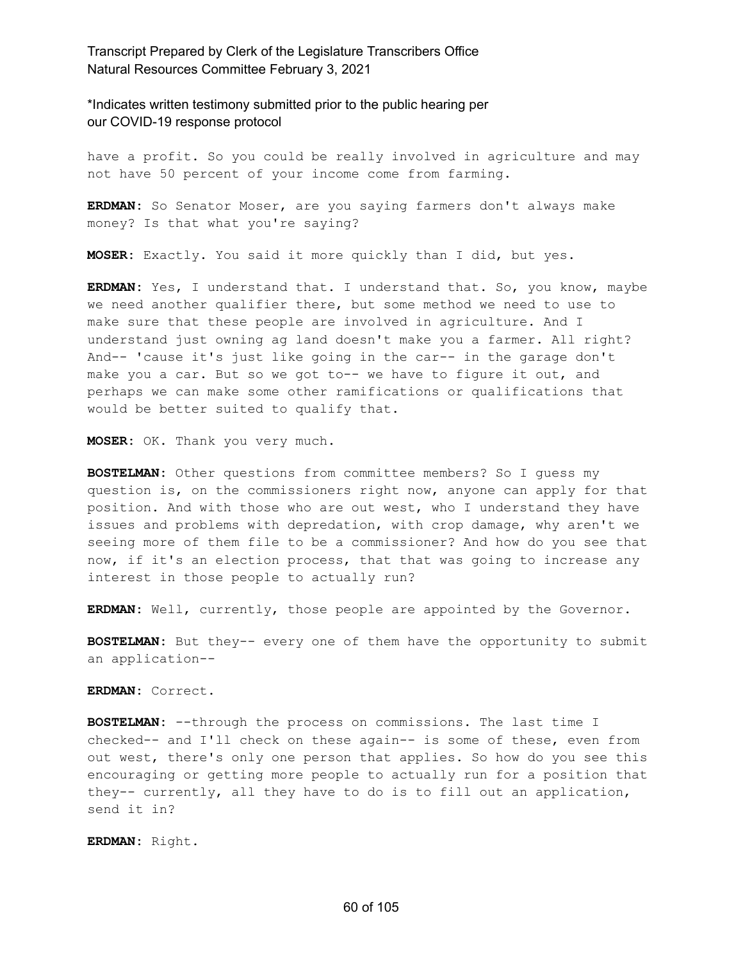\*Indicates written testimony submitted prior to the public hearing per our COVID-19 response protocol

have a profit. So you could be really involved in agriculture and may not have 50 percent of your income come from farming.

**ERDMAN:** So Senator Moser, are you saying farmers don't always make money? Is that what you're saying?

**MOSER:** Exactly. You said it more quickly than I did, but yes.

**ERDMAN:** Yes, I understand that. I understand that. So, you know, maybe we need another qualifier there, but some method we need to use to make sure that these people are involved in agriculture. And I understand just owning ag land doesn't make you a farmer. All right? And-- 'cause it's just like going in the car-- in the garage don't make you a car. But so we got to-- we have to figure it out, and perhaps we can make some other ramifications or qualifications that would be better suited to qualify that.

**MOSER:** OK. Thank you very much.

**BOSTELMAN:** Other questions from committee members? So I guess my question is, on the commissioners right now, anyone can apply for that position. And with those who are out west, who I understand they have issues and problems with depredation, with crop damage, why aren't we seeing more of them file to be a commissioner? And how do you see that now, if it's an election process, that that was going to increase any interest in those people to actually run?

**ERDMAN:** Well, currently, those people are appointed by the Governor.

**BOSTELMAN:** But they-- every one of them have the opportunity to submit an application--

**ERDMAN:** Correct.

**BOSTELMAN:** --through the process on commissions. The last time I checked-- and I'll check on these again-- is some of these, even from out west, there's only one person that applies. So how do you see this encouraging or getting more people to actually run for a position that they-- currently, all they have to do is to fill out an application, send it in?

**ERDMAN:** Right.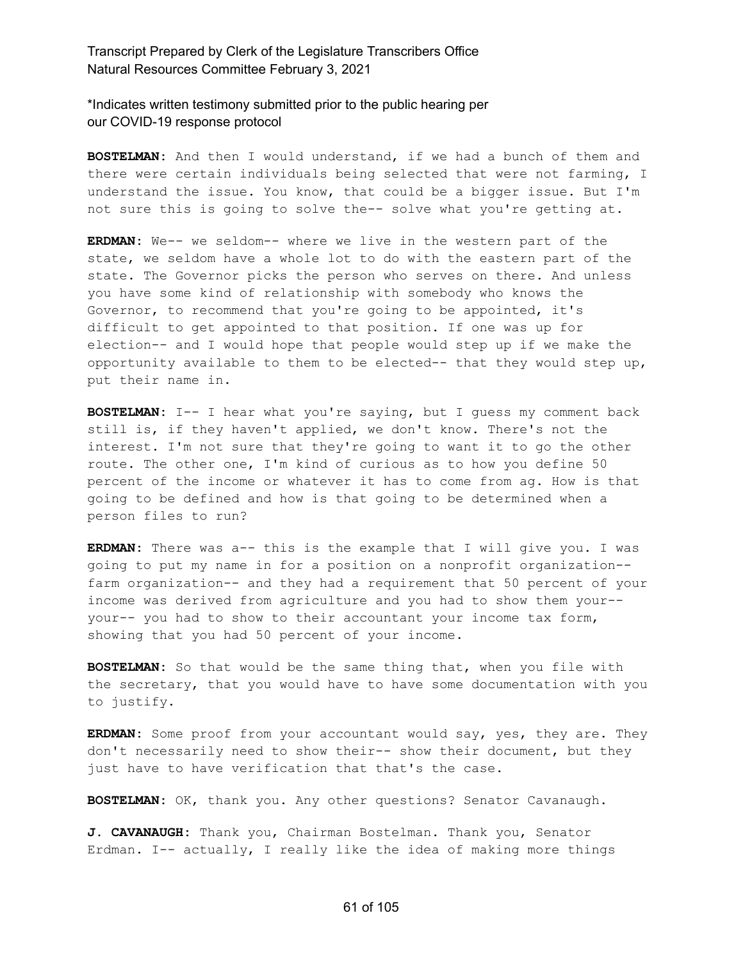\*Indicates written testimony submitted prior to the public hearing per our COVID-19 response protocol

**BOSTELMAN:** And then I would understand, if we had a bunch of them and there were certain individuals being selected that were not farming, I understand the issue. You know, that could be a bigger issue. But I'm not sure this is going to solve the-- solve what you're getting at.

**ERDMAN:** We-- we seldom-- where we live in the western part of the state, we seldom have a whole lot to do with the eastern part of the state. The Governor picks the person who serves on there. And unless you have some kind of relationship with somebody who knows the Governor, to recommend that you're going to be appointed, it's difficult to get appointed to that position. If one was up for election-- and I would hope that people would step up if we make the opportunity available to them to be elected-- that they would step up, put their name in.

**BOSTELMAN:** I-- I hear what you're saying, but I guess my comment back still is, if they haven't applied, we don't know. There's not the interest. I'm not sure that they're going to want it to go the other route. The other one, I'm kind of curious as to how you define 50 percent of the income or whatever it has to come from ag. How is that going to be defined and how is that going to be determined when a person files to run?

**ERDMAN:** There was a-- this is the example that I will give you. I was going to put my name in for a position on a nonprofit organization- farm organization-- and they had a requirement that 50 percent of your income was derived from agriculture and you had to show them your- your-- you had to show to their accountant your income tax form, showing that you had 50 percent of your income.

**BOSTELMAN:** So that would be the same thing that, when you file with the secretary, that you would have to have some documentation with you to justify.

**ERDMAN:** Some proof from your accountant would say, yes, they are. They don't necessarily need to show their-- show their document, but they just have to have verification that that's the case.

**BOSTELMAN:** OK, thank you. Any other questions? Senator Cavanaugh.

**J. CAVANAUGH:** Thank you, Chairman Bostelman. Thank you, Senator Erdman. I-- actually, I really like the idea of making more things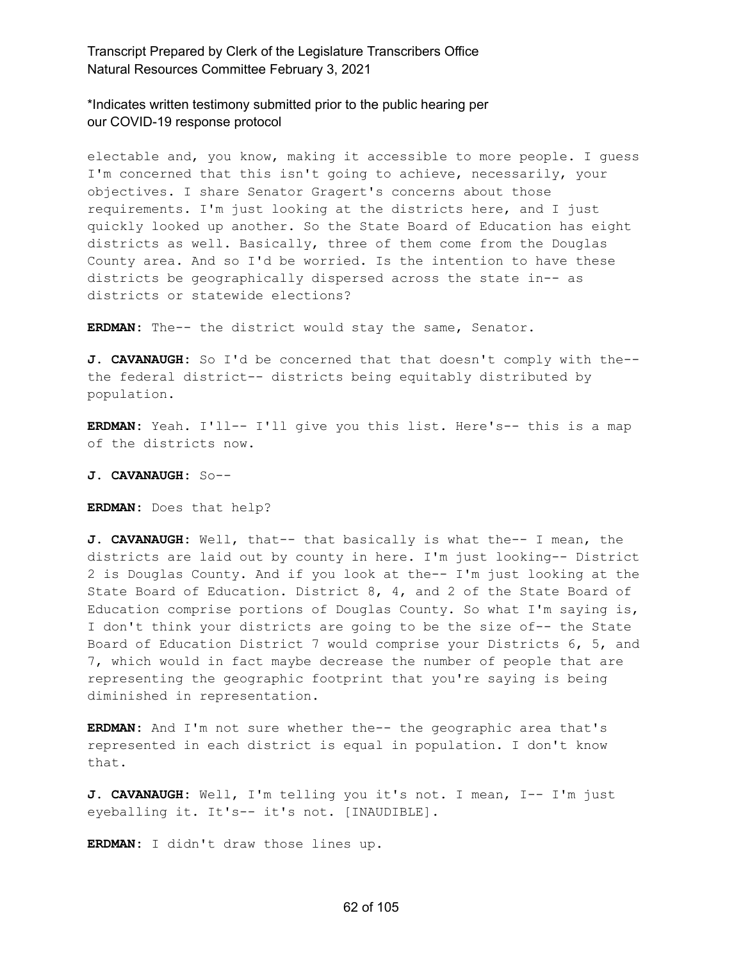\*Indicates written testimony submitted prior to the public hearing per our COVID-19 response protocol

electable and, you know, making it accessible to more people. I guess I'm concerned that this isn't going to achieve, necessarily, your objectives. I share Senator Gragert's concerns about those requirements. I'm just looking at the districts here, and I just quickly looked up another. So the State Board of Education has eight districts as well. Basically, three of them come from the Douglas County area. And so I'd be worried. Is the intention to have these districts be geographically dispersed across the state in-- as districts or statewide elections?

**ERDMAN:** The-- the district would stay the same, Senator.

**J. CAVANAUGH:** So I'd be concerned that that doesn't comply with the- the federal district-- districts being equitably distributed by population.

**ERDMAN:** Yeah. I'll-- I'll give you this list. Here's-- this is a map of the districts now.

**J. CAVANAUGH:** So--

**ERDMAN:** Does that help?

**J. CAVANAUGH:** Well, that-- that basically is what the-- I mean, the districts are laid out by county in here. I'm just looking-- District 2 is Douglas County. And if you look at the-- I'm just looking at the State Board of Education. District 8, 4, and 2 of the State Board of Education comprise portions of Douglas County. So what I'm saying is, I don't think your districts are going to be the size of-- the State Board of Education District 7 would comprise your Districts 6, 5, and 7, which would in fact maybe decrease the number of people that are representing the geographic footprint that you're saying is being diminished in representation.

**ERDMAN:** And I'm not sure whether the-- the geographic area that's represented in each district is equal in population. I don't know that.

**J. CAVANAUGH:** Well, I'm telling you it's not. I mean, I-- I'm just eyeballing it. It's-- it's not. [INAUDIBLE].

**ERDMAN:** I didn't draw those lines up.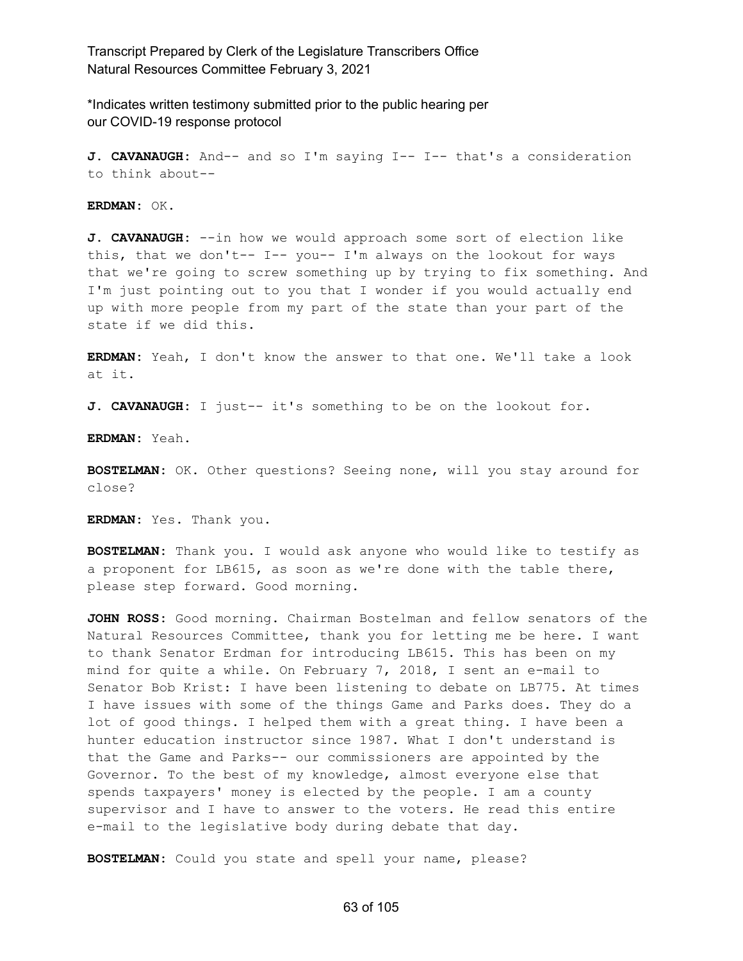\*Indicates written testimony submitted prior to the public hearing per our COVID-19 response protocol

**J. CAVANAUGH:** And-- and so I'm saying I-- I-- that's a consideration to think about--

**ERDMAN:** OK.

**J. CAVANAUGH:** --in how we would approach some sort of election like this, that we don't-- I-- you-- I'm always on the lookout for ways that we're going to screw something up by trying to fix something. And I'm just pointing out to you that I wonder if you would actually end up with more people from my part of the state than your part of the state if we did this.

**ERDMAN:** Yeah, I don't know the answer to that one. We'll take a look at it.

**J. CAVANAUGH:** I just-- it's something to be on the lookout for.

**ERDMAN:** Yeah.

**BOSTELMAN:** OK. Other questions? Seeing none, will you stay around for close?

**ERDMAN:** Yes. Thank you.

**BOSTELMAN:** Thank you. I would ask anyone who would like to testify as a proponent for LB615, as soon as we're done with the table there, please step forward. Good morning.

**JOHN ROSS:** Good morning. Chairman Bostelman and fellow senators of the Natural Resources Committee, thank you for letting me be here. I want to thank Senator Erdman for introducing LB615. This has been on my mind for quite a while. On February 7, 2018, I sent an e-mail to Senator Bob Krist: I have been listening to debate on LB775. At times I have issues with some of the things Game and Parks does. They do a lot of good things. I helped them with a great thing. I have been a hunter education instructor since 1987. What I don't understand is that the Game and Parks-- our commissioners are appointed by the Governor. To the best of my knowledge, almost everyone else that spends taxpayers' money is elected by the people. I am a county supervisor and I have to answer to the voters. He read this entire e-mail to the legislative body during debate that day.

**BOSTELMAN:** Could you state and spell your name, please?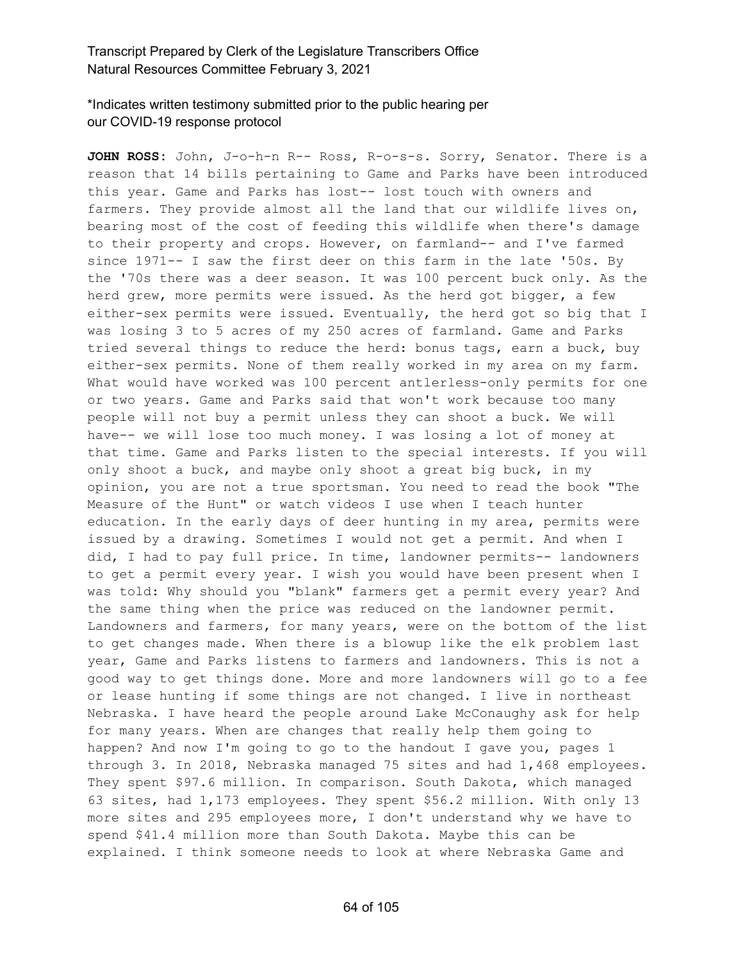\*Indicates written testimony submitted prior to the public hearing per our COVID-19 response protocol

**JOHN ROSS:** John, J-o-h-n R-- Ross, R-o-s-s. Sorry, Senator. There is a reason that 14 bills pertaining to Game and Parks have been introduced this year. Game and Parks has lost-- lost touch with owners and farmers. They provide almost all the land that our wildlife lives on, bearing most of the cost of feeding this wildlife when there's damage to their property and crops. However, on farmland-- and I've farmed since 1971-- I saw the first deer on this farm in the late '50s. By the '70s there was a deer season. It was 100 percent buck only. As the herd grew, more permits were issued. As the herd got bigger, a few either-sex permits were issued. Eventually, the herd got so big that I was losing 3 to 5 acres of my 250 acres of farmland. Game and Parks tried several things to reduce the herd: bonus tags, earn a buck, buy either-sex permits. None of them really worked in my area on my farm. What would have worked was 100 percent antlerless-only permits for one or two years. Game and Parks said that won't work because too many people will not buy a permit unless they can shoot a buck. We will have-- we will lose too much money. I was losing a lot of money at that time. Game and Parks listen to the special interests. If you will only shoot a buck, and maybe only shoot a great big buck, in my opinion, you are not a true sportsman. You need to read the book "The Measure of the Hunt" or watch videos I use when I teach hunter education. In the early days of deer hunting in my area, permits were issued by a drawing. Sometimes I would not get a permit. And when I did, I had to pay full price. In time, landowner permits-- landowners to get a permit every year. I wish you would have been present when I was told: Why should you "blank" farmers get a permit every year? And the same thing when the price was reduced on the landowner permit. Landowners and farmers, for many years, were on the bottom of the list to get changes made. When there is a blowup like the elk problem last year, Game and Parks listens to farmers and landowners. This is not a good way to get things done. More and more landowners will go to a fee or lease hunting if some things are not changed. I live in northeast Nebraska. I have heard the people around Lake McConaughy ask for help for many years. When are changes that really help them going to happen? And now I'm going to go to the handout I gave you, pages 1 through 3. In 2018, Nebraska managed 75 sites and had 1,468 employees. They spent \$97.6 million. In comparison. South Dakota, which managed 63 sites, had 1,173 employees. They spent \$56.2 million. With only 13 more sites and 295 employees more, I don't understand why we have to spend \$41.4 million more than South Dakota. Maybe this can be explained. I think someone needs to look at where Nebraska Game and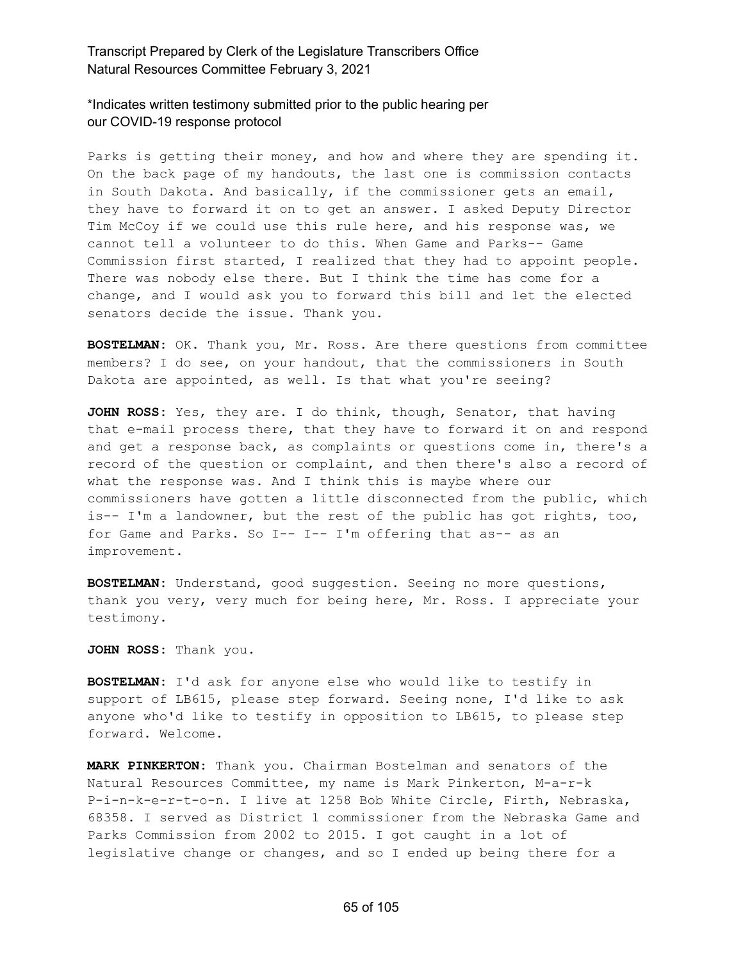### \*Indicates written testimony submitted prior to the public hearing per our COVID-19 response protocol

Parks is getting their money, and how and where they are spending it. On the back page of my handouts, the last one is commission contacts in South Dakota. And basically, if the commissioner gets an email, they have to forward it on to get an answer. I asked Deputy Director Tim McCoy if we could use this rule here, and his response was, we cannot tell a volunteer to do this. When Game and Parks-- Game Commission first started, I realized that they had to appoint people. There was nobody else there. But I think the time has come for a change, and I would ask you to forward this bill and let the elected senators decide the issue. Thank you.

**BOSTELMAN:** OK. Thank you, Mr. Ross. Are there questions from committee members? I do see, on your handout, that the commissioners in South Dakota are appointed, as well. Is that what you're seeing?

**JOHN ROSS:** Yes, they are. I do think, though, Senator, that having that e-mail process there, that they have to forward it on and respond and get a response back, as complaints or questions come in, there's a record of the question or complaint, and then there's also a record of what the response was. And I think this is maybe where our commissioners have gotten a little disconnected from the public, which is-- I'm a landowner, but the rest of the public has got rights, too, for Game and Parks. So I-- I-- I'm offering that as-- as an improvement.

**BOSTELMAN:** Understand, good suggestion. Seeing no more questions, thank you very, very much for being here, Mr. Ross. I appreciate your testimony.

**JOHN ROSS:** Thank you.

**BOSTELMAN:** I'd ask for anyone else who would like to testify in support of LB615, please step forward. Seeing none, I'd like to ask anyone who'd like to testify in opposition to LB615, to please step forward. Welcome.

**MARK PINKERTON:** Thank you. Chairman Bostelman and senators of the Natural Resources Committee, my name is Mark Pinkerton, M-a-r-k P-i-n-k-e-r-t-o-n. I live at 1258 Bob White Circle, Firth, Nebraska, 68358. I served as District 1 commissioner from the Nebraska Game and Parks Commission from 2002 to 2015. I got caught in a lot of legislative change or changes, and so I ended up being there for a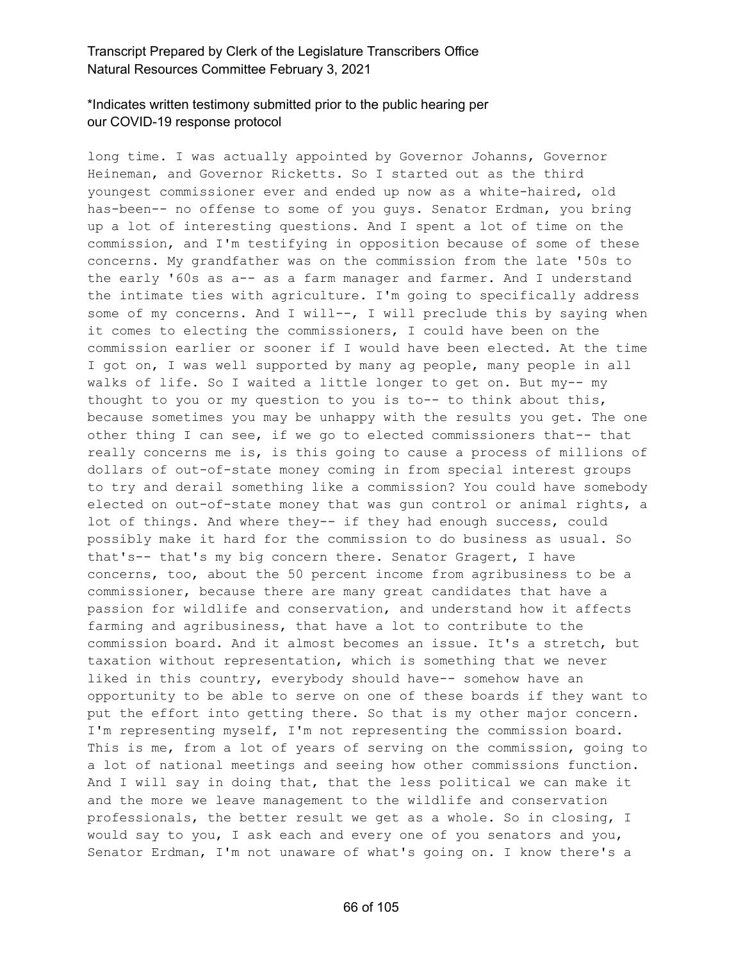# \*Indicates written testimony submitted prior to the public hearing per our COVID-19 response protocol

long time. I was actually appointed by Governor Johanns, Governor Heineman, and Governor Ricketts. So I started out as the third youngest commissioner ever and ended up now as a white-haired, old has-been-- no offense to some of you guys. Senator Erdman, you bring up a lot of interesting questions. And I spent a lot of time on the commission, and I'm testifying in opposition because of some of these concerns. My grandfather was on the commission from the late '50s to the early '60s as a-- as a farm manager and farmer. And I understand the intimate ties with agriculture. I'm going to specifically address some of my concerns. And I will --, I will preclude this by saying when it comes to electing the commissioners, I could have been on the commission earlier or sooner if I would have been elected. At the time I got on, I was well supported by many ag people, many people in all walks of life. So I waited a little longer to get on. But my-- my thought to you or my question to you is to-- to think about this, because sometimes you may be unhappy with the results you get. The one other thing I can see, if we go to elected commissioners that-- that really concerns me is, is this going to cause a process of millions of dollars of out-of-state money coming in from special interest groups to try and derail something like a commission? You could have somebody elected on out-of-state money that was gun control or animal rights, a lot of things. And where they-- if they had enough success, could possibly make it hard for the commission to do business as usual. So that's-- that's my big concern there. Senator Gragert, I have concerns, too, about the 50 percent income from agribusiness to be a commissioner, because there are many great candidates that have a passion for wildlife and conservation, and understand how it affects farming and agribusiness, that have a lot to contribute to the commission board. And it almost becomes an issue. It's a stretch, but taxation without representation, which is something that we never liked in this country, everybody should have-- somehow have an opportunity to be able to serve on one of these boards if they want to put the effort into getting there. So that is my other major concern. I'm representing myself, I'm not representing the commission board. This is me, from a lot of years of serving on the commission, going to a lot of national meetings and seeing how other commissions function. And I will say in doing that, that the less political we can make it and the more we leave management to the wildlife and conservation professionals, the better result we get as a whole. So in closing, I would say to you, I ask each and every one of you senators and you, Senator Erdman, I'm not unaware of what's going on. I know there's a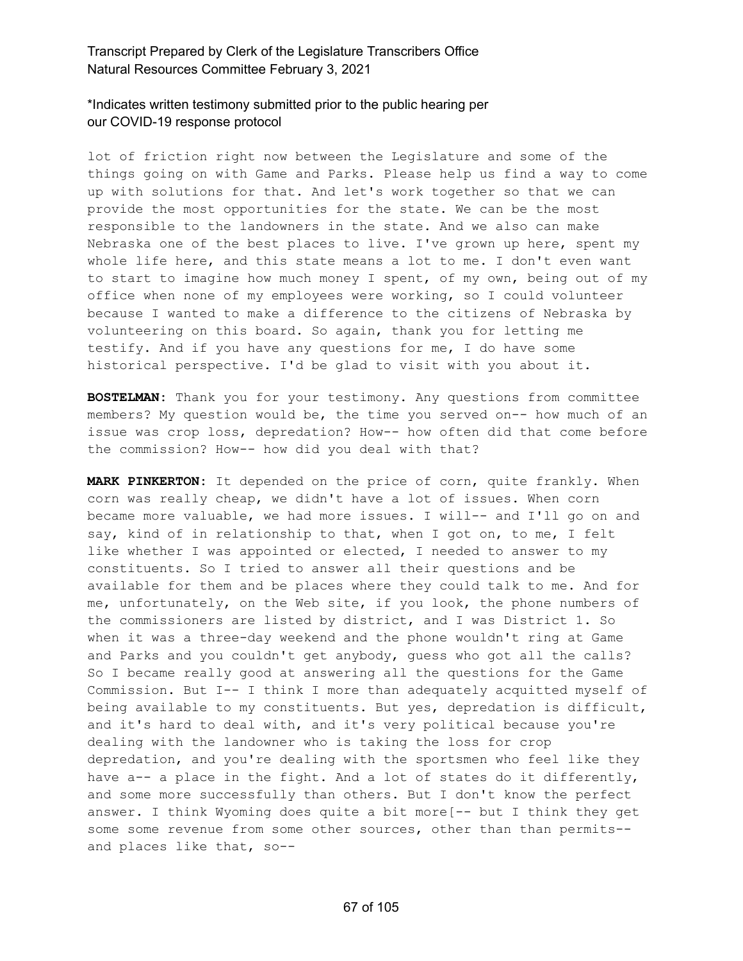# \*Indicates written testimony submitted prior to the public hearing per our COVID-19 response protocol

lot of friction right now between the Legislature and some of the things going on with Game and Parks. Please help us find a way to come up with solutions for that. And let's work together so that we can provide the most opportunities for the state. We can be the most responsible to the landowners in the state. And we also can make Nebraska one of the best places to live. I've grown up here, spent my whole life here, and this state means a lot to me. I don't even want to start to imagine how much money I spent, of my own, being out of my office when none of my employees were working, so I could volunteer because I wanted to make a difference to the citizens of Nebraska by volunteering on this board. So again, thank you for letting me testify. And if you have any questions for me, I do have some historical perspective. I'd be glad to visit with you about it.

**BOSTELMAN:** Thank you for your testimony. Any questions from committee members? My question would be, the time you served on-- how much of an issue was crop loss, depredation? How-- how often did that come before the commission? How-- how did you deal with that?

**MARK PINKERTON:** It depended on the price of corn, quite frankly. When corn was really cheap, we didn't have a lot of issues. When corn became more valuable, we had more issues. I will-- and I'll go on and say, kind of in relationship to that, when I got on, to me, I felt like whether I was appointed or elected, I needed to answer to my constituents. So I tried to answer all their questions and be available for them and be places where they could talk to me. And for me, unfortunately, on the Web site, if you look, the phone numbers of the commissioners are listed by district, and I was District 1. So when it was a three-day weekend and the phone wouldn't ring at Game and Parks and you couldn't get anybody, guess who got all the calls? So I became really good at answering all the questions for the Game Commission. But I-- I think I more than adequately acquitted myself of being available to my constituents. But yes, depredation is difficult, and it's hard to deal with, and it's very political because you're dealing with the landowner who is taking the loss for crop depredation, and you're dealing with the sportsmen who feel like they have a-- a place in the fight. And a lot of states do it differently, and some more successfully than others. But I don't know the perfect answer. I think Wyoming does quite a bit more[-- but I think they get some some revenue from some other sources, other than than permits- and places like that, so--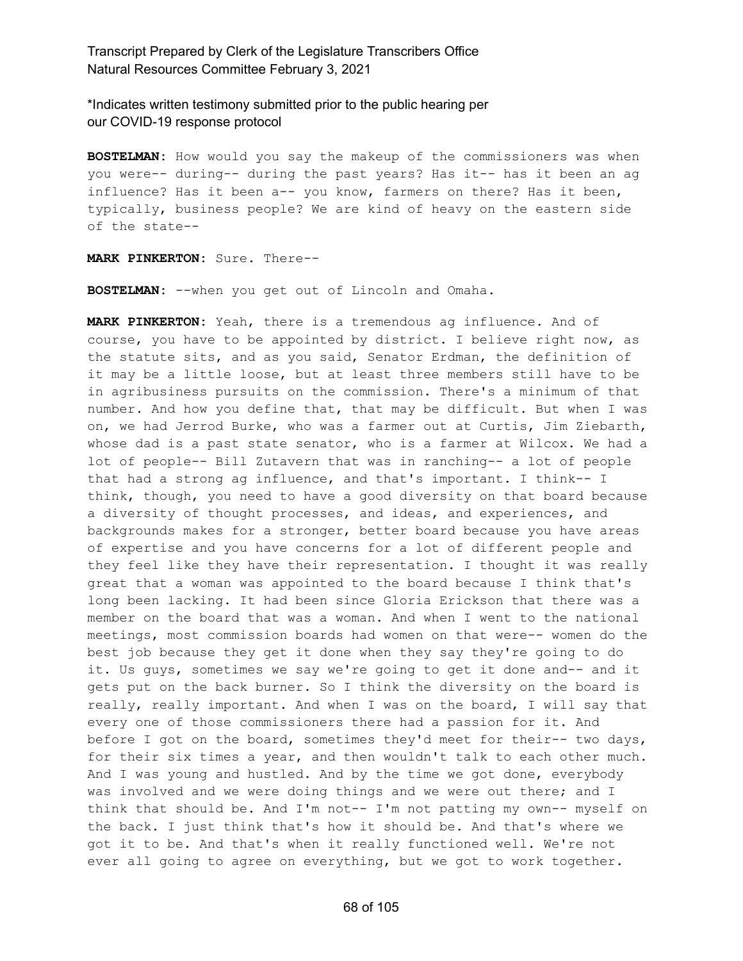\*Indicates written testimony submitted prior to the public hearing per our COVID-19 response protocol

**BOSTELMAN:** How would you say the makeup of the commissioners was when you were-- during-- during the past years? Has it-- has it been an ag influence? Has it been a-- you know, farmers on there? Has it been, typically, business people? We are kind of heavy on the eastern side of the state--

**MARK PINKERTON:** Sure. There--

**BOSTELMAN:** --when you get out of Lincoln and Omaha.

**MARK PINKERTON:** Yeah, there is a tremendous ag influence. And of course, you have to be appointed by district. I believe right now, as the statute sits, and as you said, Senator Erdman, the definition of it may be a little loose, but at least three members still have to be in agribusiness pursuits on the commission. There's a minimum of that number. And how you define that, that may be difficult. But when I was on, we had Jerrod Burke, who was a farmer out at Curtis, Jim Ziebarth, whose dad is a past state senator, who is a farmer at Wilcox. We had a lot of people-- Bill Zutavern that was in ranching-- a lot of people that had a strong ag influence, and that's important. I think-- I think, though, you need to have a good diversity on that board because a diversity of thought processes, and ideas, and experiences, and backgrounds makes for a stronger, better board because you have areas of expertise and you have concerns for a lot of different people and they feel like they have their representation. I thought it was really great that a woman was appointed to the board because I think that's long been lacking. It had been since Gloria Erickson that there was a member on the board that was a woman. And when I went to the national meetings, most commission boards had women on that were-- women do the best job because they get it done when they say they're going to do it. Us guys, sometimes we say we're going to get it done and-- and it gets put on the back burner. So I think the diversity on the board is really, really important. And when I was on the board, I will say that every one of those commissioners there had a passion for it. And before I got on the board, sometimes they'd meet for their-- two days, for their six times a year, and then wouldn't talk to each other much. And I was young and hustled. And by the time we got done, everybody was involved and we were doing things and we were out there; and I think that should be. And I'm not-- I'm not patting my own-- myself on the back. I just think that's how it should be. And that's where we got it to be. And that's when it really functioned well. We're not ever all going to agree on everything, but we got to work together.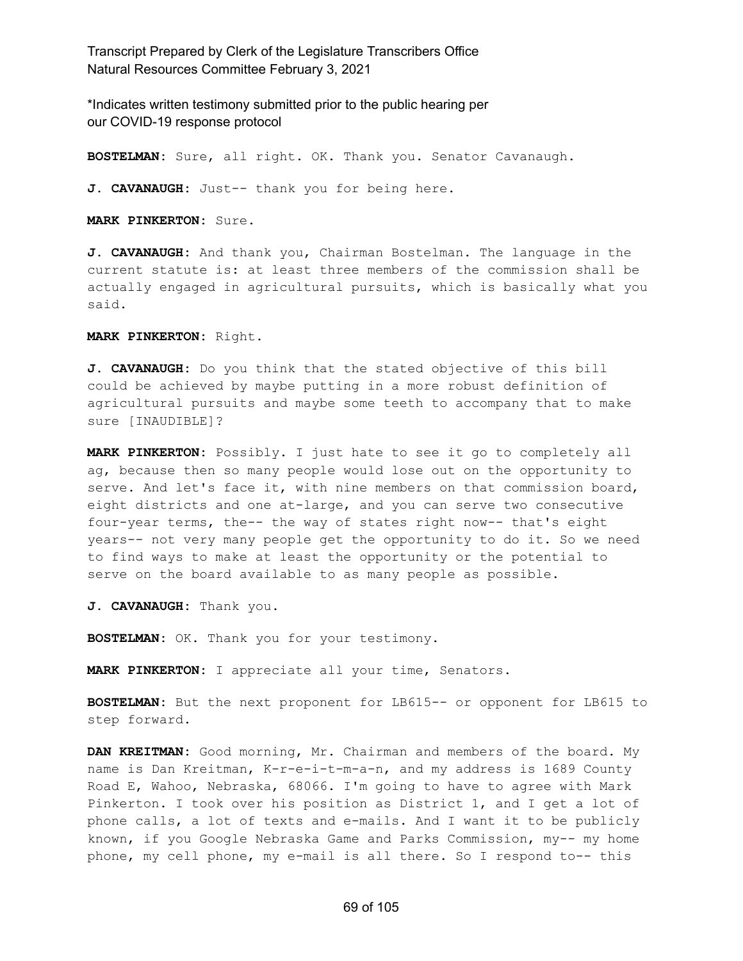\*Indicates written testimony submitted prior to the public hearing per our COVID-19 response protocol

**BOSTELMAN:** Sure, all right. OK. Thank you. Senator Cavanaugh.

**J. CAVANAUGH:** Just-- thank you for being here.

**MARK PINKERTON:** Sure.

**J. CAVANAUGH:** And thank you, Chairman Bostelman. The language in the current statute is: at least three members of the commission shall be actually engaged in agricultural pursuits, which is basically what you said.

**MARK PINKERTON:** Right.

**J. CAVANAUGH:** Do you think that the stated objective of this bill could be achieved by maybe putting in a more robust definition of agricultural pursuits and maybe some teeth to accompany that to make sure [INAUDIBLE]?

**MARK PINKERTON:** Possibly. I just hate to see it go to completely all ag, because then so many people would lose out on the opportunity to serve. And let's face it, with nine members on that commission board, eight districts and one at-large, and you can serve two consecutive four-year terms, the-- the way of states right now-- that's eight years-- not very many people get the opportunity to do it. So we need to find ways to make at least the opportunity or the potential to serve on the board available to as many people as possible.

**J. CAVANAUGH:** Thank you.

**BOSTELMAN:** OK. Thank you for your testimony.

**MARK PINKERTON:** I appreciate all your time, Senators.

**BOSTELMAN:** But the next proponent for LB615-- or opponent for LB615 to step forward.

**DAN KREITMAN:** Good morning, Mr. Chairman and members of the board. My name is Dan Kreitman, K-r-e-i-t-m-a-n, and my address is 1689 County Road E, Wahoo, Nebraska, 68066. I'm going to have to agree with Mark Pinkerton. I took over his position as District 1, and I get a lot of phone calls, a lot of texts and e-mails. And I want it to be publicly known, if you Google Nebraska Game and Parks Commission, my-- my home phone, my cell phone, my e-mail is all there. So I respond to-- this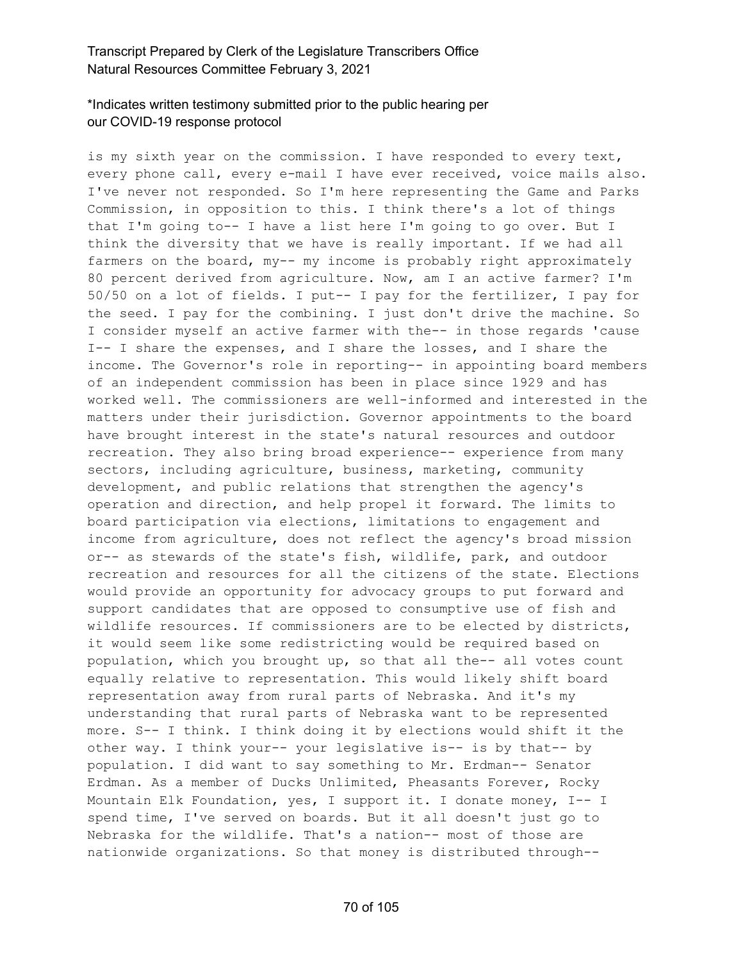# \*Indicates written testimony submitted prior to the public hearing per our COVID-19 response protocol

is my sixth year on the commission. I have responded to every text, every phone call, every e-mail I have ever received, voice mails also. I've never not responded. So I'm here representing the Game and Parks Commission, in opposition to this. I think there's a lot of things that I'm going to-- I have a list here I'm going to go over. But I think the diversity that we have is really important. If we had all farmers on the board, my-- my income is probably right approximately 80 percent derived from agriculture. Now, am I an active farmer? I'm 50/50 on a lot of fields. I put-- I pay for the fertilizer, I pay for the seed. I pay for the combining. I just don't drive the machine. So I consider myself an active farmer with the-- in those regards 'cause I-- I share the expenses, and I share the losses, and I share the income. The Governor's role in reporting-- in appointing board members of an independent commission has been in place since 1929 and has worked well. The commissioners are well-informed and interested in the matters under their jurisdiction. Governor appointments to the board have brought interest in the state's natural resources and outdoor recreation. They also bring broad experience-- experience from many sectors, including agriculture, business, marketing, community development, and public relations that strengthen the agency's operation and direction, and help propel it forward. The limits to board participation via elections, limitations to engagement and income from agriculture, does not reflect the agency's broad mission or-- as stewards of the state's fish, wildlife, park, and outdoor recreation and resources for all the citizens of the state. Elections would provide an opportunity for advocacy groups to put forward and support candidates that are opposed to consumptive use of fish and wildlife resources. If commissioners are to be elected by districts, it would seem like some redistricting would be required based on population, which you brought up, so that all the-- all votes count equally relative to representation. This would likely shift board representation away from rural parts of Nebraska. And it's my understanding that rural parts of Nebraska want to be represented more. S-- I think. I think doing it by elections would shift it the other way. I think your-- your legislative is-- is by that-- by population. I did want to say something to Mr. Erdman-- Senator Erdman. As a member of Ducks Unlimited, Pheasants Forever, Rocky Mountain Elk Foundation, yes, I support it. I donate money, I-- I spend time, I've served on boards. But it all doesn't just go to Nebraska for the wildlife. That's a nation-- most of those are nationwide organizations. So that money is distributed through--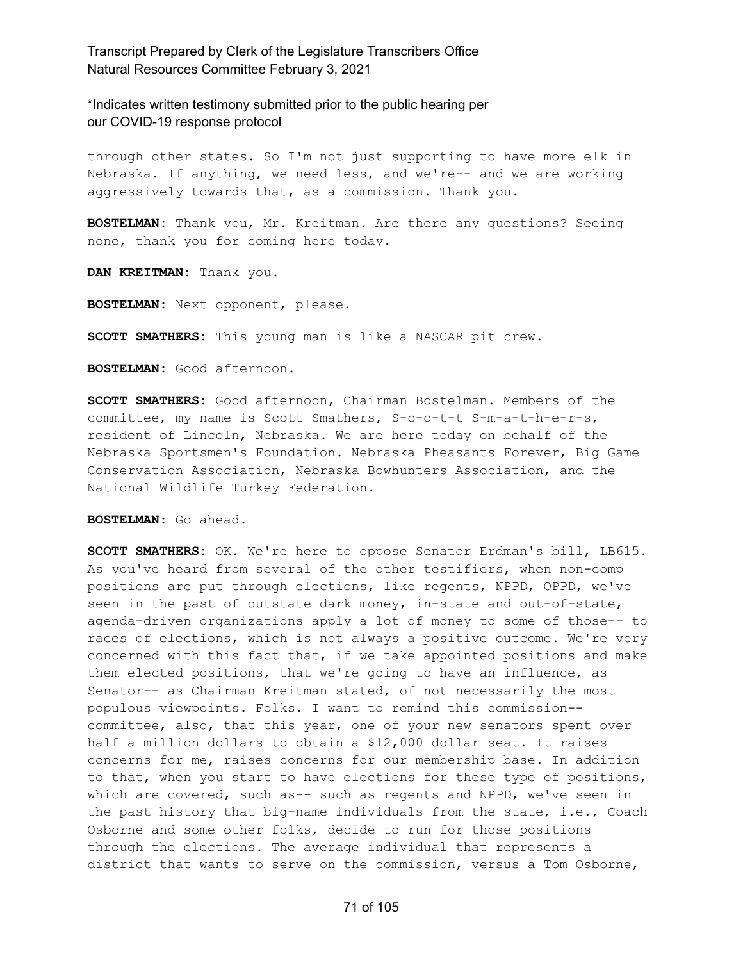\*Indicates written testimony submitted prior to the public hearing per our COVID-19 response protocol

through other states. So I'm not just supporting to have more elk in Nebraska. If anything, we need less, and we're-- and we are working aggressively towards that, as a commission. Thank you.

**BOSTELMAN:** Thank you, Mr. Kreitman. Are there any questions? Seeing none, thank you for coming here today.

**DAN KREITMAN:** Thank you.

**BOSTELMAN:** Next opponent, please.

**SCOTT SMATHERS:** This young man is like a NASCAR pit crew.

**BOSTELMAN:** Good afternoon.

**SCOTT SMATHERS:** Good afternoon, Chairman Bostelman. Members of the committee, my name is Scott Smathers, S-c-o-t-t S-m-a-t-h-e-r-s, resident of Lincoln, Nebraska. We are here today on behalf of the Nebraska Sportsmen's Foundation. Nebraska Pheasants Forever, Big Game Conservation Association, Nebraska Bowhunters Association, and the National Wildlife Turkey Federation.

**BOSTELMAN:** Go ahead.

**SCOTT SMATHERS:** OK. We're here to oppose Senator Erdman's bill, LB615. As you've heard from several of the other testifiers, when non-comp positions are put through elections, like regents, NPPD, OPPD, we've seen in the past of outstate dark money, in-state and out-of-state, agenda-driven organizations apply a lot of money to some of those-- to races of elections, which is not always a positive outcome. We're very concerned with this fact that, if we take appointed positions and make them elected positions, that we're going to have an influence, as Senator-- as Chairman Kreitman stated, of not necessarily the most populous viewpoints. Folks. I want to remind this commission- committee, also, that this year, one of your new senators spent over half a million dollars to obtain a \$12,000 dollar seat. It raises concerns for me, raises concerns for our membership base. In addition to that, when you start to have elections for these type of positions, which are covered, such as-- such as regents and NPPD, we've seen in the past history that big-name individuals from the state, i.e., Coach Osborne and some other folks, decide to run for those positions through the elections. The average individual that represents a district that wants to serve on the commission, versus a Tom Osborne,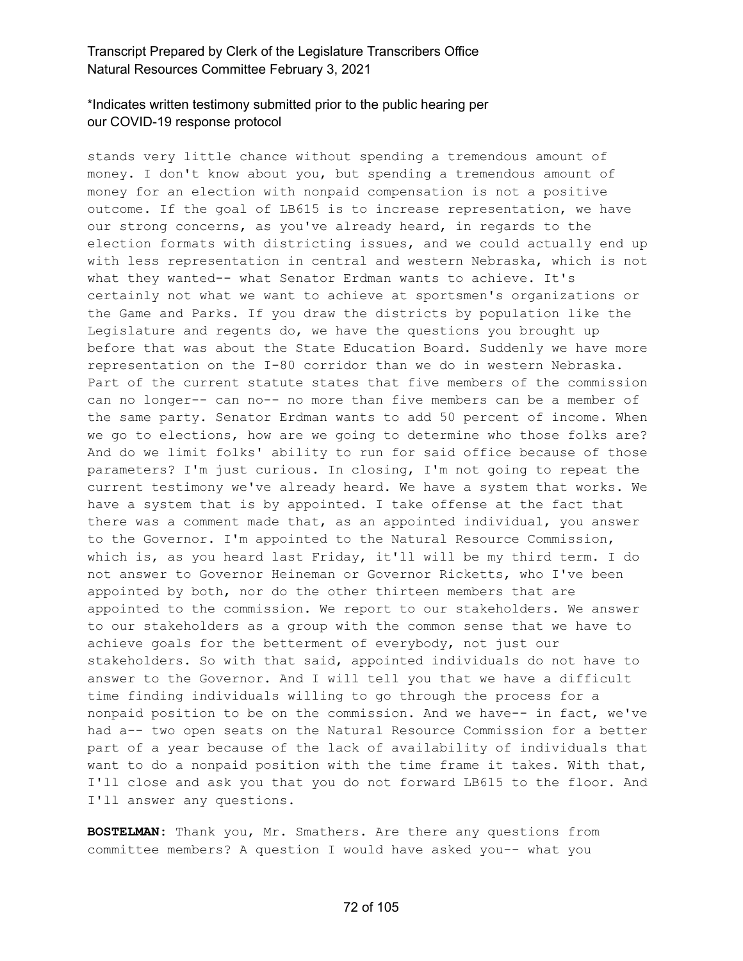### \*Indicates written testimony submitted prior to the public hearing per our COVID-19 response protocol

stands very little chance without spending a tremendous amount of money. I don't know about you, but spending a tremendous amount of money for an election with nonpaid compensation is not a positive outcome. If the goal of LB615 is to increase representation, we have our strong concerns, as you've already heard, in regards to the election formats with districting issues, and we could actually end up with less representation in central and western Nebraska, which is not what they wanted-- what Senator Erdman wants to achieve. It's certainly not what we want to achieve at sportsmen's organizations or the Game and Parks. If you draw the districts by population like the Legislature and regents do, we have the questions you brought up before that was about the State Education Board. Suddenly we have more representation on the I-80 corridor than we do in western Nebraska. Part of the current statute states that five members of the commission can no longer-- can no-- no more than five members can be a member of the same party. Senator Erdman wants to add 50 percent of income. When we go to elections, how are we going to determine who those folks are? And do we limit folks' ability to run for said office because of those parameters? I'm just curious. In closing, I'm not going to repeat the current testimony we've already heard. We have a system that works. We have a system that is by appointed. I take offense at the fact that there was a comment made that, as an appointed individual, you answer to the Governor. I'm appointed to the Natural Resource Commission, which is, as you heard last Friday, it'll will be my third term. I do not answer to Governor Heineman or Governor Ricketts, who I've been appointed by both, nor do the other thirteen members that are appointed to the commission. We report to our stakeholders. We answer to our stakeholders as a group with the common sense that we have to achieve goals for the betterment of everybody, not just our stakeholders. So with that said, appointed individuals do not have to answer to the Governor. And I will tell you that we have a difficult time finding individuals willing to go through the process for a nonpaid position to be on the commission. And we have-- in fact, we've had a-- two open seats on the Natural Resource Commission for a better part of a year because of the lack of availability of individuals that want to do a nonpaid position with the time frame it takes. With that, I'll close and ask you that you do not forward LB615 to the floor. And I'll answer any questions.

**BOSTELMAN:** Thank you, Mr. Smathers. Are there any questions from committee members? A question I would have asked you-- what you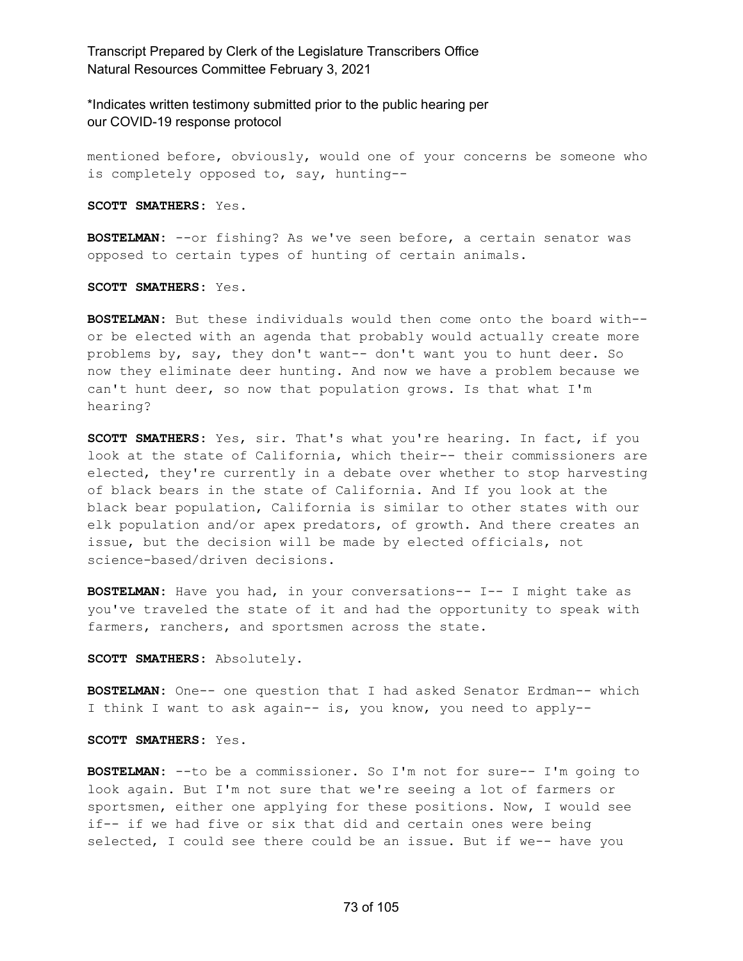\*Indicates written testimony submitted prior to the public hearing per our COVID-19 response protocol

mentioned before, obviously, would one of your concerns be someone who is completely opposed to, say, hunting--

**SCOTT SMATHERS:** Yes.

**BOSTELMAN:** --or fishing? As we've seen before, a certain senator was opposed to certain types of hunting of certain animals.

**SCOTT SMATHERS:** Yes.

**BOSTELMAN:** But these individuals would then come onto the board with- or be elected with an agenda that probably would actually create more problems by, say, they don't want-- don't want you to hunt deer. So now they eliminate deer hunting. And now we have a problem because we can't hunt deer, so now that population grows. Is that what I'm hearing?

**SCOTT SMATHERS:** Yes, sir. That's what you're hearing. In fact, if you look at the state of California, which their-- their commissioners are elected, they're currently in a debate over whether to stop harvesting of black bears in the state of California. And If you look at the black bear population, California is similar to other states with our elk population and/or apex predators, of growth. And there creates an issue, but the decision will be made by elected officials, not science-based/driven decisions.

**BOSTELMAN:** Have you had, in your conversations-- I-- I might take as you've traveled the state of it and had the opportunity to speak with farmers, ranchers, and sportsmen across the state.

**SCOTT SMATHERS:** Absolutely.

**BOSTELMAN:** One-- one question that I had asked Senator Erdman-- which I think I want to ask again-- is, you know, you need to apply--

**SCOTT SMATHERS:** Yes.

**BOSTELMAN:** --to be a commissioner. So I'm not for sure-- I'm going to look again. But I'm not sure that we're seeing a lot of farmers or sportsmen, either one applying for these positions. Now, I would see if-- if we had five or six that did and certain ones were being selected, I could see there could be an issue. But if we-- have you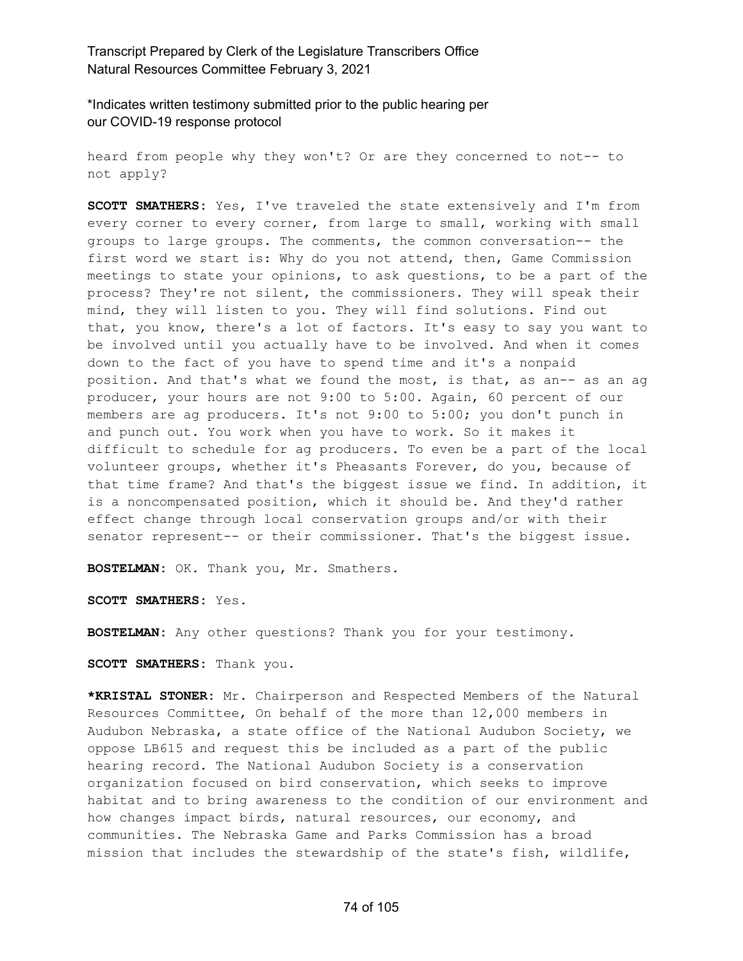\*Indicates written testimony submitted prior to the public hearing per our COVID-19 response protocol

heard from people why they won't? Or are they concerned to not-- to not apply?

**SCOTT SMATHERS:** Yes, I've traveled the state extensively and I'm from every corner to every corner, from large to small, working with small groups to large groups. The comments, the common conversation-- the first word we start is: Why do you not attend, then, Game Commission meetings to state your opinions, to ask questions, to be a part of the process? They're not silent, the commissioners. They will speak their mind, they will listen to you. They will find solutions. Find out that, you know, there's a lot of factors. It's easy to say you want to be involved until you actually have to be involved. And when it comes down to the fact of you have to spend time and it's a nonpaid position. And that's what we found the most, is that, as an-- as an ag producer, your hours are not 9:00 to 5:00. Again, 60 percent of our members are ag producers. It's not 9:00 to 5:00; you don't punch in and punch out. You work when you have to work. So it makes it difficult to schedule for ag producers. To even be a part of the local volunteer groups, whether it's Pheasants Forever, do you, because of that time frame? And that's the biggest issue we find. In addition, it is a noncompensated position, which it should be. And they'd rather effect change through local conservation groups and/or with their senator represent-- or their commissioner. That's the biggest issue.

**BOSTELMAN:** OK. Thank you, Mr. Smathers.

**SCOTT SMATHERS:** Yes.

**BOSTELMAN:** Any other questions? Thank you for your testimony.

**SCOTT SMATHERS:** Thank you.

**\*KRISTAL STONER:** Mr. Chairperson and Respected Members of the Natural Resources Committee, On behalf of the more than 12,000 members in Audubon Nebraska, a state office of the National Audubon Society, we oppose LB615 and request this be included as a part of the public hearing record. The National Audubon Society is a conservation organization focused on bird conservation, which seeks to improve habitat and to bring awareness to the condition of our environment and how changes impact birds, natural resources, our economy, and communities. The Nebraska Game and Parks Commission has a broad mission that includes the stewardship of the state's fish, wildlife,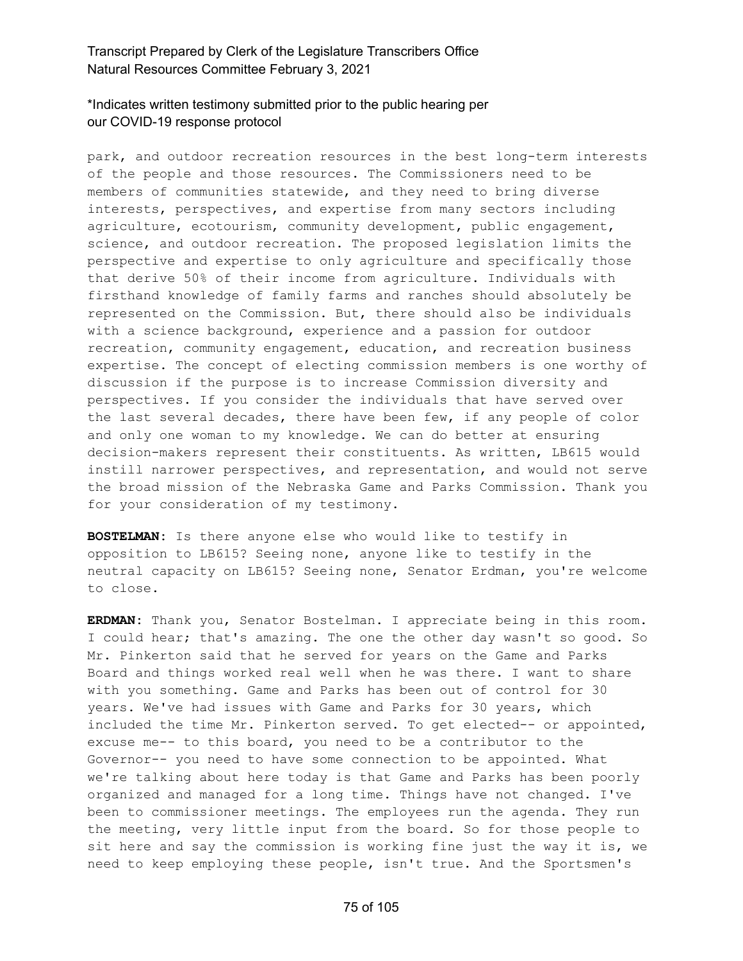# \*Indicates written testimony submitted prior to the public hearing per our COVID-19 response protocol

park, and outdoor recreation resources in the best long-term interests of the people and those resources. The Commissioners need to be members of communities statewide, and they need to bring diverse interests, perspectives, and expertise from many sectors including agriculture, ecotourism, community development, public engagement, science, and outdoor recreation. The proposed legislation limits the perspective and expertise to only agriculture and specifically those that derive 50% of their income from agriculture. Individuals with firsthand knowledge of family farms and ranches should absolutely be represented on the Commission. But, there should also be individuals with a science background, experience and a passion for outdoor recreation, community engagement, education, and recreation business expertise. The concept of electing commission members is one worthy of discussion if the purpose is to increase Commission diversity and perspectives. If you consider the individuals that have served over the last several decades, there have been few, if any people of color and only one woman to my knowledge. We can do better at ensuring decision-makers represent their constituents. As written, LB615 would instill narrower perspectives, and representation, and would not serve the broad mission of the Nebraska Game and Parks Commission. Thank you for your consideration of my testimony.

**BOSTELMAN:** Is there anyone else who would like to testify in opposition to LB615? Seeing none, anyone like to testify in the neutral capacity on LB615? Seeing none, Senator Erdman, you're welcome to close.

**ERDMAN:** Thank you, Senator Bostelman. I appreciate being in this room. I could hear; that's amazing. The one the other day wasn't so good. So Mr. Pinkerton said that he served for years on the Game and Parks Board and things worked real well when he was there. I want to share with you something. Game and Parks has been out of control for 30 years. We've had issues with Game and Parks for 30 years, which included the time Mr. Pinkerton served. To get elected-- or appointed, excuse me-- to this board, you need to be a contributor to the Governor-- you need to have some connection to be appointed. What we're talking about here today is that Game and Parks has been poorly organized and managed for a long time. Things have not changed. I've been to commissioner meetings. The employees run the agenda. They run the meeting, very little input from the board. So for those people to sit here and say the commission is working fine just the way it is, we need to keep employing these people, isn't true. And the Sportsmen's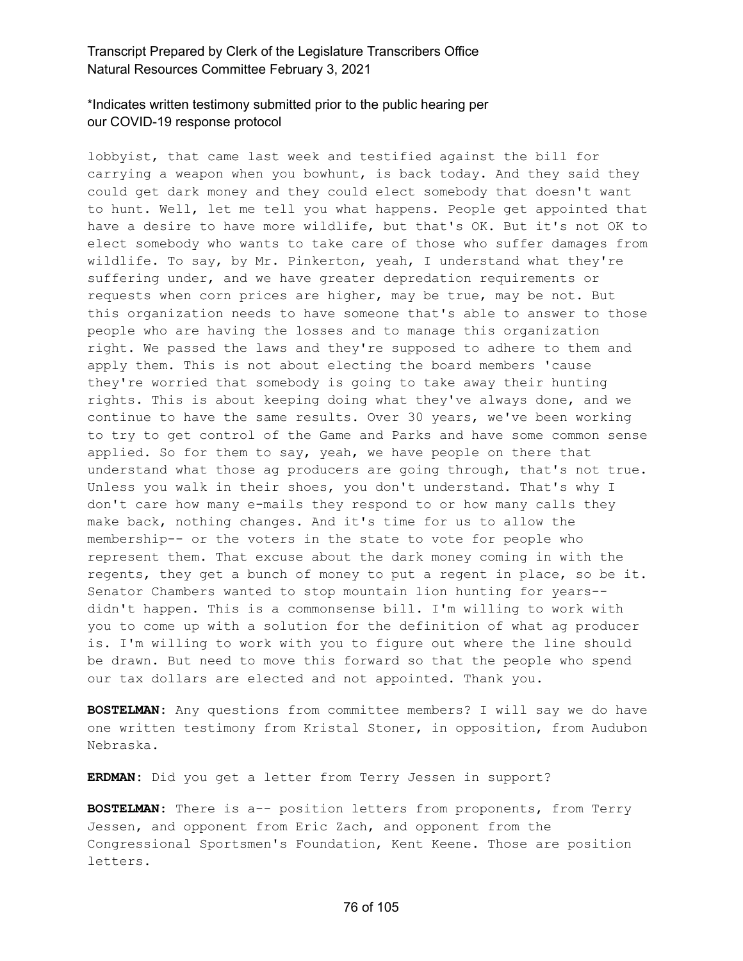# \*Indicates written testimony submitted prior to the public hearing per our COVID-19 response protocol

lobbyist, that came last week and testified against the bill for carrying a weapon when you bowhunt, is back today. And they said they could get dark money and they could elect somebody that doesn't want to hunt. Well, let me tell you what happens. People get appointed that have a desire to have more wildlife, but that's OK. But it's not OK to elect somebody who wants to take care of those who suffer damages from wildlife. To say, by Mr. Pinkerton, yeah, I understand what they're suffering under, and we have greater depredation requirements or requests when corn prices are higher, may be true, may be not. But this organization needs to have someone that's able to answer to those people who are having the losses and to manage this organization right. We passed the laws and they're supposed to adhere to them and apply them. This is not about electing the board members 'cause they're worried that somebody is going to take away their hunting rights. This is about keeping doing what they've always done, and we continue to have the same results. Over 30 years, we've been working to try to get control of the Game and Parks and have some common sense applied. So for them to say, yeah, we have people on there that understand what those ag producers are going through, that's not true. Unless you walk in their shoes, you don't understand. That's why I don't care how many e-mails they respond to or how many calls they make back, nothing changes. And it's time for us to allow the membership-- or the voters in the state to vote for people who represent them. That excuse about the dark money coming in with the regents, they get a bunch of money to put a regent in place, so be it. Senator Chambers wanted to stop mountain lion hunting for years- didn't happen. This is a commonsense bill. I'm willing to work with you to come up with a solution for the definition of what ag producer is. I'm willing to work with you to figure out where the line should be drawn. But need to move this forward so that the people who spend our tax dollars are elected and not appointed. Thank you.

**BOSTELMAN:** Any questions from committee members? I will say we do have one written testimony from Kristal Stoner, in opposition, from Audubon Nebraska.

**ERDMAN:** Did you get a letter from Terry Jessen in support?

**BOSTELMAN:** There is a-- position letters from proponents, from Terry Jessen, and opponent from Eric Zach, and opponent from the Congressional Sportsmen's Foundation, Kent Keene. Those are position letters.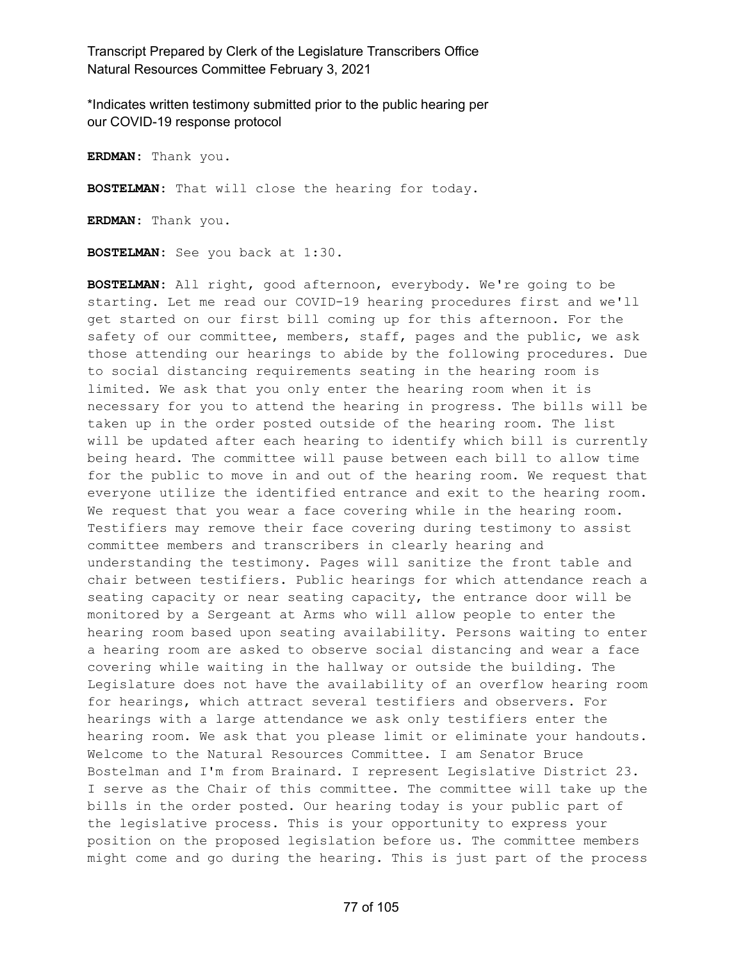\*Indicates written testimony submitted prior to the public hearing per our COVID-19 response protocol

**ERDMAN:** Thank you.

**BOSTELMAN:** That will close the hearing for today.

**ERDMAN:** Thank you.

**BOSTELMAN:** See you back at 1:30.

**BOSTELMAN:** All right, good afternoon, everybody. We're going to be starting. Let me read our COVID-19 hearing procedures first and we'll get started on our first bill coming up for this afternoon. For the safety of our committee, members, staff, pages and the public, we ask those attending our hearings to abide by the following procedures. Due to social distancing requirements seating in the hearing room is limited. We ask that you only enter the hearing room when it is necessary for you to attend the hearing in progress. The bills will be taken up in the order posted outside of the hearing room. The list will be updated after each hearing to identify which bill is currently being heard. The committee will pause between each bill to allow time for the public to move in and out of the hearing room. We request that everyone utilize the identified entrance and exit to the hearing room. We request that you wear a face covering while in the hearing room. Testifiers may remove their face covering during testimony to assist committee members and transcribers in clearly hearing and understanding the testimony. Pages will sanitize the front table and chair between testifiers. Public hearings for which attendance reach a seating capacity or near seating capacity, the entrance door will be monitored by a Sergeant at Arms who will allow people to enter the hearing room based upon seating availability. Persons waiting to enter a hearing room are asked to observe social distancing and wear a face covering while waiting in the hallway or outside the building. The Legislature does not have the availability of an overflow hearing room for hearings, which attract several testifiers and observers. For hearings with a large attendance we ask only testifiers enter the hearing room. We ask that you please limit or eliminate your handouts. Welcome to the Natural Resources Committee. I am Senator Bruce Bostelman and I'm from Brainard. I represent Legislative District 23. I serve as the Chair of this committee. The committee will take up the bills in the order posted. Our hearing today is your public part of the legislative process. This is your opportunity to express your position on the proposed legislation before us. The committee members might come and go during the hearing. This is just part of the process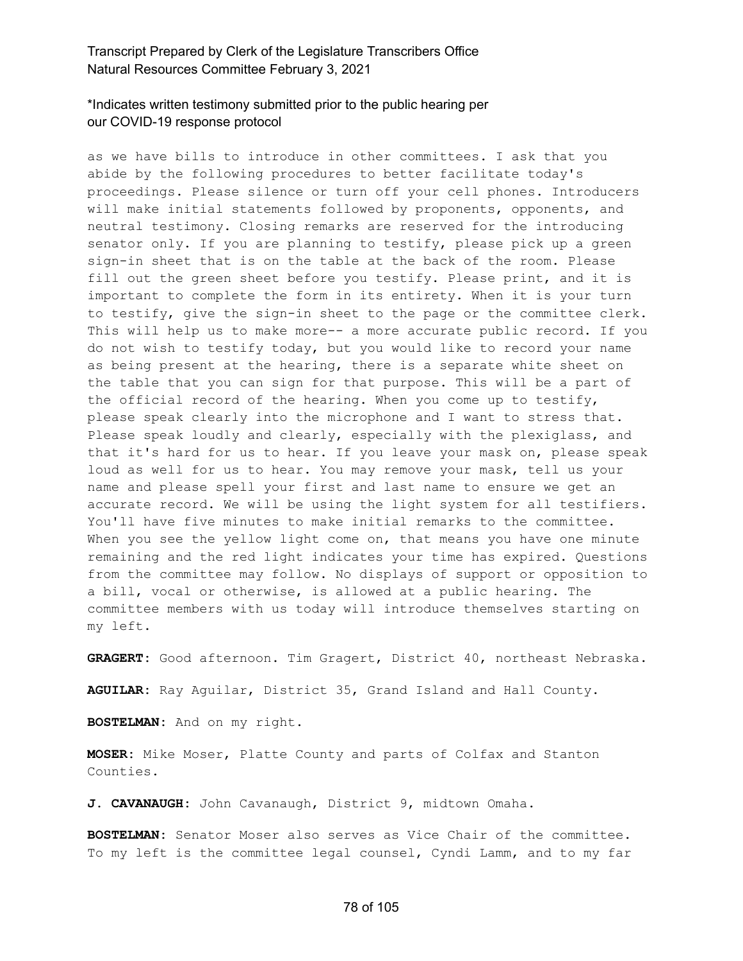# \*Indicates written testimony submitted prior to the public hearing per our COVID-19 response protocol

as we have bills to introduce in other committees. I ask that you abide by the following procedures to better facilitate today's proceedings. Please silence or turn off your cell phones. Introducers will make initial statements followed by proponents, opponents, and neutral testimony. Closing remarks are reserved for the introducing senator only. If you are planning to testify, please pick up a green sign-in sheet that is on the table at the back of the room. Please fill out the green sheet before you testify. Please print, and it is important to complete the form in its entirety. When it is your turn to testify, give the sign-in sheet to the page or the committee clerk. This will help us to make more-- a more accurate public record. If you do not wish to testify today, but you would like to record your name as being present at the hearing, there is a separate white sheet on the table that you can sign for that purpose. This will be a part of the official record of the hearing. When you come up to testify, please speak clearly into the microphone and I want to stress that. Please speak loudly and clearly, especially with the plexiglass, and that it's hard for us to hear. If you leave your mask on, please speak loud as well for us to hear. You may remove your mask, tell us your name and please spell your first and last name to ensure we get an accurate record. We will be using the light system for all testifiers. You'll have five minutes to make initial remarks to the committee. When you see the yellow light come on, that means you have one minute remaining and the red light indicates your time has expired. Questions from the committee may follow. No displays of support or opposition to a bill, vocal or otherwise, is allowed at a public hearing. The committee members with us today will introduce themselves starting on my left.

**GRAGERT:** Good afternoon. Tim Gragert, District 40, northeast Nebraska.

**AGUILAR:** Ray Aguilar, District 35, Grand Island and Hall County.

**BOSTELMAN:** And on my right.

**MOSER:** Mike Moser, Platte County and parts of Colfax and Stanton Counties.

**J. CAVANAUGH:** John Cavanaugh, District 9, midtown Omaha.

**BOSTELMAN:** Senator Moser also serves as Vice Chair of the committee. To my left is the committee legal counsel, Cyndi Lamm, and to my far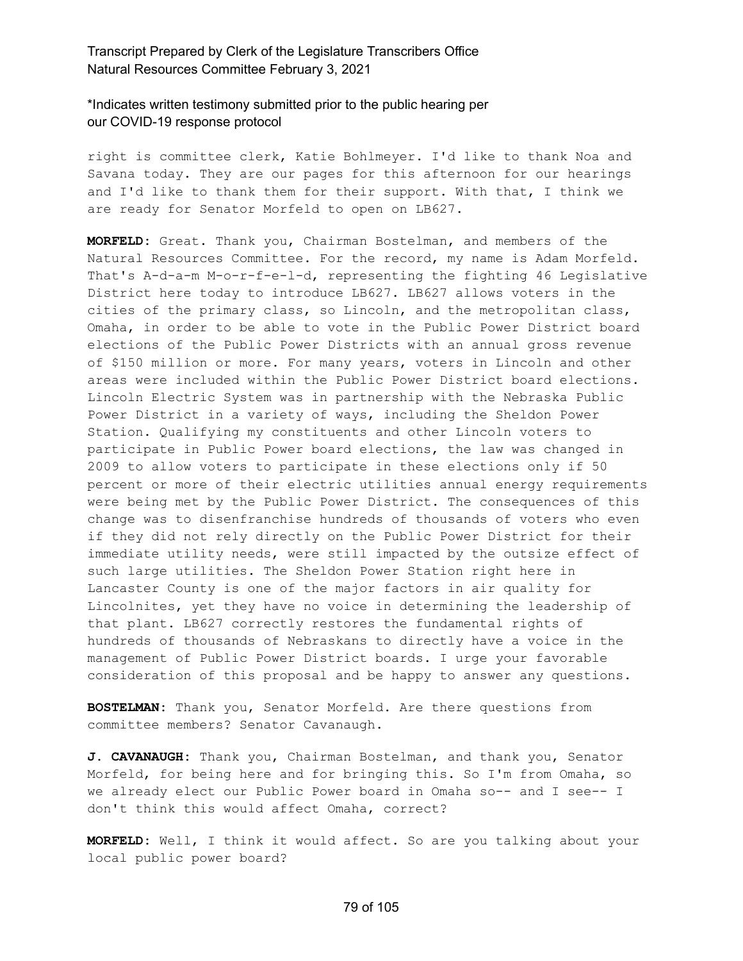\*Indicates written testimony submitted prior to the public hearing per our COVID-19 response protocol

right is committee clerk, Katie Bohlmeyer. I'd like to thank Noa and Savana today. They are our pages for this afternoon for our hearings and I'd like to thank them for their support. With that, I think we are ready for Senator Morfeld to open on LB627.

**MORFELD:** Great. Thank you, Chairman Bostelman, and members of the Natural Resources Committee. For the record, my name is Adam Morfeld. That's A-d-a-m M-o-r-f-e-l-d, representing the fighting 46 Legislative District here today to introduce LB627. LB627 allows voters in the cities of the primary class, so Lincoln, and the metropolitan class, Omaha, in order to be able to vote in the Public Power District board elections of the Public Power Districts with an annual gross revenue of \$150 million or more. For many years, voters in Lincoln and other areas were included within the Public Power District board elections. Lincoln Electric System was in partnership with the Nebraska Public Power District in a variety of ways, including the Sheldon Power Station. Qualifying my constituents and other Lincoln voters to participate in Public Power board elections, the law was changed in 2009 to allow voters to participate in these elections only if 50 percent or more of their electric utilities annual energy requirements were being met by the Public Power District. The consequences of this change was to disenfranchise hundreds of thousands of voters who even if they did not rely directly on the Public Power District for their immediate utility needs, were still impacted by the outsize effect of such large utilities. The Sheldon Power Station right here in Lancaster County is one of the major factors in air quality for Lincolnites, yet they have no voice in determining the leadership of that plant. LB627 correctly restores the fundamental rights of hundreds of thousands of Nebraskans to directly have a voice in the management of Public Power District boards. I urge your favorable consideration of this proposal and be happy to answer any questions.

**BOSTELMAN:** Thank you, Senator Morfeld. Are there questions from committee members? Senator Cavanaugh.

**J. CAVANAUGH:** Thank you, Chairman Bostelman, and thank you, Senator Morfeld, for being here and for bringing this. So I'm from Omaha, so we already elect our Public Power board in Omaha so-- and I see-- I don't think this would affect Omaha, correct?

**MORFELD:** Well, I think it would affect. So are you talking about your local public power board?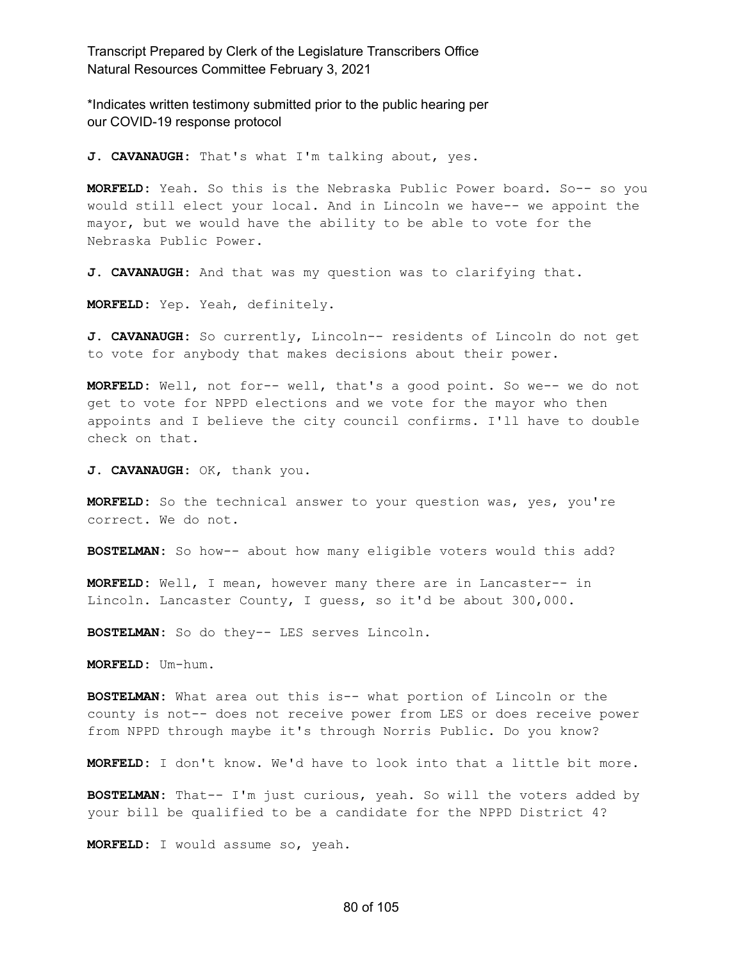\*Indicates written testimony submitted prior to the public hearing per our COVID-19 response protocol

**J. CAVANAUGH:** That's what I'm talking about, yes.

**MORFELD:** Yeah. So this is the Nebraska Public Power board. So-- so you would still elect your local. And in Lincoln we have-- we appoint the mayor, but we would have the ability to be able to vote for the Nebraska Public Power.

**J. CAVANAUGH:** And that was my question was to clarifying that.

**MORFELD:** Yep. Yeah, definitely.

**J. CAVANAUGH:** So currently, Lincoln-- residents of Lincoln do not get to vote for anybody that makes decisions about their power.

**MORFELD:** Well, not for-- well, that's a good point. So we-- we do not get to vote for NPPD elections and we vote for the mayor who then appoints and I believe the city council confirms. I'll have to double check on that.

**J. CAVANAUGH:** OK, thank you.

**MORFELD:** So the technical answer to your question was, yes, you're correct. We do not.

**BOSTELMAN:** So how-- about how many eligible voters would this add?

**MORFELD:** Well, I mean, however many there are in Lancaster-- in Lincoln. Lancaster County, I guess, so it'd be about 300,000.

**BOSTELMAN:** So do they-- LES serves Lincoln.

**MORFELD:** Um-hum.

**BOSTELMAN:** What area out this is-- what portion of Lincoln or the county is not-- does not receive power from LES or does receive power from NPPD through maybe it's through Norris Public. Do you know?

**MORFELD:** I don't know. We'd have to look into that a little bit more.

**BOSTELMAN:** That-- I'm just curious, yeah. So will the voters added by your bill be qualified to be a candidate for the NPPD District 4?

**MORFELD:** I would assume so, yeah.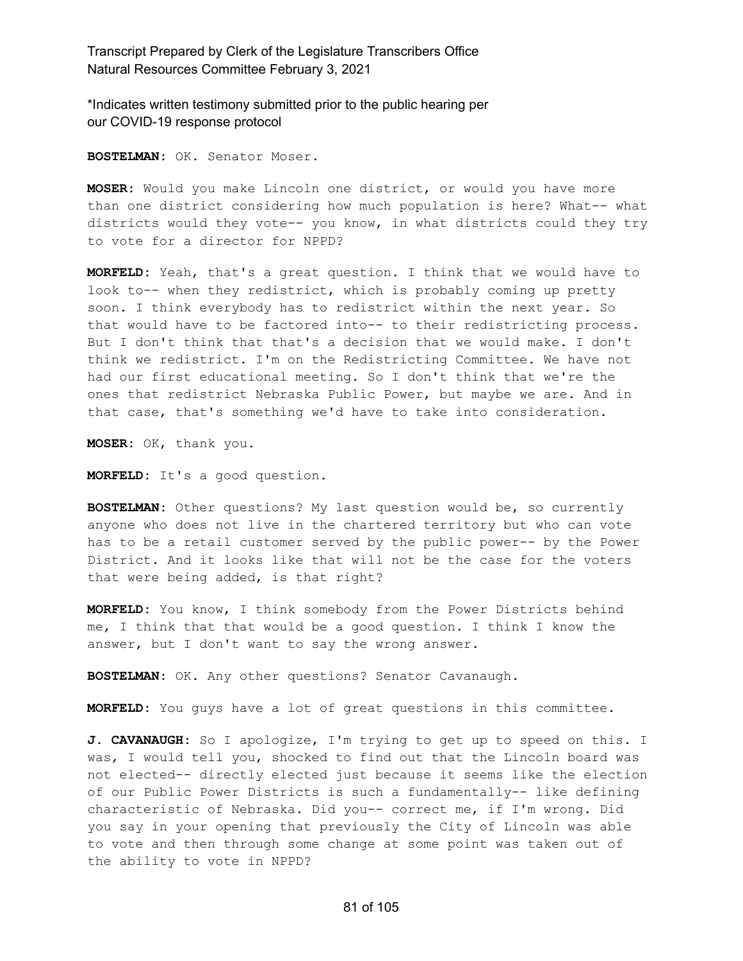\*Indicates written testimony submitted prior to the public hearing per our COVID-19 response protocol

**BOSTELMAN:** OK. Senator Moser.

**MOSER:** Would you make Lincoln one district, or would you have more than one district considering how much population is here? What-- what districts would they vote-- you know, in what districts could they try to vote for a director for NPPD?

**MORFELD:** Yeah, that's a great question. I think that we would have to look to-- when they redistrict, which is probably coming up pretty soon. I think everybody has to redistrict within the next year. So that would have to be factored into-- to their redistricting process. But I don't think that that's a decision that we would make. I don't think we redistrict. I'm on the Redistricting Committee. We have not had our first educational meeting. So I don't think that we're the ones that redistrict Nebraska Public Power, but maybe we are. And in that case, that's something we'd have to take into consideration.

**MOSER:** OK, thank you.

**MORFELD:** It's a good question.

**BOSTELMAN:** Other questions? My last question would be, so currently anyone who does not live in the chartered territory but who can vote has to be a retail customer served by the public power-- by the Power District. And it looks like that will not be the case for the voters that were being added, is that right?

**MORFELD:** You know, I think somebody from the Power Districts behind me, I think that that would be a good question. I think I know the answer, but I don't want to say the wrong answer.

**BOSTELMAN:** OK. Any other questions? Senator Cavanaugh.

**MORFELD:** You guys have a lot of great questions in this committee.

**J. CAVANAUGH:** So I apologize, I'm trying to get up to speed on this. I was, I would tell you, shocked to find out that the Lincoln board was not elected-- directly elected just because it seems like the election of our Public Power Districts is such a fundamentally-- like defining characteristic of Nebraska. Did you-- correct me, if I'm wrong. Did you say in your opening that previously the City of Lincoln was able to vote and then through some change at some point was taken out of the ability to vote in NPPD?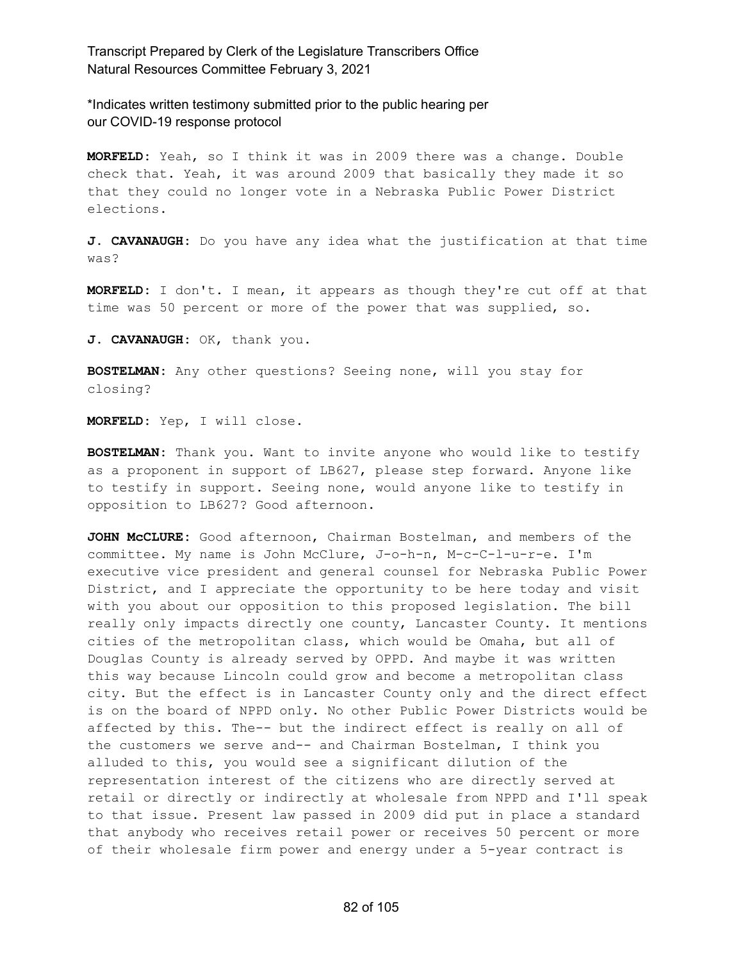\*Indicates written testimony submitted prior to the public hearing per our COVID-19 response protocol

**MORFELD:** Yeah, so I think it was in 2009 there was a change. Double check that. Yeah, it was around 2009 that basically they made it so that they could no longer vote in a Nebraska Public Power District elections.

**J. CAVANAUGH:** Do you have any idea what the justification at that time was?

**MORFELD:** I don't. I mean, it appears as though they're cut off at that time was 50 percent or more of the power that was supplied, so.

**J. CAVANAUGH:** OK, thank you.

**BOSTELMAN:** Any other questions? Seeing none, will you stay for closing?

**MORFELD:** Yep, I will close.

**BOSTELMAN:** Thank you. Want to invite anyone who would like to testify as a proponent in support of LB627, please step forward. Anyone like to testify in support. Seeing none, would anyone like to testify in opposition to LB627? Good afternoon.

**JOHN McCLURE:** Good afternoon, Chairman Bostelman, and members of the committee. My name is John McClure, J-o-h-n, M-c-C-l-u-r-e. I'm executive vice president and general counsel for Nebraska Public Power District, and I appreciate the opportunity to be here today and visit with you about our opposition to this proposed legislation. The bill really only impacts directly one county, Lancaster County. It mentions cities of the metropolitan class, which would be Omaha, but all of Douglas County is already served by OPPD. And maybe it was written this way because Lincoln could grow and become a metropolitan class city. But the effect is in Lancaster County only and the direct effect is on the board of NPPD only. No other Public Power Districts would be affected by this. The-- but the indirect effect is really on all of the customers we serve and-- and Chairman Bostelman, I think you alluded to this, you would see a significant dilution of the representation interest of the citizens who are directly served at retail or directly or indirectly at wholesale from NPPD and I'll speak to that issue. Present law passed in 2009 did put in place a standard that anybody who receives retail power or receives 50 percent or more of their wholesale firm power and energy under a 5-year contract is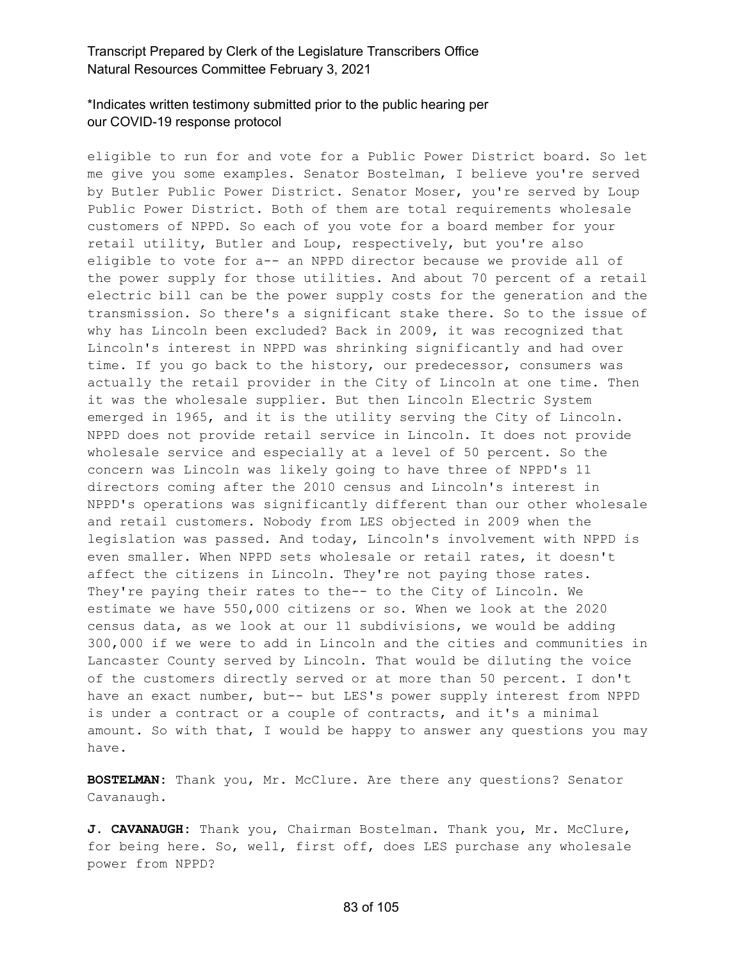# \*Indicates written testimony submitted prior to the public hearing per our COVID-19 response protocol

eligible to run for and vote for a Public Power District board. So let me give you some examples. Senator Bostelman, I believe you're served by Butler Public Power District. Senator Moser, you're served by Loup Public Power District. Both of them are total requirements wholesale customers of NPPD. So each of you vote for a board member for your retail utility, Butler and Loup, respectively, but you're also eligible to vote for a-- an NPPD director because we provide all of the power supply for those utilities. And about 70 percent of a retail electric bill can be the power supply costs for the generation and the transmission. So there's a significant stake there. So to the issue of why has Lincoln been excluded? Back in 2009, it was recognized that Lincoln's interest in NPPD was shrinking significantly and had over time. If you go back to the history, our predecessor, consumers was actually the retail provider in the City of Lincoln at one time. Then it was the wholesale supplier. But then Lincoln Electric System emerged in 1965, and it is the utility serving the City of Lincoln. NPPD does not provide retail service in Lincoln. It does not provide wholesale service and especially at a level of 50 percent. So the concern was Lincoln was likely going to have three of NPPD's 11 directors coming after the 2010 census and Lincoln's interest in NPPD's operations was significantly different than our other wholesale and retail customers. Nobody from LES objected in 2009 when the legislation was passed. And today, Lincoln's involvement with NPPD is even smaller. When NPPD sets wholesale or retail rates, it doesn't affect the citizens in Lincoln. They're not paying those rates. They're paying their rates to the-- to the City of Lincoln. We estimate we have 550,000 citizens or so. When we look at the 2020 census data, as we look at our 11 subdivisions, we would be adding 300,000 if we were to add in Lincoln and the cities and communities in Lancaster County served by Lincoln. That would be diluting the voice of the customers directly served or at more than 50 percent. I don't have an exact number, but-- but LES's power supply interest from NPPD is under a contract or a couple of contracts, and it's a minimal amount. So with that, I would be happy to answer any questions you may have.

**BOSTELMAN:** Thank you, Mr. McClure. Are there any questions? Senator Cavanaugh.

**J. CAVANAUGH:** Thank you, Chairman Bostelman. Thank you, Mr. McClure, for being here. So, well, first off, does LES purchase any wholesale power from NPPD?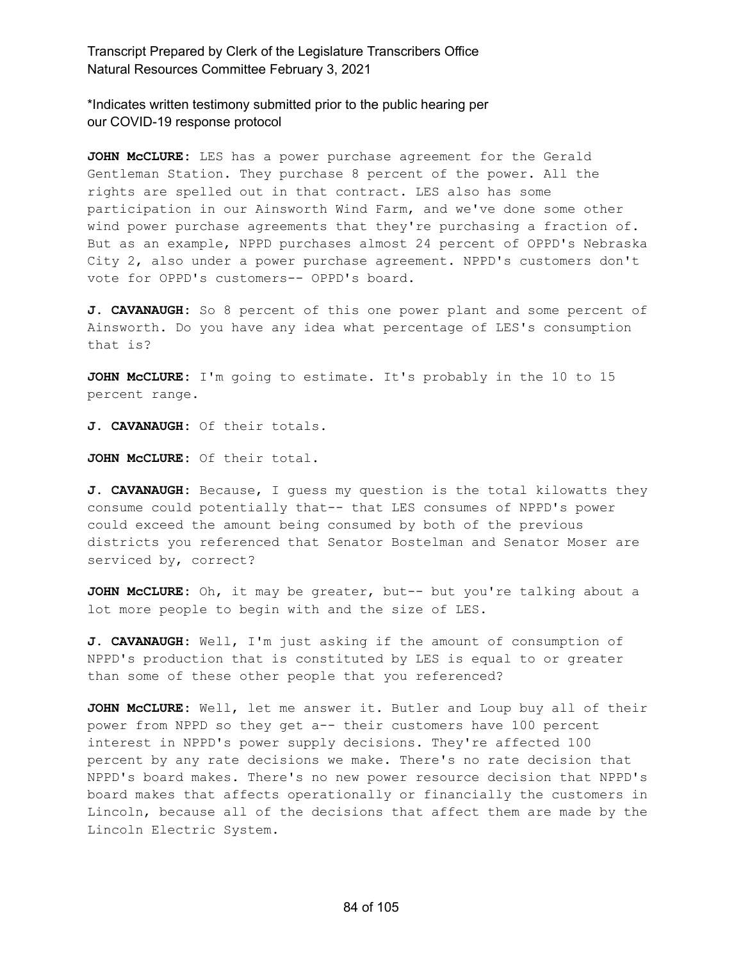\*Indicates written testimony submitted prior to the public hearing per our COVID-19 response protocol

**JOHN McCLURE:** LES has a power purchase agreement for the Gerald Gentleman Station. They purchase 8 percent of the power. All the rights are spelled out in that contract. LES also has some participation in our Ainsworth Wind Farm, and we've done some other wind power purchase agreements that they're purchasing a fraction of. But as an example, NPPD purchases almost 24 percent of OPPD's Nebraska City 2, also under a power purchase agreement. NPPD's customers don't vote for OPPD's customers-- OPPD's board.

**J. CAVANAUGH:** So 8 percent of this one power plant and some percent of Ainsworth. Do you have any idea what percentage of LES's consumption that is?

**JOHN McCLURE:** I'm going to estimate. It's probably in the 10 to 15 percent range.

**J. CAVANAUGH:** Of their totals.

**JOHN McCLURE:** Of their total.

**J. CAVANAUGH:** Because, I guess my question is the total kilowatts they consume could potentially that-- that LES consumes of NPPD's power could exceed the amount being consumed by both of the previous districts you referenced that Senator Bostelman and Senator Moser are serviced by, correct?

**JOHN McCLURE:** Oh, it may be greater, but-- but you're talking about a lot more people to begin with and the size of LES.

**J. CAVANAUGH:** Well, I'm just asking if the amount of consumption of NPPD's production that is constituted by LES is equal to or greater than some of these other people that you referenced?

**JOHN McCLURE:** Well, let me answer it. Butler and Loup buy all of their power from NPPD so they get a-- their customers have 100 percent interest in NPPD's power supply decisions. They're affected 100 percent by any rate decisions we make. There's no rate decision that NPPD's board makes. There's no new power resource decision that NPPD's board makes that affects operationally or financially the customers in Lincoln, because all of the decisions that affect them are made by the Lincoln Electric System.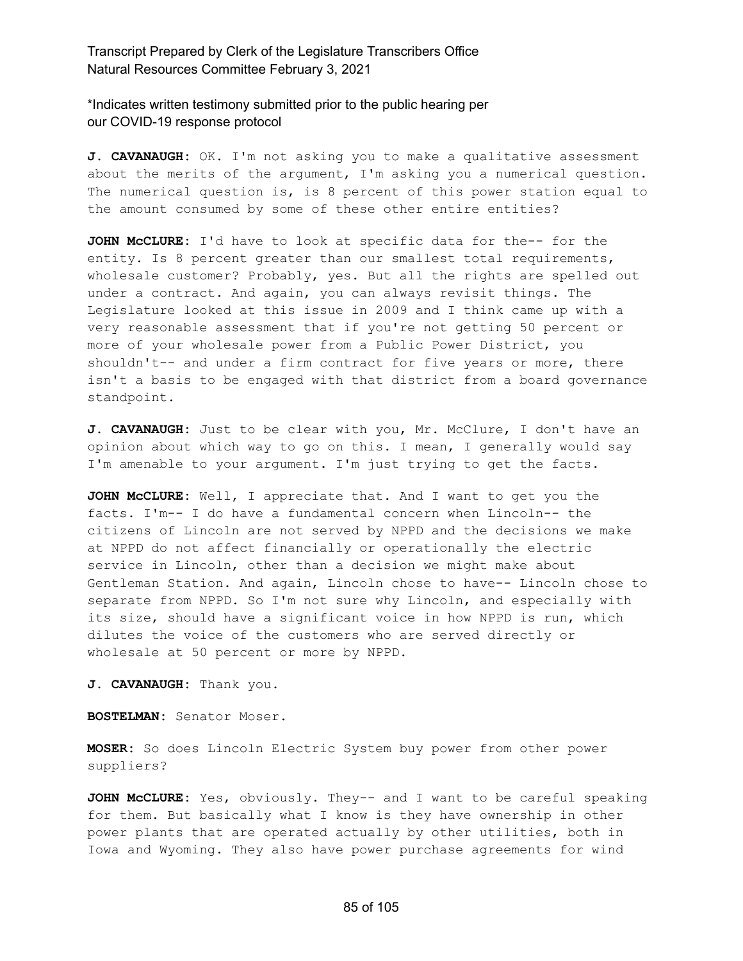\*Indicates written testimony submitted prior to the public hearing per our COVID-19 response protocol

**J. CAVANAUGH:** OK. I'm not asking you to make a qualitative assessment about the merits of the argument, I'm asking you a numerical question. The numerical question is, is 8 percent of this power station equal to the amount consumed by some of these other entire entities?

**JOHN McCLURE:** I'd have to look at specific data for the-- for the entity. Is 8 percent greater than our smallest total requirements, wholesale customer? Probably, yes. But all the rights are spelled out under a contract. And again, you can always revisit things. The Legislature looked at this issue in 2009 and I think came up with a very reasonable assessment that if you're not getting 50 percent or more of your wholesale power from a Public Power District, you shouldn't-- and under a firm contract for five years or more, there isn't a basis to be engaged with that district from a board governance standpoint.

**J. CAVANAUGH:** Just to be clear with you, Mr. McClure, I don't have an opinion about which way to go on this. I mean, I generally would say I'm amenable to your argument. I'm just trying to get the facts.

**JOHN McCLURE:** Well, I appreciate that. And I want to get you the facts. I'm-- I do have a fundamental concern when Lincoln-- the citizens of Lincoln are not served by NPPD and the decisions we make at NPPD do not affect financially or operationally the electric service in Lincoln, other than a decision we might make about Gentleman Station. And again, Lincoln chose to have-- Lincoln chose to separate from NPPD. So I'm not sure why Lincoln, and especially with its size, should have a significant voice in how NPPD is run, which dilutes the voice of the customers who are served directly or wholesale at 50 percent or more by NPPD.

**J. CAVANAUGH:** Thank you.

**BOSTELMAN:** Senator Moser.

**MOSER:** So does Lincoln Electric System buy power from other power suppliers?

**JOHN McCLURE:** Yes, obviously. They-- and I want to be careful speaking for them. But basically what I know is they have ownership in other power plants that are operated actually by other utilities, both in Iowa and Wyoming. They also have power purchase agreements for wind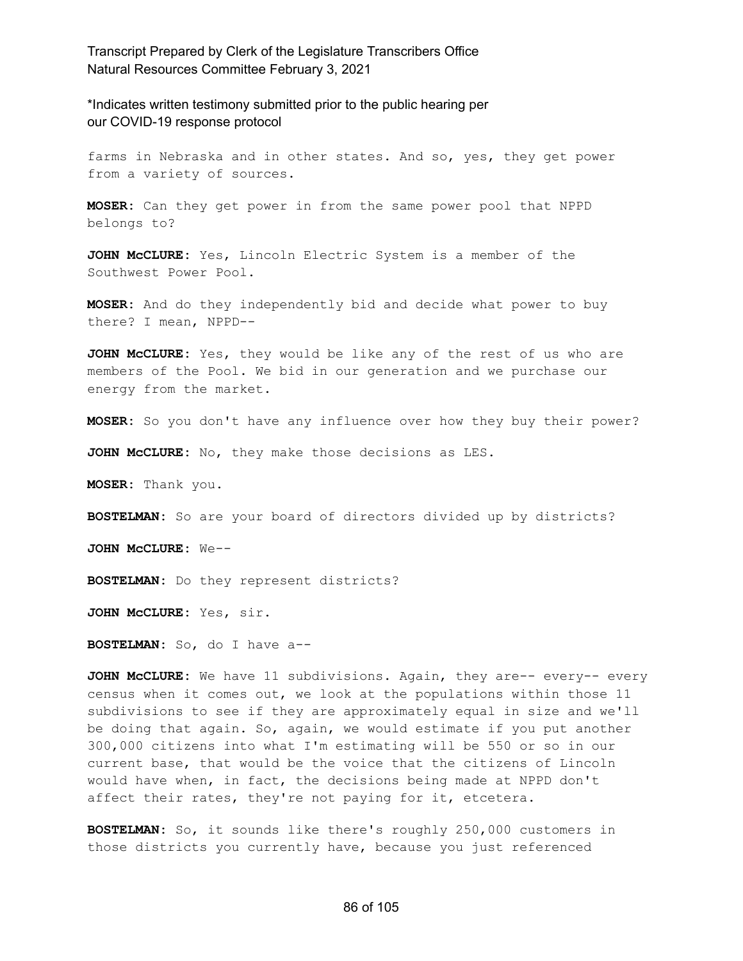\*Indicates written testimony submitted prior to the public hearing per our COVID-19 response protocol

farms in Nebraska and in other states. And so, yes, they get power from a variety of sources.

**MOSER:** Can they get power in from the same power pool that NPPD belongs to?

**JOHN McCLURE:** Yes, Lincoln Electric System is a member of the Southwest Power Pool.

**MOSER:** And do they independently bid and decide what power to buy there? I mean, NPPD--

**JOHN McCLURE:** Yes, they would be like any of the rest of us who are members of the Pool. We bid in our generation and we purchase our energy from the market.

**MOSER:** So you don't have any influence over how they buy their power?

**JOHN McCLURE:** No, they make those decisions as LES.

**MOSER:** Thank you.

**BOSTELMAN:** So are your board of directors divided up by districts?

**JOHN McCLURE:** We--

**BOSTELMAN:** Do they represent districts?

**JOHN McCLURE:** Yes, sir.

**BOSTELMAN:** So, do I have a--

**JOHN McCLURE:** We have 11 subdivisions. Again, they are-- every-- every census when it comes out, we look at the populations within those 11 subdivisions to see if they are approximately equal in size and we'll be doing that again. So, again, we would estimate if you put another 300,000 citizens into what I'm estimating will be 550 or so in our current base, that would be the voice that the citizens of Lincoln would have when, in fact, the decisions being made at NPPD don't affect their rates, they're not paying for it, etcetera.

**BOSTELMAN:** So, it sounds like there's roughly 250,000 customers in those districts you currently have, because you just referenced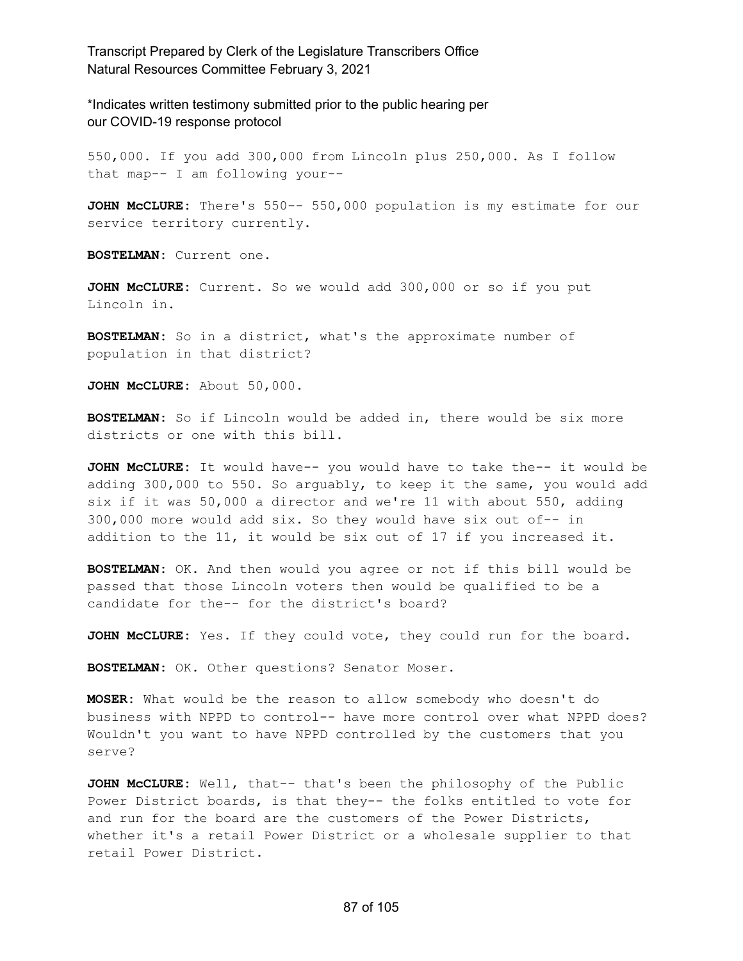\*Indicates written testimony submitted prior to the public hearing per our COVID-19 response protocol

550,000. If you add 300,000 from Lincoln plus 250,000. As I follow that map-- I am following your--

**JOHN McCLURE:** There's 550-- 550,000 population is my estimate for our service territory currently.

**BOSTELMAN:** Current one.

**JOHN McCLURE:** Current. So we would add 300,000 or so if you put Lincoln in.

**BOSTELMAN:** So in a district, what's the approximate number of population in that district?

**JOHN McCLURE:** About 50,000.

**BOSTELMAN:** So if Lincoln would be added in, there would be six more districts or one with this bill.

**JOHN McCLURE:** It would have-- you would have to take the-- it would be adding 300,000 to 550. So arguably, to keep it the same, you would add six if it was 50,000 a director and we're 11 with about 550, adding 300,000 more would add six. So they would have six out of-- in addition to the 11, it would be six out of 17 if you increased it.

**BOSTELMAN:** OK. And then would you agree or not if this bill would be passed that those Lincoln voters then would be qualified to be a candidate for the-- for the district's board?

**JOHN McCLURE:** Yes. If they could vote, they could run for the board.

**BOSTELMAN:** OK. Other questions? Senator Moser.

**MOSER:** What would be the reason to allow somebody who doesn't do business with NPPD to control-- have more control over what NPPD does? Wouldn't you want to have NPPD controlled by the customers that you serve?

**JOHN McCLURE:** Well, that-- that's been the philosophy of the Public Power District boards, is that they-- the folks entitled to vote for and run for the board are the customers of the Power Districts, whether it's a retail Power District or a wholesale supplier to that retail Power District.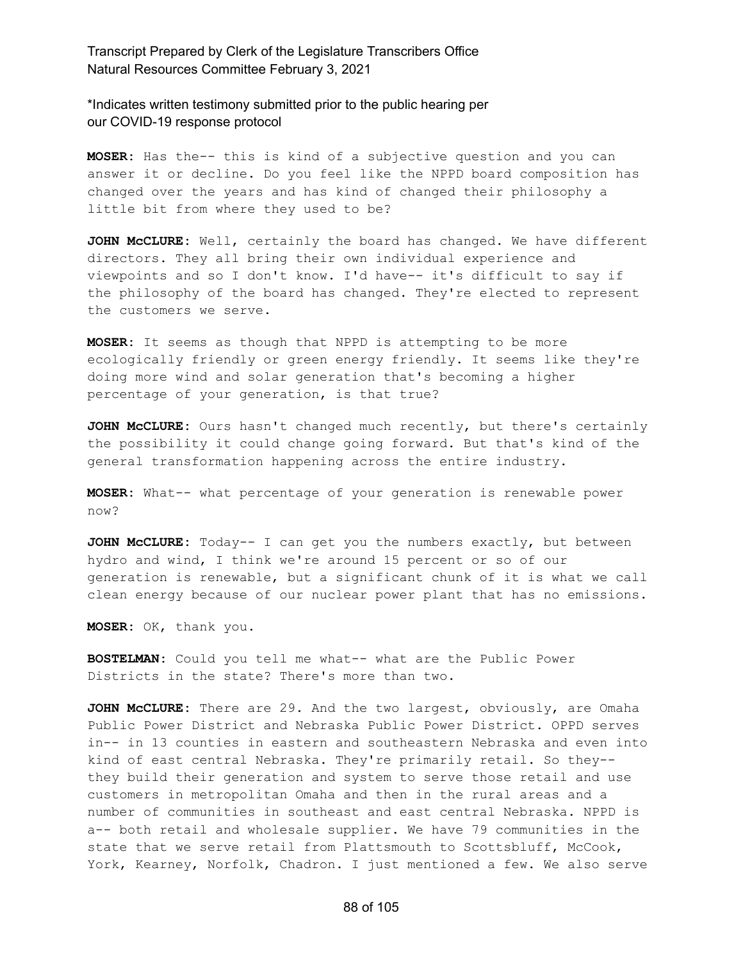\*Indicates written testimony submitted prior to the public hearing per our COVID-19 response protocol

**MOSER:** Has the-- this is kind of a subjective question and you can answer it or decline. Do you feel like the NPPD board composition has changed over the years and has kind of changed their philosophy a little bit from where they used to be?

**JOHN McCLURE:** Well, certainly the board has changed. We have different directors. They all bring their own individual experience and viewpoints and so I don't know. I'd have-- it's difficult to say if the philosophy of the board has changed. They're elected to represent the customers we serve.

**MOSER:** It seems as though that NPPD is attempting to be more ecologically friendly or green energy friendly. It seems like they're doing more wind and solar generation that's becoming a higher percentage of your generation, is that true?

**JOHN McCLURE:** Ours hasn't changed much recently, but there's certainly the possibility it could change going forward. But that's kind of the general transformation happening across the entire industry.

**MOSER:** What-- what percentage of your generation is renewable power now?

**JOHN McCLURE:** Today-- I can get you the numbers exactly, but between hydro and wind, I think we're around 15 percent or so of our generation is renewable, but a significant chunk of it is what we call clean energy because of our nuclear power plant that has no emissions.

**MOSER:** OK, thank you.

**BOSTELMAN:** Could you tell me what-- what are the Public Power Districts in the state? There's more than two.

**JOHN McCLURE:** There are 29. And the two largest, obviously, are Omaha Public Power District and Nebraska Public Power District. OPPD serves in-- in 13 counties in eastern and southeastern Nebraska and even into kind of east central Nebraska. They're primarily retail. So they- they build their generation and system to serve those retail and use customers in metropolitan Omaha and then in the rural areas and a number of communities in southeast and east central Nebraska. NPPD is a-- both retail and wholesale supplier. We have 79 communities in the state that we serve retail from Plattsmouth to Scottsbluff, McCook, York, Kearney, Norfolk, Chadron. I just mentioned a few. We also serve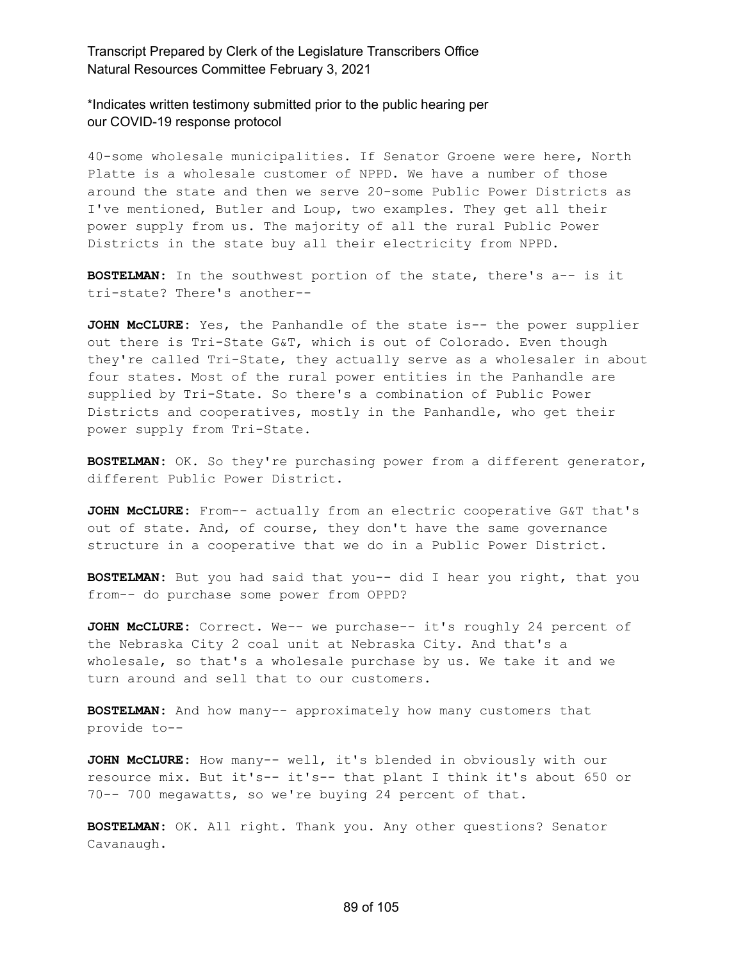\*Indicates written testimony submitted prior to the public hearing per our COVID-19 response protocol

40-some wholesale municipalities. If Senator Groene were here, North Platte is a wholesale customer of NPPD. We have a number of those around the state and then we serve 20-some Public Power Districts as I've mentioned, Butler and Loup, two examples. They get all their power supply from us. The majority of all the rural Public Power Districts in the state buy all their electricity from NPPD.

**BOSTELMAN:** In the southwest portion of the state, there's a-- is it tri-state? There's another--

**JOHN McCLURE:** Yes, the Panhandle of the state is-- the power supplier out there is Tri-State G&T, which is out of Colorado. Even though they're called Tri-State, they actually serve as a wholesaler in about four states. Most of the rural power entities in the Panhandle are supplied by Tri-State. So there's a combination of Public Power Districts and cooperatives, mostly in the Panhandle, who get their power supply from Tri-State.

**BOSTELMAN:** OK. So they're purchasing power from a different generator, different Public Power District.

**JOHN McCLURE:** From-- actually from an electric cooperative G&T that's out of state. And, of course, they don't have the same governance structure in a cooperative that we do in a Public Power District.

**BOSTELMAN:** But you had said that you-- did I hear you right, that you from-- do purchase some power from OPPD?

**JOHN McCLURE:** Correct. We-- we purchase-- it's roughly 24 percent of the Nebraska City 2 coal unit at Nebraska City. And that's a wholesale, so that's a wholesale purchase by us. We take it and we turn around and sell that to our customers.

**BOSTELMAN:** And how many-- approximately how many customers that provide to--

**JOHN McCLURE:** How many-- well, it's blended in obviously with our resource mix. But it's-- it's-- that plant I think it's about 650 or 70-- 700 megawatts, so we're buying 24 percent of that.

**BOSTELMAN:** OK. All right. Thank you. Any other questions? Senator Cavanaugh.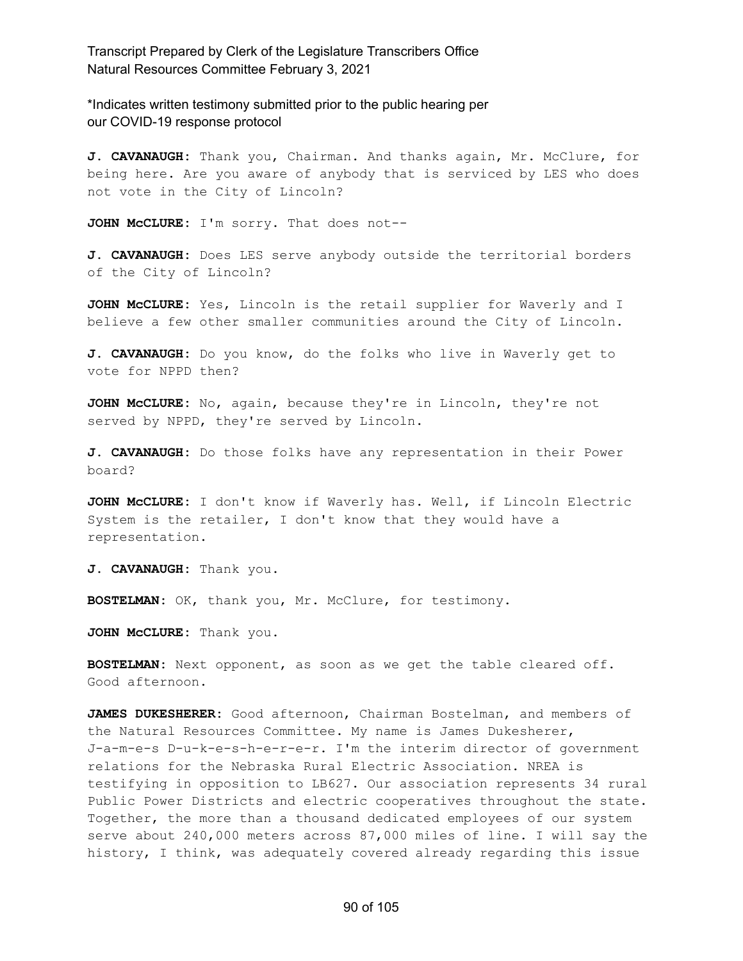\*Indicates written testimony submitted prior to the public hearing per our COVID-19 response protocol

**J. CAVANAUGH:** Thank you, Chairman. And thanks again, Mr. McClure, for being here. Are you aware of anybody that is serviced by LES who does not vote in the City of Lincoln?

**JOHN McCLURE:** I'm sorry. That does not--

**J. CAVANAUGH:** Does LES serve anybody outside the territorial borders of the City of Lincoln?

**JOHN McCLURE:** Yes, Lincoln is the retail supplier for Waverly and I believe a few other smaller communities around the City of Lincoln.

**J. CAVANAUGH:** Do you know, do the folks who live in Waverly get to vote for NPPD then?

**JOHN McCLURE:** No, again, because they're in Lincoln, they're not served by NPPD, they're served by Lincoln.

**J. CAVANAUGH:** Do those folks have any representation in their Power board?

**JOHN McCLURE:** I don't know if Waverly has. Well, if Lincoln Electric System is the retailer, I don't know that they would have a representation.

**J. CAVANAUGH:** Thank you.

**BOSTELMAN:** OK, thank you, Mr. McClure, for testimony.

**JOHN McCLURE:** Thank you.

**BOSTELMAN:** Next opponent, as soon as we get the table cleared off. Good afternoon.

**JAMES DUKESHERER:** Good afternoon, Chairman Bostelman, and members of the Natural Resources Committee. My name is James Dukesherer, J-a-m-e-s D-u-k-e-s-h-e-r-e-r. I'm the interim director of government relations for the Nebraska Rural Electric Association. NREA is testifying in opposition to LB627. Our association represents 34 rural Public Power Districts and electric cooperatives throughout the state. Together, the more than a thousand dedicated employees of our system serve about 240,000 meters across 87,000 miles of line. I will say the history, I think, was adequately covered already regarding this issue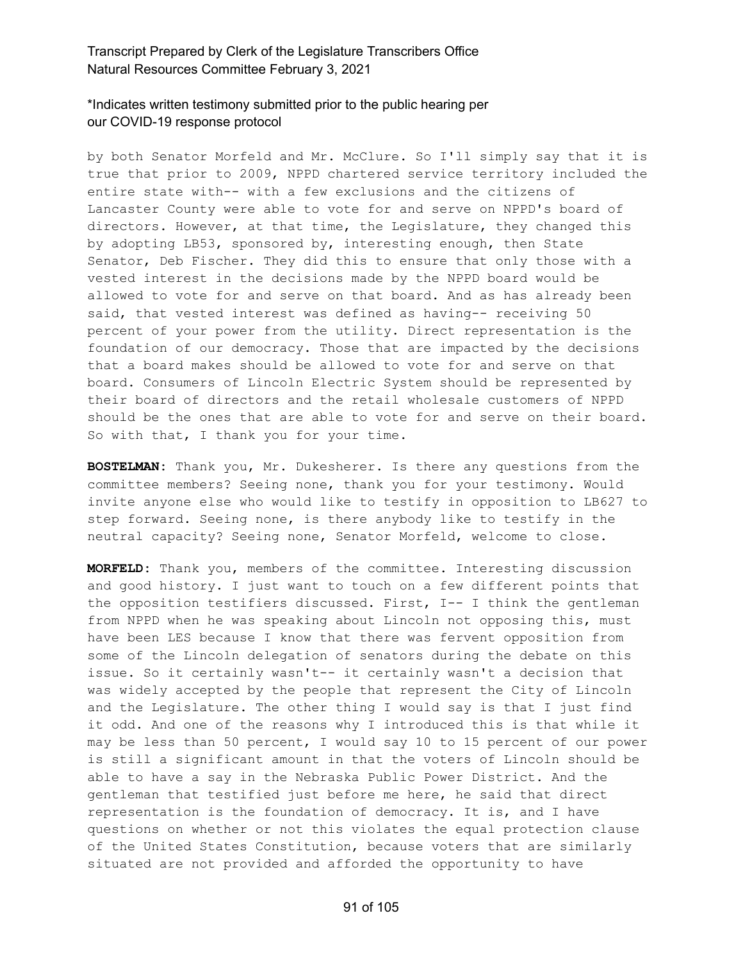# \*Indicates written testimony submitted prior to the public hearing per our COVID-19 response protocol

by both Senator Morfeld and Mr. McClure. So I'll simply say that it is true that prior to 2009, NPPD chartered service territory included the entire state with-- with a few exclusions and the citizens of Lancaster County were able to vote for and serve on NPPD's board of directors. However, at that time, the Legislature, they changed this by adopting LB53, sponsored by, interesting enough, then State Senator, Deb Fischer. They did this to ensure that only those with a vested interest in the decisions made by the NPPD board would be allowed to vote for and serve on that board. And as has already been said, that vested interest was defined as having-- receiving 50 percent of your power from the utility. Direct representation is the foundation of our democracy. Those that are impacted by the decisions that a board makes should be allowed to vote for and serve on that board. Consumers of Lincoln Electric System should be represented by their board of directors and the retail wholesale customers of NPPD should be the ones that are able to vote for and serve on their board. So with that, I thank you for your time.

**BOSTELMAN:** Thank you, Mr. Dukesherer. Is there any questions from the committee members? Seeing none, thank you for your testimony. Would invite anyone else who would like to testify in opposition to LB627 to step forward. Seeing none, is there anybody like to testify in the neutral capacity? Seeing none, Senator Morfeld, welcome to close.

**MORFELD:** Thank you, members of the committee. Interesting discussion and good history. I just want to touch on a few different points that the opposition testifiers discussed. First, I-- I think the gentleman from NPPD when he was speaking about Lincoln not opposing this, must have been LES because I know that there was fervent opposition from some of the Lincoln delegation of senators during the debate on this issue. So it certainly wasn't-- it certainly wasn't a decision that was widely accepted by the people that represent the City of Lincoln and the Legislature. The other thing I would say is that I just find it odd. And one of the reasons why I introduced this is that while it may be less than 50 percent, I would say 10 to 15 percent of our power is still a significant amount in that the voters of Lincoln should be able to have a say in the Nebraska Public Power District. And the gentleman that testified just before me here, he said that direct representation is the foundation of democracy. It is, and I have questions on whether or not this violates the equal protection clause of the United States Constitution, because voters that are similarly situated are not provided and afforded the opportunity to have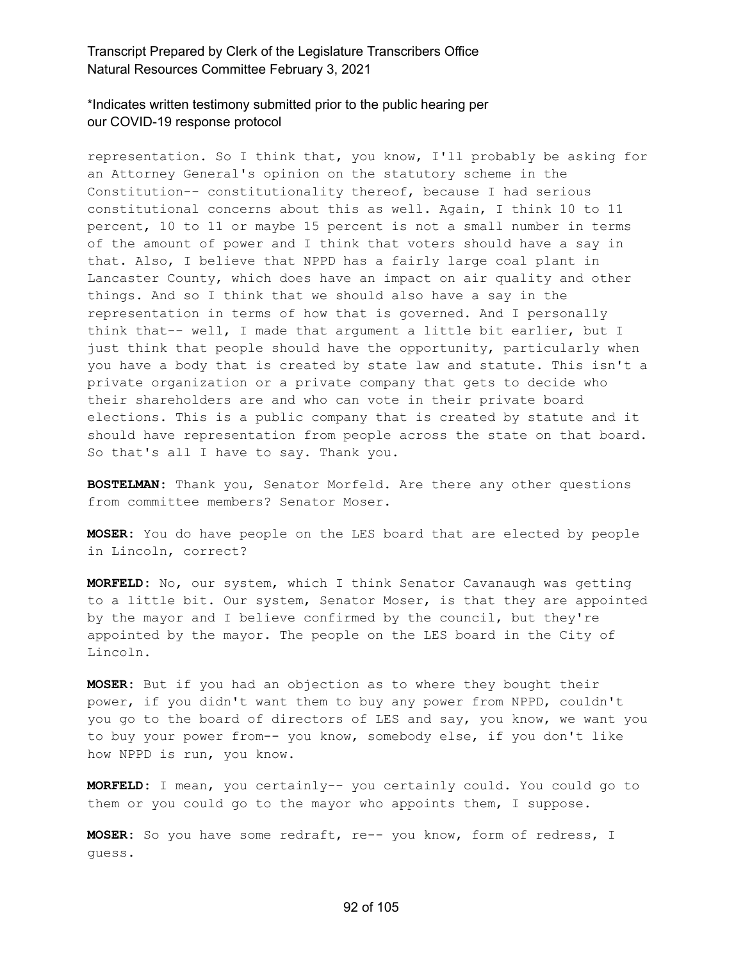\*Indicates written testimony submitted prior to the public hearing per our COVID-19 response protocol

representation. So I think that, you know, I'll probably be asking for an Attorney General's opinion on the statutory scheme in the Constitution-- constitutionality thereof, because I had serious constitutional concerns about this as well. Again, I think 10 to 11 percent, 10 to 11 or maybe 15 percent is not a small number in terms of the amount of power and I think that voters should have a say in that. Also, I believe that NPPD has a fairly large coal plant in Lancaster County, which does have an impact on air quality and other things. And so I think that we should also have a say in the representation in terms of how that is governed. And I personally think that-- well, I made that argument a little bit earlier, but I just think that people should have the opportunity, particularly when you have a body that is created by state law and statute. This isn't a private organization or a private company that gets to decide who their shareholders are and who can vote in their private board elections. This is a public company that is created by statute and it should have representation from people across the state on that board. So that's all I have to say. Thank you.

**BOSTELMAN:** Thank you, Senator Morfeld. Are there any other questions from committee members? Senator Moser.

**MOSER:** You do have people on the LES board that are elected by people in Lincoln, correct?

**MORFELD:** No, our system, which I think Senator Cavanaugh was getting to a little bit. Our system, Senator Moser, is that they are appointed by the mayor and I believe confirmed by the council, but they're appointed by the mayor. The people on the LES board in the City of Lincoln.

**MOSER:** But if you had an objection as to where they bought their power, if you didn't want them to buy any power from NPPD, couldn't you go to the board of directors of LES and say, you know, we want you to buy your power from-- you know, somebody else, if you don't like how NPPD is run, you know.

**MORFELD:** I mean, you certainly-- you certainly could. You could go to them or you could go to the mayor who appoints them, I suppose.

**MOSER:** So you have some redraft, re-- you know, form of redress, I guess.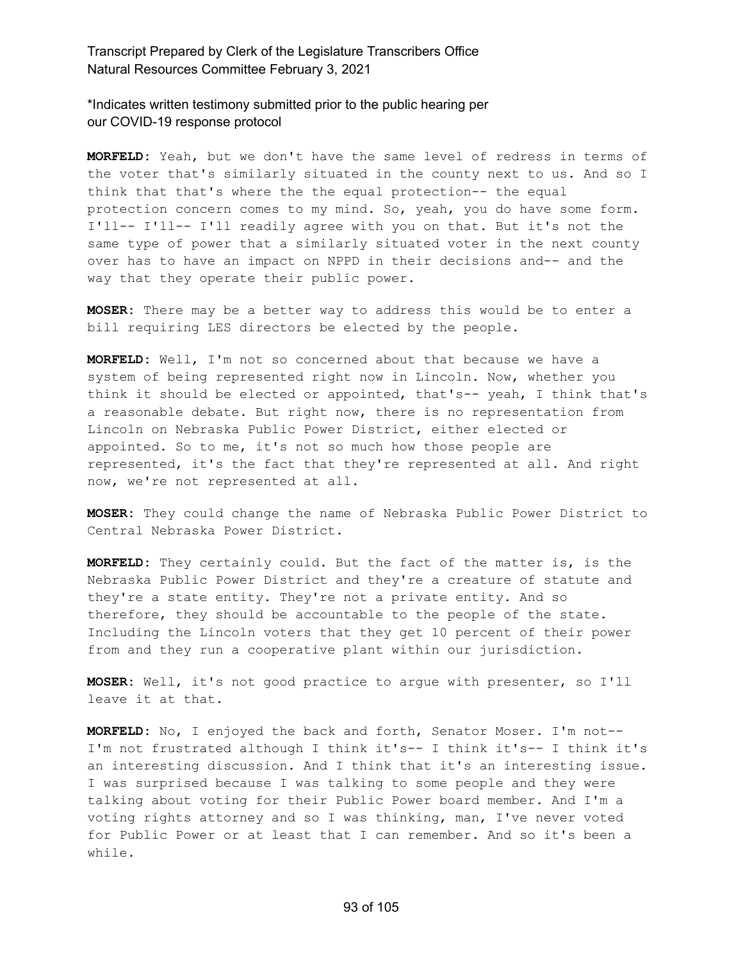\*Indicates written testimony submitted prior to the public hearing per our COVID-19 response protocol

**MORFELD:** Yeah, but we don't have the same level of redress in terms of the voter that's similarly situated in the county next to us. And so I think that that's where the the equal protection-- the equal protection concern comes to my mind. So, yeah, you do have some form. I'll-- I'll-- I'll readily agree with you on that. But it's not the same type of power that a similarly situated voter in the next county over has to have an impact on NPPD in their decisions and-- and the way that they operate their public power.

**MOSER:** There may be a better way to address this would be to enter a bill requiring LES directors be elected by the people.

**MORFELD:** Well, I'm not so concerned about that because we have a system of being represented right now in Lincoln. Now, whether you think it should be elected or appointed, that's-- yeah, I think that's a reasonable debate. But right now, there is no representation from Lincoln on Nebraska Public Power District, either elected or appointed. So to me, it's not so much how those people are represented, it's the fact that they're represented at all. And right now, we're not represented at all.

**MOSER:** They could change the name of Nebraska Public Power District to Central Nebraska Power District.

**MORFELD:** They certainly could. But the fact of the matter is, is the Nebraska Public Power District and they're a creature of statute and they're a state entity. They're not a private entity. And so therefore, they should be accountable to the people of the state. Including the Lincoln voters that they get 10 percent of their power from and they run a cooperative plant within our jurisdiction.

**MOSER:** Well, it's not good practice to argue with presenter, so I'll leave it at that.

**MORFELD:** No, I enjoyed the back and forth, Senator Moser. I'm not-- I'm not frustrated although I think it's-- I think it's-- I think it's an interesting discussion. And I think that it's an interesting issue. I was surprised because I was talking to some people and they were talking about voting for their Public Power board member. And I'm a voting rights attorney and so I was thinking, man, I've never voted for Public Power or at least that I can remember. And so it's been a while.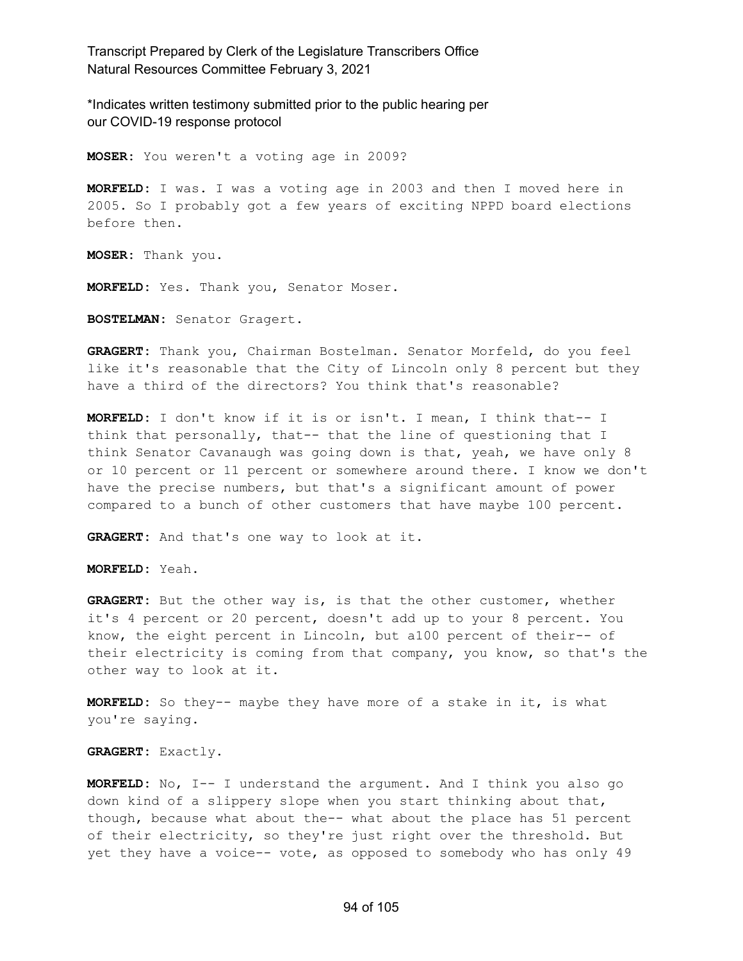\*Indicates written testimony submitted prior to the public hearing per our COVID-19 response protocol

**MOSER:** You weren't a voting age in 2009?

**MORFELD:** I was. I was a voting age in 2003 and then I moved here in 2005. So I probably got a few years of exciting NPPD board elections before then.

**MOSER:** Thank you.

**MORFELD:** Yes. Thank you, Senator Moser.

**BOSTELMAN:** Senator Gragert.

**GRAGERT:** Thank you, Chairman Bostelman. Senator Morfeld, do you feel like it's reasonable that the City of Lincoln only 8 percent but they have a third of the directors? You think that's reasonable?

**MORFELD:** I don't know if it is or isn't. I mean, I think that-- I think that personally, that-- that the line of questioning that I think Senator Cavanaugh was going down is that, yeah, we have only 8 or 10 percent or 11 percent or somewhere around there. I know we don't have the precise numbers, but that's a significant amount of power compared to a bunch of other customers that have maybe 100 percent.

**GRAGERT:** And that's one way to look at it.

**MORFELD:** Yeah.

**GRAGERT:** But the other way is, is that the other customer, whether it's 4 percent or 20 percent, doesn't add up to your 8 percent. You know, the eight percent in Lincoln, but a100 percent of their-- of their electricity is coming from that company, you know, so that's the other way to look at it.

**MORFELD:** So they-- maybe they have more of a stake in it, is what you're saying.

**GRAGERT:** Exactly.

**MORFELD:** No, I-- I understand the argument. And I think you also go down kind of a slippery slope when you start thinking about that, though, because what about the-- what about the place has 51 percent of their electricity, so they're just right over the threshold. But yet they have a voice-- vote, as opposed to somebody who has only 49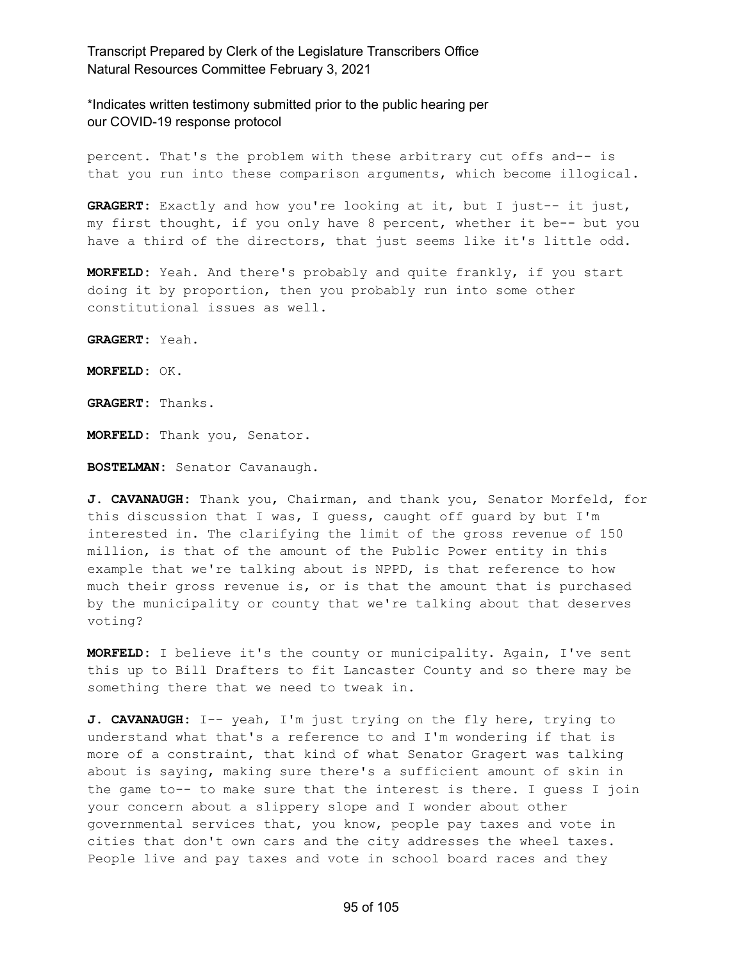\*Indicates written testimony submitted prior to the public hearing per our COVID-19 response protocol

percent. That's the problem with these arbitrary cut offs and-- is that you run into these comparison arguments, which become illogical.

**GRAGERT:** Exactly and how you're looking at it, but I just-- it just, my first thought, if you only have 8 percent, whether it be-- but you have a third of the directors, that just seems like it's little odd.

**MORFELD:** Yeah. And there's probably and quite frankly, if you start doing it by proportion, then you probably run into some other constitutional issues as well.

**GRAGERT:** Yeah.

**MORFELD:** OK.

**GRAGERT:** Thanks.

**MORFELD:** Thank you, Senator.

**BOSTELMAN:** Senator Cavanaugh.

**J. CAVANAUGH:** Thank you, Chairman, and thank you, Senator Morfeld, for this discussion that I was, I guess, caught off guard by but I'm interested in. The clarifying the limit of the gross revenue of 150 million, is that of the amount of the Public Power entity in this example that we're talking about is NPPD, is that reference to how much their gross revenue is, or is that the amount that is purchased by the municipality or county that we're talking about that deserves voting?

**MORFELD:** I believe it's the county or municipality. Again, I've sent this up to Bill Drafters to fit Lancaster County and so there may be something there that we need to tweak in.

**J. CAVANAUGH:** I-- yeah, I'm just trying on the fly here, trying to understand what that's a reference to and I'm wondering if that is more of a constraint, that kind of what Senator Gragert was talking about is saying, making sure there's a sufficient amount of skin in the game to-- to make sure that the interest is there. I guess I join your concern about a slippery slope and I wonder about other governmental services that, you know, people pay taxes and vote in cities that don't own cars and the city addresses the wheel taxes. People live and pay taxes and vote in school board races and they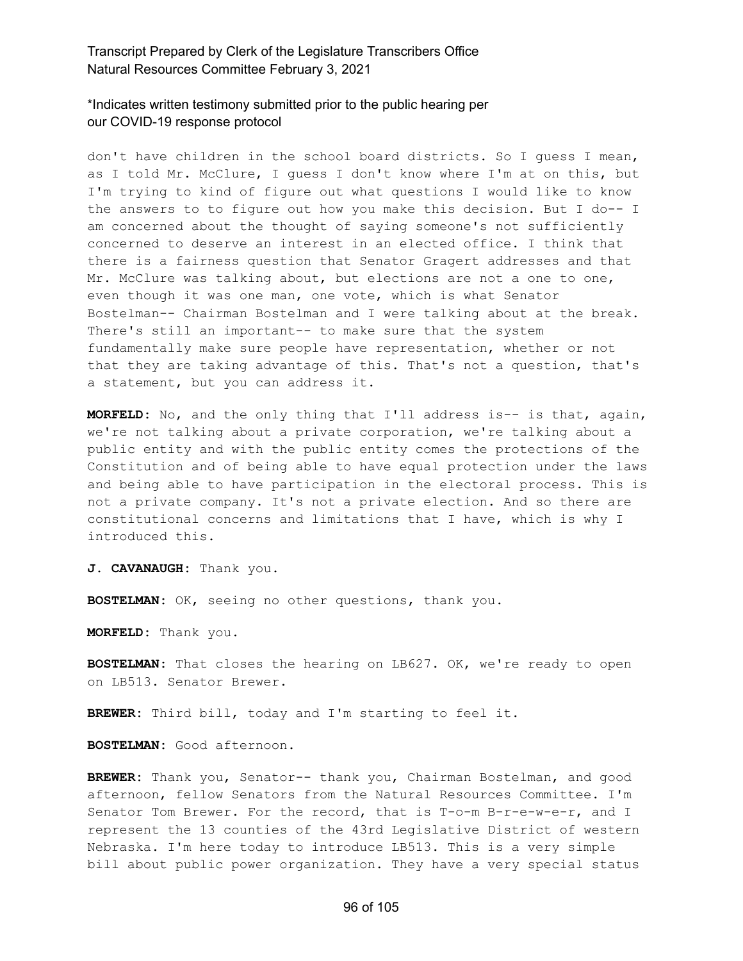## \*Indicates written testimony submitted prior to the public hearing per our COVID-19 response protocol

don't have children in the school board districts. So I guess I mean, as I told Mr. McClure, I guess I don't know where I'm at on this, but I'm trying to kind of figure out what questions I would like to know the answers to to figure out how you make this decision. But I do-- I am concerned about the thought of saying someone's not sufficiently concerned to deserve an interest in an elected office. I think that there is a fairness question that Senator Gragert addresses and that Mr. McClure was talking about, but elections are not a one to one, even though it was one man, one vote, which is what Senator Bostelman-- Chairman Bostelman and I were talking about at the break. There's still an important-- to make sure that the system fundamentally make sure people have representation, whether or not that they are taking advantage of this. That's not a question, that's a statement, but you can address it.

**MORFELD:** No, and the only thing that I'll address is-- is that, again, we're not talking about a private corporation, we're talking about a public entity and with the public entity comes the protections of the Constitution and of being able to have equal protection under the laws and being able to have participation in the electoral process. This is not a private company. It's not a private election. And so there are constitutional concerns and limitations that I have, which is why I introduced this.

**J. CAVANAUGH:** Thank you.

**BOSTELMAN:** OK, seeing no other questions, thank you.

**MORFELD:** Thank you.

**BOSTELMAN:** That closes the hearing on LB627. OK, we're ready to open on LB513. Senator Brewer.

**BREWER:** Third bill, today and I'm starting to feel it.

**BOSTELMAN:** Good afternoon.

**BREWER:** Thank you, Senator-- thank you, Chairman Bostelman, and good afternoon, fellow Senators from the Natural Resources Committee. I'm Senator Tom Brewer. For the record, that is T-o-m B-r-e-w-e-r, and I represent the 13 counties of the 43rd Legislative District of western Nebraska. I'm here today to introduce LB513. This is a very simple bill about public power organization. They have a very special status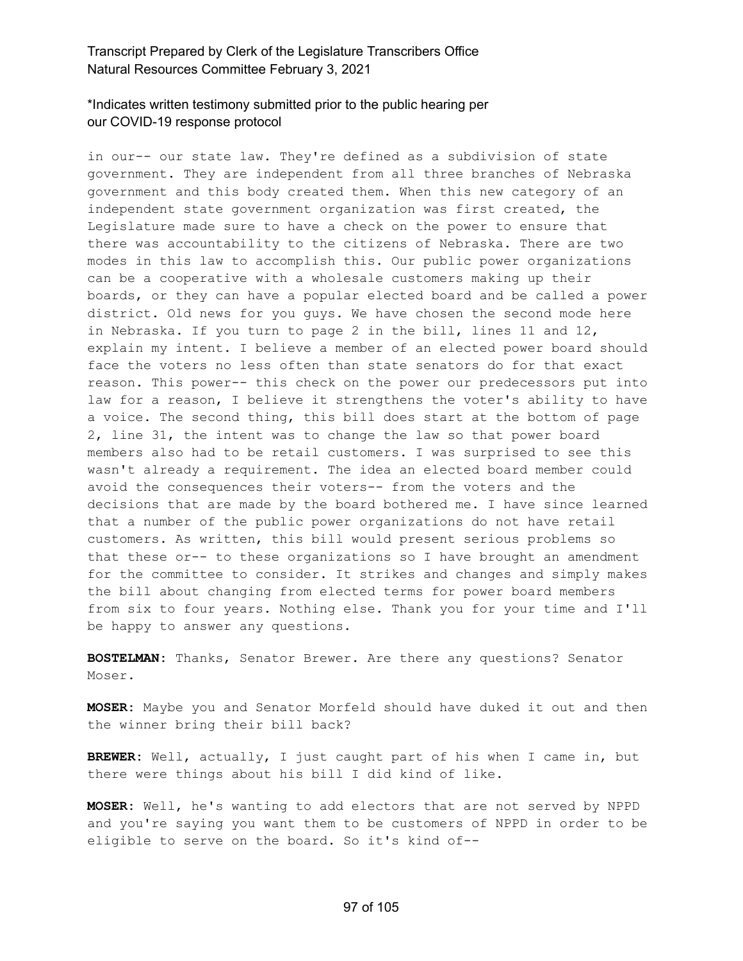# \*Indicates written testimony submitted prior to the public hearing per our COVID-19 response protocol

in our-- our state law. They're defined as a subdivision of state government. They are independent from all three branches of Nebraska government and this body created them. When this new category of an independent state government organization was first created, the Legislature made sure to have a check on the power to ensure that there was accountability to the citizens of Nebraska. There are two modes in this law to accomplish this. Our public power organizations can be a cooperative with a wholesale customers making up their boards, or they can have a popular elected board and be called a power district. Old news for you guys. We have chosen the second mode here in Nebraska. If you turn to page 2 in the bill, lines 11 and 12, explain my intent. I believe a member of an elected power board should face the voters no less often than state senators do for that exact reason. This power-- this check on the power our predecessors put into law for a reason, I believe it strengthens the voter's ability to have a voice. The second thing, this bill does start at the bottom of page 2, line 31, the intent was to change the law so that power board members also had to be retail customers. I was surprised to see this wasn't already a requirement. The idea an elected board member could avoid the consequences their voters-- from the voters and the decisions that are made by the board bothered me. I have since learned that a number of the public power organizations do not have retail customers. As written, this bill would present serious problems so that these or-- to these organizations so I have brought an amendment for the committee to consider. It strikes and changes and simply makes the bill about changing from elected terms for power board members from six to four years. Nothing else. Thank you for your time and I'll be happy to answer any questions.

**BOSTELMAN:** Thanks, Senator Brewer. Are there any questions? Senator Moser.

**MOSER:** Maybe you and Senator Morfeld should have duked it out and then the winner bring their bill back?

**BREWER:** Well, actually, I just caught part of his when I came in, but there were things about his bill I did kind of like.

**MOSER:** Well, he's wanting to add electors that are not served by NPPD and you're saying you want them to be customers of NPPD in order to be eligible to serve on the board. So it's kind of--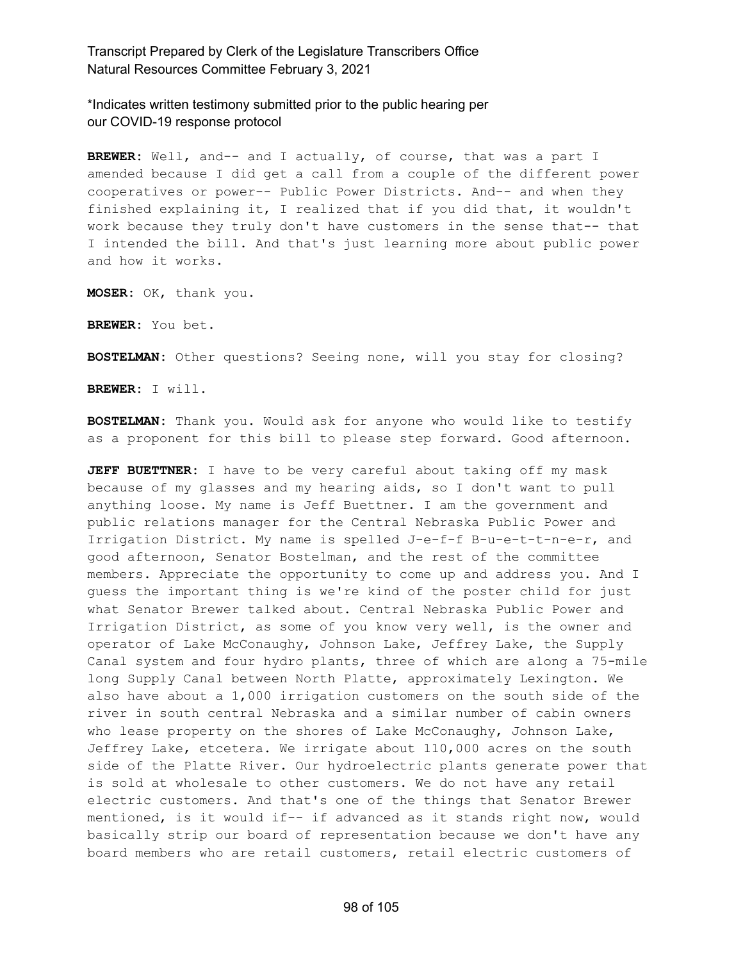\*Indicates written testimony submitted prior to the public hearing per our COVID-19 response protocol

**BREWER:** Well, and-- and I actually, of course, that was a part I amended because I did get a call from a couple of the different power cooperatives or power-- Public Power Districts. And-- and when they finished explaining it, I realized that if you did that, it wouldn't work because they truly don't have customers in the sense that-- that I intended the bill. And that's just learning more about public power and how it works.

**MOSER:** OK, thank you.

**BREWER:** You bet.

**BOSTELMAN:** Other questions? Seeing none, will you stay for closing?

**BREWER:** I will.

**BOSTELMAN:** Thank you. Would ask for anyone who would like to testify as a proponent for this bill to please step forward. Good afternoon.

**JEFF BUETTNER:** I have to be very careful about taking off my mask because of my glasses and my hearing aids, so I don't want to pull anything loose. My name is Jeff Buettner. I am the government and public relations manager for the Central Nebraska Public Power and Irrigation District. My name is spelled J-e-f-f B-u-e-t-t-n-e-r, and good afternoon, Senator Bostelman, and the rest of the committee members. Appreciate the opportunity to come up and address you. And I guess the important thing is we're kind of the poster child for just what Senator Brewer talked about. Central Nebraska Public Power and Irrigation District, as some of you know very well, is the owner and operator of Lake McConaughy, Johnson Lake, Jeffrey Lake, the Supply Canal system and four hydro plants, three of which are along a 75-mile long Supply Canal between North Platte, approximately Lexington. We also have about a 1,000 irrigation customers on the south side of the river in south central Nebraska and a similar number of cabin owners who lease property on the shores of Lake McConaughy, Johnson Lake, Jeffrey Lake, etcetera. We irrigate about 110,000 acres on the south side of the Platte River. Our hydroelectric plants generate power that is sold at wholesale to other customers. We do not have any retail electric customers. And that's one of the things that Senator Brewer mentioned, is it would if-- if advanced as it stands right now, would basically strip our board of representation because we don't have any board members who are retail customers, retail electric customers of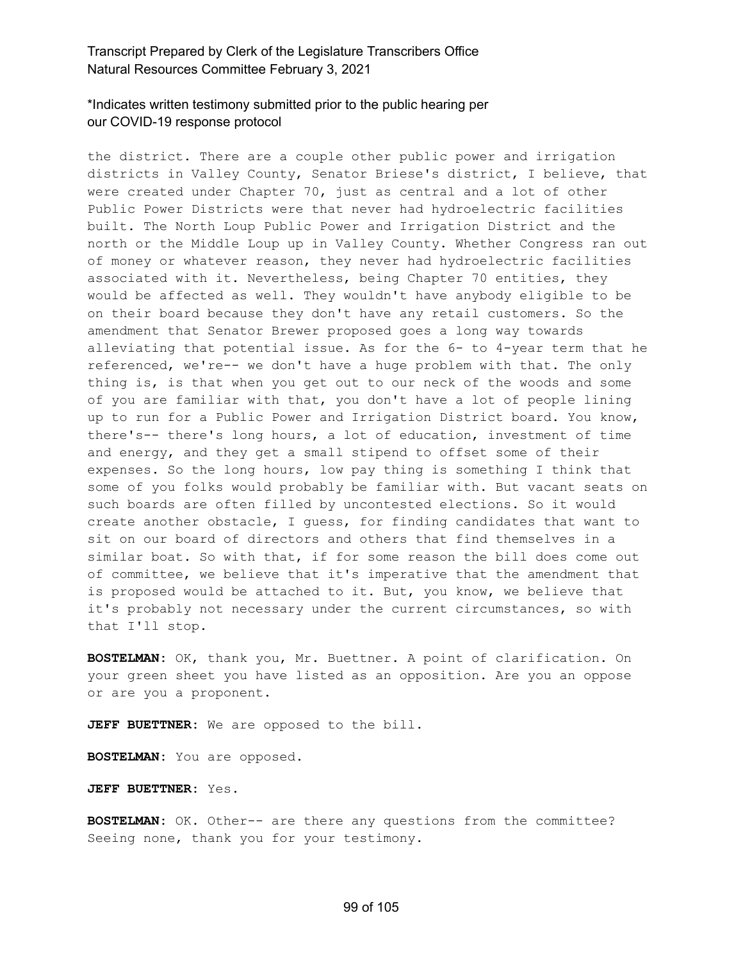# \*Indicates written testimony submitted prior to the public hearing per our COVID-19 response protocol

the district. There are a couple other public power and irrigation districts in Valley County, Senator Briese's district, I believe, that were created under Chapter 70, just as central and a lot of other Public Power Districts were that never had hydroelectric facilities built. The North Loup Public Power and Irrigation District and the north or the Middle Loup up in Valley County. Whether Congress ran out of money or whatever reason, they never had hydroelectric facilities associated with it. Nevertheless, being Chapter 70 entities, they would be affected as well. They wouldn't have anybody eligible to be on their board because they don't have any retail customers. So the amendment that Senator Brewer proposed goes a long way towards alleviating that potential issue. As for the 6- to 4-year term that he referenced, we're-- we don't have a huge problem with that. The only thing is, is that when you get out to our neck of the woods and some of you are familiar with that, you don't have a lot of people lining up to run for a Public Power and Irrigation District board. You know, there's-- there's long hours, a lot of education, investment of time and energy, and they get a small stipend to offset some of their expenses. So the long hours, low pay thing is something I think that some of you folks would probably be familiar with. But vacant seats on such boards are often filled by uncontested elections. So it would create another obstacle, I guess, for finding candidates that want to sit on our board of directors and others that find themselves in a similar boat. So with that, if for some reason the bill does come out of committee, we believe that it's imperative that the amendment that is proposed would be attached to it. But, you know, we believe that it's probably not necessary under the current circumstances, so with that I'll stop.

**BOSTELMAN:** OK, thank you, Mr. Buettner. A point of clarification. On your green sheet you have listed as an opposition. Are you an oppose or are you a proponent.

**JEFF BUETTNER:** We are opposed to the bill.

**BOSTELMAN:** You are opposed.

**JEFF BUETTNER:** Yes.

**BOSTELMAN:** OK. Other-- are there any questions from the committee? Seeing none, thank you for your testimony.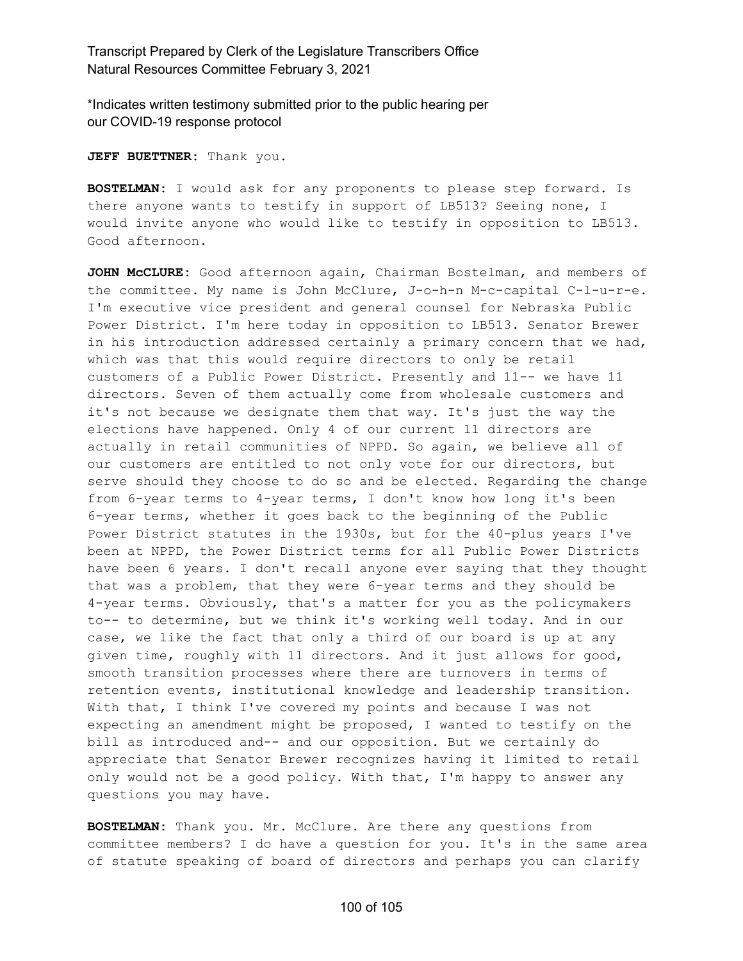\*Indicates written testimony submitted prior to the public hearing per our COVID-19 response protocol

**JEFF BUETTNER:** Thank you.

**BOSTELMAN:** I would ask for any proponents to please step forward. Is there anyone wants to testify in support of LB513? Seeing none, I would invite anyone who would like to testify in opposition to LB513. Good afternoon.

**JOHN McCLURE:** Good afternoon again, Chairman Bostelman, and members of the committee. My name is John McClure, J-o-h-n M-c-capital C-l-u-r-e. I'm executive vice president and general counsel for Nebraska Public Power District. I'm here today in opposition to LB513. Senator Brewer in his introduction addressed certainly a primary concern that we had, which was that this would require directors to only be retail customers of a Public Power District. Presently and 11-- we have 11 directors. Seven of them actually come from wholesale customers and it's not because we designate them that way. It's just the way the elections have happened. Only 4 of our current 11 directors are actually in retail communities of NPPD. So again, we believe all of our customers are entitled to not only vote for our directors, but serve should they choose to do so and be elected. Regarding the change from 6-year terms to 4-year terms, I don't know how long it's been 6-year terms, whether it goes back to the beginning of the Public Power District statutes in the 1930s, but for the 40-plus years I've been at NPPD, the Power District terms for all Public Power Districts have been 6 years. I don't recall anyone ever saying that they thought that was a problem, that they were 6-year terms and they should be 4-year terms. Obviously, that's a matter for you as the policymakers to-- to determine, but we think it's working well today. And in our case, we like the fact that only a third of our board is up at any given time, roughly with 11 directors. And it just allows for good, smooth transition processes where there are turnovers in terms of retention events, institutional knowledge and leadership transition. With that, I think I've covered my points and because I was not expecting an amendment might be proposed, I wanted to testify on the bill as introduced and-- and our opposition. But we certainly do appreciate that Senator Brewer recognizes having it limited to retail only would not be a good policy. With that, I'm happy to answer any questions you may have.

**BOSTELMAN:** Thank you. Mr. McClure. Are there any questions from committee members? I do have a question for you. It's in the same area of statute speaking of board of directors and perhaps you can clarify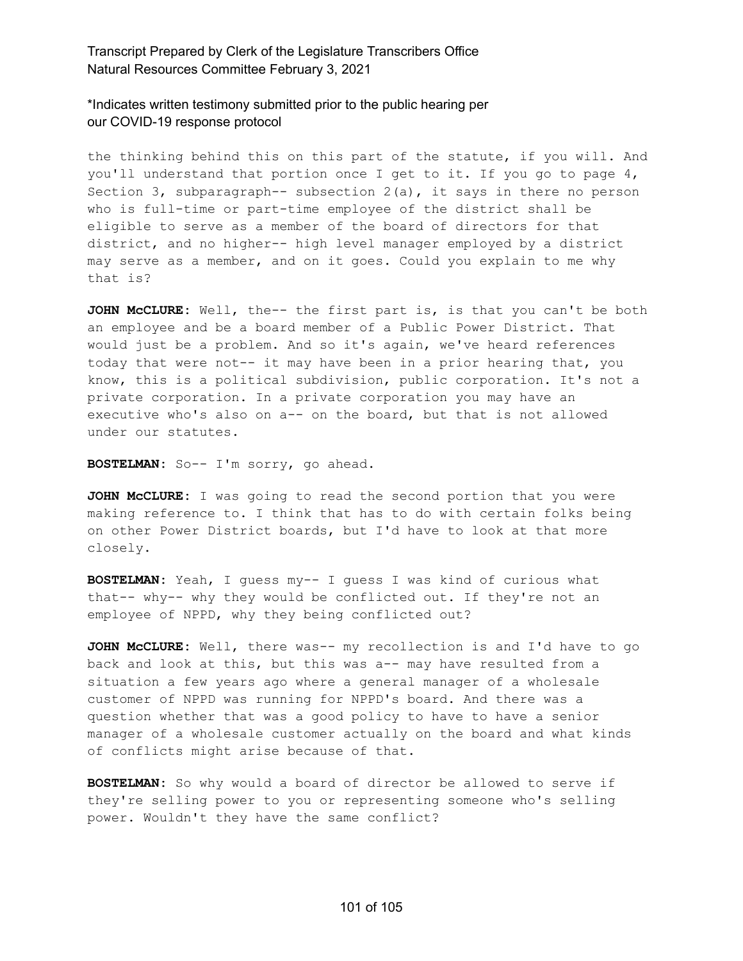\*Indicates written testimony submitted prior to the public hearing per our COVID-19 response protocol

the thinking behind this on this part of the statute, if you will. And you'll understand that portion once I get to it. If you go to page 4, Section 3, subparagraph-- subsection  $2(a)$ , it says in there no person who is full-time or part-time employee of the district shall be eligible to serve as a member of the board of directors for that district, and no higher-- high level manager employed by a district may serve as a member, and on it goes. Could you explain to me why that is?

**JOHN McCLURE:** Well, the-- the first part is, is that you can't be both an employee and be a board member of a Public Power District. That would just be a problem. And so it's again, we've heard references today that were not-- it may have been in a prior hearing that, you know, this is a political subdivision, public corporation. It's not a private corporation. In a private corporation you may have an executive who's also on a-- on the board, but that is not allowed under our statutes.

**BOSTELMAN:** So-- I'm sorry, go ahead.

**JOHN McCLURE:** I was going to read the second portion that you were making reference to. I think that has to do with certain folks being on other Power District boards, but I'd have to look at that more closely.

**BOSTELMAN:** Yeah, I guess my-- I guess I was kind of curious what that-- why-- why they would be conflicted out. If they're not an employee of NPPD, why they being conflicted out?

**JOHN McCLURE:** Well, there was-- my recollection is and I'd have to go back and look at this, but this was a-- may have resulted from a situation a few years ago where a general manager of a wholesale customer of NPPD was running for NPPD's board. And there was a question whether that was a good policy to have to have a senior manager of a wholesale customer actually on the board and what kinds of conflicts might arise because of that.

**BOSTELMAN:** So why would a board of director be allowed to serve if they're selling power to you or representing someone who's selling power. Wouldn't they have the same conflict?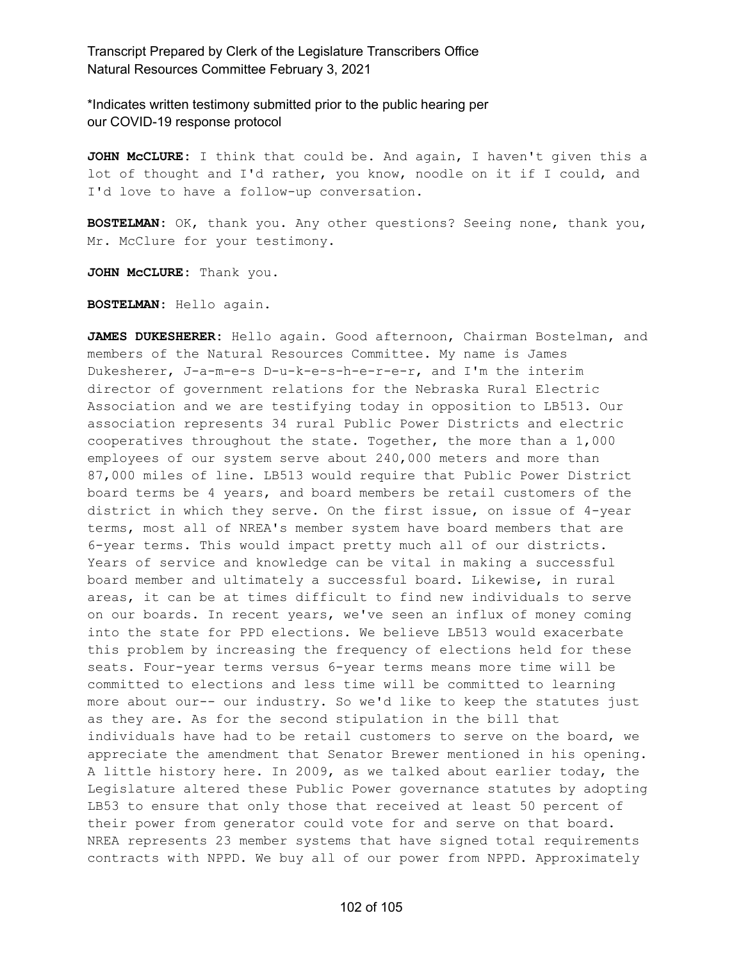\*Indicates written testimony submitted prior to the public hearing per our COVID-19 response protocol

**JOHN McCLURE:** I think that could be. And again, I haven't given this a lot of thought and I'd rather, you know, noodle on it if I could, and I'd love to have a follow-up conversation.

**BOSTELMAN:** OK, thank you. Any other questions? Seeing none, thank you, Mr. McClure for your testimony.

**JOHN McCLURE:** Thank you.

**BOSTELMAN:** Hello again.

**JAMES DUKESHERER:** Hello again. Good afternoon, Chairman Bostelman, and members of the Natural Resources Committee. My name is James Dukesherer, J-a-m-e-s D-u-k-e-s-h-e-r-e-r, and I'm the interim director of government relations for the Nebraska Rural Electric Association and we are testifying today in opposition to LB513. Our association represents 34 rural Public Power Districts and electric cooperatives throughout the state. Together, the more than a 1,000 employees of our system serve about 240,000 meters and more than 87,000 miles of line. LB513 would require that Public Power District board terms be 4 years, and board members be retail customers of the district in which they serve. On the first issue, on issue of 4-year terms, most all of NREA's member system have board members that are 6-year terms. This would impact pretty much all of our districts. Years of service and knowledge can be vital in making a successful board member and ultimately a successful board. Likewise, in rural areas, it can be at times difficult to find new individuals to serve on our boards. In recent years, we've seen an influx of money coming into the state for PPD elections. We believe LB513 would exacerbate this problem by increasing the frequency of elections held for these seats. Four-year terms versus 6-year terms means more time will be committed to elections and less time will be committed to learning more about our-- our industry. So we'd like to keep the statutes just as they are. As for the second stipulation in the bill that individuals have had to be retail customers to serve on the board, we appreciate the amendment that Senator Brewer mentioned in his opening. A little history here. In 2009, as we talked about earlier today, the Legislature altered these Public Power governance statutes by adopting LB53 to ensure that only those that received at least 50 percent of their power from generator could vote for and serve on that board. NREA represents 23 member systems that have signed total requirements contracts with NPPD. We buy all of our power from NPPD. Approximately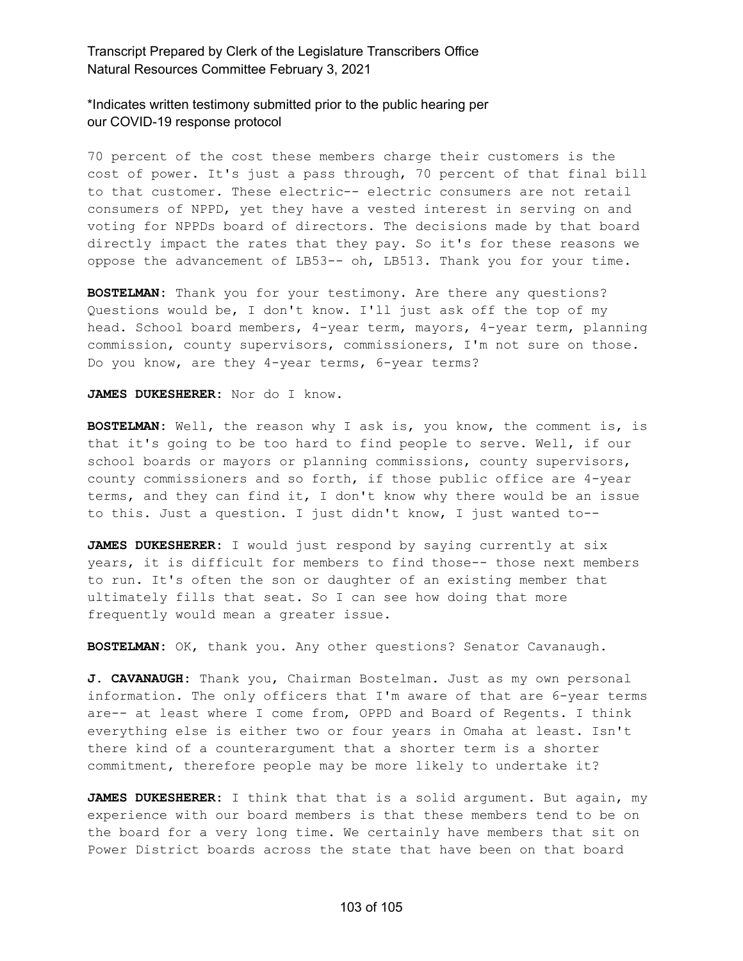#### \*Indicates written testimony submitted prior to the public hearing per our COVID-19 response protocol

70 percent of the cost these members charge their customers is the cost of power. It's just a pass through, 70 percent of that final bill to that customer. These electric-- electric consumers are not retail consumers of NPPD, yet they have a vested interest in serving on and voting for NPPDs board of directors. The decisions made by that board directly impact the rates that they pay. So it's for these reasons we oppose the advancement of LB53-- oh, LB513. Thank you for your time.

**BOSTELMAN:** Thank you for your testimony. Are there any questions? Questions would be, I don't know. I'll just ask off the top of my head. School board members, 4-year term, mayors, 4-year term, planning commission, county supervisors, commissioners, I'm not sure on those. Do you know, are they 4-year terms, 6-year terms?

**JAMES DUKESHERER:** Nor do I know.

**BOSTELMAN:** Well, the reason why I ask is, you know, the comment is, is that it's going to be too hard to find people to serve. Well, if our school boards or mayors or planning commissions, county supervisors, county commissioners and so forth, if those public office are 4-year terms, and they can find it, I don't know why there would be an issue to this. Just a question. I just didn't know, I just wanted to--

**JAMES DUKESHERER:** I would just respond by saying currently at six years, it is difficult for members to find those-- those next members to run. It's often the son or daughter of an existing member that ultimately fills that seat. So I can see how doing that more frequently would mean a greater issue.

**BOSTELMAN:** OK, thank you. Any other questions? Senator Cavanaugh.

**J. CAVANAUGH:** Thank you, Chairman Bostelman. Just as my own personal information. The only officers that I'm aware of that are 6-year terms are-- at least where I come from, OPPD and Board of Regents. I think everything else is either two or four years in Omaha at least. Isn't there kind of a counterargument that a shorter term is a shorter commitment, therefore people may be more likely to undertake it?

**JAMES DUKESHERER:** I think that that is a solid argument. But again, my experience with our board members is that these members tend to be on the board for a very long time. We certainly have members that sit on Power District boards across the state that have been on that board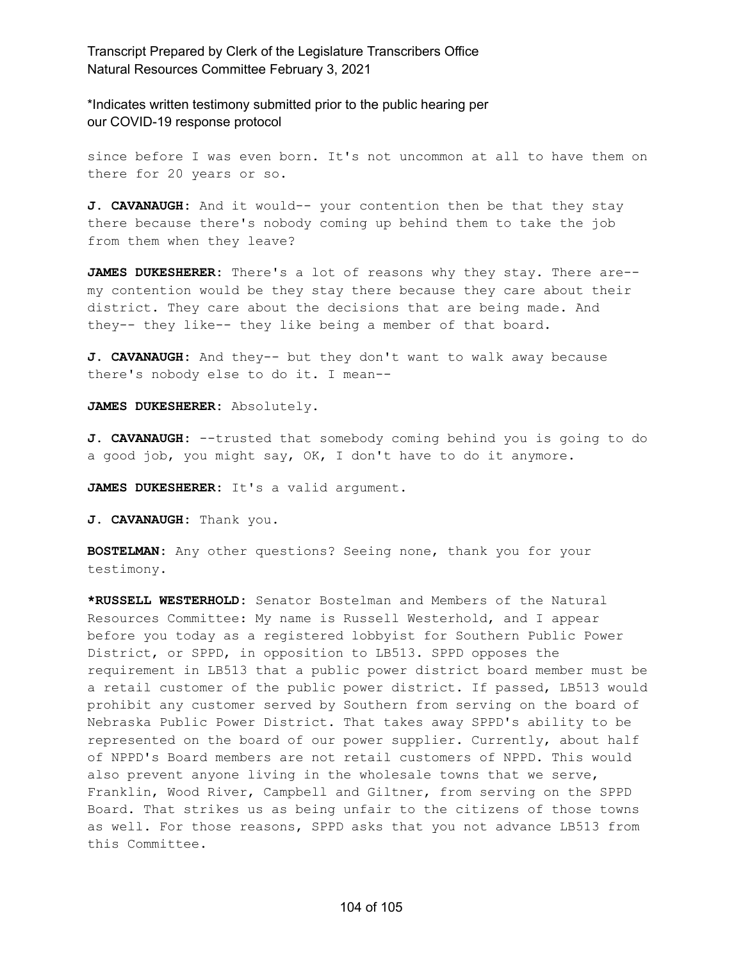\*Indicates written testimony submitted prior to the public hearing per our COVID-19 response protocol

since before I was even born. It's not uncommon at all to have them on there for 20 years or so.

**J. CAVANAUGH:** And it would-- your contention then be that they stay there because there's nobody coming up behind them to take the job from them when they leave?

**JAMES DUKESHERER:** There's a lot of reasons why they stay. There are- my contention would be they stay there because they care about their district. They care about the decisions that are being made. And they-- they like-- they like being a member of that board.

**J. CAVANAUGH:** And they-- but they don't want to walk away because there's nobody else to do it. I mean--

**JAMES DUKESHERER:** Absolutely.

**J. CAVANAUGH:** --trusted that somebody coming behind you is going to do a good job, you might say, OK, I don't have to do it anymore.

**JAMES DUKESHERER:** It's a valid argument.

**J. CAVANAUGH:** Thank you.

**BOSTELMAN:** Any other questions? Seeing none, thank you for your testimony.

**\*RUSSELL WESTERHOLD:** Senator Bostelman and Members of the Natural Resources Committee: My name is Russell Westerhold, and I appear before you today as a registered lobbyist for Southern Public Power District, or SPPD, in opposition to LB513. SPPD opposes the requirement in LB513 that a public power district board member must be a retail customer of the public power district. If passed, LB513 would prohibit any customer served by Southern from serving on the board of Nebraska Public Power District. That takes away SPPD's ability to be represented on the board of our power supplier. Currently, about half of NPPD's Board members are not retail customers of NPPD. This would also prevent anyone living in the wholesale towns that we serve, Franklin, Wood River, Campbell and Giltner, from serving on the SPPD Board. That strikes us as being unfair to the citizens of those towns as well. For those reasons, SPPD asks that you not advance LB513 from this Committee.